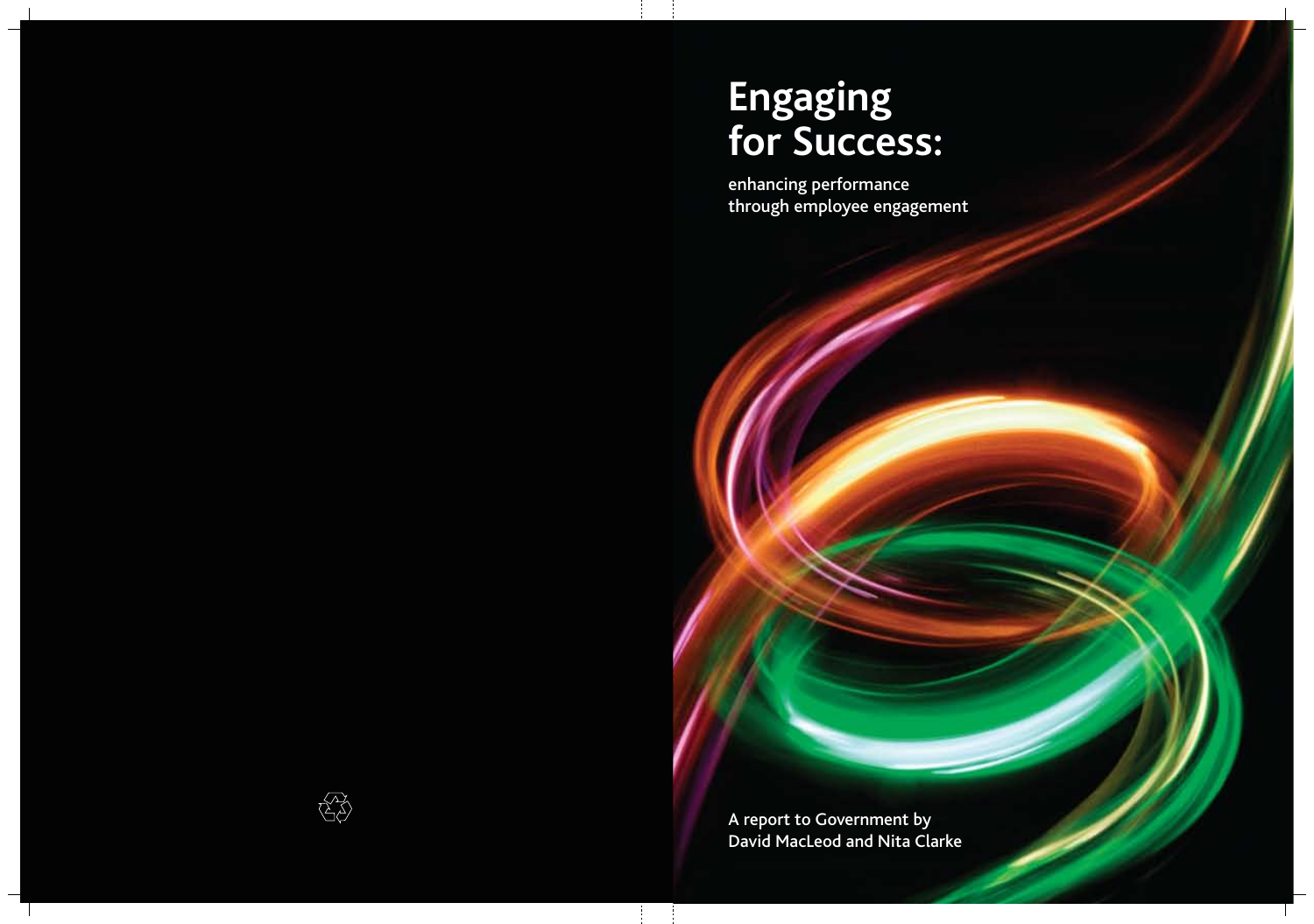# **Engaging for Success:**

enhancing performance through employee engagement

A report to Government by David MacLeod and Nita Clarke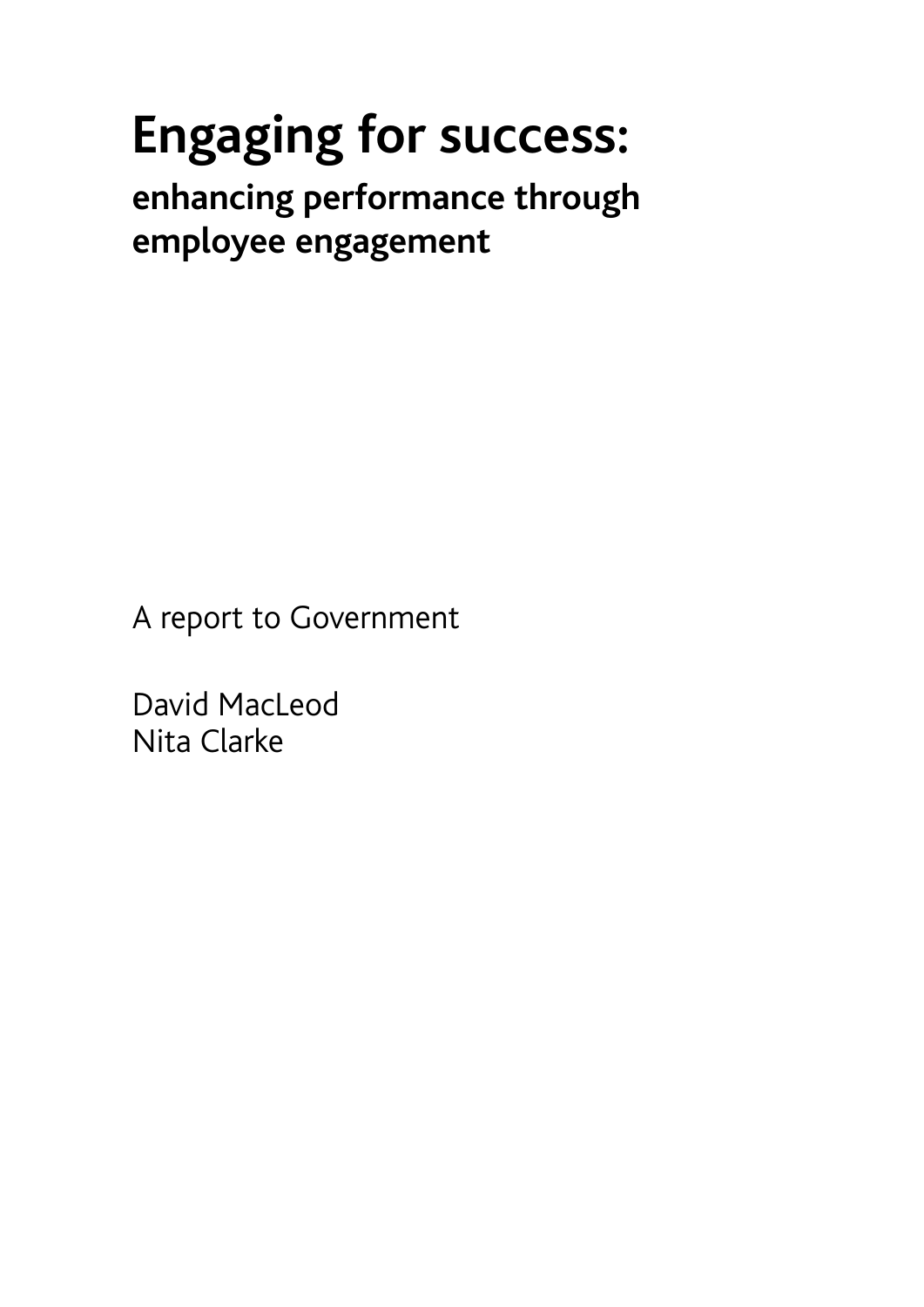# **Engaging for success:**

**enhancing performance through employee engagement** 

A report to Government

David MacLeod Nita Clarke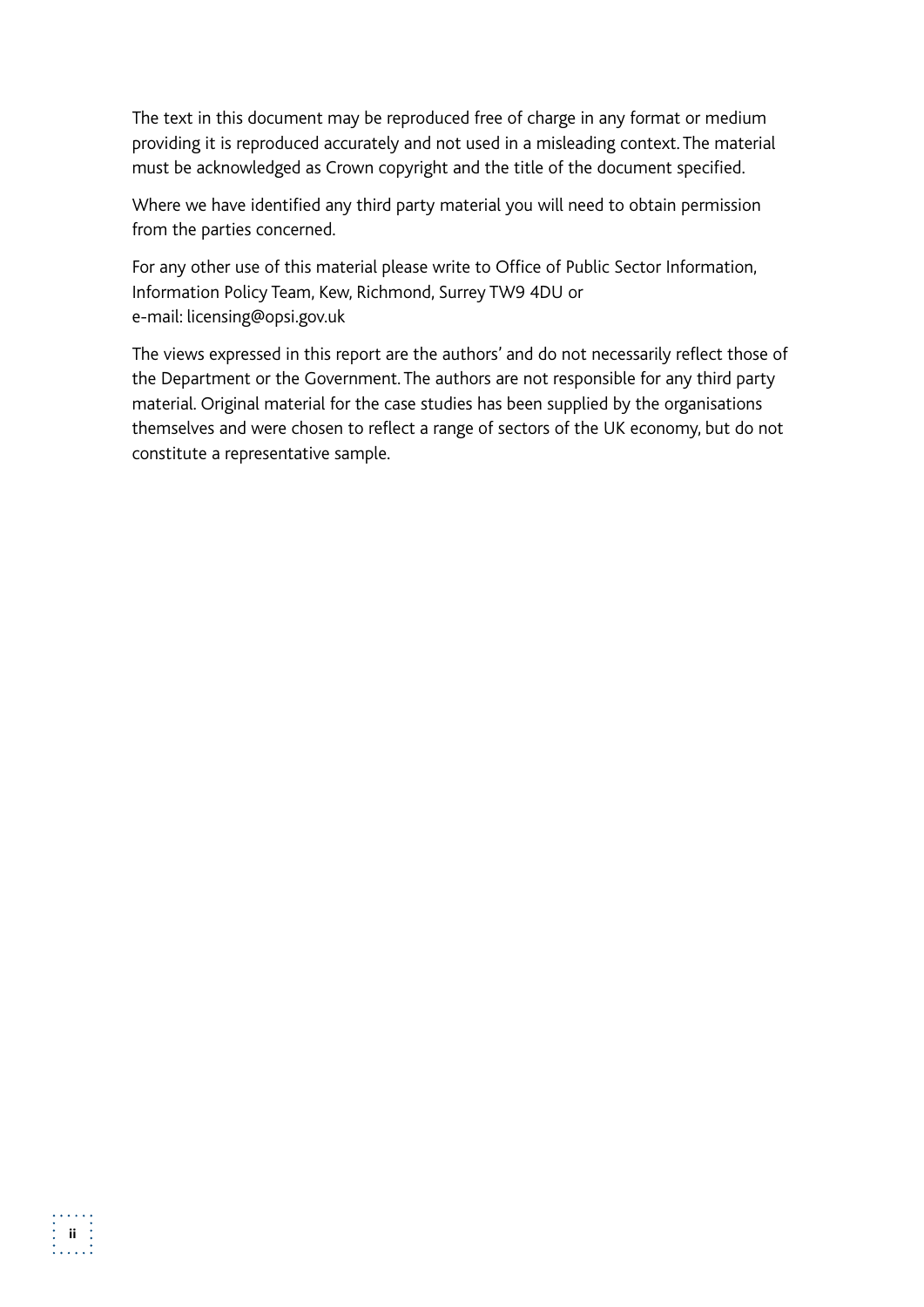The text in this document may be reproduced free of charge in any format or medium providing it is reproduced accurately and not used in a misleading context. The material must be acknowledged as Crown copyright and the title of the document specified.

Where we have identified any third party material you will need to obtain permission from the parties concerned.

For any other use of this material please write to Office of Public Sector Information, Information Policy Team, Kew, Richmond, Surrey TW9 4DU or e-mail: licensing@opsi.gov.uk

The views expressed in this report are the authors' and do not necessarily reflect those of the Department or the Government. The authors are not responsible for any third party material. Original material for the case studies has been supplied by the organisations themselves and were chosen to reflect a range of sectors of the UK economy, but do not constitute a representative sample.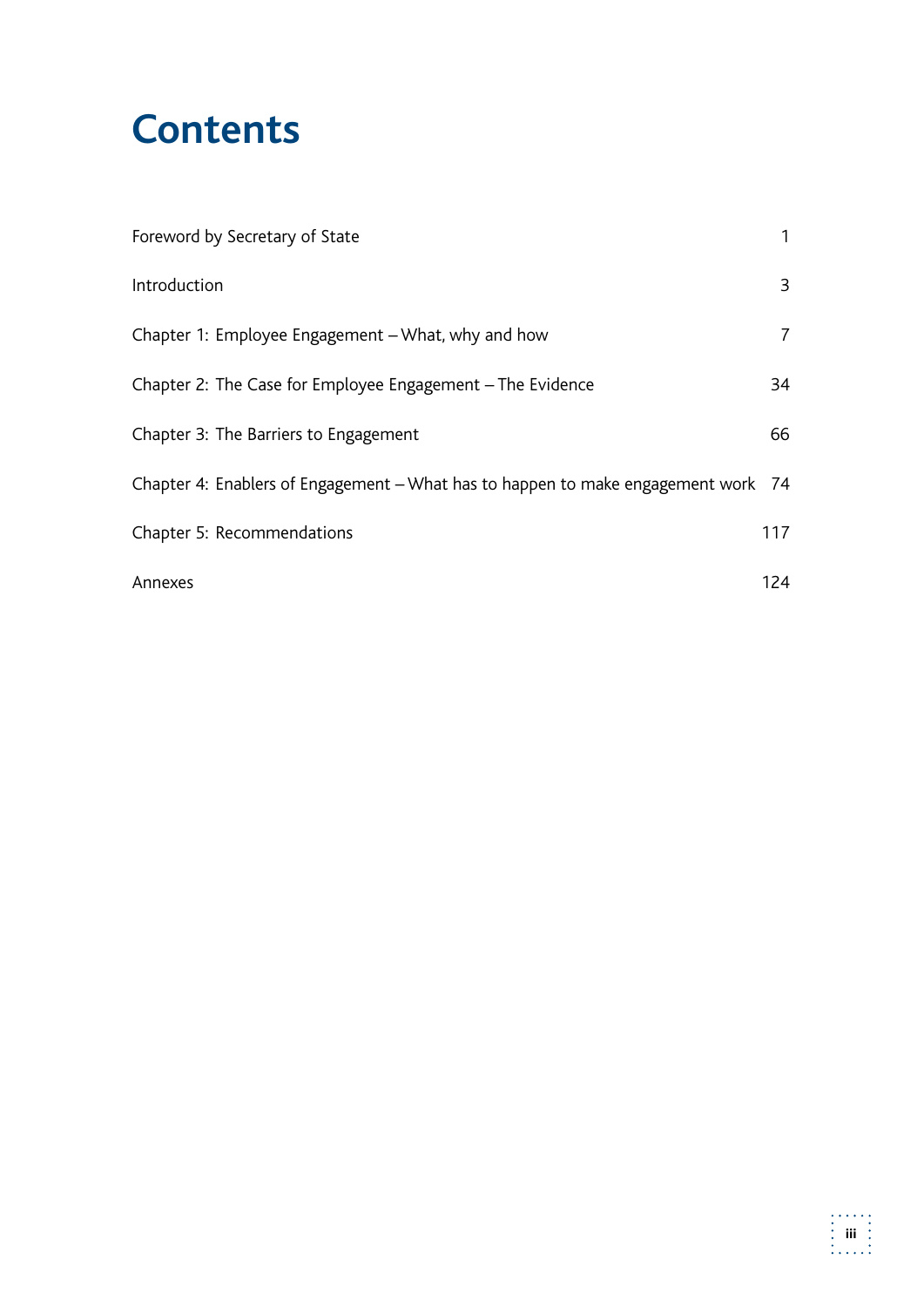## **Contents**

| Foreword by Secretary of State                                                    | 1              |
|-----------------------------------------------------------------------------------|----------------|
| Introduction                                                                      | 3              |
| Chapter 1: Employee Engagement - What, why and how                                | $\overline{7}$ |
| Chapter 2: The Case for Employee Engagement - The Evidence                        | 34             |
| Chapter 3: The Barriers to Engagement                                             | 66             |
| Chapter 4: Enablers of Engagement – What has to happen to make engagement work 74 |                |
| Chapter 5: Recommendations                                                        | 117            |
| Annexes                                                                           | 124            |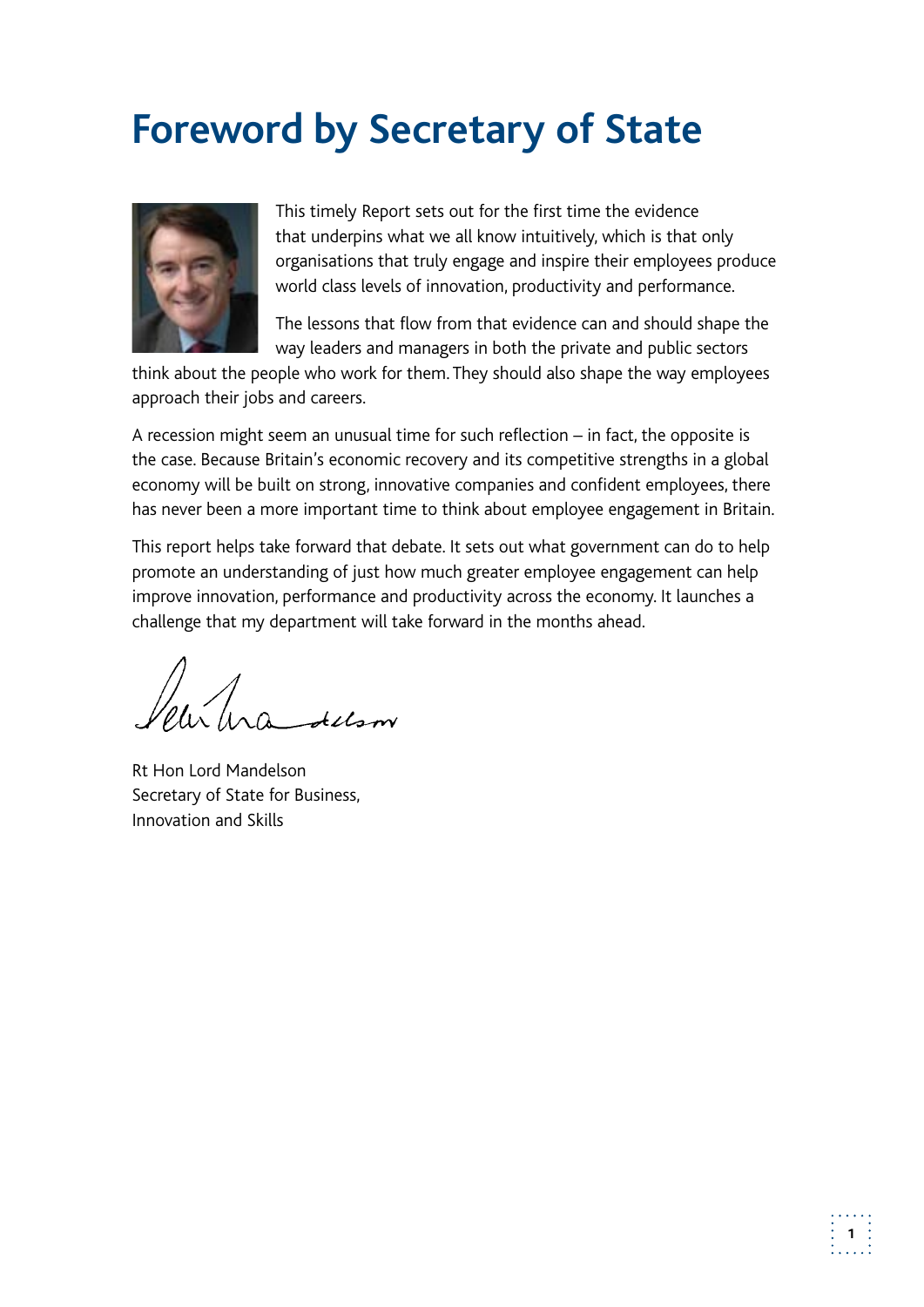## **Foreword by Secretary of State**



This timely Report sets out for the first time the evidence that underpins what we all know intuitively, which is that only organisations that truly engage and inspire their employees produce world class levels of innovation, productivity and performance.

The lessons that flow from that evidence can and should shape the way leaders and managers in both the private and public sectors

think about the people who work for them. They should also shape the way employees approach their jobs and careers.

A recession might seem an unusual time for such reflection – in fact, the opposite is the case. Because Britain's economic recovery and its competitive strengths in a global economy will be built on strong, innovative companies and confident employees, there has never been a more important time to think about employee engagement in Britain.

This report helps take forward that debate. It sets out what government can do to help promote an understanding of just how much greater employee engagement can help improve innovation, performance and productivity across the economy. It launches a challenge that my department will take forward in the months ahead.

hrandelson

Rt Hon Lord Mandelson Secretary of State for Business, Innovation and Skills

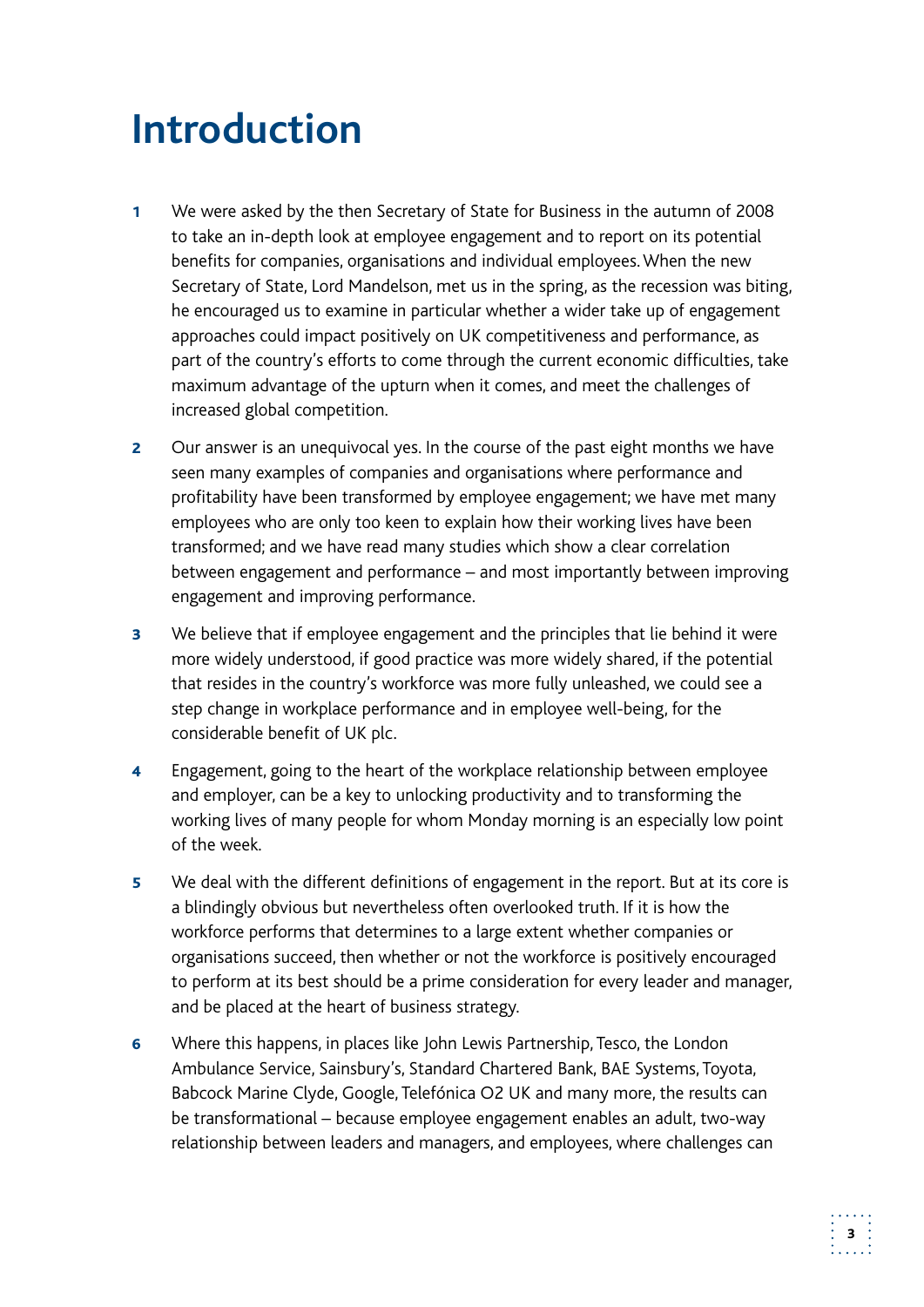## **Introduction**

- 1 We were asked by the then Secretary of State for Business in the autumn of 2008 to take an in-depth look at employee engagement and to report on its potential benefits for companies, organisations and individual employees. When the new Secretary of State, Lord Mandelson, met us in the spring, as the recession was biting, he encouraged us to examine in particular whether a wider take up of engagement approaches could impact positively on UK competitiveness and performance, as part of the country's efforts to come through the current economic difficulties, take maximum advantage of the upturn when it comes, and meet the challenges of increased global competition.
- **2** Our answer is an unequivocal yes. In the course of the past eight months we have seen many examples of companies and organisations where performance and profitability have been transformed by employee engagement; we have met many employees who are only too keen to explain how their working lives have been transformed; and we have read many studies which show a clear correlation between engagement and performance – and most importantly between improving engagement and improving performance.
- **3** We believe that if employee engagement and the principles that lie behind it were more widely understood, if good practice was more widely shared, if the potential that resides in the country's workforce was more fully unleashed, we could see a step change in workplace performance and in employee well-being, for the considerable benefit of UK plc.
- 4 Engagement, going to the heart of the workplace relationship between employee and employer, can be a key to unlocking productivity and to transforming the working lives of many people for whom Monday morning is an especially low point of the week.
- 5 We deal with the different definitions of engagement in the report. But at its core is a blindingly obvious but nevertheless often overlooked truth. If it is how the workforce performs that determines to a large extent whether companies or organisations succeed, then whether or not the workforce is positively encouraged to perform at its best should be a prime consideration for every leader and manager, and be placed at the heart of business strategy.
- Ambulance Service, Sainsbury's, Standard Chartered Bank, BAE Systems, Toyota, 6 Where this happens, in places like John Lewis Partnership, Tesco, the London Babcock Marine Clyde, Google, Telefónica O2 UK and many more, the results can be transformational – because employee engagement enables an adult, two-way relationship between leaders and managers, and employees, where challenges can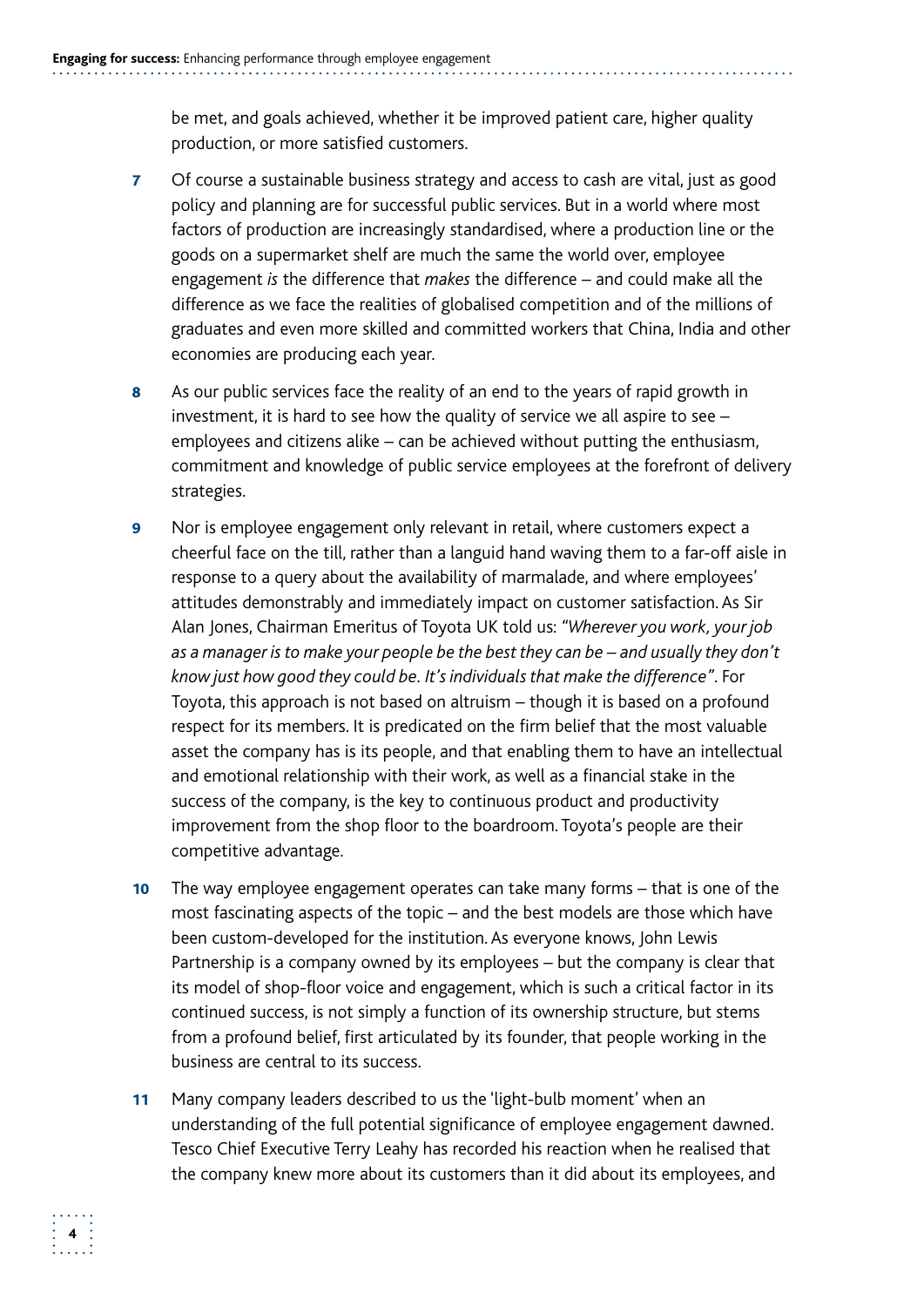be met, and goals achieved, whether it be improved patient care, higher quality production, or more satisfied customers.

- 7 Of course a sustainable business strategy and access to cash are vital, just as good policy and planning are for successful public services. But in a world where most factors of production are increasingly standardised, where a production line or the goods on a supermarket shelf are much the same the world over, employee engagement *is* the difference that *makes* the difference – and could make all the difference as we face the realities of globalised competition and of the millions of graduates and even more skilled and committed workers that China, India and other economies are producing each year.
- 8 As our public services face the reality of an end to the years of rapid growth in investment, it is hard to see how the quality of service we all aspire to see – employees and citizens alike – can be achieved without putting the enthusiasm, commitment and knowledge of public service employees at the forefront of delivery strategies.
- **9** Nor is employee engagement only relevant in retail, where customers expect a cheerful face on the till, rather than a languid hand waving them to a far-off aisle in response to a query about the availability of marmalade, and where employees' attitudes demonstrably and immediately impact on customer satisfaction. As Sir Alan Jones, Chairman Emeritus of Toyota UK told us: *"Wherever you work, your job as a manager is to make your people be the best they can be – and usually they don't know just how good they could be. It's individuals that make the difference"*. For Toyota, this approach is not based on altruism – though it is based on a profound respect for its members. It is predicated on the firm belief that the most valuable asset the company has is its people, and that enabling them to have an intellectual and emotional relationship with their work, as well as a financial stake in the success of the company, is the key to continuous product and productivity improvement from the shop floor to the boardroom. Toyota's people are their competitive advantage.
- 10 The way employee engagement operates can take many forms that is one of the most fascinating aspects of the topic – and the best models are those which have been custom-developed for the institution. As everyone knows, John Lewis Partnership is a company owned by its employees – but the company is clear that its model of shop-floor voice and engagement, which is such a critical factor in its continued success, is not simply a function of its ownership structure, but stems from a profound belief, first articulated by its founder, that people working in the business are central to its success.
- 11 Many company leaders described to us the 'light-bulb moment' when an understanding of the full potential significance of employee engagement dawned. Tesco Chief Executive Terry Leahy has recorded his reaction when he realised that the company knew more about its customers than it did about its employees, and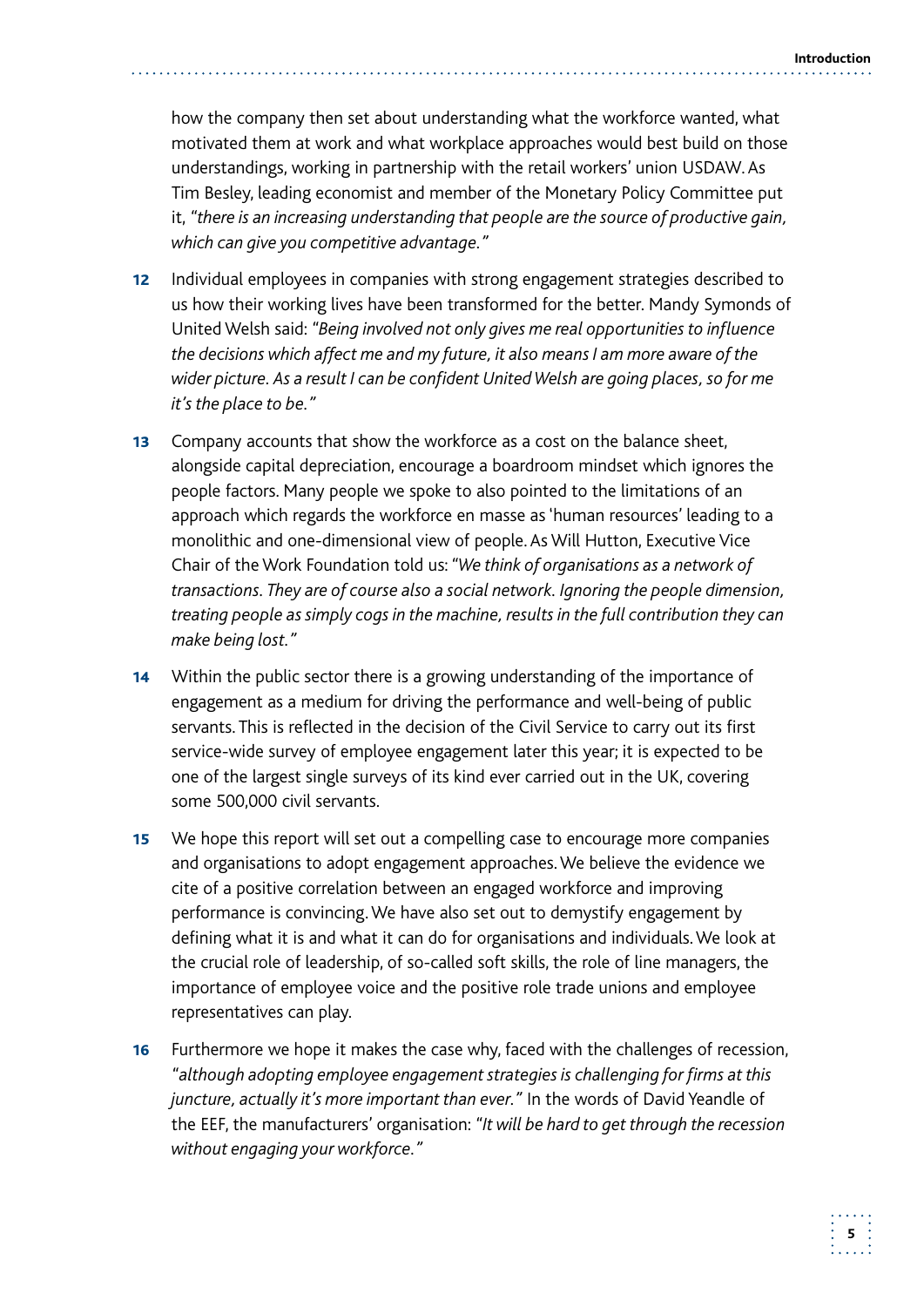how the company then set about understanding what the workforce wanted, what motivated them at work and what workplace approaches would best build on those understandings, working in partnership with the retail workers' union USDAW. As Tim Besley, leading economist and member of the Monetary Policy Committee put it, *"there is an increasing understanding that people are the source of productive gain, which can give you competitive advantage."* 

- 12 Individual employees in companies with strong engagement strategies described to us how their working lives have been transformed for the better. Mandy Symonds of United Welsh said: *"Being involved not only gives me real opportunities to influence the decisions which affect me and my future, it also means I am more aware of the wider picture. As a result I can be confident United Welsh are going places, so for me it's the place to be."*
- **13** Company accounts that show the workforce as a cost on the balance sheet, alongside capital depreciation, encourage a boardroom mindset which ignores the people factors. Many people we spoke to also pointed to the limitations of an approach which regards the workforce en masse as 'human resources' leading to a monolithic and one-dimensional view of people. As Will Hutton, Executive Vice Chair of the Work Foundation told us: *"We think of organisations as a network of transactions. They are of course also a social network. Ignoring the people dimension, treating people as simply cogs in the machine, results in the full contribution they can make being lost."*
- **14** Within the public sector there is a growing understanding of the importance of engagement as a medium for driving the performance and well-being of public servants. This is reflected in the decision of the Civil Service to carry out its first service-wide survey of employee engagement later this year; it is expected to be one of the largest single surveys of its kind ever carried out in the UK, covering some 500,000 civil servants.
- **15** We hope this report will set out a compelling case to encourage more companies and organisations to adopt engagement approaches. We believe the evidence we cite of a positive correlation between an engaged workforce and improving performance is convincing. We have also set out to demystify engagement by defining what it is and what it can do for organisations and individuals. We look at the crucial role of leadership, of so-called soft skills, the role of line managers, the importance of employee voice and the positive role trade unions and employee representatives can play.
- **16** Furthermore we hope it makes the case why, faced with the challenges of recession, *"although adopting employee engagement strategies is challenging for firms at this juncture, actually it's more important than ever."* In the words of David Yeandle of the EEF, the manufacturers' organisation: *"It will be hard to get through the recession without engaging your workforce."*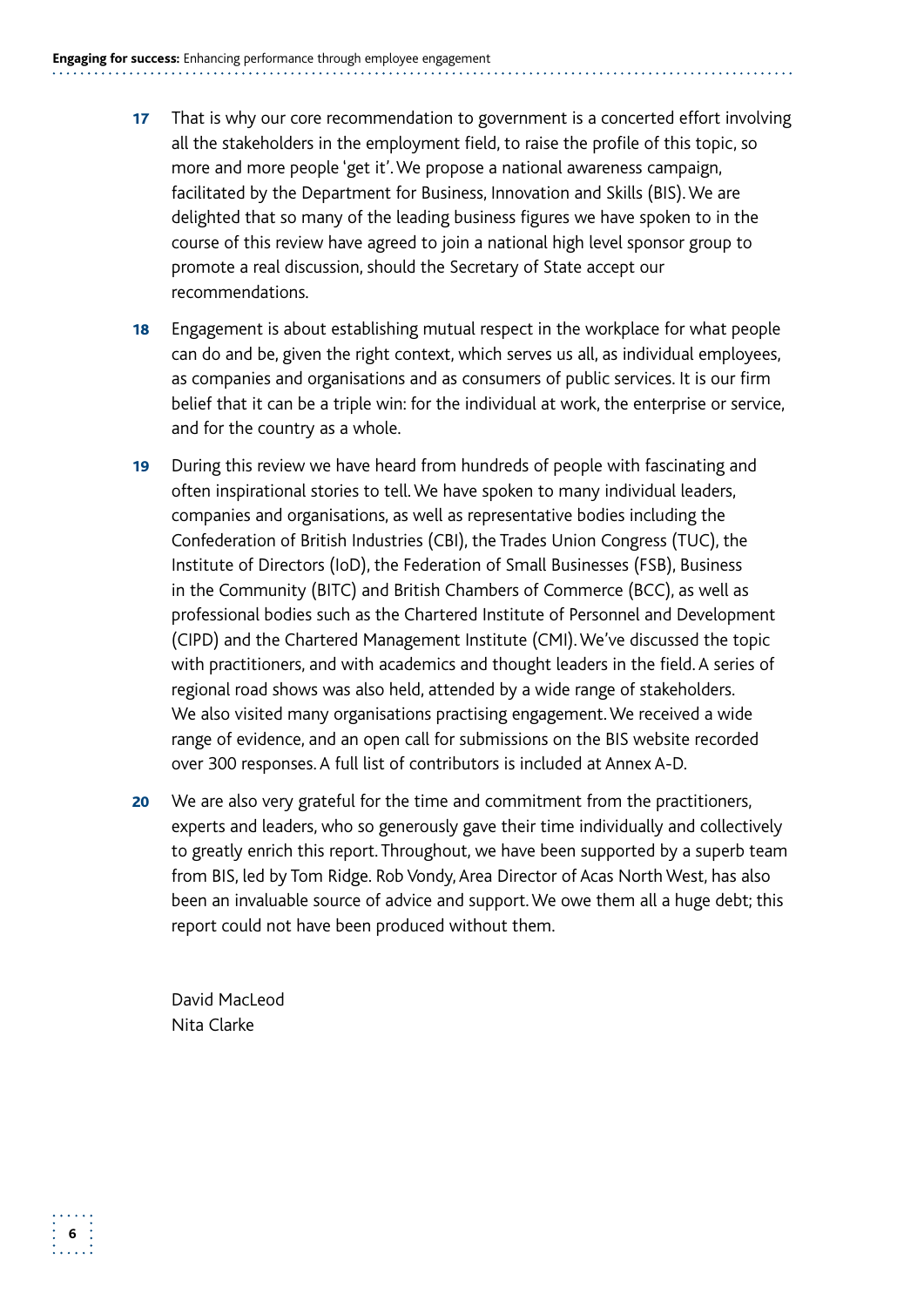- 17 That is why our core recommendation to government is a concerted effort involving all the stakeholders in the employment field, to raise the profile of this topic, so more and more people 'get it'. We propose a national awareness campaign, facilitated by the Department for Business, Innovation and Skills (BIS). We are delighted that so many of the leading business figures we have spoken to in the course of this review have agreed to join a national high level sponsor group to promote a real discussion, should the Secretary of State accept our recommendations.
- **18** Engagement is about establishing mutual respect in the workplace for what people can do and be, given the right context, which serves us all, as individual employees, as companies and organisations and as consumers of public services. It is our firm belief that it can be a triple win: for the individual at work, the enterprise or service, and for the country as a whole.
- in the Community (BITC) and British Chambers of Commerce (BCC), as well as 19 During this review we have heard from hundreds of people with fascinating and often inspirational stories to tell. We have spoken to many individual leaders, companies and organisations, as well as representative bodies including the Confederation of British Industries (CBI), the Trades Union Congress (TUC), the Institute of Directors (IoD), the Federation of Small Businesses (FSB), Business professional bodies such as the Chartered Institute of Personnel and Development (CIPD) and the Chartered Management Institute (CMI). We've discussed the topic with practitioners, and with academics and thought leaders in the field. A series of regional road shows was also held, attended by a wide range of stakeholders. We also visited many organisations practising engagement. We received a wide range of evidence, and an open call for submissions on the BIS website recorded over 300 responses. A full list of contributors is included at Annex A-D.
- **20** We are also very grateful for the time and commitment from the practitioners, experts and leaders, who so generously gave their time individually and collectively to greatly enrich this report. Throughout, we have been supported by a superb team from BIS, led by Tom Ridge. Rob Vondy, Area Director of Acas North West, has also been an invaluable source of advice and support. We owe them all a huge debt; this report could not have been produced without them.

David MacLeod Nita Clarke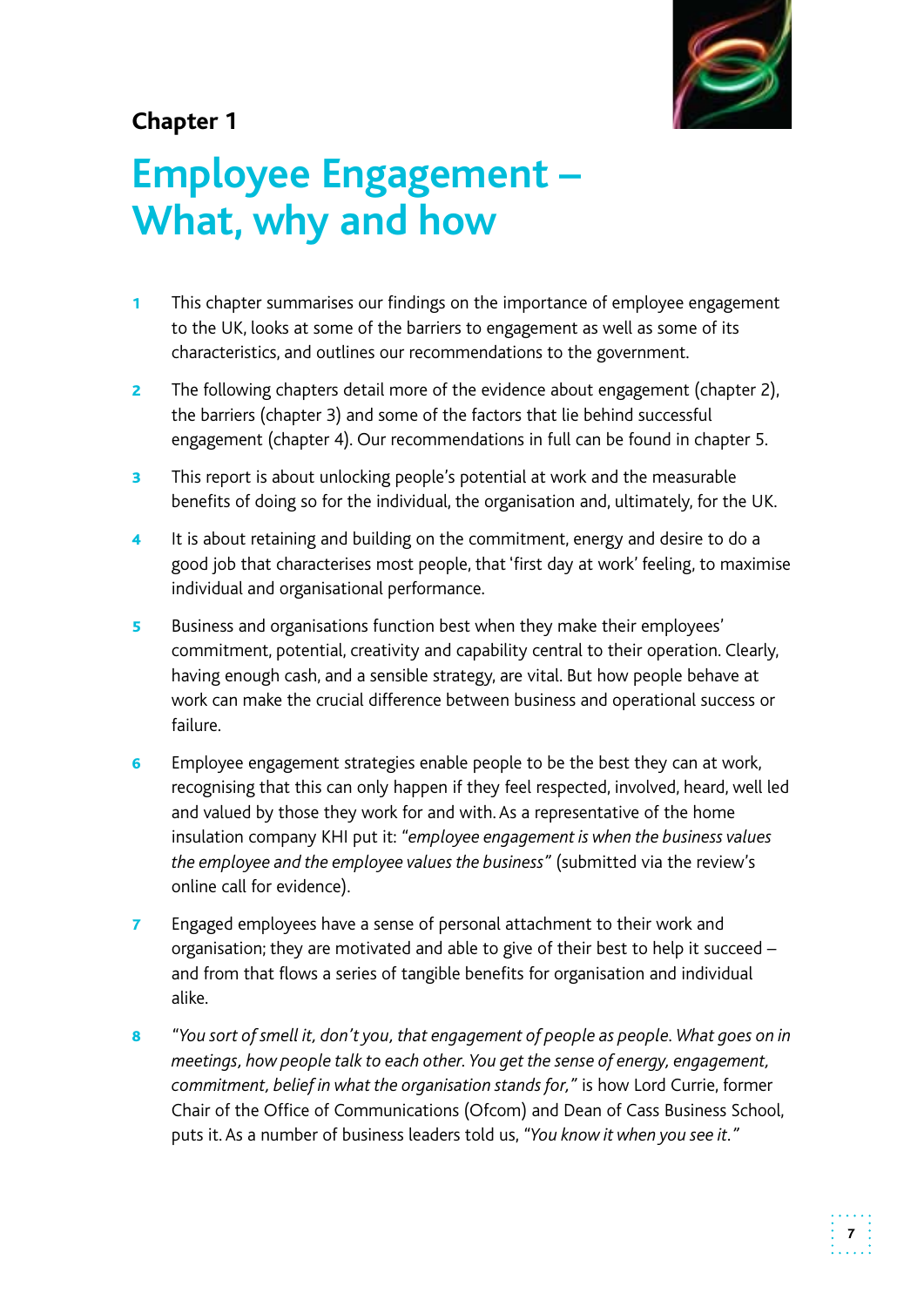

## **Chapter 1**

## **What, why and how Employee Engagement –**

- 1 This chapter summarises our findings on the importance of employee engagement to the UK, looks at some of the barriers to engagement as well as some of its characteristics, and outlines our recommendations to the government.
- **2** The following chapters detail more of the evidence about engagement (chapter 2), the barriers (chapter 3) and some of the factors that lie behind successful engagement (chapter 4). Our recommendations in full can be found in chapter 5.
- **3** This report is about unlocking people's potential at work and the measurable benefits of doing so for the individual, the organisation and, ultimately, for the UK.
- 4 It is about retaining and building on the commitment, energy and desire to do a good job that characterises most people, that 'first day at work' feeling, to maximise individual and organisational performance.
- 5 Business and organisations function best when they make their employees' commitment, potential, creativity and capability central to their operation. Clearly, having enough cash, and a sensible strategy, are vital. But how people behave at work can make the crucial difference between business and operational success or failure.
- **6** Employee engagement strategies enable people to be the best they can at work, recognising that this can only happen if they feel respected, involved, heard, well led and valued by those they work for and with. As a representative of the home insulation company KHI put it: *"employee engagement is when the business values the employee and the employee values the business"* (submitted via the review's online call for evidence).
- **7** Engaged employees have a sense of personal attachment to their work and organisation; they are motivated and able to give of their best to help it succeed – and from that flows a series of tangible benefits for organisation and individual alike.
- 8 *"You sort of smell it, don't you, that engagement of people as people. What goes on in meetings, how people talk to each other. You get the sense of energy, engagement, commitment, belief in what the organisation stands for,"* is how Lord Currie, former Chair of the Office of Communications (Ofcom) and Dean of Cass Business School, puts it. As a number of business leaders told us, *"You know it when you see it."*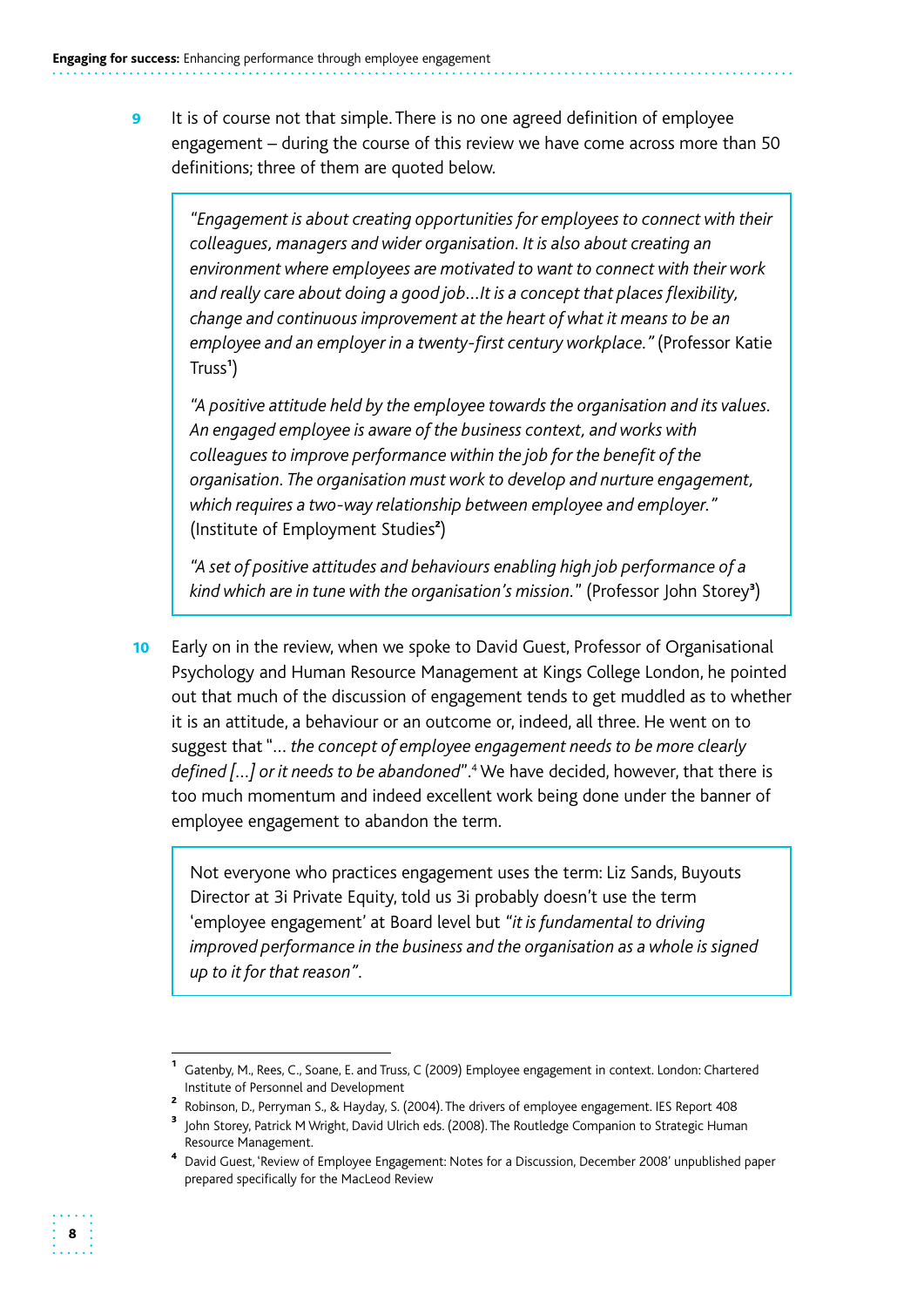**9** It is of course not that simple. There is no one agreed definition of employee engagement – during the course of this review we have come across more than 50 definitions; three of them are quoted below.

*"Engagement is about creating opportunities for employees to connect with their colleagues, managers and wider organisation. It is also about creating an environment where employees are motivated to want to connect with their work and really care about doing a good job…It is a concept that places flexibility, change and continuous improvement at the heart of what it means to be an employee and an employer in a twenty-first century workplace."* (Professor Katie Truss<sup>1</sup>)

*"A positive attitude held by the employee towards the organisation and its values. An engaged employee is aware of the business context, and works with colleagues to improve performance within the job for the benefit of the organisation. The organisation must work to develop and nurture engagement, which requires a two-way relationship between employee and employer."*  (Institute of Employment Studies<sup>2</sup>)

*"A set of positive attitudes and behaviours enabling high job performance of a*  kind which are in tune with the organisation's mission." (Professor John Storey<sup>3</sup>)

10 Early on in the review, when we spoke to David Guest, Professor of Organisational Psychology and Human Resource Management at Kings College London, he pointed out that much of the discussion of engagement tends to get muddled as to whether it is an attitude, a behaviour or an outcome or, indeed, all three. He went on to suggest that "… *the concept of employee engagement needs to be more clearly defined […] or it needs to be abandoned*".4 We have decided, however, that there is too much momentum and indeed excellent work being done under the banner of employee engagement to abandon the term.

Not everyone who practices engagement uses the term: Liz Sands, Buyouts Director at 3i Private Equity, told us 3i probably doesn't use the term 'employee engagement' at Board level but *"it is fundamental to driving improved performance in the business and the organisation as a whole is signed up to it for that reason"*.

<sup>1</sup>Gatenby, M., Rees, C., Soane, E. and Truss, C (2009) Employee engagement in context. London: Chartered Institute of Personnel and Development

<sup>&</sup>lt;sup>2</sup> Robinson, D., Perryman S., & Hayday, S. (2004). The drivers of employee engagement. IES Report 408

John Storey, Patrick M Wright, David Ulrich eds. (2008). The Routledge Companion to Strategic Human Resource Management.

<sup>4</sup>David Guest, 'Review of Employee Engagement: Notes for a Discussion, December 2008' unpublished paper prepared specifically for the MacLeod Review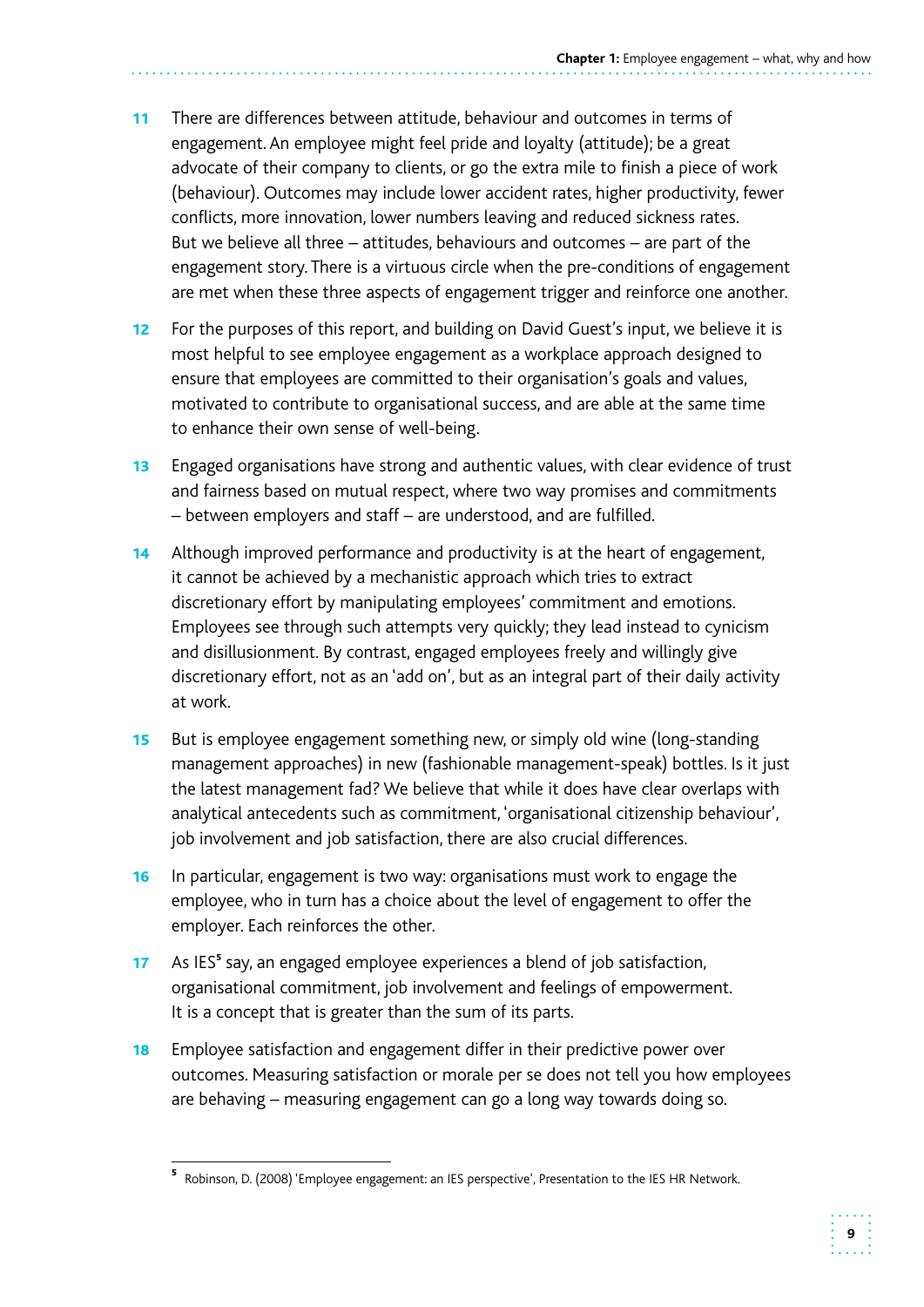- 11 There are differences between attitude, behaviour and outcomes in terms of engagement. An employee might feel pride and loyalty (attitude); be a great advocate of their company to clients, or go the extra mile to finish a piece of work (behaviour). Outcomes may include lower accident rates, higher productivity, fewer conflicts, more innovation, lower numbers leaving and reduced sickness rates. But we believe all three – attitudes, behaviours and outcomes – are part of the engagement story. There is a virtuous circle when the pre-conditions of engagement are met when these three aspects of engagement trigger and reinforce one another.
- 12 For the purposes of this report, and building on David Guest's input, we believe it is most helpful to see employee engagement as a workplace approach designed to ensure that employees are committed to their organisation's goals and values, motivated to contribute to organisational success, and are able at the same time to enhance their own sense of well-being.
- 13 Engaged organisations have strong and authentic values, with clear evidence of trust and fairness based on mutual respect, where two way promises and commitments – between employers and staff – are understood, and are fulfilled.
- 14 Although improved performance and productivity is at the heart of engagement, it cannot be achieved by a mechanistic approach which tries to extract discretionary effort by manipulating employees' commitment and emotions. Employees see through such attempts very quickly; they lead instead to cynicism and disillusionment. By contrast, engaged employees freely and willingly give discretionary effort, not as an 'add on', but as an integral part of their daily activity at work.
- **15** But is employee engagement something new, or simply old wine (long-standing management approaches) in new (fashionable management-speak) bottles. Is it just the latest management fad? We believe that while it does have clear overlaps with analytical antecedents such as commitment, 'organisational citizenship behaviour', job involvement and job satisfaction, there are also crucial differences.
- **16** In particular, engagement is two way: organisations must work to engage the employee, who in turn has a choice about the level of engagement to offer the employer. Each reinforces the other.
- It is a concept that is greater than the sum of its parts. 17 As IES<sup>5</sup> say, an engaged employee experiences a blend of job satisfaction, organisational commitment, job involvement and feelings of empowerment.
- **18** Employee satisfaction and engagement differ in their predictive power over outcomes. Measuring satisfaction or morale per se does not tell you how employees are behaving – measuring engagement can go a long way towards doing so.

<sup>&</sup>lt;sup>5</sup> Robinson, D. (2008) 'Employee engagement: an IES perspective', Presentation to the IES HR Network.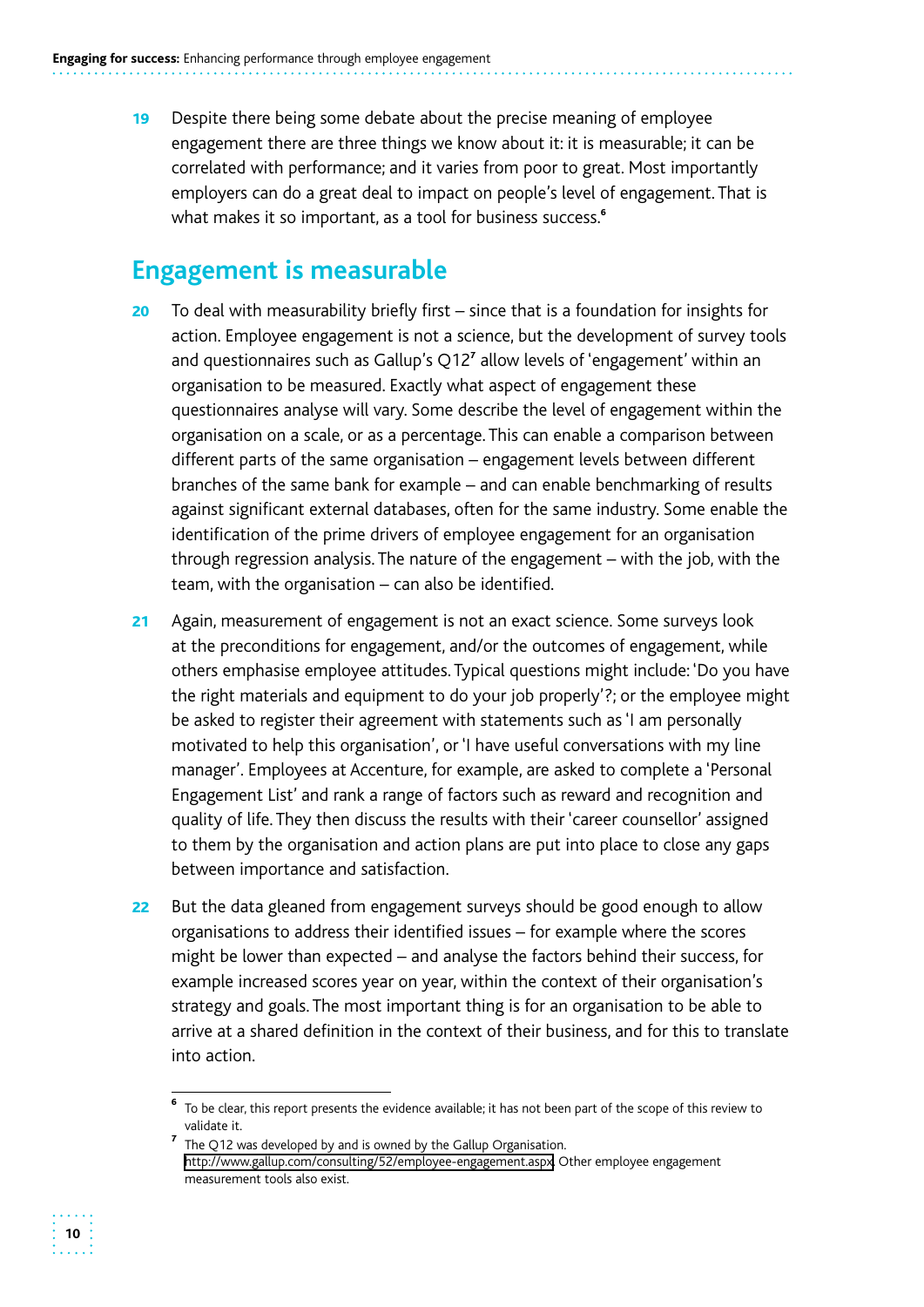19 Despite there being some debate about the precise meaning of employee engagement there are three things we know about it: it is measurable; it can be correlated with performance; and it varies from poor to great. Most importantly employers can do a great deal to impact on people's level of engagement. That is what makes it so important, as a tool for business success.<sup>6</sup>

## **Engagement is measurable**

- $20$  To deal with measurability briefly first since that is a foundation for insights for action. Employee engagement is not a science, but the development of survey tools and questionnaires such as Gallup's Q12<sup>7</sup> allow levels of 'engagement' within an organisation to be measured. Exactly what aspect of engagement these questionnaires analyse will vary. Some describe the level of engagement within the organisation on a scale, or as a percentage. This can enable a comparison between different parts of the same organisation – engagement levels between different branches of the same bank for example – and can enable benchmarking of results against significant external databases, often for the same industry. Some enable the identification of the prime drivers of employee engagement for an organisation through regression analysis. The nature of the engagement – with the job, with the team, with the organisation – can also be identified.
- 21 Again, measurement of engagement is not an exact science. Some surveys look at the preconditions for engagement, and/or the outcomes of engagement, while others emphasise employee attitudes. Typical questions might include: 'Do you have the right materials and equipment to do your job properly'?; or the employee might be asked to register their agreement with statements such as 'I am personally motivated to help this organisation', or 'I have useful conversations with my line manager'. Employees at Accenture, for example, are asked to complete a 'Personal Engagement List' and rank a range of factors such as reward and recognition and quality of life. They then discuss the results with their 'career counsellor' assigned to them by the organisation and action plans are put into place to close any gaps between importance and satisfaction.
- 22 But the data gleaned from engagement surveys should be good enough to allow organisations to address their identified issues – for example where the scores might be lower than expected – and analyse the factors behind their success, for example increased scores year on year, within the context of their organisation's strategy and goals. The most important thing is for an organisation to be able to arrive at a shared definition in the context of their business, and for this to translate into action.



<sup>6</sup>To be clear, this report presents the evidence available; it has not been part of the scope of this review to validate it.

 $^7$  The Q12 was developed by and is owned by the Gallup Organisation. http://www.gallup.com/consulting/52/employee-engagement.aspx. Other employee engagement measurement tools also exist.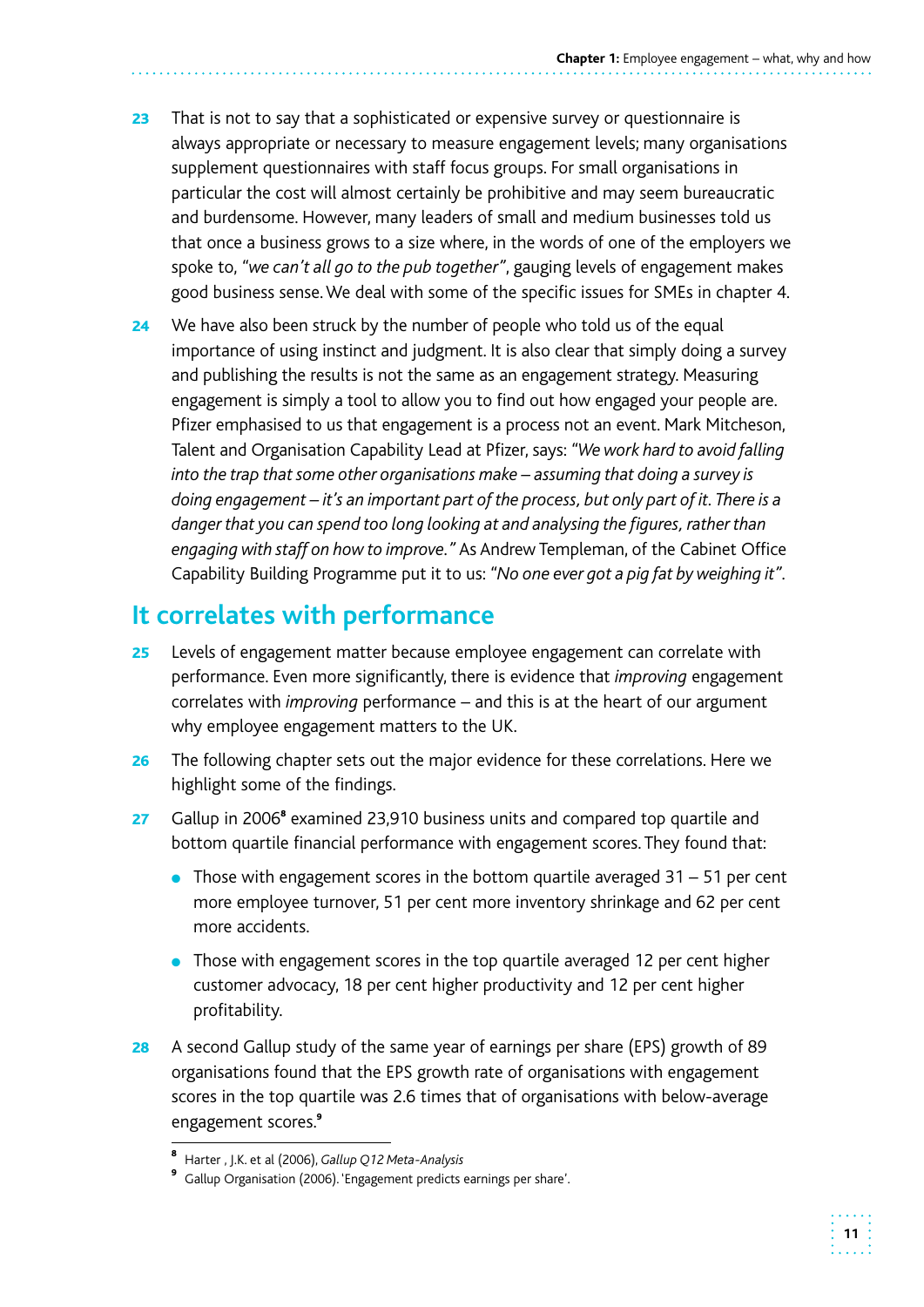- 23 That is not to say that a sophisticated or expensive survey or questionnaire is always appropriate or necessary to measure engagement levels; many organisations supplement questionnaires with staff focus groups. For small organisations in particular the cost will almost certainly be prohibitive and may seem bureaucratic and burdensome. However, many leaders of small and medium businesses told us that once a business grows to a size where, in the words of one of the employers we spoke to, *"we can't all go to the pub together"*, gauging levels of engagement makes good business sense. We deal with some of the specific issues for SMEs in chapter 4.
- **24** We have also been struck by the number of people who told us of the equal importance of using instinct and judgment. It is also clear that simply doing a survey and publishing the results is not the same as an engagement strategy. Measuring  *engaging with staff on how to improve."* As Andrew Templeman, of the Cabinet Office engagement is simply a tool to allow you to find out how engaged your people are. Pfizer emphasised to us that engagement is a process not an event. Mark Mitcheson, Talent and Organisation Capability Lead at Pfizer, says: *"We work hard to avoid falling into the trap that some other organisations make – assuming that doing a survey is doing engagement – it's an important part of the process, but only part of it. There is a danger that you can spend too long looking at and analysing the figures, rather than*  Capability Building Programme put it to us: *"No one ever got a pig fat by weighing it".*

## **It correlates with performance**

- 25 Levels of engagement matter because employee engagement can correlate with performance. Even more significantly, there is evidence that *improving* engagement correlates with *improving* performance – and this is at the heart of our argument why employee engagement matters to the UK.
- **26** The following chapter sets out the major evidence for these correlations. Here we highlight some of the findings.
- 27 Gallup in 2006<sup>8</sup> examined 23,910 business units and compared top quartile and bottom quartile financial performance with engagement scores. They found that:
	- $\bullet$  Those with engagement scores in the bottom quartile averaged 31 51 per cent more employee turnover, 51 per cent more inventory shrinkage and 62 per cent more accidents.
	- Those with engagement scores in the top quartile averaged 12 per cent higher customer advocacy, 18 per cent higher productivity and 12 per cent higher profitability.
- 28 A second Gallup study of the same year of earnings per share (EPS) growth of 89 organisations found that the EPS growth rate of organisations with engagement scores in the top quartile was 2.6 times that of organisations with below-average engagement scores.<sup>9</sup>

<sup>8</sup>Harter , J.K. et al (2006), *Gallup Q12 Meta-Analysis* 

<sup>&</sup>lt;sup>9</sup> Gallup Organisation (2006). 'Engagement predicts earnings per share'.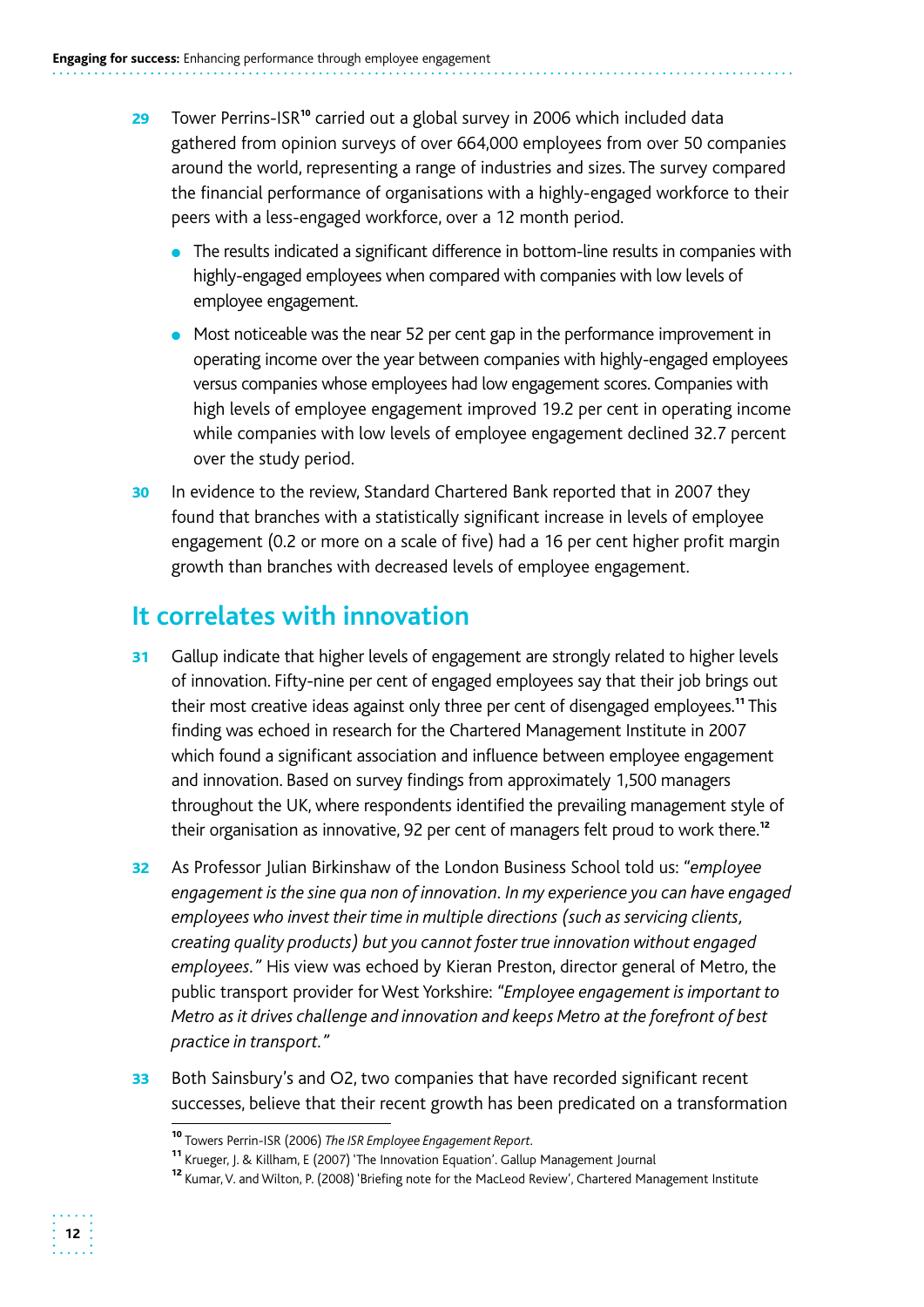- 29 Tower Perrins-ISR<sup>10</sup> carried out a global survey in 2006 which included data gathered from opinion surveys of over 664,000 employees from over 50 companies around the world, representing a range of industries and sizes. The survey compared the financial performance of organisations with a highly-engaged workforce to their peers with a less-engaged workforce, over a 12 month period.
	- The results indicated a significant difference in bottom-line results in companies with highly-engaged employees when compared with companies with low levels of employee engagement.
	- Most noticeable was the near 52 per cent gap in the performance improvement in operating income over the year between companies with highly-engaged employees versus companies whose employees had low engagement scores. Companies with high levels of employee engagement improved 19.2 per cent in operating income while companies with low levels of employee engagement declined 32.7 percent over the study period.
- 30 In evidence to the review, Standard Chartered Bank reported that in 2007 they found that branches with a statistically significant increase in levels of employee engagement (0.2 or more on a scale of five) had a 16 per cent higher profit margin growth than branches with decreased levels of employee engagement.

## **It correlates with innovation**

- 31 Gallup indicate that higher levels of engagement are strongly related to higher levels finding was echoed in research for the Chartered Management Institute in 2007 which found a significant association and influence between employee engagement and innovation. Based on survey findings from approximately 1,500 managers throughout the UK, where respondents identified the prevailing management style of of innovation. Fifty-nine per cent of engaged employees say that their job brings out their most creative ideas against only three per cent of disengaged employees.<sup>11</sup> This their organisation as innovative, 92 per cent of managers felt proud to work there.<sup>12</sup>
- 32 As Professor Julian Birkinshaw of the London Business School told us: *"employee engagement is the sine qua non of innovation. In my experience you can have engaged employees who invest their time in multiple directions (such as servicing clients, creating quality products) but you cannot foster true innovation without engaged employees."* His view was echoed by Kieran Preston, director general of Metro, the public transport provider for West Yorkshire: *"Employee engagement is important to Metro as it drives challenge and innovation and keeps Metro at the forefront of best practice in transport."*
- 33 Both Sainsbury's and O2, two companies that have recorded significant recent successes, believe that their recent growth has been predicated on a transformation

<sup>10</sup>Towers Perrin-ISR (2006) *The ISR Employee Engagement Report.* 

<sup>11</sup>Krueger, J. & Killham, E (2007) 'The Innovation Equation'. Gallup Management Journal

<sup>&</sup>lt;sup>12</sup> Kumar, V. and Wilton, P. (2008) 'Briefing note for the MacLeod Review', Chartered Management Institute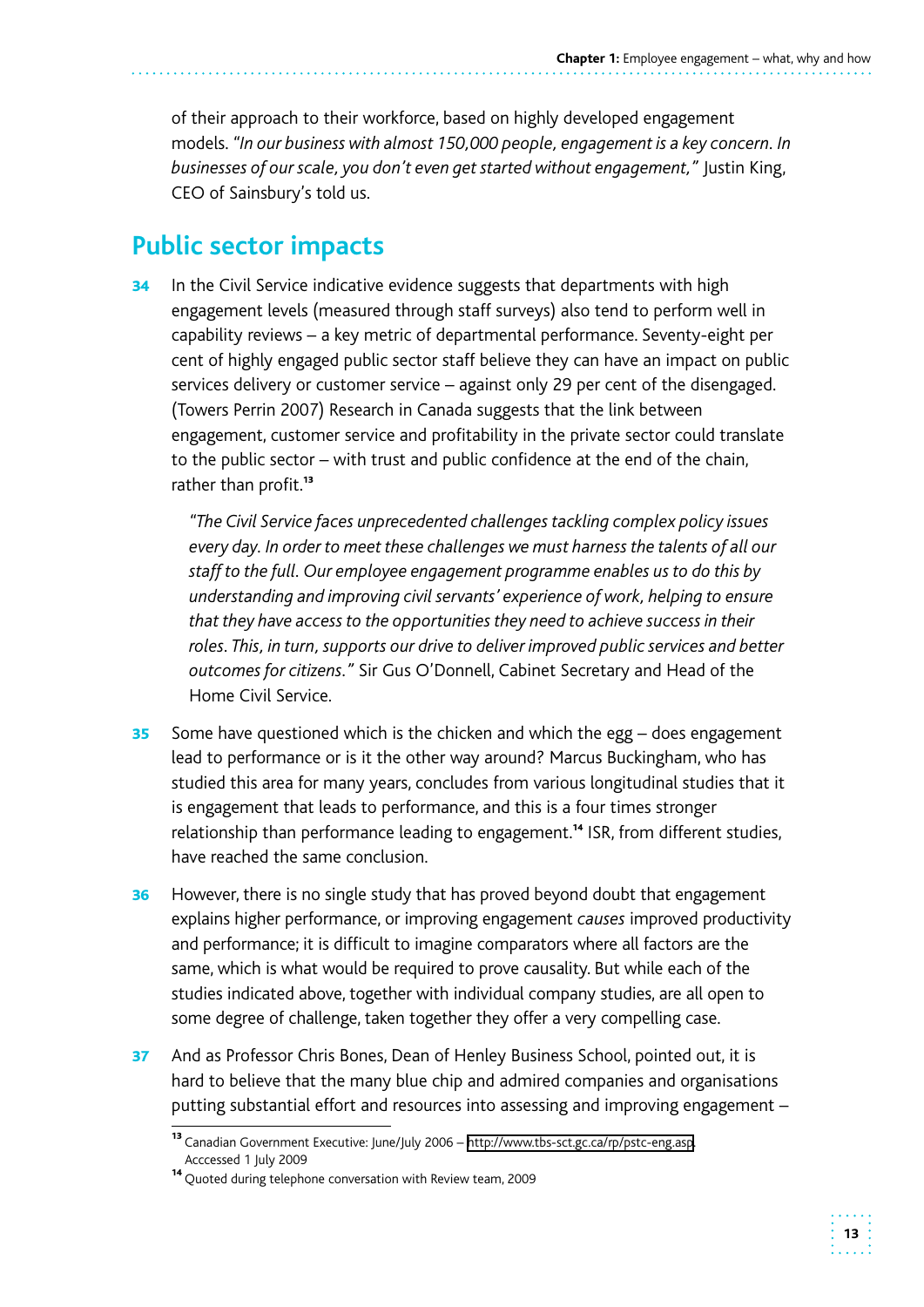of their approach to their workforce, based on highly developed engagement models. *"In our business with almost 150,000 people, engagement is a key concern. In businesses of our scale, you don't even get started without engagement,"* Justin King, CEO of Sainsbury's told us.

## **Public sector impacts**

34 In the Civil Service indicative evidence suggests that departments with high engagement levels (measured through staff surveys) also tend to perform well in capability reviews – a key metric of departmental performance. Seventy-eight per cent of highly engaged public sector staff believe they can have an impact on public services delivery or customer service – against only 29 per cent of the disengaged. (Towers Perrin 2007) Research in Canada suggests that the link between engagement, customer service and profitability in the private sector could translate to the public sector – with trust and public confidence at the end of the chain, rather than profit.<sup>13</sup>

*"The Civil Service faces unprecedented challenges tackling complex policy issues every day. In order to meet these challenges we must harness the talents of all our staff to the full. Our employee engagement programme enables us to do this by understanding and improving civil servants' experience of work, helping to ensure that they have access to the opportunities they need to achieve success in their roles. This, in turn, supports our drive to deliver improved public services and better outcomes for citizens."* Sir Gus O'Donnell, Cabinet Secretary and Head of the Home Civil Service.

- **35** Some have questioned which is the chicken and which the egg  $-$  does engagement lead to performance or is it the other way around? Marcus Buckingham, who has studied this area for many years, concludes from various longitudinal studies that it is engagement that leads to performance, and this is a four times stronger relationship than performance leading to engagement.<sup>14</sup> ISR, from different studies, have reached the same conclusion.
- **36** However, there is no single study that has proved beyond doubt that engagement explains higher performance, or improving engagement *causes* improved productivity and performance; it is difficult to imagine comparators where all factors are the same, which is what would be required to prove causality. But while each of the studies indicated above, together with individual company studies, are all open to some degree of challenge, taken together they offer a very compelling case.
- 37 And as Professor Chris Bones, Dean of Henley Business School, pointed out, it is hard to believe that the many blue chip and admired companies and organisations putting substantial effort and resources into assessing and improving engagement –

<sup>13</sup>Canadian Government Executive: June/July 2006 – http://www.tbs-sct.gc.ca/rp/pstc-eng.asp. Acccessed 1 July 2009

<sup>&</sup>lt;sup>14</sup> Quoted during telephone conversation with Review team, 2009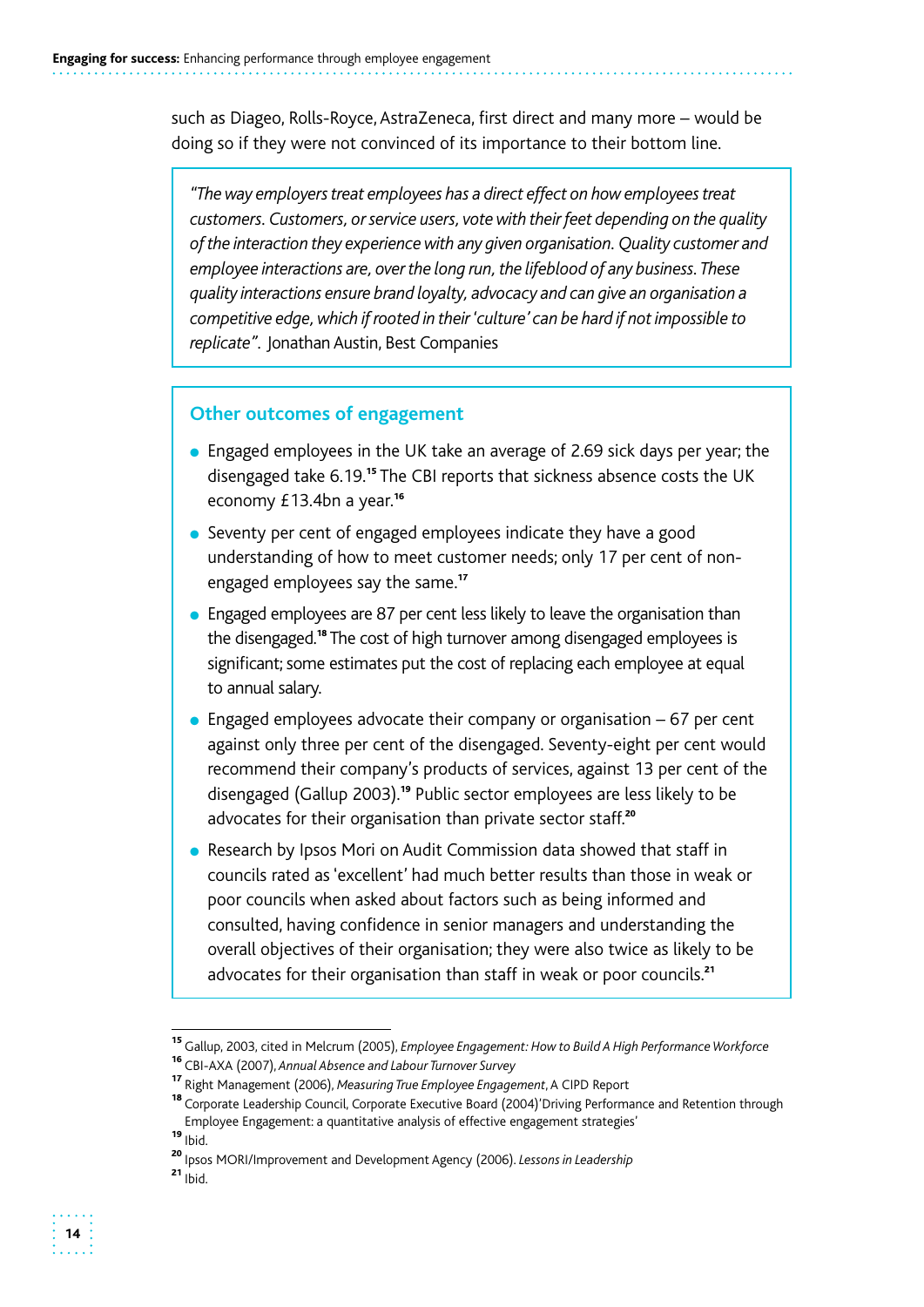such as Diageo, Rolls-Royce, AstraZeneca, first direct and many more – would be doing so if they were not convinced of its importance to their bottom line.

*"The way employers treat employees has a direct effect on how employees treat customers. Customers, or service users, vote with their feet depending on the quality of the interaction they experience with any given organisation. Quality customer and employee interactions are, over the long run, the lifeblood of any business. These quality interactions ensure brand loyalty, advocacy and can give an organisation a competitive edge, which if rooted in their 'culture' can be hard if not impossible to replicate".* Jonathan Austin, Best Companies

#### **Other outcomes of engagement**

- Engaged employees in the UK take an average of 2.69 sick days per year; the disengaged take 6.19.<sup>15</sup> The CBI reports that sickness absence costs the UK economy £13.4bn a year.<sup>16</sup>
- Seventy per cent of engaged employees indicate they have a good understanding of how to meet customer needs; only 17 per cent of nonengaged employees say the same.<sup>17</sup>
- Engaged employees are 87 per cent less likely to leave the organisation than the disengaged.<sup>18</sup> The cost of high turnover among disengaged employees is significant; some estimates put the cost of replacing each employee at equal to annual salary.
- $\bullet$  Engaged employees advocate their company or organisation 67 per cent against only three per cent of the disengaged. Seventy-eight per cent would recommend their company's products of services, against 13 per cent of the disengaged (Gallup 2003).<sup>19</sup> Public sector employees are less likely to be advocates for their organisation than private sector staff.<sup>20</sup>
- Research by Ipsos Mori on Audit Commission data showed that staff in councils rated as 'excellent' had much better results than those in weak or poor councils when asked about factors such as being informed and consulted, having confidence in senior managers and understanding the overall objectives of their organisation; they were also twice as likely to be advocates for their organisation than staff in weak or poor councils.<sup>21</sup>

<sup>15</sup>Gallup, 2003, cited in Melcrum (2005), *Employee Engagement: How to Build A High Performance Workforce* 

<sup>16</sup>CBI-AXA (2007), *Annual Absence and Labour Turnover Survey* 

<sup>17</sup>Right Management (2006), *Measuring True Employee Engagement*, A CIPD Report

<sup>&</sup>lt;sup>18</sup> Corporate Leadership Council, Corporate Executive Board (2004)'Driving Performance and Retention through Employee Engagement: a quantitative analysis of effective engagement strategies'

 $19$  Ibid.

<sup>&</sup>lt;sup>20</sup> Ipsos MORI/Improvement and Development Agency (2006). *Lessons in Leadership* 

 $21$  lbid.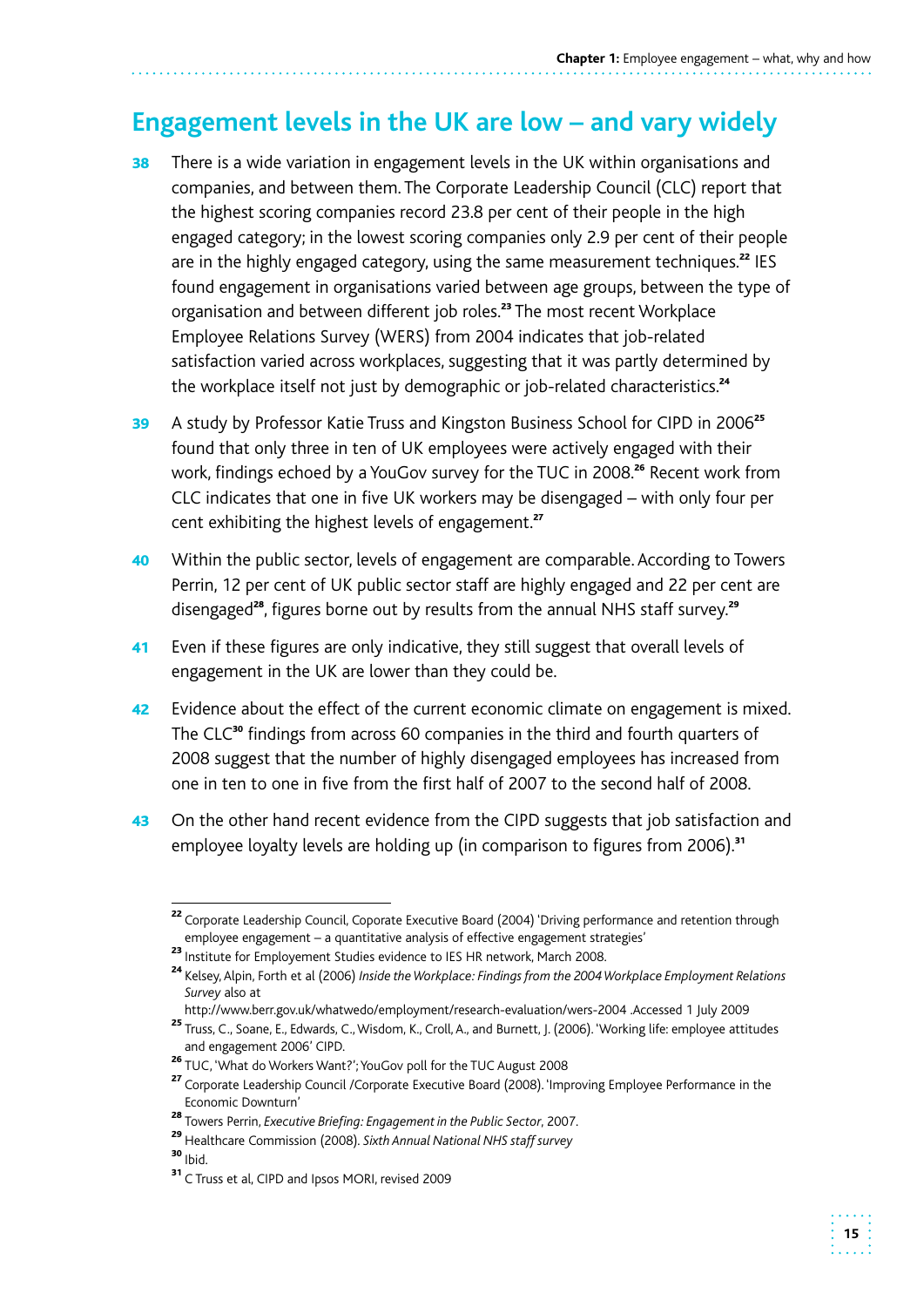## **Engagement levels in the UK are low – and vary widely**

- **38** There is a wide variation in engagement levels in the UK within organisations and companies, and between them. The Corporate Leadership Council (CLC) report that the highest scoring companies record 23.8 per cent of their people in the high engaged category; in the lowest scoring companies only 2.9 per cent of their people are in the highly engaged category, using the same measurement techniques.<sup>22</sup> IES found engagement in organisations varied between age groups, between the type of organisation and between different job roles.<sup>23</sup> The most recent Workplace Employee Relations Survey (WERS) from 2004 indicates that job-related satisfaction varied across workplaces, suggesting that it was partly determined by the workplace itself not just by demographic or job-related characteristics.<sup>24</sup>
- 39 A study by Professor Katie Truss and Kingston Business School for CIPD in 2006<sup>25</sup> found that only three in ten of UK employees were actively engaged with their work, findings echoed by a YouGov survey for the TUC in 2008.<sup>26</sup> Recent work from CLC indicates that one in five UK workers may be disengaged – with only four per cent exhibiting the highest levels of engagement.<sup>27</sup>
- 40 Within the public sector, levels of engagement are comparable. According to Towers Perrin, 12 per cent of UK public sector staff are highly engaged and 22 per cent are disengaged<sup>28</sup>, figures borne out by results from the annual NHS staff survey.<sup>29</sup>
- 41 Even if these figures are only indicative, they still suggest that overall levels of engagement in the UK are lower than they could be.
- one in ten to one in five from the first half of 2007 to the second half of 2008. 42 Evidence about the effect of the current economic climate on engagement is mixed. The CLC<sup>30</sup> findings from across 60 companies in the third and fourth quarters of 2008 suggest that the number of highly disengaged employees has increased from
- 43 On the other hand recent evidence from the CIPD suggests that job satisfaction and employee loyalty levels are holding up (in comparison to figures from 2006).<sup>31</sup>

<sup>&</sup>lt;sup>22</sup> Corporate Leadership Council, Coporate Executive Board (2004) 'Driving performance and retention through employee engagement – a quantitative analysis of effective engagement strategies'

<sup>23</sup> Institute for Employement Studies evidence to IES HR network, March 2008.

<sup>&</sup>lt;sup>24</sup> Kelsev, Alpin, Forth et al (2006) *Inside the Workplace: Findings from the 2004 Workplace Employment Relations Survey* also at

http://www.berr.gov.uk/whatwedo/employment/research-evaluation/wers-2004 .Accessed 1 July 2009

<sup>25</sup>Truss, C., Soane, E., Edwards, C., Wisdom, K., Croll, A., and Burnett, J. (2006). 'Working life: employee attitudes and engagement 2006' CIPD.

<sup>26</sup> TUC, 'What do Workers Want?'; YouGov poll for the TUC August 2008

<sup>&</sup>lt;sup>27</sup> Corporate Leadership Council /Corporate Executive Board (2008). 'Improving Employee Performance in the Economic Downturn'

<sup>28</sup>Towers Perrin, *Executive Briefing: Engagement in the Public Sector*, 2007.

<sup>&</sup>lt;sup>29</sup> Healthcare Commission (2008). Sixth Annual National NHS staff survey

 $30$  Ibid.

<sup>&</sup>lt;sup>31</sup> C Truss et al, CIPD and Ipsos MORI, revised 2009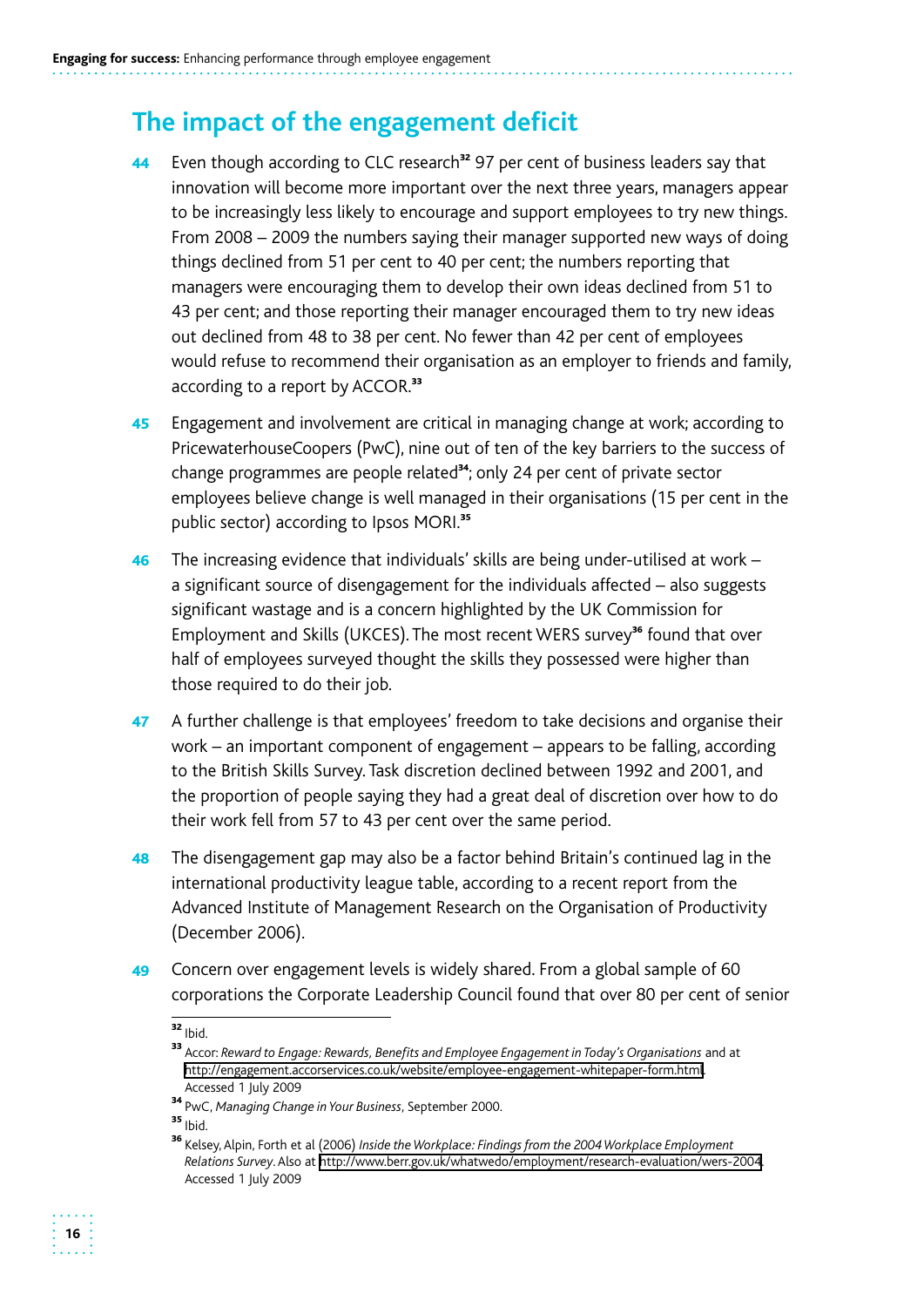## **The impact of the engagement deficit**

- 44 Even though according to CLC research<sup>32</sup> 97 per cent of business leaders say that innovation will become more important over the next three years, managers appear to be increasingly less likely to encourage and support employees to try new things. From 2008 – 2009 the numbers saying their manager supported new ways of doing things declined from 51 per cent to 40 per cent; the numbers reporting that managers were encouraging them to develop their own ideas declined from 51 to 43 per cent; and those reporting their manager encouraged them to try new ideas out declined from 48 to 38 per cent. No fewer than 42 per cent of employees would refuse to recommend their organisation as an employer to friends and family, according to a report by ACCOR.<sup>33</sup>
- 45 Engagement and involvement are critical in managing change at work; according to PricewaterhouseCoopers (PwC), nine out of ten of the key barriers to the success of change programmes are people related<sup>34</sup>; only 24 per cent of private sector employees believe change is well managed in their organisations (15 per cent in the public sector) according to Ipsos MORI.<sup>35</sup>
- $46$  The increasing evidence that individuals' skills are being under-utilised at work a significant source of disengagement for the individuals affected – also suggests significant wastage and is a concern highlighted by the UK Commission for Employment and Skills (UKCES). The most recent WERS survey<sup>36</sup> found that over half of employees surveyed thought the skills they possessed were higher than those required to do their job.
- 47 A further challenge is that employees' freedom to take decisions and organise their work – an important component of engagement – appears to be falling, according to the British Skills Survey. Task discretion declined between 1992 and 2001, and the proportion of people saying they had a great deal of discretion over how to do their work fell from 57 to 43 per cent over the same period.
- **48** The disengagement gap may also be a factor behind Britain's continued lag in the international productivity league table, according to a recent report from the Advanced Institute of Management Research on the Organisation of Productivity (December 2006).
- 49 Concern over engagement levels is widely shared. From a global sample of 60 corporations the Corporate Leadership Council found that over 80 per cent of senior

 $35$  Ibid.

 $32$  Ibid.

<sup>33</sup>Accor: *Reward to Engage: Rewards, Benefits and Employee Engagement in Today's Organisations* and at http://engagement.accorservices.co.uk/website/employee-engagement-whitepaper-form.html. Accessed 1 July 2009

<sup>34</sup>PwC, *Managing Change in Your Business*, September 2000.

<sup>&</sup>lt;sup>36</sup> Kelsey, Alpin, Forth et al (2006) *Inside the Workplace: Findings from the 2004 Workplace Employment Relations Survey*. Also at http://www.berr.gov.uk/whatwedo/employment/research-evaluation/wers-2004. Accessed 1 July 2009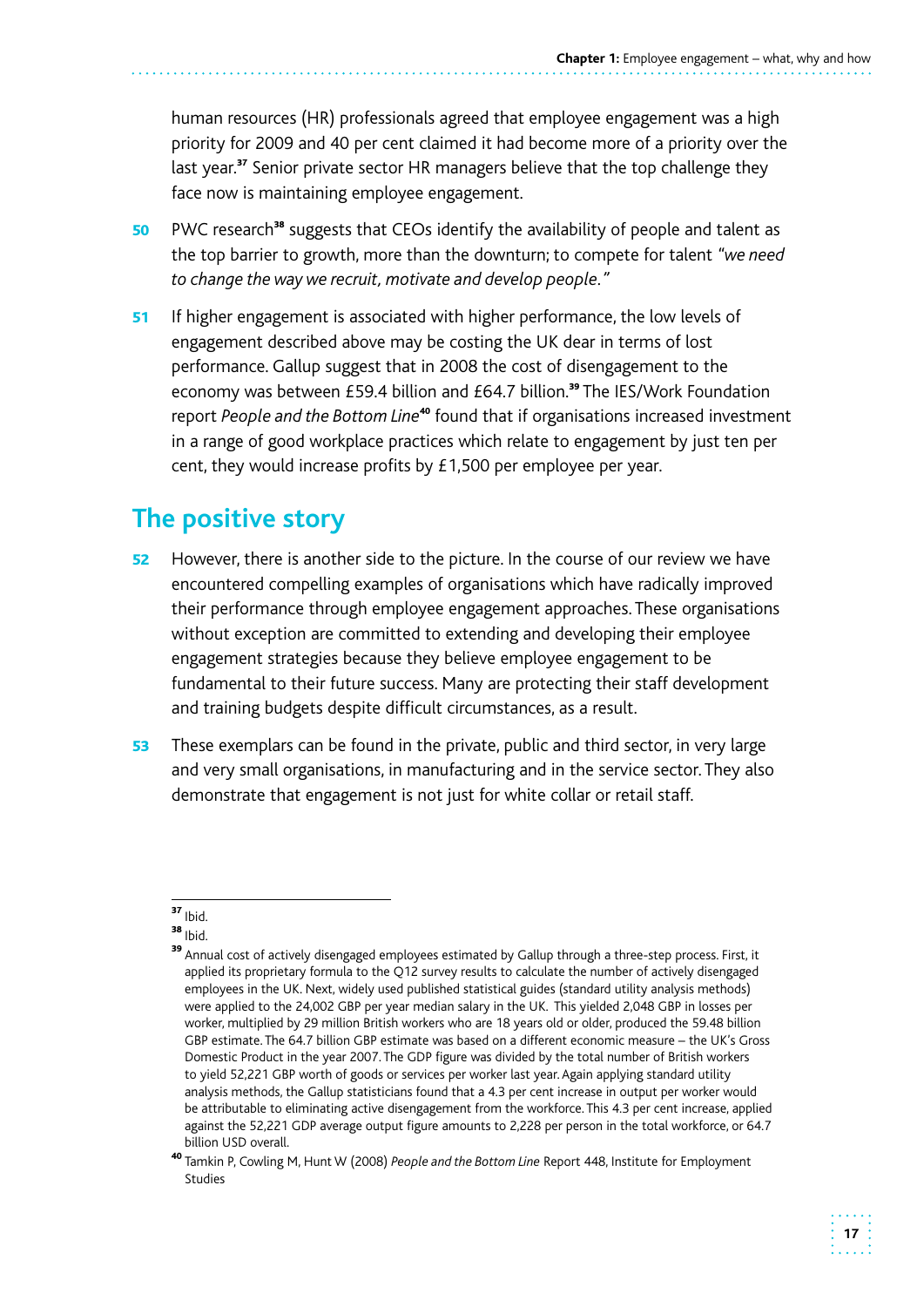human resources (HR) professionals agreed that employee engagement was a high priority for 2009 and 40 per cent claimed it had become more of a priority over the last year.<sup>37</sup> Senior private sector HR managers believe that the top challenge they face now is maintaining employee engagement.

- 50 PWC research<sup>38</sup> suggests that CEOs identify the availability of people and talent as the top barrier to growth, more than the downturn; to compete for talent *"we need to change the way we recruit, motivate and develop people."*
- 51 If higher engagement is associated with higher performance, the low levels of engagement described above may be costing the UK dear in terms of lost performance. Gallup suggest that in 2008 the cost of disengagement to the economy was between £59.4 billion and £64.7 billion.<sup>39</sup> The IES/Work Foundation report People and the Bottom Line<sup>40</sup> found that if organisations increased investment in a range of good workplace practices which relate to engagement by just ten per cent, they would increase profits by £1,500 per employee per year.

## **The positive story**

- 52 However, there is another side to the picture. In the course of our review we have encountered compelling examples of organisations which have radically improved their performance through employee engagement approaches. These organisations without exception are committed to extending and developing their employee engagement strategies because they believe employee engagement to be fundamental to their future success. Many are protecting their staff development and training budgets despite difficult circumstances, as a result.
- 53 These exemplars can be found in the private, public and third sector, in very large and very small organisations, in manufacturing and in the service sector. They also demonstrate that engagement is not just for white collar or retail staff.

 $37$  Ibid.

 $38$  Ibid.

 were applied to the 24,002 GBP per year median salary in the UK. This yielded 2,048 GBP in losses per <sup>39</sup> Annual cost of actively disengaged employees estimated by Gallup through a three-step process. First, it applied its proprietary formula to the Q12 survey results to calculate the number of actively disengaged employees in the UK. Next, widely used published statistical guides (standard utility analysis methods) worker, multiplied by 29 million British workers who are 18 years old or older, produced the 59.48 billion GBP estimate. The 64.7 billion GBP estimate was based on a different economic measure – the UK's Gross Domestic Product in the year 2007. The GDP figure was divided by the total number of British workers to yield 52,221 GBP worth of goods or services per worker last year. Again applying standard utility analysis methods, the Gallup statisticians found that a 4.3 per cent increase in output per worker would be attributable to eliminating active disengagement from the workforce. This 4.3 per cent increase, applied against the 52,221 GDP average output figure amounts to 2,228 per person in the total workforce, or 64.7 billion USD overall.

<sup>40</sup>Tamkin P, Cowling M, Hunt W (2008) *People and the Bottom Line* Report 448, Institute for Employment Studies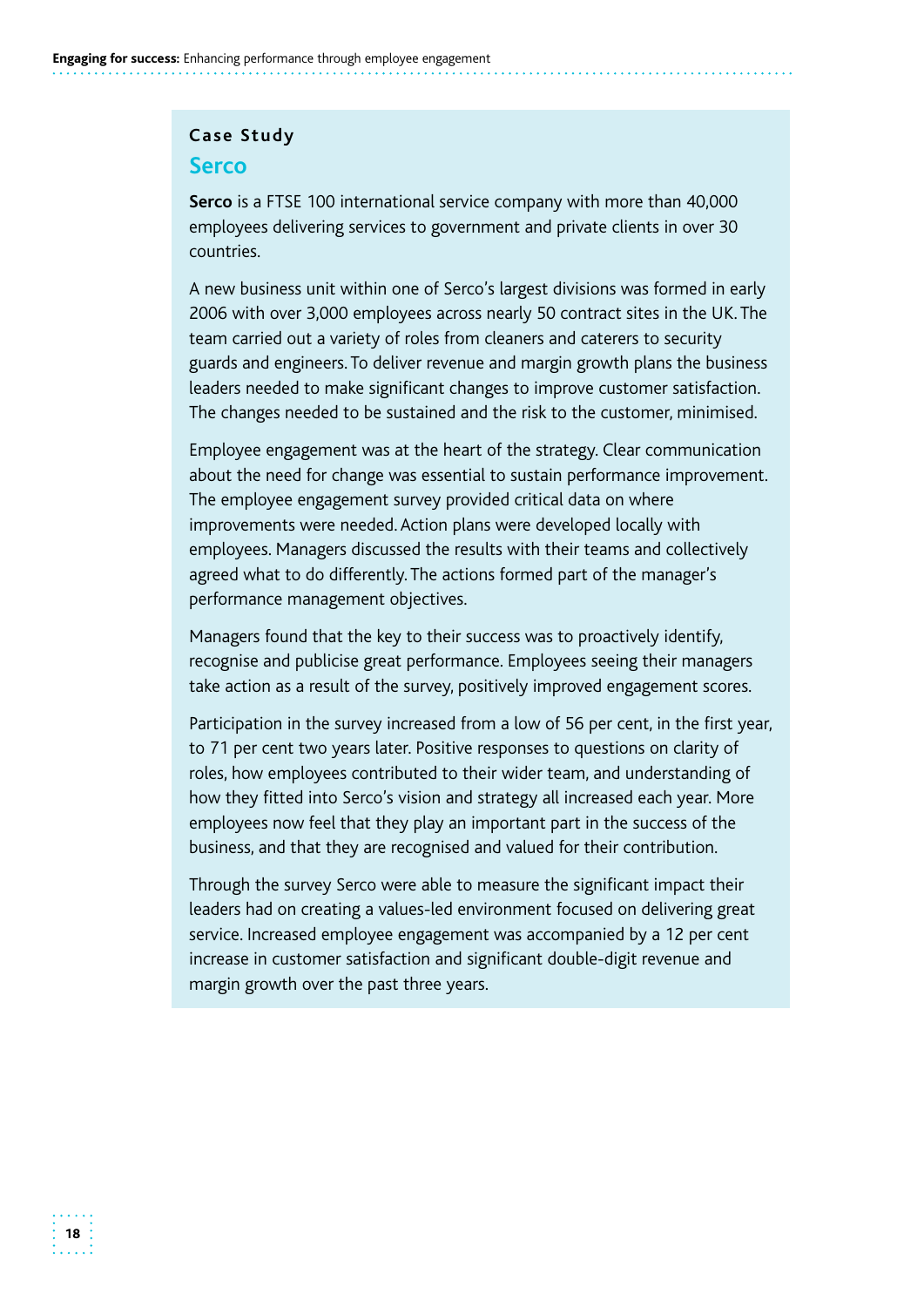#### **Case Study**

#### **Serco**

**Serco** is a FTSE 100 international service company with more than 40,000 employees delivering services to government and private clients in over 30 countries.

A new business unit within one of Serco's largest divisions was formed in early 2006 with over 3,000 employees across nearly 50 contract sites in the UK. The team carried out a variety of roles from cleaners and caterers to security guards and engineers. To deliver revenue and margin growth plans the business leaders needed to make significant changes to improve customer satisfaction. The changes needed to be sustained and the risk to the customer, minimised.

Employee engagement was at the heart of the strategy. Clear communication about the need for change was essential to sustain performance improvement. The employee engagement survey provided critical data on where improvements were needed. Action plans were developed locally with employees. Managers discussed the results with their teams and collectively agreed what to do differently. The actions formed part of the manager's performance management objectives.

Managers found that the key to their success was to proactively identify, recognise and publicise great performance. Employees seeing their managers take action as a result of the survey, positively improved engagement scores.

Participation in the survey increased from a low of 56 per cent, in the first year, to 71 per cent two years later. Positive responses to questions on clarity of roles, how employees contributed to their wider team, and understanding of how they fitted into Serco's vision and strategy all increased each year. More employees now feel that they play an important part in the success of the business, and that they are recognised and valued for their contribution.

Through the survey Serco were able to measure the significant impact their leaders had on creating a values-led environment focused on delivering great service. Increased employee engagement was accompanied by a 12 per cent increase in customer satisfaction and significant double-digit revenue and margin growth over the past three years.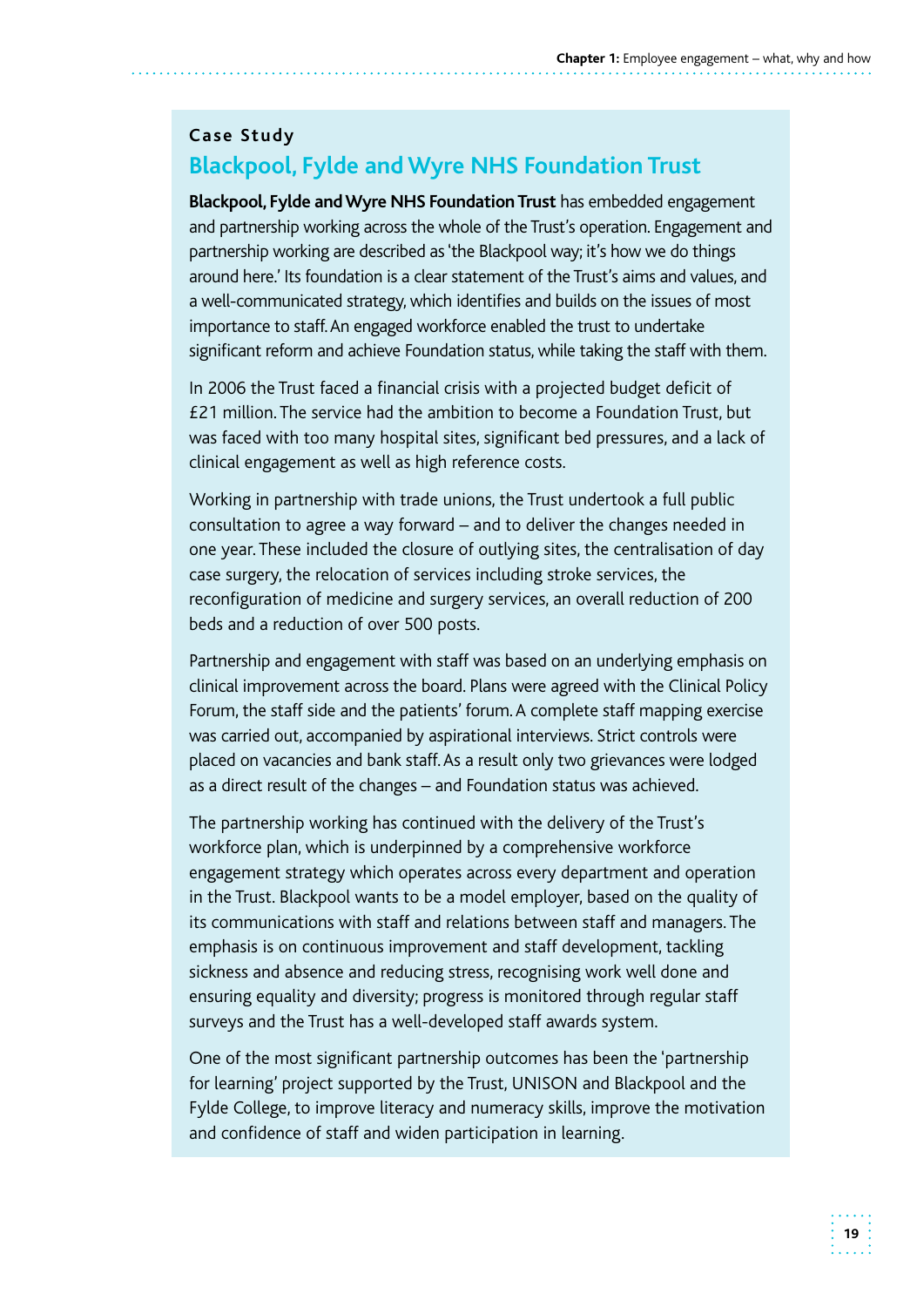### **Case Study Blackpool, Fylde and Wyre NHS Foundation Trust**

 and partnership working across the whole of the Trust's operation. Engagement and partnership working are described as 'the Blackpool way; it's how we do things around here.' Its foundation is a clear statement of the Trust's aims and values, and a well-communicated strategy, which identifies and builds on the issues of most importance to staff.An engaged workforce enabled the trust to undertake **Blackpool, Fylde and Wyre NHS Foundation Trust** has embedded engagement significant reform and achieve Foundation status, while taking the staff with them.

 £21 million. The service had the ambition to become a Foundation Trust, but In 2006 the Trust faced a financial crisis with a projected budget deficit of was faced with too many hospital sites, significant bed pressures, and a lack of clinical engagement as well as high reference costs.

Working in partnership with trade unions, the Trust undertook a full public consultation to agree a way forward – and to deliver the changes needed in one year. These included the closure of outlying sites, the centralisation of day case surgery, the relocation of services including stroke services, the reconfiguration of medicine and surgery services, an overall reduction of 200 beds and a reduction of over 500 posts.

 Partnership and engagement with staff was based on an underlying emphasis on clinical improvement across the board. Plans were agreed with the Clinical Policy Forum, the staff side and the patients' forum. A complete staff mapping exercise was carried out, accompanied by aspirational interviews. Strict controls were placed on vacancies and bank staff. As a result only two grievances were lodged as a direct result of the changes – and Foundation status was achieved.

The partnership working has continued with the delivery of the Trust's workforce plan, which is underpinned by a comprehensive workforce engagement strategy which operates across every department and operation in the Trust. Blackpool wants to be a model employer, based on the quality of its communications with staff and relations between staff and managers. The emphasis is on continuous improvement and staff development, tackling sickness and absence and reducing stress, recognising work well done and ensuring equality and diversity; progress is monitored through regular staff surveys and the Trust has a well-developed staff awards system.

One of the most significant partnership outcomes has been the 'partnership for learning' project supported by the Trust, UNISON and Blackpool and the Fylde College, to improve literacy and numeracy skills, improve the motivation and confidence of staff and widen participation in learning.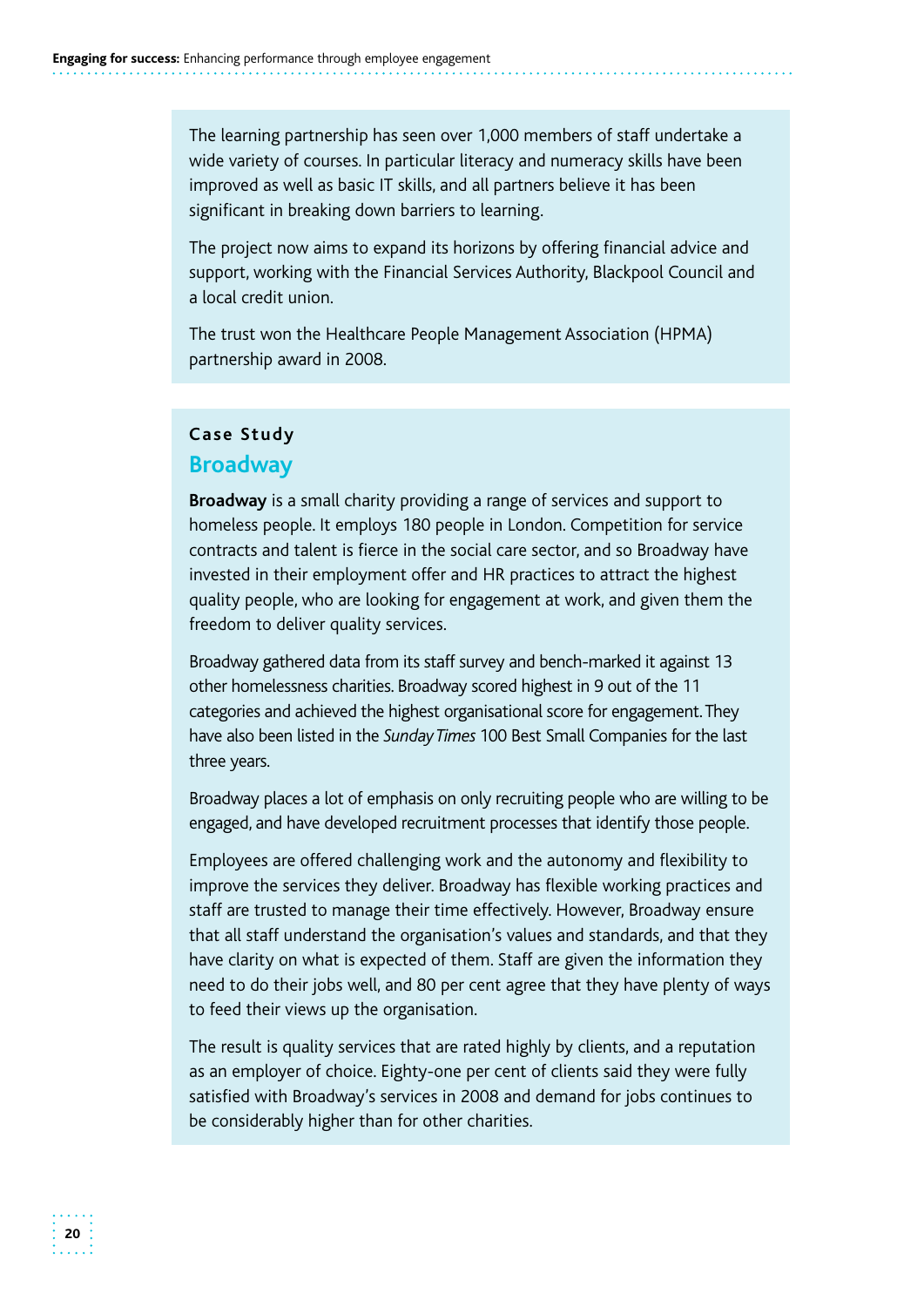The learning partnership has seen over 1,000 members of staff undertake a wide variety of courses. In particular literacy and numeracy skills have been improved as well as basic IT skills, and all partners believe it has been significant in breaking down barriers to learning.

The project now aims to expand its horizons by offering financial advice and support, working with the Financial Services Authority, Blackpool Council and a local credit union.

The trust won the Healthcare People Management Association (HPMA) partnership award in 2008.

#### **Case Study**

#### **Broadway**

**Broadway** is a small charity providing a range of services and support to homeless people. It employs 180 people in London. Competition for service contracts and talent is fierce in the social care sector, and so Broadway have invested in their employment offer and HR practices to attract the highest quality people, who are looking for engagement at work, and given them the freedom to deliver quality services.

 Broadway gathered data from its staff survey and bench-marked it against 13 other homelessness charities. Broadway scored highest in 9 out of the 11 categories and achieved the highest organisational score for engagement.They have also been listed in the *Sunday Times* 100 Best Small Companies for the last three years.

 Broadway places a lot of emphasis on only recruiting people who are willing to be engaged, and have developed recruitment processes that identify those people.

Employees are offered challenging work and the autonomy and flexibility to improve the services they deliver. Broadway has flexible working practices and staff are trusted to manage their time effectively. However, Broadway ensure that all staff understand the organisation's values and standards, and that they have clarity on what is expected of them. Staff are given the information they need to do their jobs well, and 80 per cent agree that they have plenty of ways to feed their views up the organisation.

The result is quality services that are rated highly by clients, and a reputation as an employer of choice. Eighty-one per cent of clients said they were fully satisfied with Broadway's services in 2008 and demand for jobs continues to be considerably higher than for other charities.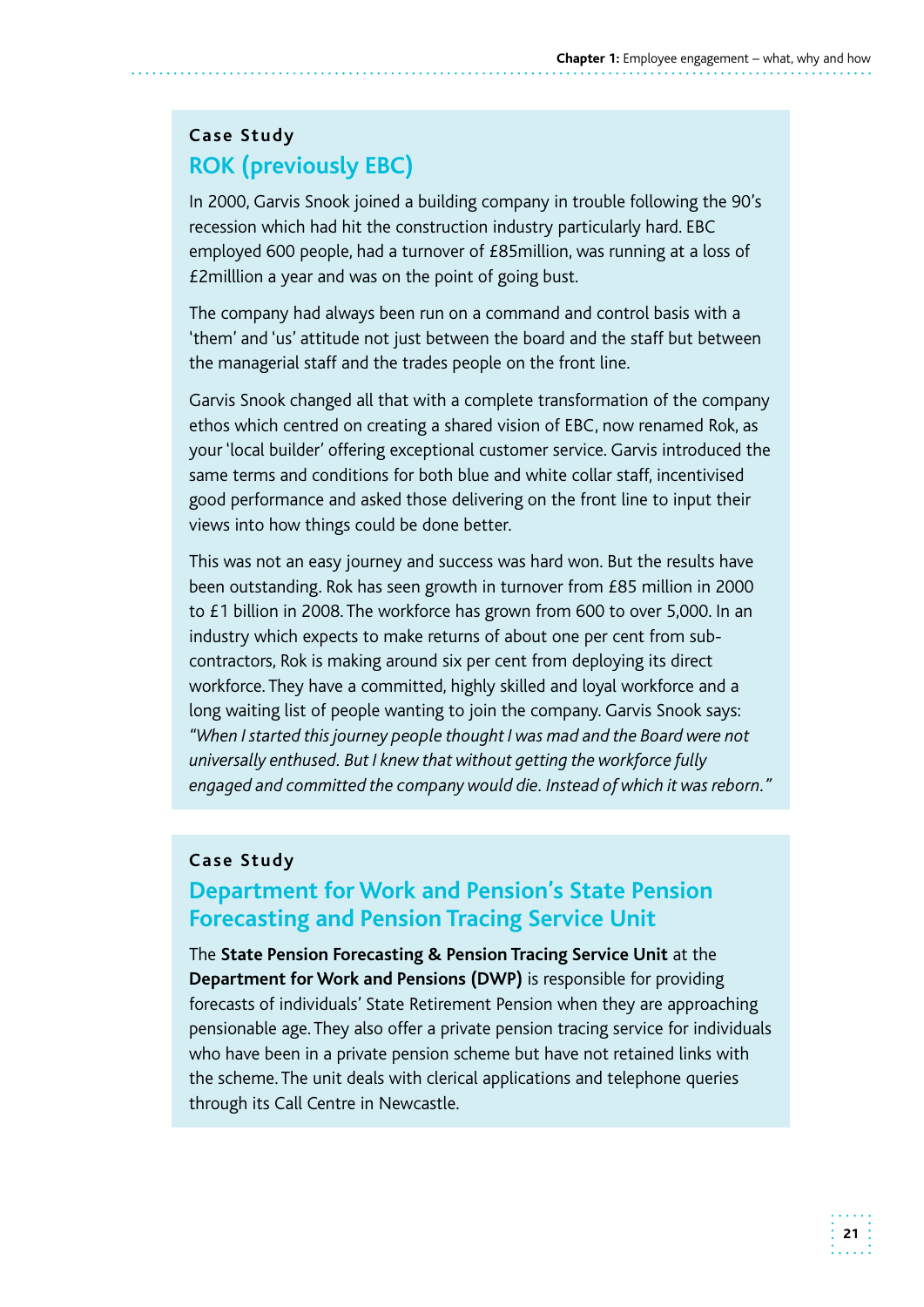## **Case Study ROK (previously EBC)**

In 2000, Garvis Snook joined a building company in trouble following the 90's recession which had hit the construction industry particularly hard. EBC employed 600 people, had a turnover of £85million, was running at a loss of £2milllion a year and was on the point of going bust.

The company had always been run on a command and control basis with a 'them' and 'us' attitude not just between the board and the staff but between the managerial staff and the trades people on the front line.

Garvis Snook changed all that with a complete transformation of the company ethos which centred on creating a shared vision of EBC, now renamed Rok, as your 'local builder' offering exceptional customer service. Garvis introduced the same terms and conditions for both blue and white collar staff, incentivised good performance and asked those delivering on the front line to input their views into how things could be done better.

This was not an easy journey and success was hard won. But the results have been outstanding. Rok has seen growth in turnover from £85 million in 2000 to £1 billion in 2008. The workforce has grown from 600 to over 5,000. In an industry which expects to make returns of about one per cent from subcontractors, Rok is making around six per cent from deploying its direct workforce. They have a committed, highly skilled and loyal workforce and a long waiting list of people wanting to join the company. Garvis Snook says: *"When I started this journey people thought I was mad and the Board were not universally enthused. But I knew that without getting the workforce fully engaged and committed the company would die. Instead of which it was reborn."* 

#### **Case Study**

### **Department for Work and Pension's State Pension Forecasting and Pension Tracing Service Unit**

The **State Pension Forecasting & Pension Tracing Service Unit** at the **Department for Work and Pensions (DWP)** is responsible for providing forecasts of individuals' State Retirement Pension when they are approaching pensionable age. They also offer a private pension tracing service for individuals who have been in a private pension scheme but have not retained links with the scheme. The unit deals with clerical applications and telephone queries through its Call Centre in Newcastle.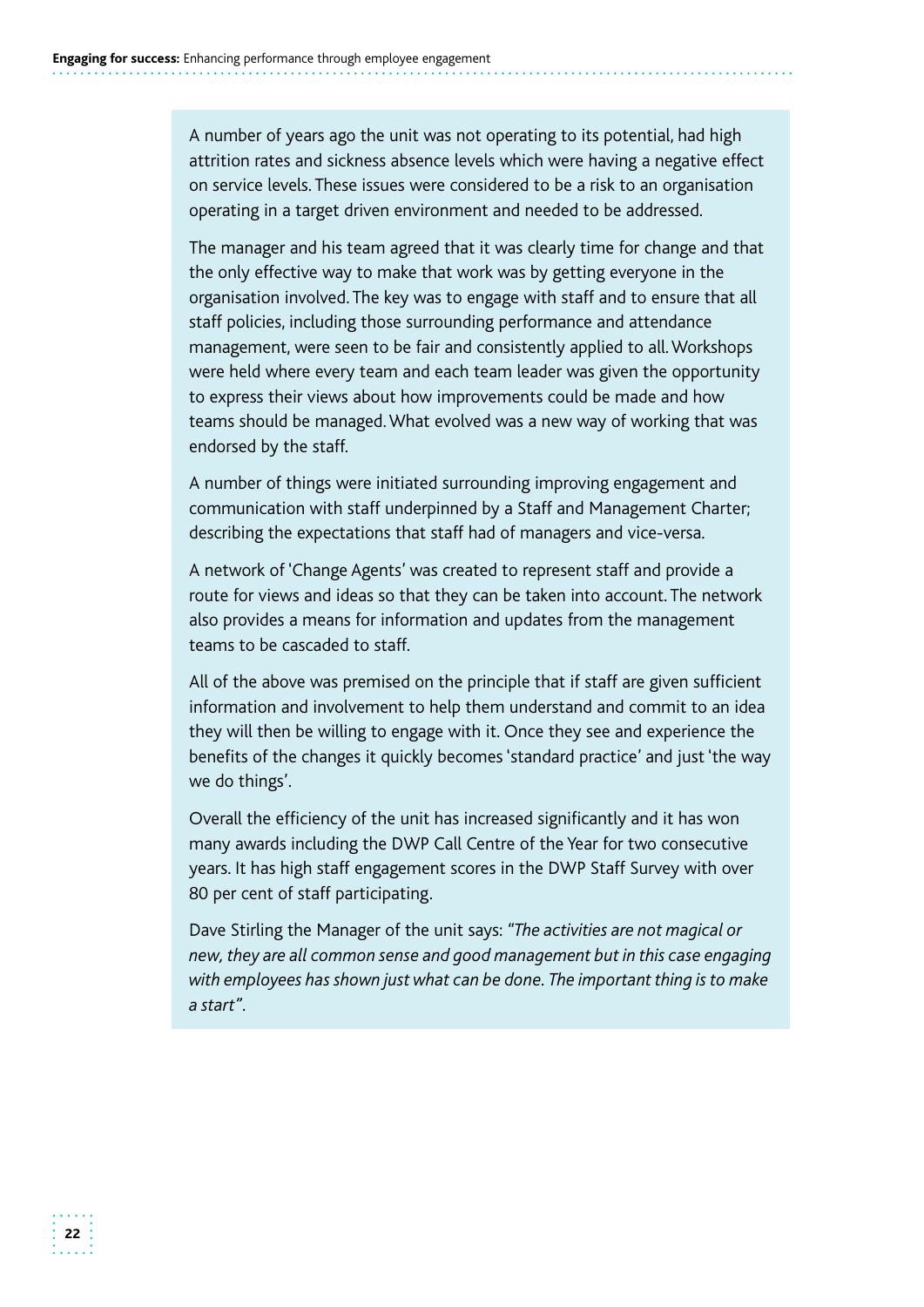A number of years ago the unit was not operating to its potential, had high attrition rates and sickness absence levels which were having a negative effect on service levels. These issues were considered to be a risk to an organisation operating in a target driven environment and needed to be addressed.

The manager and his team agreed that it was clearly time for change and that the only effective way to make that work was by getting everyone in the organisation involved. The key was to engage with staff and to ensure that all staff policies, including those surrounding performance and attendance management, were seen to be fair and consistently applied to all. Workshops were held where every team and each team leader was given the opportunity to express their views about how improvements could be made and how teams should be managed. What evolved was a new way of working that was endorsed by the staff.

A number of things were initiated surrounding improving engagement and communication with staff underpinned by a Staff and Management Charter; describing the expectations that staff had of managers and vice-versa.

A network of 'Change Agents' was created to represent staff and provide a route for views and ideas so that they can be taken into account. The network also provides a means for information and updates from the management teams to be cascaded to staff.

All of the above was premised on the principle that if staff are given sufficient information and involvement to help them understand and commit to an idea they will then be willing to engage with it. Once they see and experience the benefits of the changes it quickly becomes 'standard practice' and just 'the way we do things'.

Overall the efficiency of the unit has increased significantly and it has won many awards including the DWP Call Centre of the Year for two consecutive years. It has high staff engagement scores in the DWP Staff Survey with over 80 per cent of staff participating.

Dave Stirling the Manager of the unit says: *"The activities are not magical or new, they are all common sense and good management but in this case engaging with employees has shown just what can be done. The important thing is to make a start".*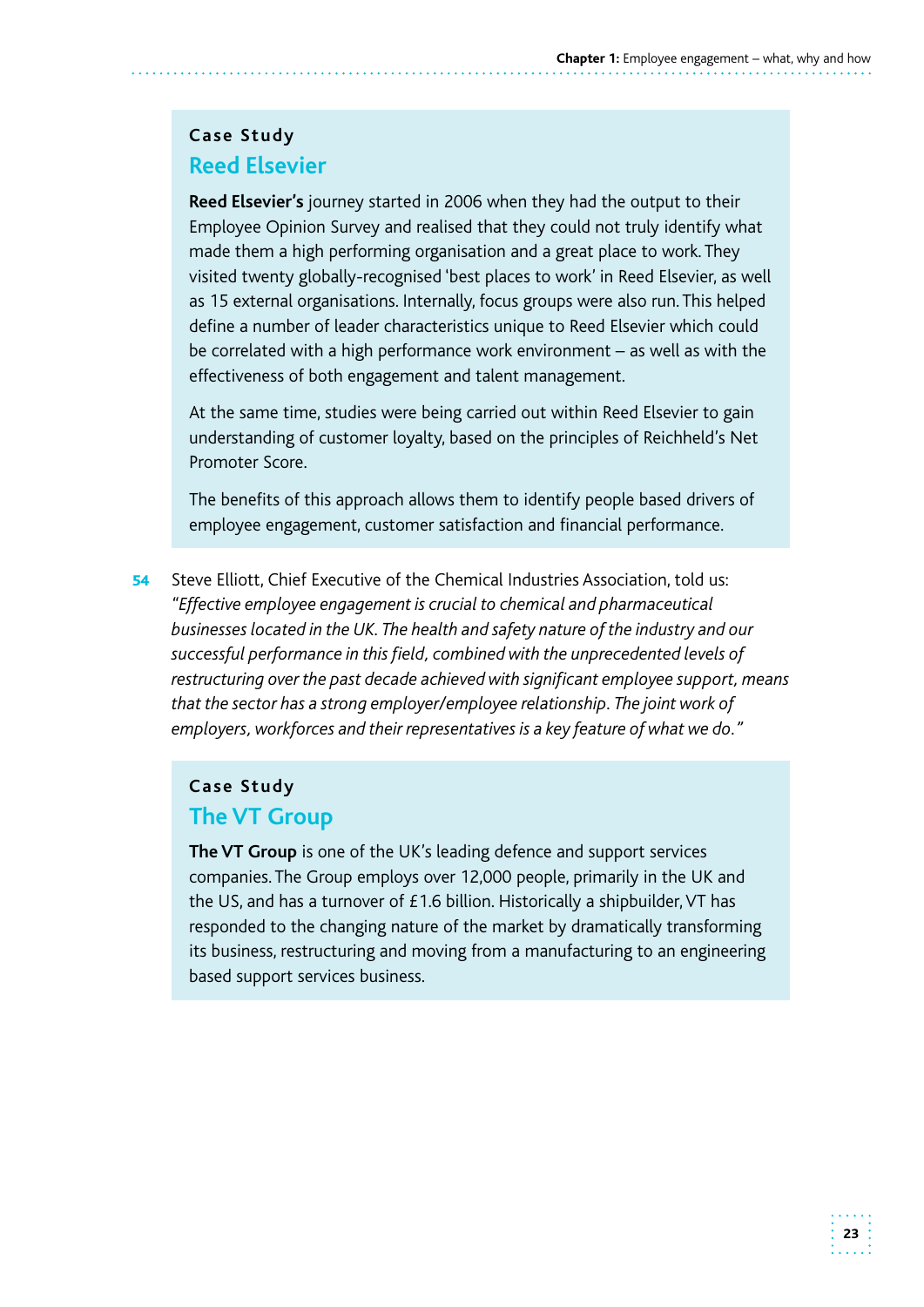#### **Case Study Reed Elsevier**

**Reed Elsevier's** journey started in 2006 when they had the output to their Employee Opinion Survey and realised that they could not truly identify what made them a high performing organisation and a great place to work. They visited twenty globally-recognised 'best places to work' in Reed Elsevier, as well as 15 external organisations. Internally, focus groups were also run. This helped define a number of leader characteristics unique to Reed Elsevier which could be correlated with a high performance work environment – as well as with the effectiveness of both engagement and talent management.

At the same time, studies were being carried out within Reed Elsevier to gain understanding of customer loyalty, based on the principles of Reichheld's Net Promoter Score.

The benefits of this approach allows them to identify people based drivers of employee engagement, customer satisfaction and financial performance.

**54** Steve Elliott, Chief Executive of the Chemical Industries Association, told us: *"Effective employee engagement is crucial to chemical and pharmaceutical businesses located in the UK. The health and safety nature of the industry and our successful performance in this field, combined with the unprecedented levels of restructuring over the past decade achieved with significant employee support, means that the sector has a strong employer/employee relationship. The joint work of employers, workforces and their representatives is a key feature of what we do."* 

## **Case Study The VT Group**

**The VT Group** is one of the UK's leading defence and support services companies. The Group employs over 12,000 people, primarily in the UK and the US, and has a turnover of £1.6 billion. Historically a shipbuilder, VT has responded to the changing nature of the market by dramatically transforming its business, restructuring and moving from a manufacturing to an engineering based support services business.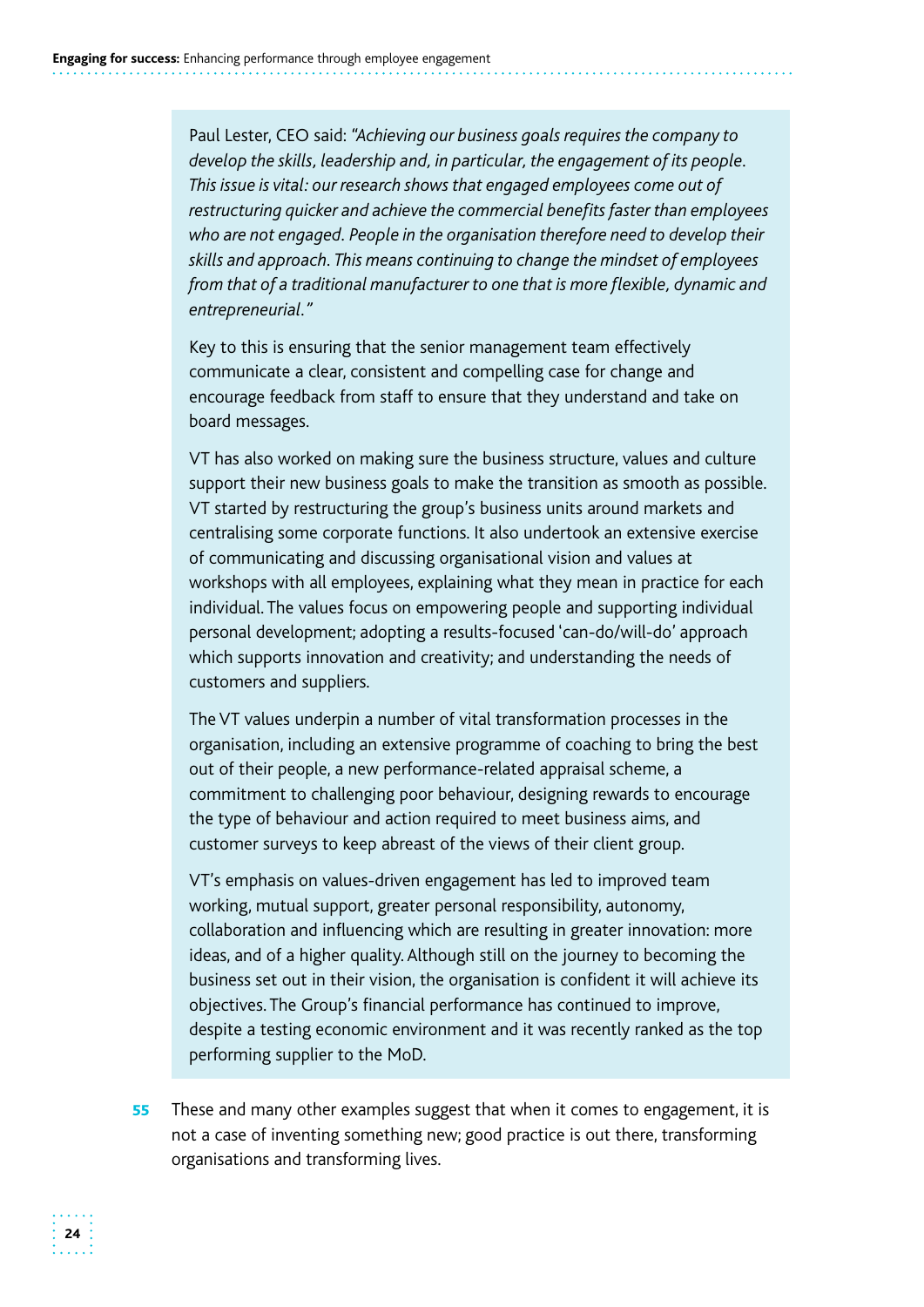Paul Lester, CEO said: *"Achieving our business goals requires the company to develop the skills, leadership and, in particular, the engagement of its people. This issue is vital: our research shows that engaged employees come out of restructuring quicker and achieve the commercial benefits faster than employees who are not engaged. People in the organisation therefore need to develop their skills and approach. This means continuing to change the mindset of employees from that of a traditional manufacturer to one that is more flexible, dynamic and entrepreneurial."* 

Key to this is ensuring that the senior management team effectively communicate a clear, consistent and compelling case for change and encourage feedback from staff to ensure that they understand and take on board messages.

VT has also worked on making sure the business structure, values and culture support their new business goals to make the transition as smooth as possible. VT started by restructuring the group's business units around markets and centralising some corporate functions. It also undertook an extensive exercise of communicating and discussing organisational vision and values at workshops with all employees, explaining what they mean in practice for each individual. The values focus on empowering people and supporting individual personal development; adopting a results-focused 'can-do/will-do' approach which supports innovation and creativity; and understanding the needs of customers and suppliers.

The VT values underpin a number of vital transformation processes in the organisation, including an extensive programme of coaching to bring the best out of their people, a new performance-related appraisal scheme, a commitment to challenging poor behaviour, designing rewards to encourage the type of behaviour and action required to meet business aims, and customer surveys to keep abreast of the views of their client group.

VT's emphasis on values-driven engagement has led to improved team working, mutual support, greater personal responsibility, autonomy, collaboration and influencing which are resulting in greater innovation: more ideas, and of a higher quality. Although still on the journey to becoming the business set out in their vision, the organisation is confident it will achieve its objectives. The Group's financial performance has continued to improve, despite a testing economic environment and it was recently ranked as the top performing supplier to the MoD.

55 These and many other examples suggest that when it comes to engagement, it is not a case of inventing something new; good practice is out there, transforming organisations and transforming lives.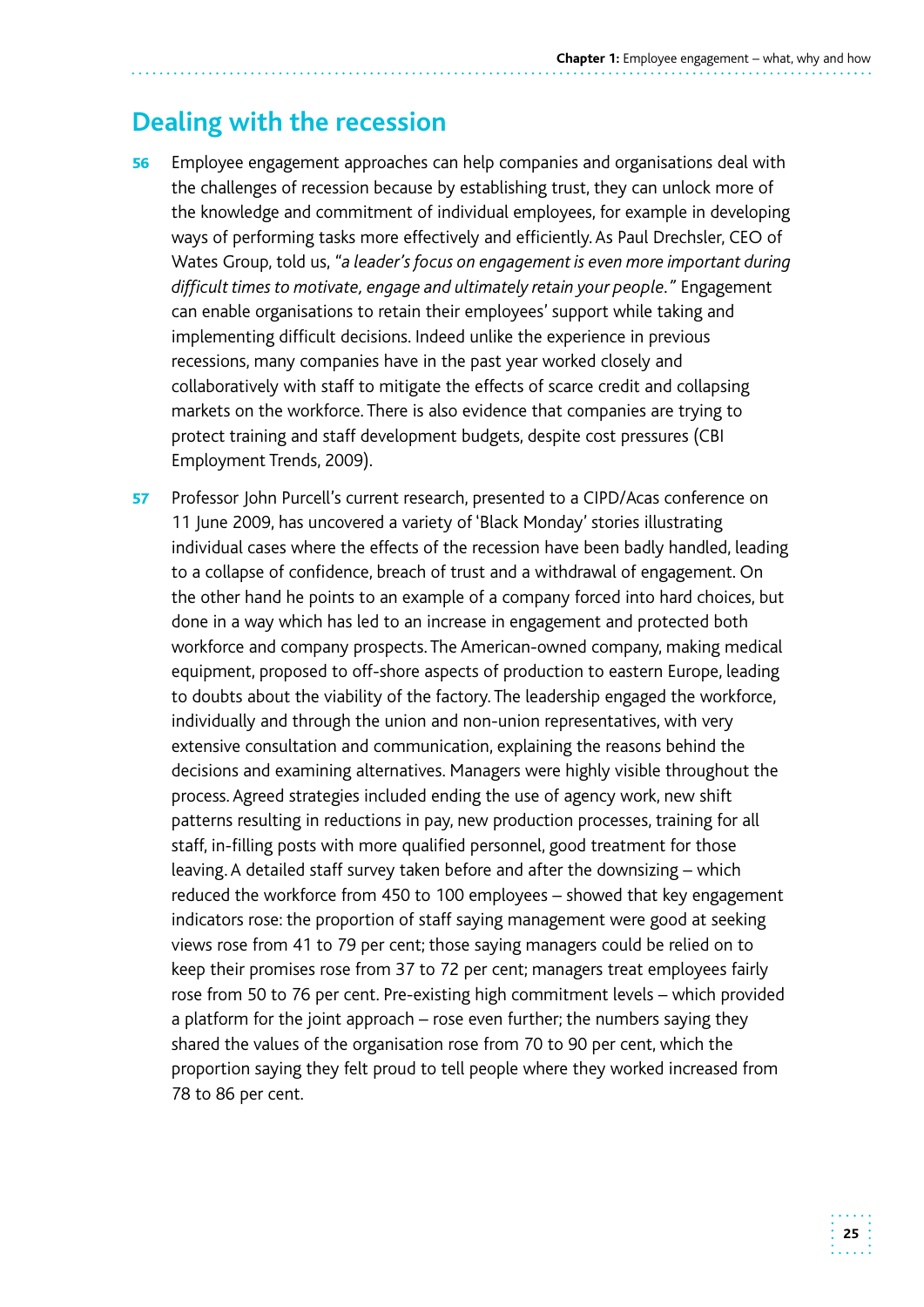## **Dealing with the recession**

- 56 Employee engagement approaches can help companies and organisations deal with the challenges of recession because by establishing trust, they can unlock more of the knowledge and commitment of individual employees, for example in developing ways of performing tasks more effectively and efficiently. As Paul Drechsler, CEO of Wates Group, told us, *"a leader's focus on engagement is even more important during difficult times to motivate, engage and ultimately retain your people."* Engagement can enable organisations to retain their employees' support while taking and implementing difficult decisions. Indeed unlike the experience in previous recessions, many companies have in the past year worked closely and collaboratively with staff to mitigate the effects of scarce credit and collapsing markets on the workforce. There is also evidence that companies are trying to protect training and staff development budgets, despite cost pressures (CBI Employment Trends, 2009).
- 57 Professor John Purcell's current research, presented to a CIPD/Acas conference on 11 June 2009, has uncovered a variety of 'Black Monday' stories illustrating individual cases where the effects of the recession have been badly handled, leading to a collapse of confidence, breach of trust and a withdrawal of engagement. On the other hand he points to an example of a company forced into hard choices, but done in a way which has led to an increase in engagement and protected both workforce and company prospects. The American-owned company, making medical equipment, proposed to off-shore aspects of production to eastern Europe, leading to doubts about the viability of the factory. The leadership engaged the workforce, individually and through the union and non-union representatives, with very extensive consultation and communication, explaining the reasons behind the decisions and examining alternatives. Managers were highly visible throughout the process. Agreed strategies included ending the use of agency work, new shift patterns resulting in reductions in pay, new production processes, training for all staff, in-filling posts with more qualified personnel, good treatment for those leaving. A detailed staff survey taken before and after the downsizing – which reduced the workforce from 450 to 100 employees – showed that key engagement indicators rose: the proportion of staff saying management were good at seeking views rose from 41 to 79 per cent; those saying managers could be relied on to keep their promises rose from 37 to 72 per cent; managers treat employees fairly rose from 50 to 76 per cent. Pre-existing high commitment levels – which provided a platform for the joint approach – rose even further; the numbers saying they shared the values of the organisation rose from 70 to 90 per cent, which the proportion saying they felt proud to tell people where they worked increased from 78 to 86 per cent.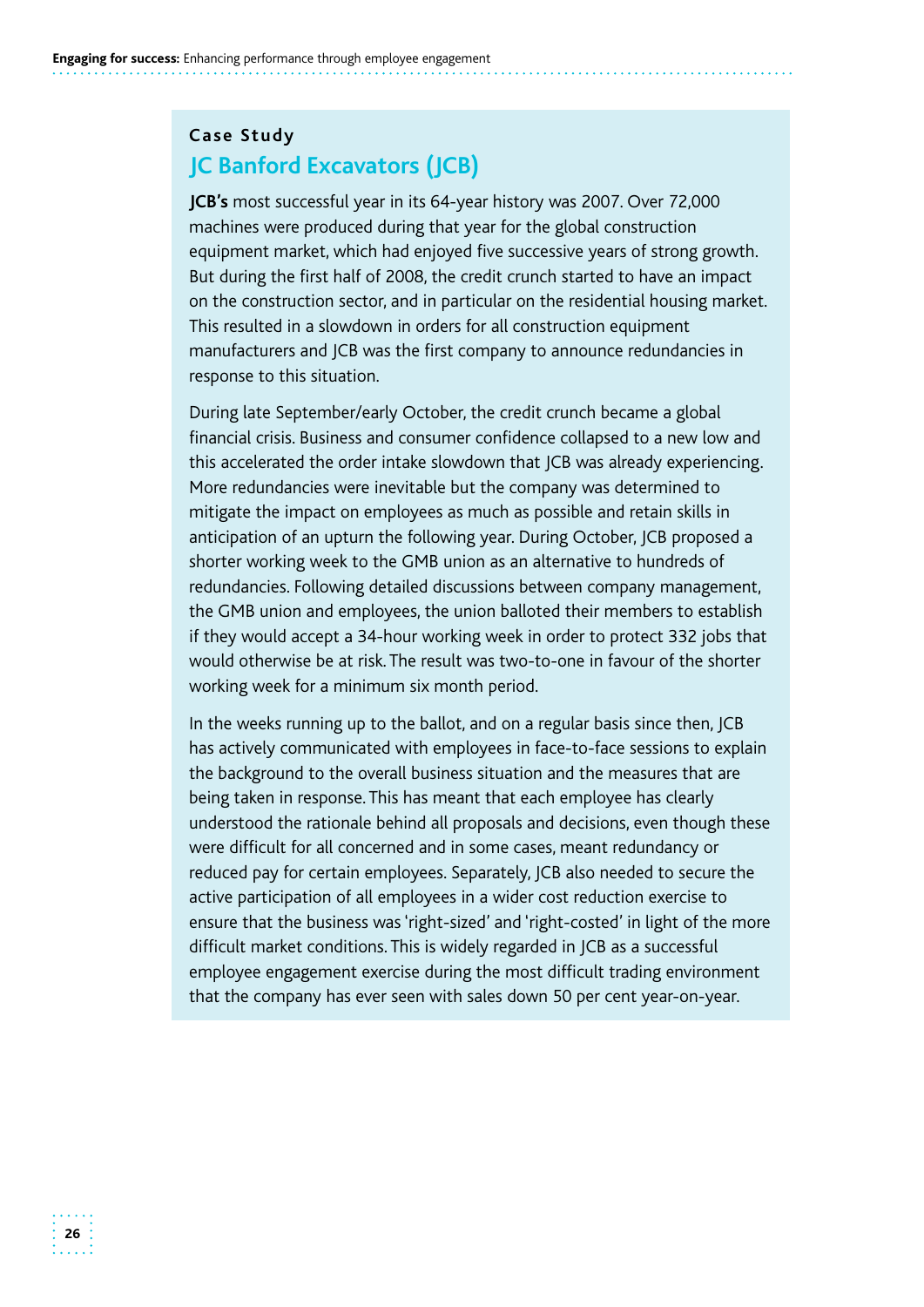## **Case Study JC Banford Excavators (JCB)**

**JCB's** most successful year in its 64-year history was 2007. Over 72,000 machines were produced during that year for the global construction equipment market, which had enjoyed five successive years of strong growth. But during the first half of 2008, the credit crunch started to have an impact on the construction sector, and in particular on the residential housing market. This resulted in a slowdown in orders for all construction equipment manufacturers and JCB was the first company to announce redundancies in response to this situation.

During late September/early October, the credit crunch became a global financial crisis. Business and consumer confidence collapsed to a new low and this accelerated the order intake slowdown that JCB was already experiencing. More redundancies were inevitable but the company was determined to mitigate the impact on employees as much as possible and retain skills in anticipation of an upturn the following year. During October, JCB proposed a shorter working week to the GMB union as an alternative to hundreds of redundancies. Following detailed discussions between company management, the GMB union and employees, the union balloted their members to establish if they would accept a 34-hour working week in order to protect 332 jobs that would otherwise be at risk. The result was two-to-one in favour of the shorter working week for a minimum six month period.

In the weeks running up to the ballot, and on a regular basis since then, JCB has actively communicated with employees in face-to-face sessions to explain the background to the overall business situation and the measures that are being taken in response. This has meant that each employee has clearly understood the rationale behind all proposals and decisions, even though these were difficult for all concerned and in some cases, meant redundancy or reduced pay for certain employees. Separately, JCB also needed to secure the active participation of all employees in a wider cost reduction exercise to ensure that the business was 'right-sized' and 'right-costed' in light of the more difficult market conditions. This is widely regarded in JCB as a successful employee engagement exercise during the most difficult trading environment that the company has ever seen with sales down 50 per cent year-on-year.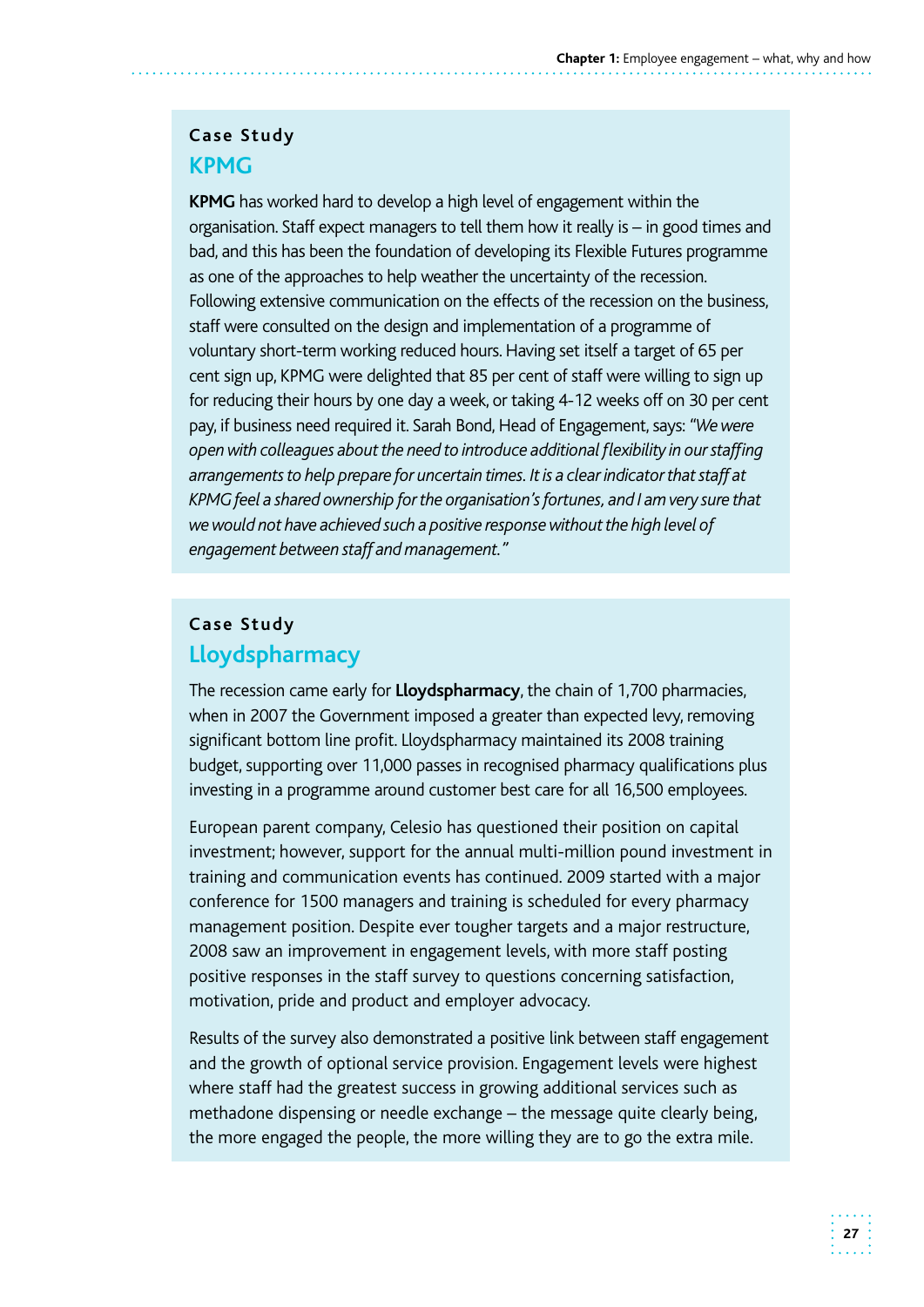#### **Case Study KPMG**

 **KPMG** has worked hard to develop a high level of engagement within the organisation. Staff expect managers to tell them how it really is – in good times and bad, and this has been the foundation of developing its Flexible Futures programme staff were consulted on the design and implementation of a programme of voluntary short-term working reduced hours. Having set itself a target of 65 per cent sign up, KPMG were delighted that 85 per cent of staff were willing to sign up for reducing their hours by one day a week, or taking 4-12 weeks off on 30 per cent  as one of the approaches to help weather the uncertainty of the recession. Following extensive communication on the effects of the recession on the business, pay, if business need required it. Sarah Bond, Head of Engagement, says: *"We were open with colleagues about the need to introduce additional flexibility in our staffing arrangements to help prepare for uncertain times. It is a clear indicator that staff at KPMG feel a shared ownership for the organisation's fortunes, and I am very sure that we would not have achieved such a positive response without the high level of engagement between staff and management."* 

## **Case Study Lloydspharmacy**

 when in 2007 the Government imposed a greater than expected levy, removing budget, supporting over 11,000 passes in recognised pharmacy qualifications plus The recession came early for **Lloydspharmacy**, the chain of 1,700 pharmacies, significant bottom line profit. Lloydspharmacy maintained its 2008 training investing in a programme around customer best care for all 16,500 employees.

European parent company, Celesio has questioned their position on capital investment; however, support for the annual multi-million pound investment in training and communication events has continued. 2009 started with a major conference for 1500 managers and training is scheduled for every pharmacy management position. Despite ever tougher targets and a major restructure, 2008 saw an improvement in engagement levels, with more staff posting positive responses in the staff survey to questions concerning satisfaction, motivation, pride and product and employer advocacy.

 Results of the survey also demonstrated a positive link between staff engagement and the growth of optional service provision. Engagement levels were highest where staff had the greatest success in growing additional services such as methadone dispensing or needle exchange – the message quite clearly being, the more engaged the people, the more willing they are to go the extra mile.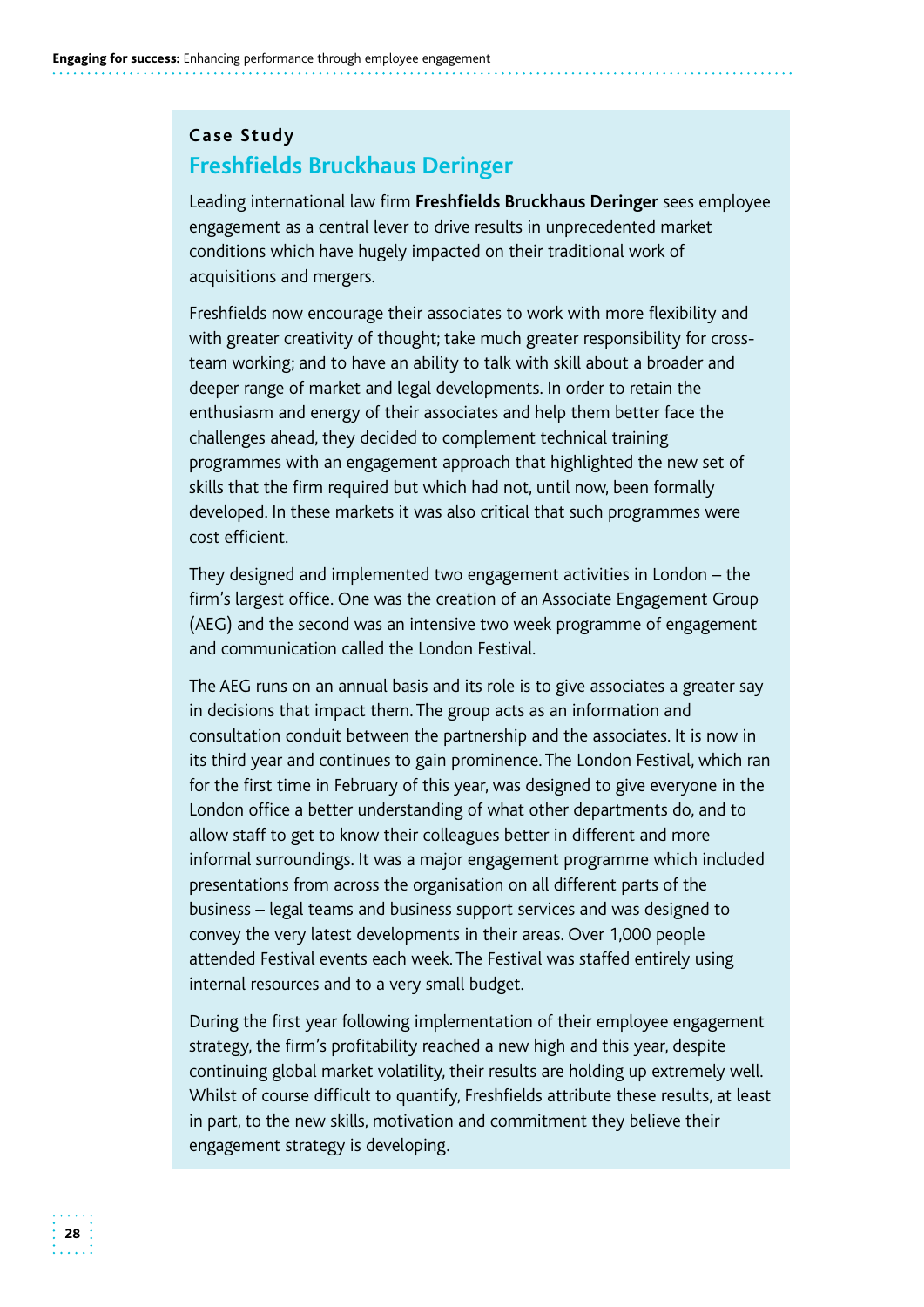### **Case Study Freshfields Bruckhaus Deringer**

Leading international law firm **Freshfields Bruckhaus Deringer** sees employee engagement as a central lever to drive results in unprecedented market conditions which have hugely impacted on their traditional work of acquisitions and mergers.

Freshfields now encourage their associates to work with more flexibility and with greater creativity of thought; take much greater responsibility for crossteam working; and to have an ability to talk with skill about a broader and deeper range of market and legal developments. In order to retain the enthusiasm and energy of their associates and help them better face the challenges ahead, they decided to complement technical training programmes with an engagement approach that highlighted the new set of skills that the firm required but which had not, until now, been formally developed. In these markets it was also critical that such programmes were cost efficient.

They designed and implemented two engagement activities in London – the firm's largest office. One was the creation of an Associate Engagement Group (AEG) and the second was an intensive two week programme of engagement and communication called the London Festival.

 attended Festival events each week. The Festival was staffed entirely using The AEG runs on an annual basis and its role is to give associates a greater say in decisions that impact them. The group acts as an information and consultation conduit between the partnership and the associates. It is now in its third year and continues to gain prominence. The London Festival, which ran for the first time in February of this year, was designed to give everyone in the London office a better understanding of what other departments do, and to allow staff to get to know their colleagues better in different and more informal surroundings. It was a major engagement programme which included presentations from across the organisation on all different parts of the business – legal teams and business support services and was designed to convey the very latest developments in their areas. Over 1,000 people internal resources and to a very small budget.

During the first year following implementation of their employee engagement strategy, the firm's profitability reached a new high and this year, despite continuing global market volatility, their results are holding up extremely well. Whilst of course difficult to quantify, Freshfields attribute these results, at least in part, to the new skills, motivation and commitment they believe their engagement strategy is developing.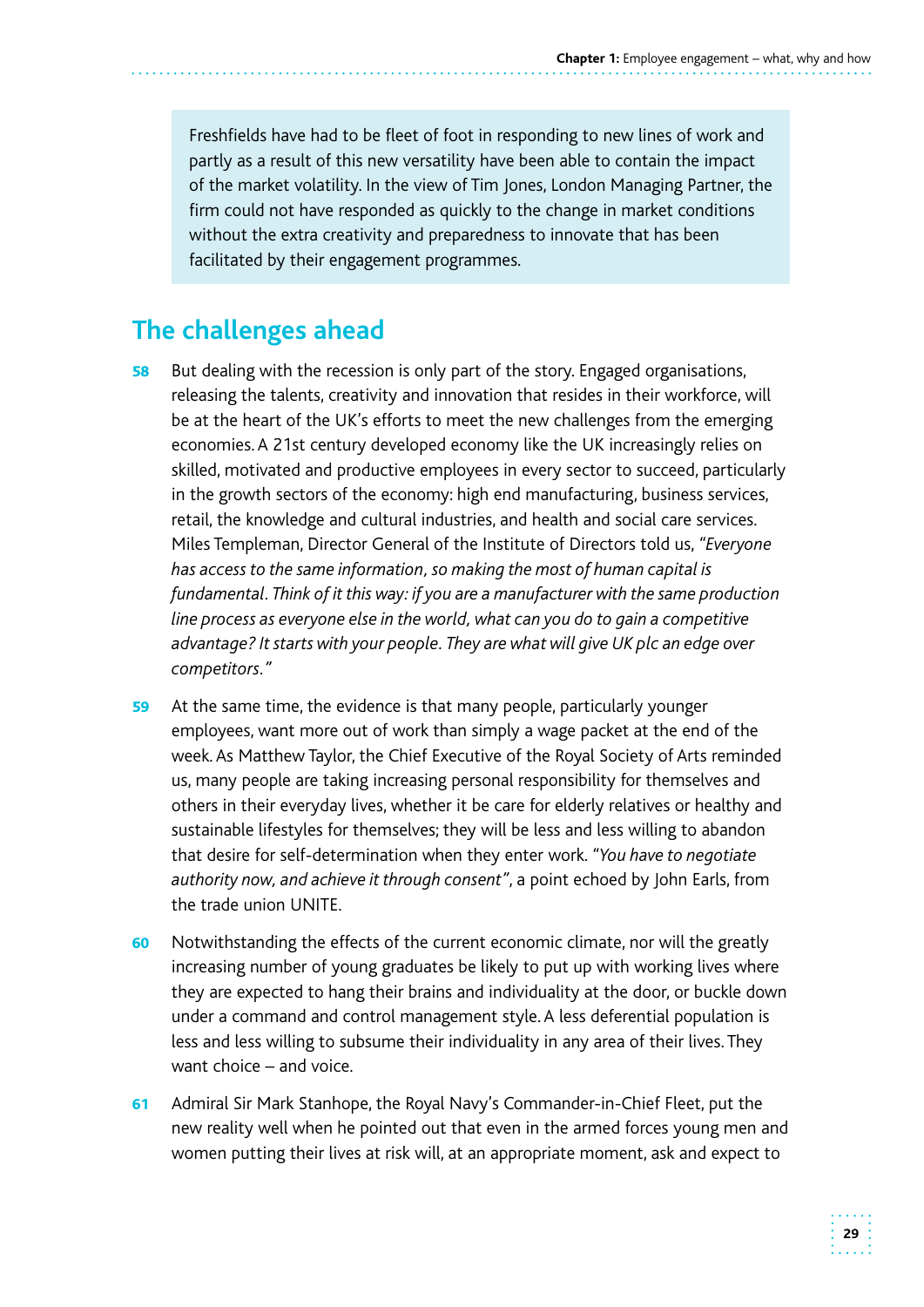Freshfields have had to be fleet of foot in responding to new lines of work and partly as a result of this new versatility have been able to contain the impact of the market volatility. In the view of Tim Jones, London Managing Partner, the firm could not have responded as quickly to the change in market conditions without the extra creativity and preparedness to innovate that has been facilitated by their engagement programmes.

## **The challenges ahead**

- **58** But dealing with the recession is only part of the story. Engaged organisations, releasing the talents, creativity and innovation that resides in their workforce, will be at the heart of the UK's efforts to meet the new challenges from the emerging economies. A 21st century developed economy like the UK increasingly relies on skilled, motivated and productive employees in every sector to succeed, particularly in the growth sectors of the economy: high end manufacturing, business services, retail, the knowledge and cultural industries, and health and social care services. Miles Templeman, Director General of the Institute of Directors told us, *"Everyone has access to the same information, so making the most of human capital is fundamental. Think of it this way: if you are a manufacturer with the same production line process as everyone else in the world, what can you do to gain a competitive advantage? It starts with your people. They are what will give UK plc an edge over competitors."*
- 59 At the same time, the evidence is that many people, particularly younger employees, want more out of work than simply a wage packet at the end of the week. As Matthew Taylor, the Chief Executive of the Royal Society of Arts reminded us, many people are taking increasing personal responsibility for themselves and others in their everyday lives, whether it be care for elderly relatives or healthy and sustainable lifestyles for themselves; they will be less and less willing to abandon that desire for self-determination when they enter work. *"You have to negotiate authority now, and achieve it through consent"*, a point echoed by John Earls, from the trade union UNITE.
- 60 Notwithstanding the effects of the current economic climate, nor will the greatly increasing number of young graduates be likely to put up with working lives where they are expected to hang their brains and individuality at the door, or buckle down under a command and control management style. A less deferential population is less and less willing to subsume their individuality in any area of their lives. They want choice – and voice.
- 61 Admiral Sir Mark Stanhope, the Royal Navy's Commander-in-Chief Fleet, put the new reality well when he pointed out that even in the armed forces young men and women putting their lives at risk will, at an appropriate moment, ask and expect to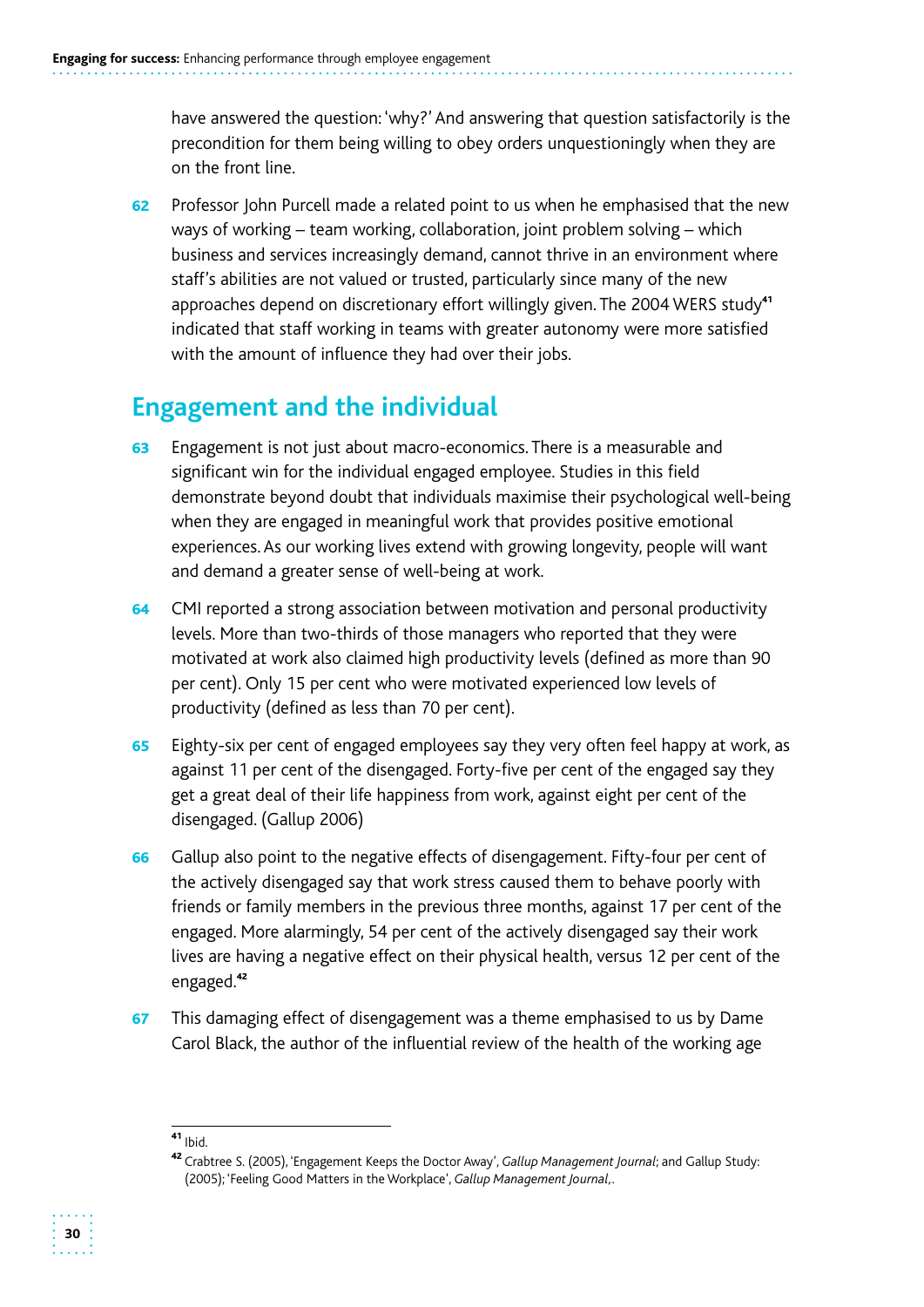have answered the question: 'why?' And answering that question satisfactorily is the precondition for them being willing to obey orders unquestioningly when they are on the front line.

62 Professor John Purcell made a related point to us when he emphasised that the new ways of working – team working, collaboration, joint problem solving – which business and services increasingly demand, cannot thrive in an environment where staff's abilities are not valued or trusted, particularly since many of the new approaches depend on discretionary effort willingly given. The 2004 WERS study<sup>41</sup> indicated that staff working in teams with greater autonomy were more satisfied with the amount of influence they had over their jobs.

## **Engagement and the individual**

- 63 Engagement is not just about macro-economics. There is a measurable and significant win for the individual engaged employee. Studies in this field demonstrate beyond doubt that individuals maximise their psychological well-being when they are engaged in meaningful work that provides positive emotional experiences. As our working lives extend with growing longevity, people will want and demand a greater sense of well-being at work.
- 64 CMI reported a strong association between motivation and personal productivity levels. More than two-thirds of those managers who reported that they were motivated at work also claimed high productivity levels (defined as more than 90 per cent). Only 15 per cent who were motivated experienced low levels of productivity (defined as less than 70 per cent).
- 65 Eighty-six per cent of engaged employees say they very often feel happy at work, as against 11 per cent of the disengaged. Forty-five per cent of the engaged say they get a great deal of their life happiness from work, against eight per cent of the disengaged. (Gallup 2006)
- 66 Gallup also point to the negative effects of disengagement. Fifty-four per cent of the actively disengaged say that work stress caused them to behave poorly with friends or family members in the previous three months, against 17 per cent of the engaged. More alarmingly, 54 per cent of the actively disengaged say their work lives are having a negative effect on their physical health, versus 12 per cent of the engaged.<sup>42</sup>
- 67 This damaging effect of disengagement was a theme emphasised to us by Dame Carol Black, the author of the influential review of the health of the working age



 $41$  Ibid.

<sup>&</sup>lt;sup>42</sup> Crabtree S. (2005), 'Engagement Keeps the Doctor Away', *Gallup Management Journal*; and Gallup Study: (2005); 'Feeling Good Matters in the Workplace', *Gallup Management Journal,.*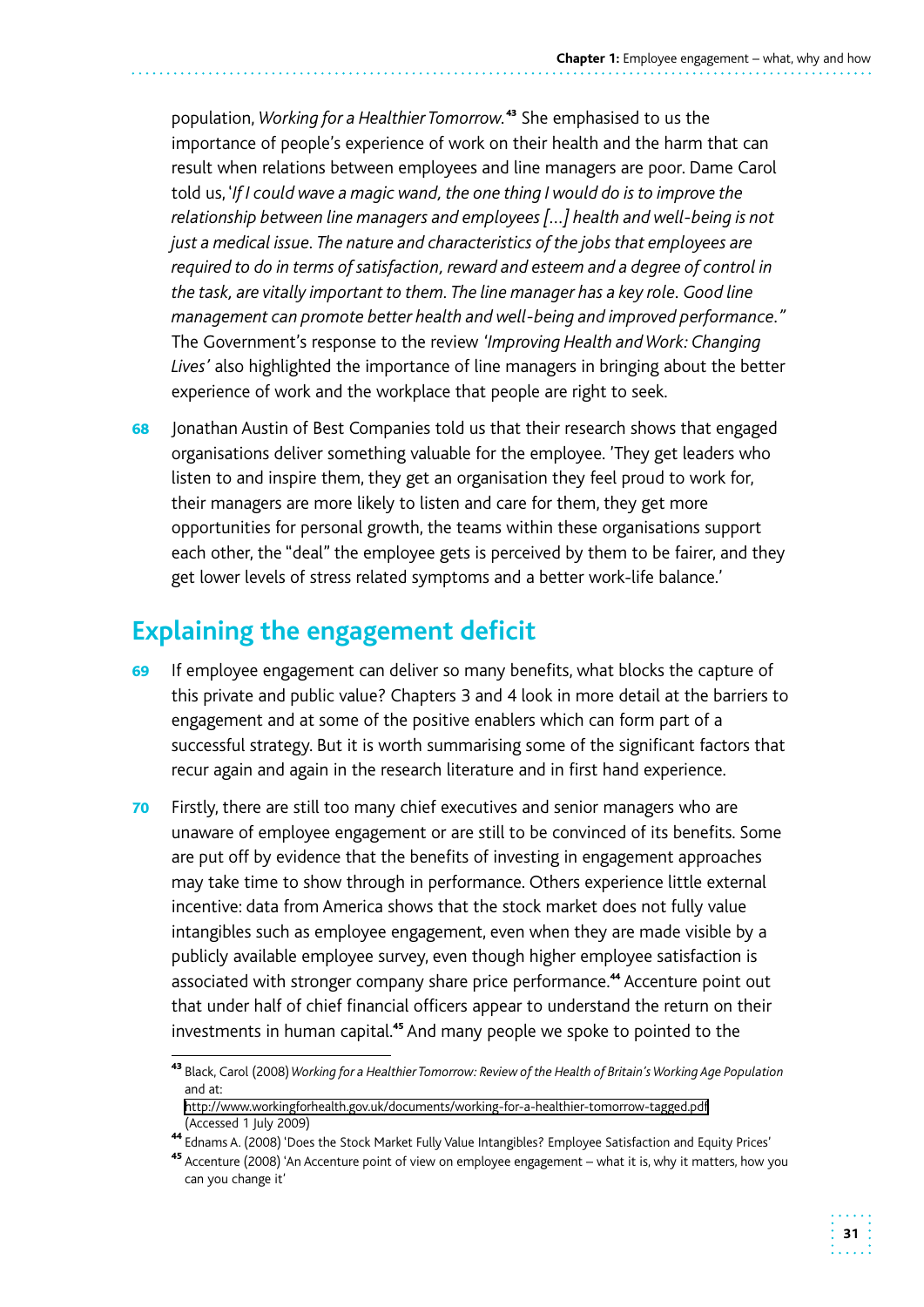population, *Working for a Healthier Tomorrow.*<sup>43</sup> She emphasised to us the importance of people's experience of work on their health and the harm that can result when relations between employees and line managers are poor. Dame Carol told us, '*If I could wave a magic wand, the one thing I would do is to improve the relationship between line managers and employees […] health and well-being is not just a medical issue. The nature and characteristics of the jobs that employees are required to do in terms of satisfaction, reward and esteem and a degree of control in the task, are vitally important to them. The line manager has a key role. Good line management can promote better health and well-being and improved performance."*  The Government's response to the review *'Improving Health and Work: Changing Lives'* also highlighted the importance of line managers in bringing about the better experience of work and the workplace that people are right to seek.

68 Jonathan Austin of Best Companies told us that their research shows that engaged organisations deliver something valuable for the employee. 'They get leaders who listen to and inspire them, they get an organisation they feel proud to work for, their managers are more likely to listen and care for them, they get more opportunities for personal growth, the teams within these organisations support each other, the "deal" the employee gets is perceived by them to be fairer, and they get lower levels of stress related symptoms and a better work-life balance.'

## **Explaining the engagement deficit**

- 69 If employee engagement can deliver so many benefits, what blocks the capture of this private and public value? Chapters 3 and 4 look in more detail at the barriers to engagement and at some of the positive enablers which can form part of a successful strategy. But it is worth summarising some of the significant factors that recur again and again in the research literature and in first hand experience.
- 70 Firstly, there are still too many chief executives and senior managers who are unaware of employee engagement or are still to be convinced of its benefits. Some are put off by evidence that the benefits of investing in engagement approaches may take time to show through in performance. Others experience little external incentive: data from America shows that the stock market does not fully value intangibles such as employee engagement, even when they are made visible by a publicly available employee survey, even though higher employee satisfaction is associated with stronger company share price performance.<sup>44</sup> Accenture point out that under half of chief financial officers appear to understand the return on their investments in human capital.<sup>45</sup> And many people we spoke to pointed to the

 and at: <sup>43</sup> Black, Carol (2008) *Working for a Healthier Tomorrow: Review of the Health of Britain's Working Age Population* 

http://www.workingforhealth.gov.uk/documents/working-for-a-healthier-tomorrow-tagged.pdf<br>(Accessed 1 July 2009)

<sup>44</sup>Ednams A. (2008) 'Does the Stock Market Fully Value Intangibles? Employee Satisfaction and Equity Prices'

<sup>&</sup>lt;sup>45</sup> Accenture (2008) 'An Accenture point of view on employee engagement – what it is, why it matters, how you can you change it'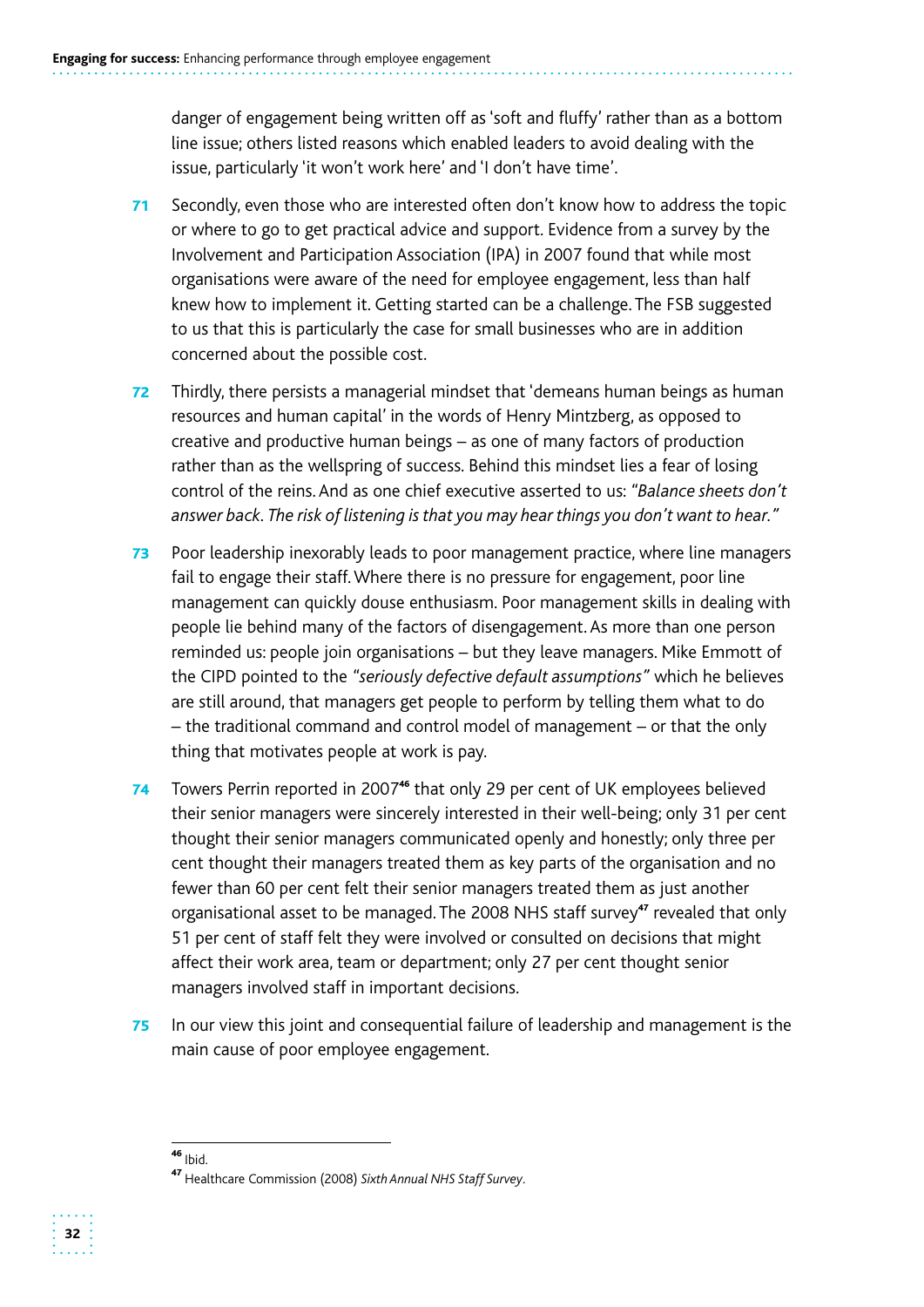danger of engagement being written off as 'soft and fluffy' rather than as a bottom line issue; others listed reasons which enabled leaders to avoid dealing with the issue, particularly 'it won't work here' and 'I don't have time'.

- 71 Secondly, even those who are interested often don't know how to address the topic or where to go to get practical advice and support. Evidence from a survey by the Involvement and Participation Association (IPA) in 2007 found that while most organisations were aware of the need for employee engagement, less than half knew how to implement it. Getting started can be a challenge. The FSB suggested to us that this is particularly the case for small businesses who are in addition concerned about the possible cost.
- 72 Thirdly, there persists a managerial mindset that 'demeans human beings as human resources and human capital' in the words of Henry Mintzberg, as opposed to creative and productive human beings – as one of many factors of production rather than as the wellspring of success. Behind this mindset lies a fear of losing control of the reins. And as one chief executive asserted to us: *"Balance sheets don't answer back. The risk of listening is that you may hear things you don't want to hear."*
- 73 Poor leadership inexorably leads to poor management practice, where line managers fail to engage their staff. Where there is no pressure for engagement, poor line management can quickly douse enthusiasm. Poor management skills in dealing with people lie behind many of the factors of disengagement. As more than one person reminded us: people join organisations – but they leave managers. Mike Emmott of the CIPD pointed to the *"seriously defective default assumptions"* which he believes are still around, that managers get people to perform by telling them what to do – the traditional command and control model of management – or that the only thing that motivates people at work is pay.
- 74 Towers Perrin reported in 2007<sup>46</sup> that only 29 per cent of UK employees believed their senior managers were sincerely interested in their well-being; only 31 per cent thought their senior managers communicated openly and honestly; only three per cent thought their managers treated them as key parts of the organisation and no fewer than 60 per cent felt their senior managers treated them as just another organisational asset to be managed. The 2008 NHS staff survey<sup>47</sup> revealed that only 51 per cent of staff felt they were involved or consulted on decisions that might affect their work area, team or department; only 27 per cent thought senior managers involved staff in important decisions.
- **75** In our view this joint and consequential failure of leadership and management is the main cause of poor employee engagement.

 $46$  Ibid.

<sup>&</sup>lt;sup>47</sup> Healthcare Commission (2008) Sixth Annual NHS Staff Survey.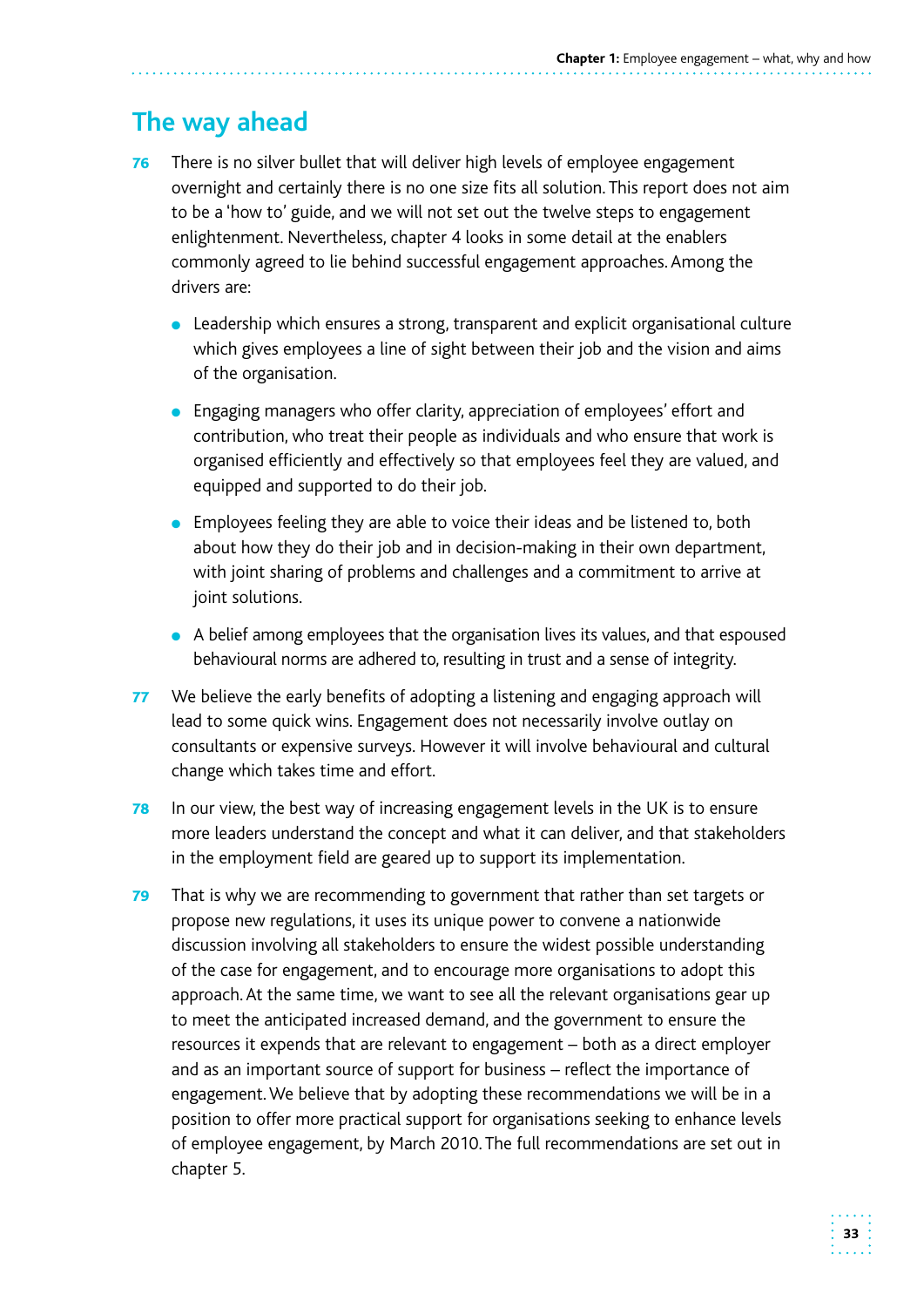# **The way ahead**

- **76** There is no silver bullet that will deliver high levels of employee engagement overnight and certainly there is no one size fits all solution. This report does not aim to be a 'how to' guide, and we will not set out the twelve steps to engagement enlightenment. Nevertheless, chapter 4 looks in some detail at the enablers commonly agreed to lie behind successful engagement approaches. Among the drivers are:
	- Leadership which ensures a strong, transparent and explicit organisational culture which gives employees a line of sight between their job and the vision and aims of the organisation.
	- Engaging managers who offer clarity, appreciation of employees' effort and contribution, who treat their people as individuals and who ensure that work is organised efficiently and effectively so that employees feel they are valued, and equipped and supported to do their job.
	- Employees feeling they are able to voice their ideas and be listened to, both about how they do their job and in decision-making in their own department, with joint sharing of problems and challenges and a commitment to arrive at joint solutions.
	- A belief among employees that the organisation lives its values, and that espoused behavioural norms are adhered to, resulting in trust and a sense of integrity.
- 77 We believe the early benefits of adopting a listening and engaging approach will lead to some quick wins. Engagement does not necessarily involve outlay on consultants or expensive surveys. However it will involve behavioural and cultural change which takes time and effort.
- **78** In our view, the best way of increasing engagement levels in the UK is to ensure more leaders understand the concept and what it can deliver, and that stakeholders in the employment field are geared up to support its implementation.
- 79 That is why we are recommending to government that rather than set targets or propose new regulations, it uses its unique power to convene a nationwide discussion involving all stakeholders to ensure the widest possible understanding of the case for engagement, and to encourage more organisations to adopt this approach. At the same time, we want to see all the relevant organisations gear up to meet the anticipated increased demand, and the government to ensure the resources it expends that are relevant to engagement – both as a direct employer and as an important source of support for business – reflect the importance of engagement. We believe that by adopting these recommendations we will be in a position to offer more practical support for organisations seeking to enhance levels of employee engagement, by March 2010. The full recommendations are set out in chapter 5.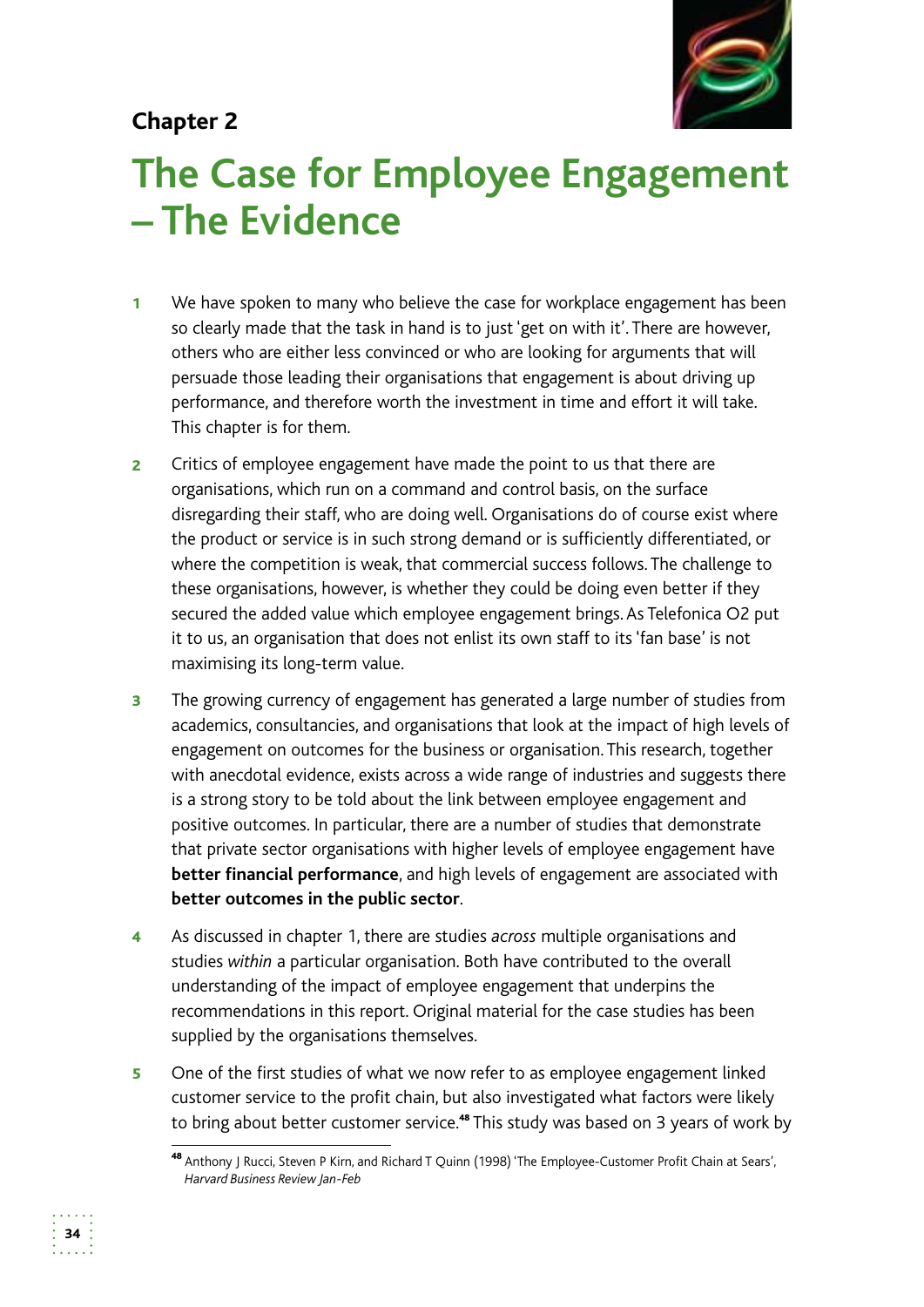# **Chapter 2**



# **The Case for Employee Engagement – The Evidence**

- 1 We have spoken to many who believe the case for workplace engagement has been so clearly made that the task in hand is to just 'get on with it'. There are however, others who are either less convinced or who are looking for arguments that will persuade those leading their organisations that engagement is about driving up performance, and therefore worth the investment in time and effort it will take. This chapter is for them.
- **2** Critics of employee engagement have made the point to us that there are organisations, which run on a command and control basis, on the surface disregarding their staff, who are doing well. Organisations do of course exist where the product or service is in such strong demand or is sufficiently differentiated, or where the competition is weak, that commercial success follows. The challenge to these organisations, however, is whether they could be doing even better if they secured the added value which employee engagement brings. As Telefonica O2 put it to us, an organisation that does not enlist its own staff to its 'fan base' is not maximising its long-term value.
- **3** The growing currency of engagement has generated a large number of studies from academics, consultancies, and organisations that look at the impact of high levels of engagement on outcomes for the business or organisation. This research, together with anecdotal evidence, exists across a wide range of industries and suggests there is a strong story to be told about the link between employee engagement and positive outcomes. In particular, there are a number of studies that demonstrate that private sector organisations with higher levels of employee engagement have **better financial performance**, and high levels of engagement are associated with **better outcomes in the public sector**.
- 4 As discussed in chapter 1, there are studies *across* multiple organisations and studies *within* a particular organisation. Both have contributed to the overall understanding of the impact of employee engagement that underpins the recommendations in this report. Original material for the case studies has been supplied by the organisations themselves.
- 5 One of the first studies of what we now refer to as employee engagement linked customer service to the profit chain, but also investigated what factors were likely to bring about better customer service.<sup>48</sup> This study was based on 3 years of work by

<sup>48</sup> Anthony J Rucci, Steven P Kirn, and Richard T Quinn (1998) 'The Employee-Customer Profit Chain at Sears', *Harvard Business Review Jan-Feb*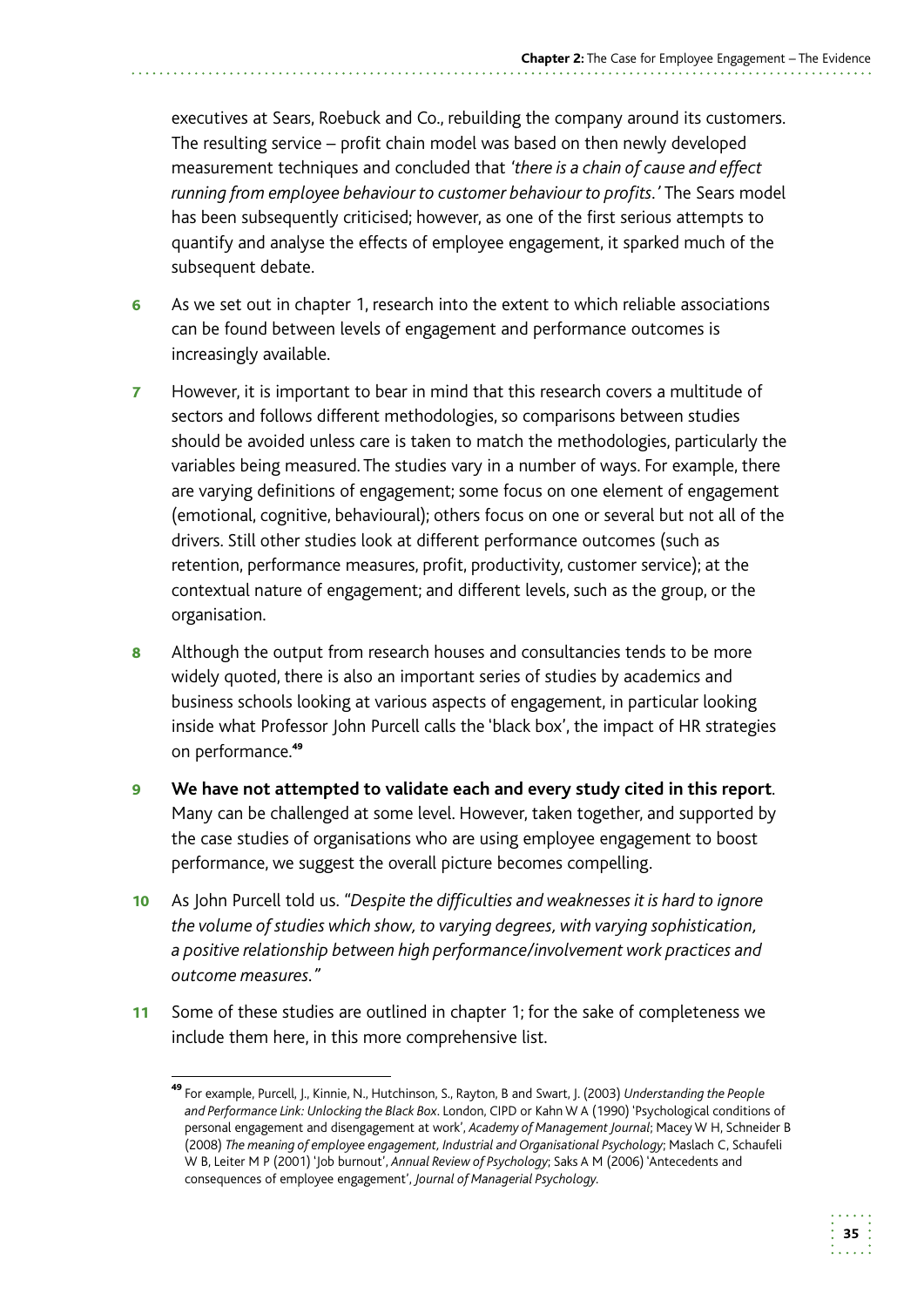executives at Sears, Roebuck and Co., rebuilding the company around its customers. The resulting service – profit chain model was based on then newly developed measurement techniques and concluded that *'there is a chain of cause and effect running from employee behaviour to customer behaviour to profits.'* The Sears model has been subsequently criticised; however, as one of the first serious attempts to quantify and analyse the effects of employee engagement, it sparked much of the subsequent debate.

- 6 As we set out in chapter 1, research into the extent to which reliable associations can be found between levels of engagement and performance outcomes is increasingly available.
- **7** However, it is important to bear in mind that this research covers a multitude of sectors and follows different methodologies, so comparisons between studies should be avoided unless care is taken to match the methodologies, particularly the variables being measured. The studies vary in a number of ways. For example, there are varying definitions of engagement; some focus on one element of engagement (emotional, cognitive, behavioural); others focus on one or several but not all of the drivers. Still other studies look at different performance outcomes (such as retention, performance measures, profit, productivity, customer service); at the contextual nature of engagement; and different levels, such as the group, or the organisation.
- 8 Although the output from research houses and consultancies tends to be more widely quoted, there is also an important series of studies by academics and business schools looking at various aspects of engagement, in particular looking inside what Professor John Purcell calls the 'black box', the impact of HR strategies on performance.<sup>49</sup>
- **9** We have not attempted to validate each and every study cited in this report. Many can be challenged at some level. However, taken together, and supported by the case studies of organisations who are using employee engagement to boost performance, we suggest the overall picture becomes compelling.
- 10 As John Purcell told us. "Despite the difficulties and weaknesses it is hard to ignore *the volume of studies which show, to varying degrees, with varying sophistication, a positive relationship between high performance/involvement work practices and outcome measures."*
- 11 Some of these studies are outlined in chapter 1; for the sake of completeness we include them here, in this more comprehensive list.

<sup>49</sup>For example, Purcell, J., Kinnie, N., Hutchinson, S., Rayton, B and Swart, J. (2003) *Understanding the People and Performance Link: Unlocking the Black Box*. London, CIPD or Kahn W A (1990) 'Psychological conditions of personal engagement and disengagement at work', *Academy of Management Journal*; Macey W H, Schneider B (2008) *The meaning of employee engagement, Industrial and Organisational Psychology*; Maslach C, Schaufeli W B, Leiter M P (2001) 'Job burnout', *Annual Review of Psychology*; Saks A M (2006) 'Antecedents and consequences of employee engagement', *Journal of Managerial Psychology.*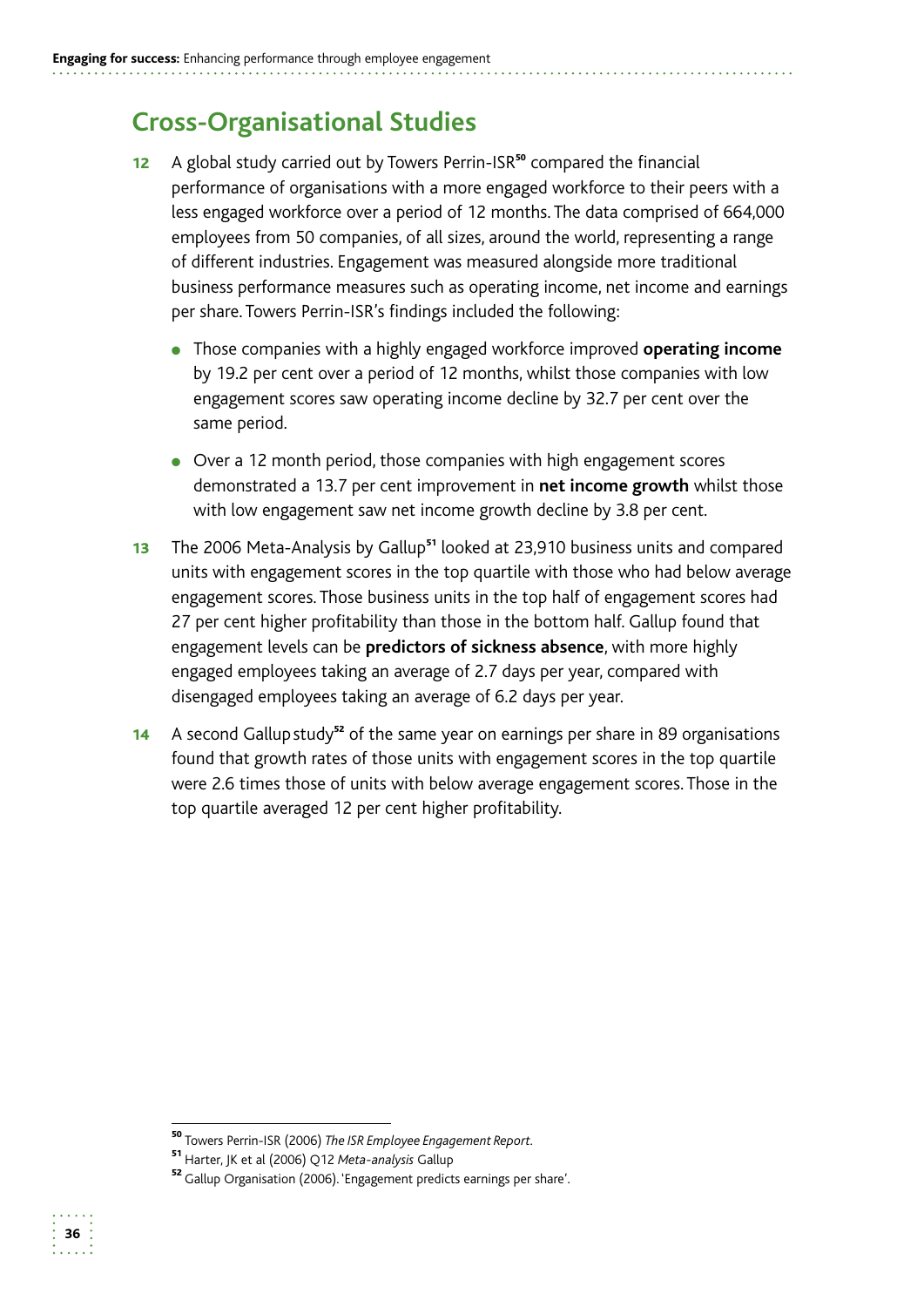# **Cross-Organisational Studies**

- 12 A global study carried out by Towers Perrin-ISR<sup>50</sup> compared the financial performance of organisations with a more engaged workforce to their peers with a less engaged workforce over a period of 12 months. The data comprised of 664,000 employees from 50 companies, of all sizes, around the world, representing a range of different industries. Engagement was measured alongside more traditional business performance measures such as operating income, net income and earnings per share. Towers Perrin-ISR's findings included the following:
	- **•** Those companies with a highly engaged workforce improved **operating income** by 19.2 per cent over a period of 12 months, whilst those companies with low engagement scores saw operating income decline by 32.7 per cent over the same period.
	- Over a 12 month period, those companies with high engagement scores demonstrated a 13.7 per cent improvement in **net income growth** whilst those with low engagement saw net income growth decline by 3.8 per cent.
- 13 The 2006 Meta-Analysis by Gallup<sup>51</sup> looked at 23,910 business units and compared units with engagement scores in the top quartile with those who had below average engagement scores. Those business units in the top half of engagement scores had 27 per cent higher profitability than those in the bottom half. Gallup found that engagement levels can be **predictors of sickness absence**, with more highly engaged employees taking an average of 2.7 days per year, compared with disengaged employees taking an average of 6.2 days per year.
- 14 A second Gallup study<sup>52</sup> of the same year on earnings per share in 89 organisations found that growth rates of those units with engagement scores in the top quartile were 2.6 times those of units with below average engagement scores. Those in the top quartile averaged 12 per cent higher profitability.

<sup>50</sup>Towers Perrin-ISR (2006) *The ISR Employee Engagement Report.* 

<sup>51</sup>Harter, JK et al (2006) Q12 *Meta-analysis* Gallup

<sup>52</sup> Gallup Organisation (2006). 'Engagement predicts earnings per share'.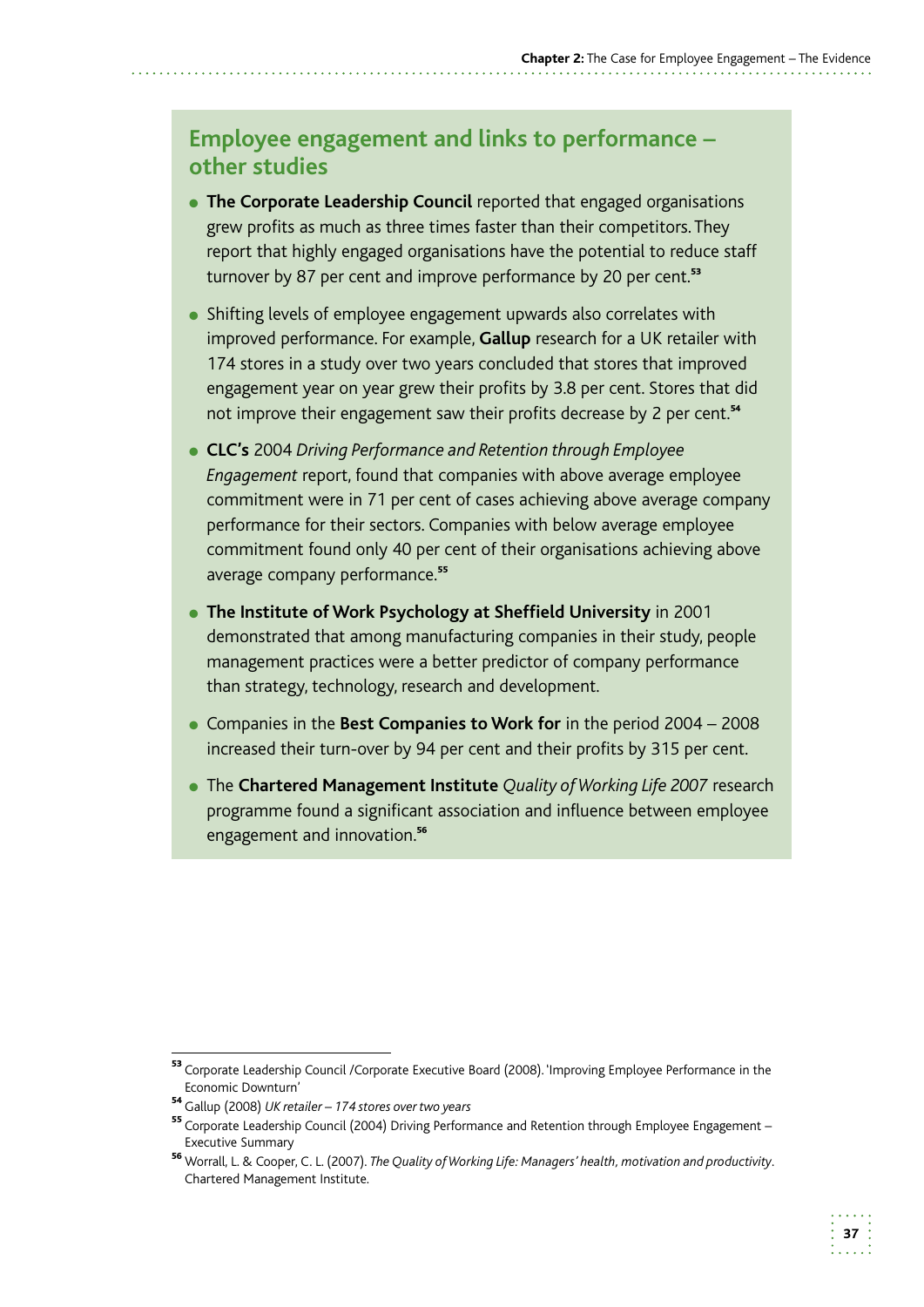### **Employee engagement and links to performance – other studies**

- **The Corporate Leadership Council** reported that engaged organisations grew profits as much as three times faster than their competitors. They report that highly engaged organisations have the potential to reduce staff turnover by 87 per cent and improve performance by 20 per cent.<sup>53</sup>
- Shifting levels of employee engagement upwards also correlates with improved performance. For example, **Gallup** research for a UK retailer with 174 stores in a study over two years concluded that stores that improved engagement year on year grew their profits by 3.8 per cent. Stores that did not improve their engagement saw their profits decrease by 2 per cent.<sup>54</sup>
- ●● **CLC's** 2004 *Driving Performance and Retention through Employee Engagement* report, found that companies with above average employee commitment were in 71 per cent of cases achieving above average company performance for their sectors. Companies with below average employee commitment found only 40 per cent of their organisations achieving above average company performance.<sup>55</sup>
- ●● **The Institute of Work Psychology at Sheffield University** in 2001 demonstrated that among manufacturing companies in their study, people management practices were a better predictor of company performance than strategy, technology, research and development.
- Companies in the **Best Companies to Work for** in the period 2004 2008 increased their turn-over by 94 per cent and their profits by 315 per cent.
- ●● The **Chartered Management Institute** *Quality of Working Life 2007* research programme found a significant association and influence between employee engagement and innovation.<sup>56</sup>

<sup>53</sup> Corporate Leadership Council / Corporate Executive Board (2008). 'Improving Employee Performance in the Economic Downturn'

<sup>54</sup>Gallup (2008) *UK retailer – 174 stores over two years* 

<sup>55</sup> Corporate Leadership Council (2004) Driving Performance and Retention through Employee Engagement – Executive Summary

<sup>56</sup> Worrall, L. & Cooper, C. L. (2007). *The Quality of Working Life: Managers' health, motivation and productivity*. Chartered Management Institute.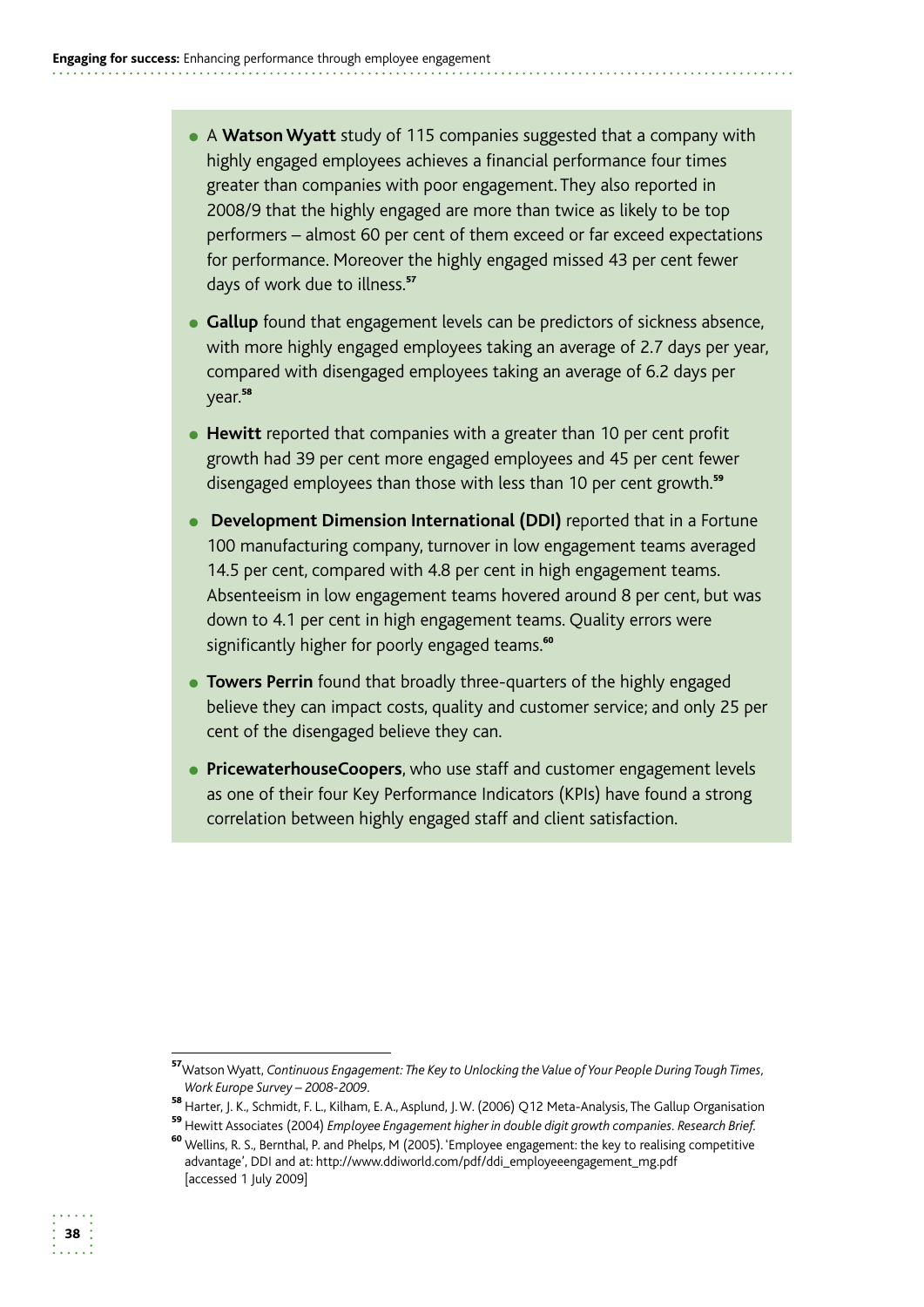- A **Watson Wyatt** study of 115 companies suggested that a company with highly engaged employees achieves a financial performance four times greater than companies with poor engagement. They also reported in 2008/9 that the highly engaged are more than twice as likely to be top performers – almost 60 per cent of them exceed or far exceed expectations for performance. Moreover the highly engaged missed 43 per cent fewer days of work due to illness.<sup>57</sup>
- **Gallup** found that engagement levels can be predictors of sickness absence, with more highly engaged employees taking an average of 2.7 days per year, compared with disengaged employees taking an average of 6.2 days per year.<sup>58</sup>
- **Hewitt** reported that companies with a greater than 10 per cent profit growth had 39 per cent more engaged employees and 45 per cent fewer disengaged employees than those with less than 10 per cent growth.<sup>59</sup>
- **Development Dimension International (DDI)** reported that in a Fortune 100 manufacturing company, turnover in low engagement teams averaged 14.5 per cent, compared with 4.8 per cent in high engagement teams. Absenteeism in low engagement teams hovered around 8 per cent, but was down to 4.1 per cent in high engagement teams. Quality errors were significantly higher for poorly engaged teams.<sup>60</sup>
- **Towers Perrin** found that broadly three-quarters of the highly engaged believe they can impact costs, quality and customer service; and only 25 per cent of the disengaged believe they can.
- **PricewaterhouseCoopers**, who use staff and customer engagement levels as one of their four Key Performance Indicators (KPIs) have found a strong correlation between highly engaged staff and client satisfaction.

<sup>57</sup>Watson Wyatt, *Continuous Engagement: The Key to Unlocking the Value of Your People During Tough Times, Work Europe Survey – 2008-2009.* 

<sup>&</sup>lt;sup>58</sup> Harter, J. K., Schmidt, F. L., Kilham, E. A., Asplund, J. W. (2006) Q12 Meta-Analysis, The Gallup Organisation

<sup>59</sup> Hewitt Associates (2004) *Employee Engagement higher in double digit growth companies. Research Brief.* 

<sup>&</sup>lt;sup>60</sup> Wellins, R. S., Bernthal, P. and Phelps, M (2005). 'Employee engagement: the key to realising competitive advantage', DDI and at: http://www.ddiworld.com/pdf/ddi\_employeeengagement\_mg.pdf [accessed 1 July 2009]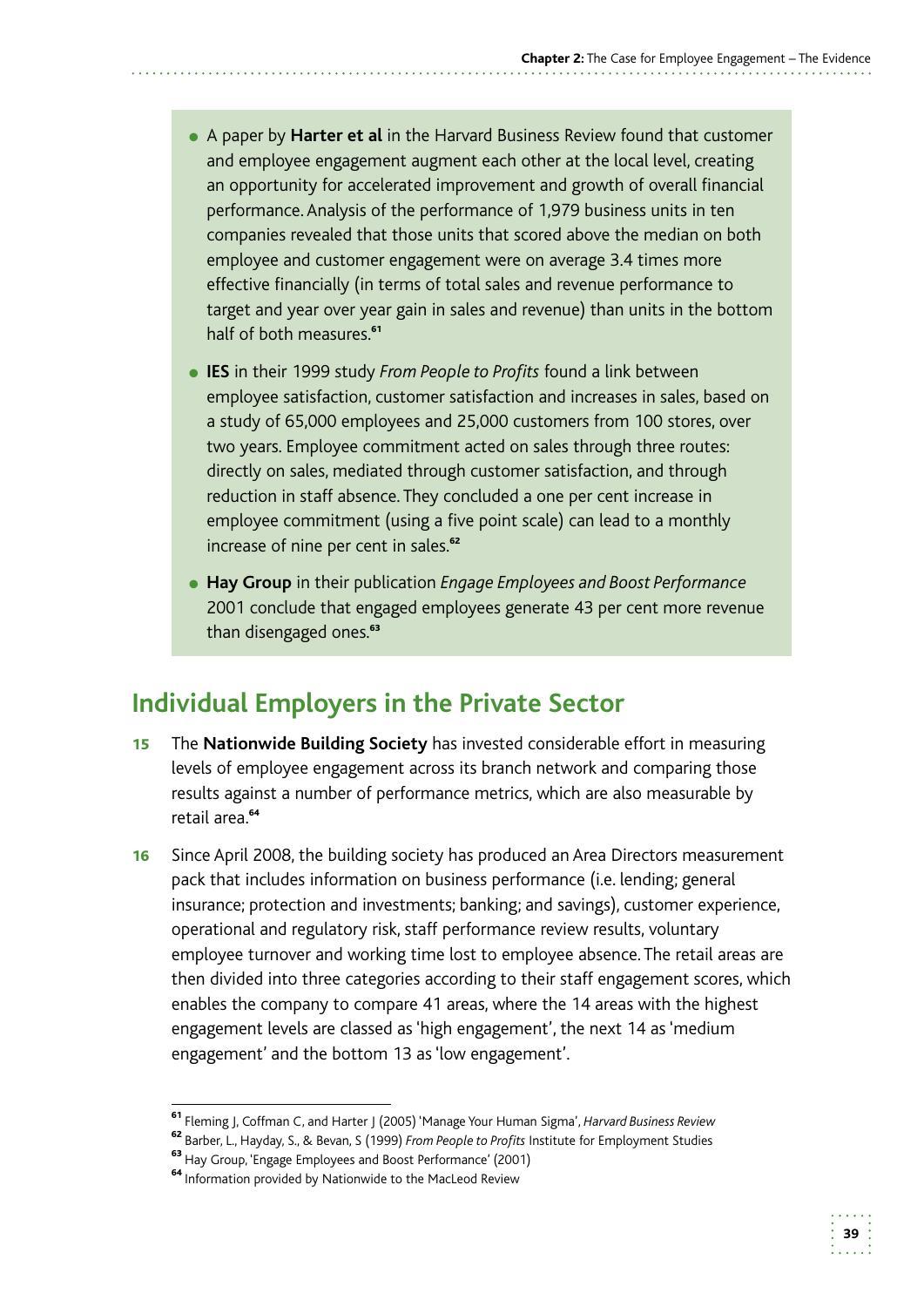- ●● A paper by **Harter et al** in the Harvard Business Review found that customer and employee engagement augment each other at the local level, creating an opportunity for accelerated improvement and growth of overall financial performance. Analysis of the performance of 1,979 business units in ten companies revealed that those units that scored above the median on both employee and customer engagement were on average 3.4 times more effective financially (in terms of total sales and revenue performance to target and year over year gain in sales and revenue) than units in the bottom half of both measures.<sup>61</sup>
- ●● **IES** in their 1999 study *From People to Profits* found a link between employee satisfaction, customer satisfaction and increases in sales, based on a study of 65,000 employees and 25,000 customers from 100 stores, over two years. Employee commitment acted on sales through three routes: directly on sales, mediated through customer satisfaction, and through reduction in staff absence. They concluded a one per cent increase in employee commitment (using a five point scale) can lead to a monthly increase of nine per cent in sales.<sup>62</sup>
- ●● **Hay Group** in their publication *Engage Employees and Boost Performance*  2001 conclude that engaged employees generate 43 per cent more revenue than disengaged ones.<sup>63</sup>

# **Individual Employers in the Private Sector**

- **15** The **Nationwide Building Society** has invested considerable effort in measuring levels of employee engagement across its branch network and comparing those results against a number of performance metrics, which are also measurable by retail area.<sup>64</sup>
- 16 Since April 2008, the building society has produced an Area Directors measurement pack that includes information on business performance (i.e. lending; general insurance; protection and investments; banking; and savings), customer experience, operational and regulatory risk, staff performance review results, voluntary employee turnover and working time lost to employee absence. The retail areas are then divided into three categories according to their staff engagement scores, which enables the company to compare 41 areas, where the 14 areas with the highest engagement levels are classed as 'high engagement', the next 14 as 'medium engagement' and the bottom 13 as 'low engagement'.

<sup>61</sup>Fleming J, Coffman C, and Harter J (2005) 'Manage Your Human Sigma', *Harvard Business Review* 

<sup>62</sup>Barber, L., Hayday, S., & Bevan, S (1999) *From People to Profits* Institute for Employment Studies

<sup>&</sup>lt;sup>63</sup> Hay Group, 'Engage Employees and Boost Performance' (2001)

<sup>&</sup>lt;sup>64</sup> Information provided by Nationwide to the MacLeod Review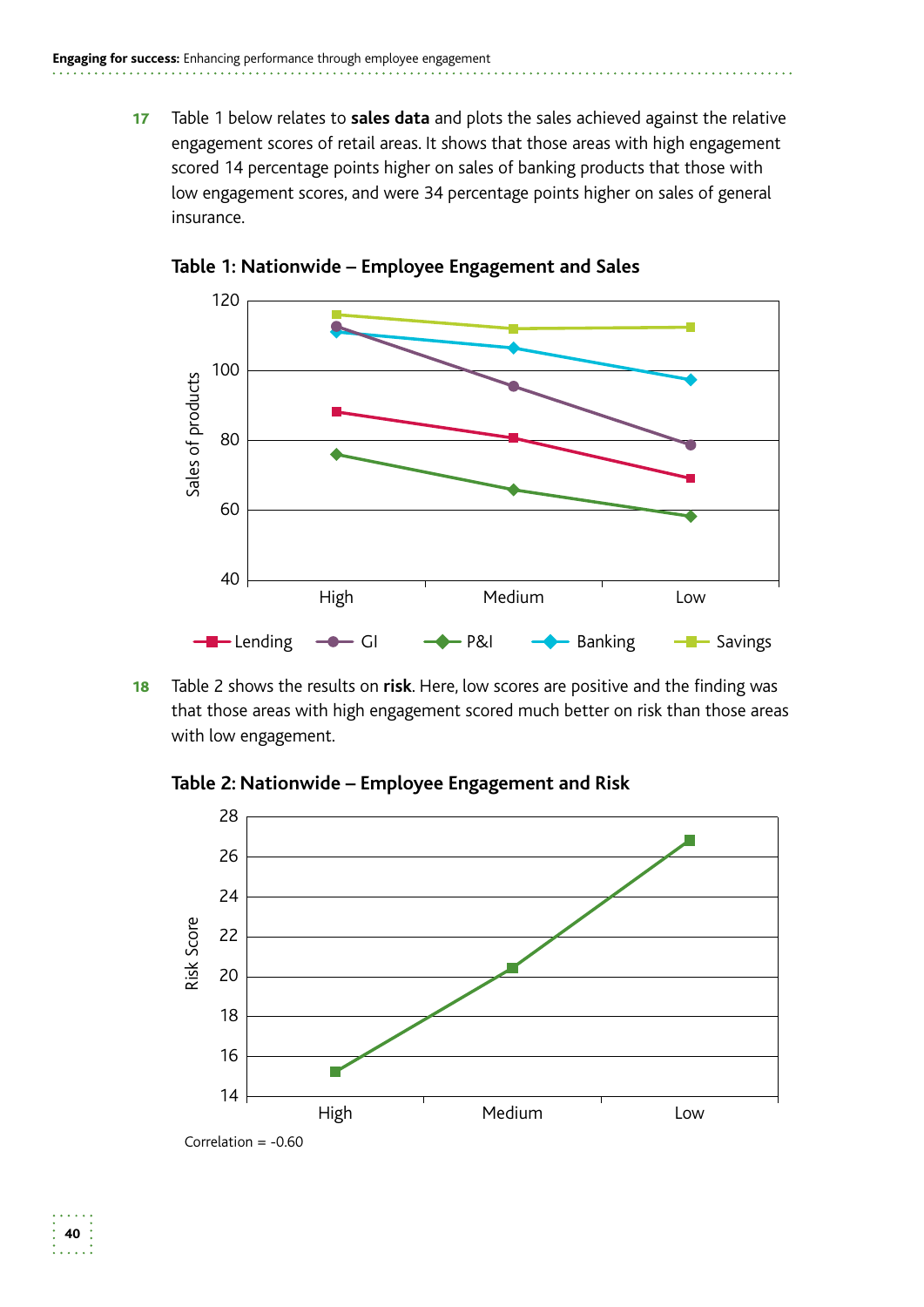17 Table 1 below relates to **sales data** and plots the sales achieved against the relative engagement scores of retail areas. It shows that those areas with high engagement scored 14 percentage points higher on sales of banking products that those with low engagement scores, and were 34 percentage points higher on sales of general insurance.



**Table 1: Nationwide – Employee Engagement and Sales** 

**18** Table 2 shows the results on risk. Here, low scores are positive and the finding was that those areas with high engagement scored much better on risk than those areas with low engagement.



**Table 2: Nationwide – Employee Engagement and Risk**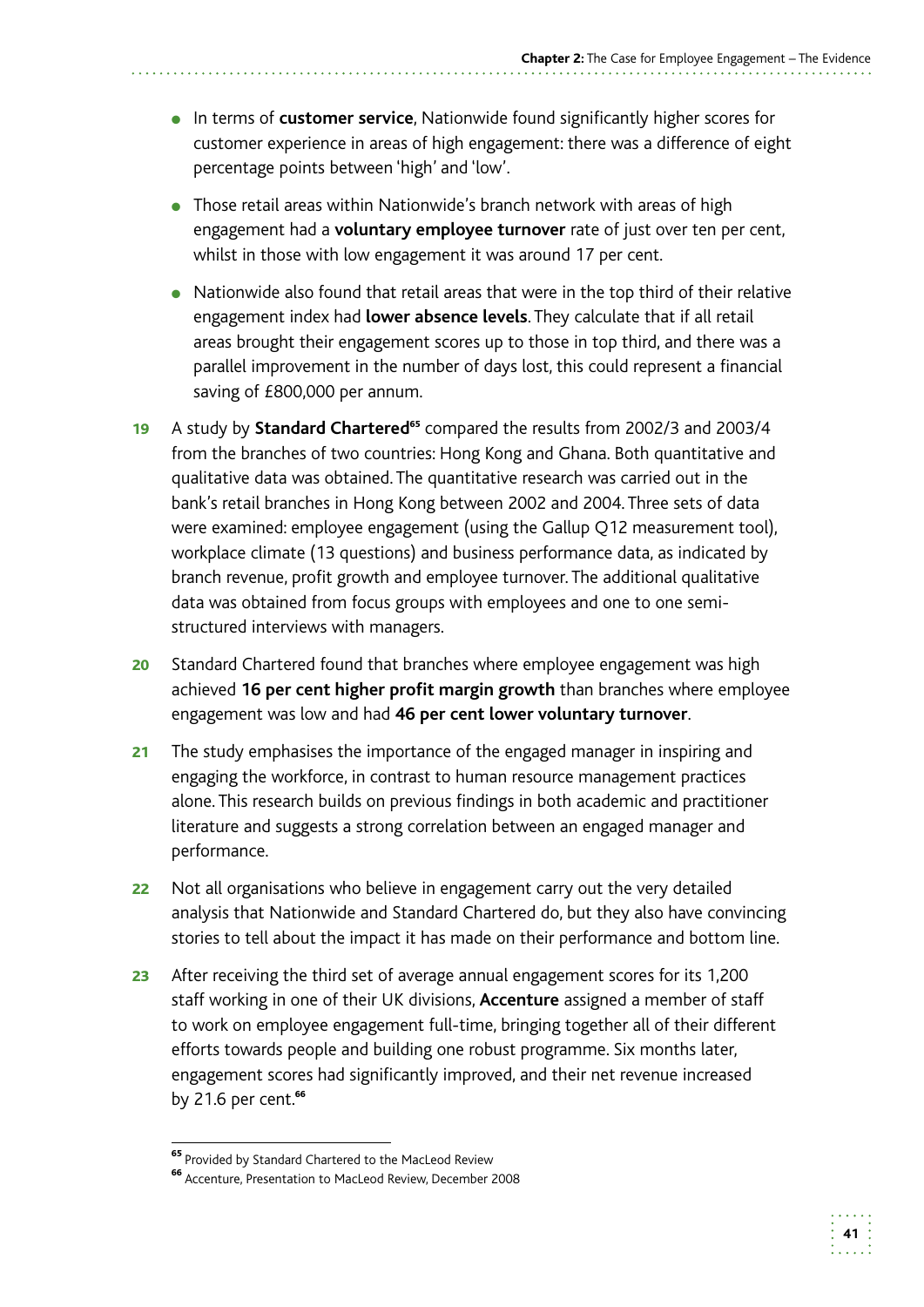**41** 

- In terms of **customer service**, Nationwide found significantly higher scores for customer experience in areas of high engagement: there was a difference of eight percentage points between 'high' and 'low'.
- Those retail areas within Nationwide's branch network with areas of high engagement had a **voluntary employee turnover** rate of just over ten per cent, whilst in those with low engagement it was around 17 per cent.
- Nationwide also found that retail areas that were in the top third of their relative engagement index had **lower absence levels**. They calculate that if all retail areas brought their engagement scores up to those in top third, and there was a parallel improvement in the number of days lost, this could represent a financial saving of £800,000 per annum.
- 19 A study by **Standard Chartered<sup>65</sup>** compared the results from 2002/3 and 2003/4 from the branches of two countries: Hong Kong and Ghana. Both quantitative and qualitative data was obtained. The quantitative research was carried out in the bank's retail branches in Hong Kong between 2002 and 2004. Three sets of data were examined: employee engagement (using the Gallup Q12 measurement tool), workplace climate (13 questions) and business performance data, as indicated by branch revenue, profit growth and employee turnover. The additional qualitative data was obtained from focus groups with employees and one to one semistructured interviews with managers.
- 20 Standard Chartered found that branches where employee engagement was high achieved **16 per cent higher profit margin growth** than branches where employee engagement was low and had **46 per cent lower voluntary turnover**.
- 21 The study emphasises the importance of the engaged manager in inspiring and engaging the workforce, in contrast to human resource management practices alone. This research builds on previous findings in both academic and practitioner literature and suggests a strong correlation between an engaged manager and performance.
- 22 Not all organisations who believe in engagement carry out the very detailed analysis that Nationwide and Standard Chartered do, but they also have convincing stories to tell about the impact it has made on their performance and bottom line.
- by 21.6 per cent.<sup>66</sup> 23 After receiving the third set of average annual engagement scores for its 1,200 staff working in one of their UK divisions, **Accenture** assigned a member of staff to work on employee engagement full-time, bringing together all of their different efforts towards people and building one robust programme. Six months later, engagement scores had significantly improved, and their net revenue increased

<sup>&</sup>lt;sup>65</sup> Provided by Standard Chartered to the MacLeod Review

<sup>66</sup> Accenture, Presentation to MacLeod Review, December 2008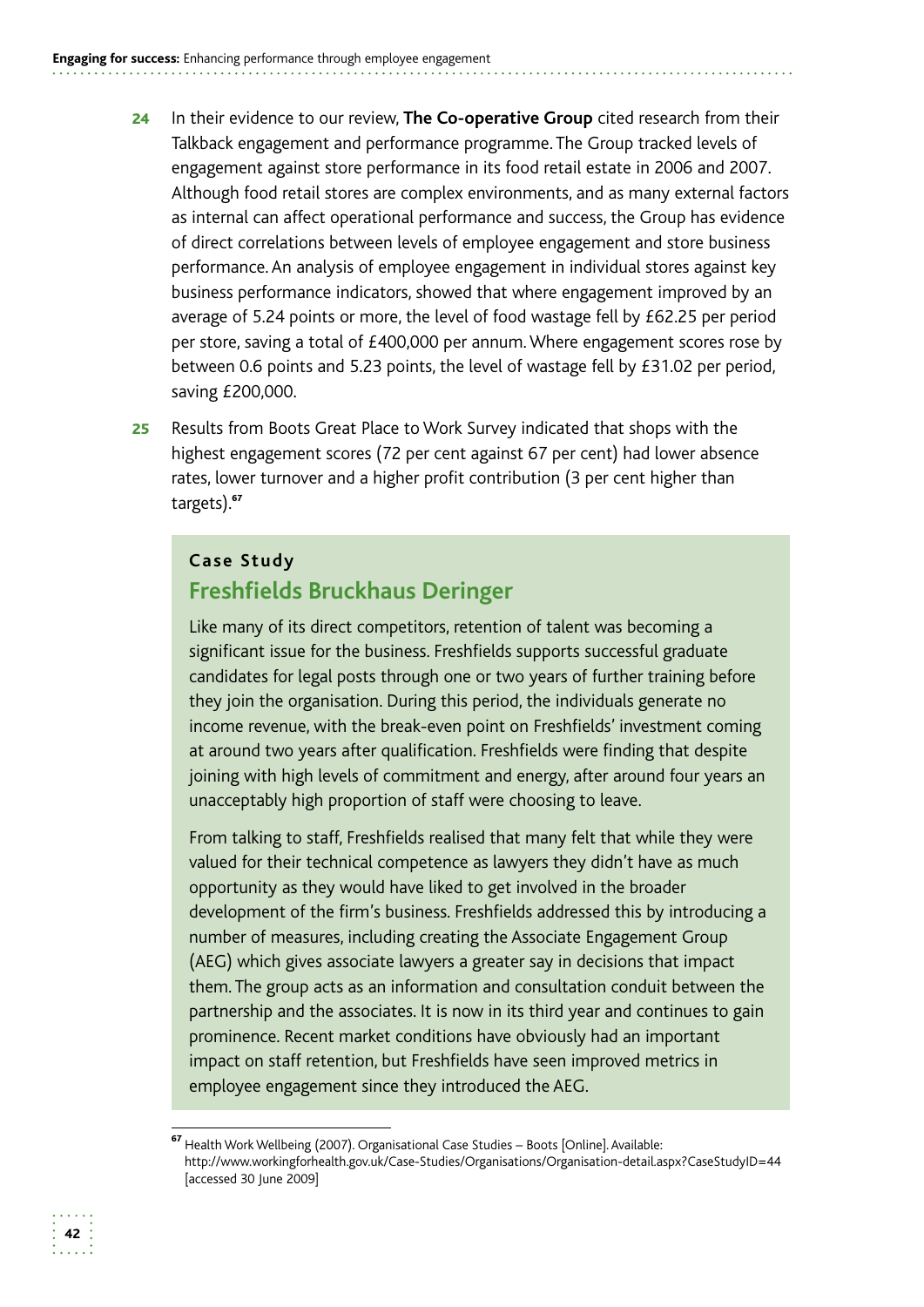- **24** In their evidence to our review, The Co-operative Group cited research from their Talkback engagement and performance programme. The Group tracked levels of engagement against store performance in its food retail estate in 2006 and 2007. Although food retail stores are complex environments, and as many external factors as internal can affect operational performance and success, the Group has evidence of direct correlations between levels of employee engagement and store business performance. An analysis of employee engagement in individual stores against key business performance indicators, showed that where engagement improved by an average of 5.24 points or more, the level of food wastage fell by £62.25 per period per store, saving a total of £400,000 per annum. Where engagement scores rose by between 0.6 points and 5.23 points, the level of wastage fell by £31.02 per period, saving £200,000.
- 25 Results from Boots Great Place to Work Survey indicated that shops with the highest engagement scores (72 per cent against 67 per cent) had lower absence rates, lower turnover and a higher profit contribution (3 per cent higher than targets).<sup>67</sup>

### **Case Study Freshfields Bruckhaus Deringer**

Like many of its direct competitors, retention of talent was becoming a significant issue for the business. Freshfields supports successful graduate candidates for legal posts through one or two years of further training before they join the organisation. During this period, the individuals generate no income revenue, with the break-even point on Freshfields' investment coming at around two years after qualification. Freshfields were finding that despite joining with high levels of commitment and energy, after around four years an unacceptably high proportion of staff were choosing to leave.

From talking to staff, Freshfields realised that many felt that while they were valued for their technical competence as lawyers they didn't have as much opportunity as they would have liked to get involved in the broader development of the firm's business. Freshfields addressed this by introducing a number of measures, including creating the Associate Engagement Group (AEG) which gives associate lawyers a greater say in decisions that impact them. The group acts as an information and consultation conduit between the partnership and the associates. It is now in its third year and continues to gain prominence. Recent market conditions have obviously had an important impact on staff retention, but Freshfields have seen improved metrics in employee engagement since they introduced the AEG.



<sup>&</sup>lt;sup>67</sup> Health Work Wellbeing (2007). Organisational Case Studies – Boots [Online]. Available: http://www.workingforhealth.gov.uk/Case-Studies/Organisations/Organisation-detail.aspx?CaseStudyID=44 [accessed 30 June 2009]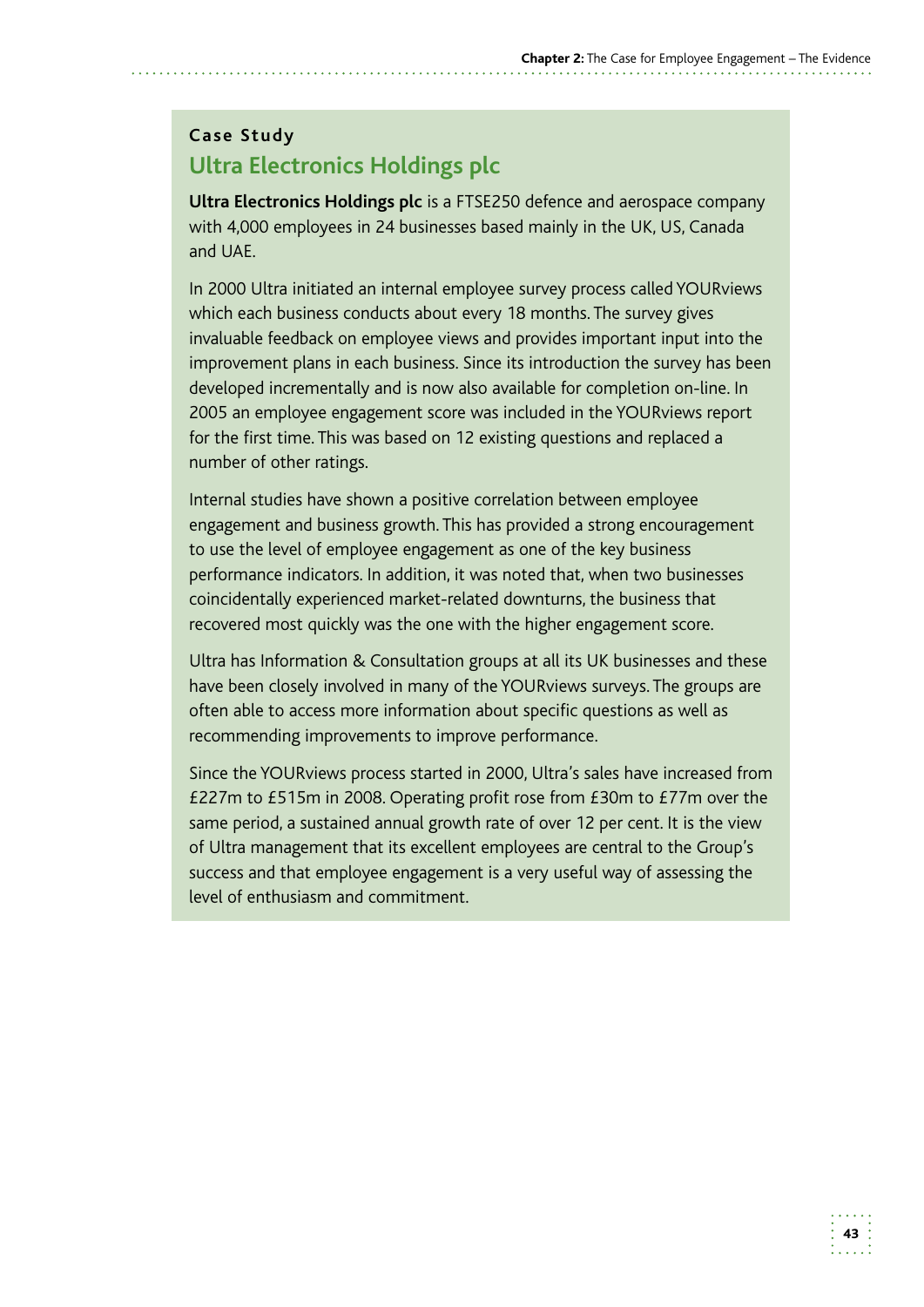# **Case Study Ultra Electronics Holdings plc**

**Ultra Electronics Holdings plc** is a FTSE250 defence and aerospace company with 4,000 employees in 24 businesses based mainly in the UK, US, Canada and UAE.

In 2000 Ultra initiated an internal employee survey process called YOURviews which each business conducts about every 18 months. The survey gives invaluable feedback on employee views and provides important input into the improvement plans in each business. Since its introduction the survey has been developed incrementally and is now also available for completion on-line. In 2005 an employee engagement score was included in the YOURviews report for the first time. This was based on 12 existing questions and replaced a number of other ratings.

Internal studies have shown a positive correlation between employee engagement and business growth. This has provided a strong encouragement to use the level of employee engagement as one of the key business performance indicators. In addition, it was noted that, when two businesses coincidentally experienced market-related downturns, the business that recovered most quickly was the one with the higher engagement score.

Ultra has Information & Consultation groups at all its UK businesses and these have been closely involved in many of the YOURviews surveys. The groups are often able to access more information about specific questions as well as recommending improvements to improve performance.

Since the YOURviews process started in 2000, Ultra's sales have increased from £227m to £515m in 2008. Operating profit rose from £30m to £77m over the same period, a sustained annual growth rate of over 12 per cent. It is the view of Ultra management that its excellent employees are central to the Group's success and that employee engagement is a very useful way of assessing the level of enthusiasm and commitment.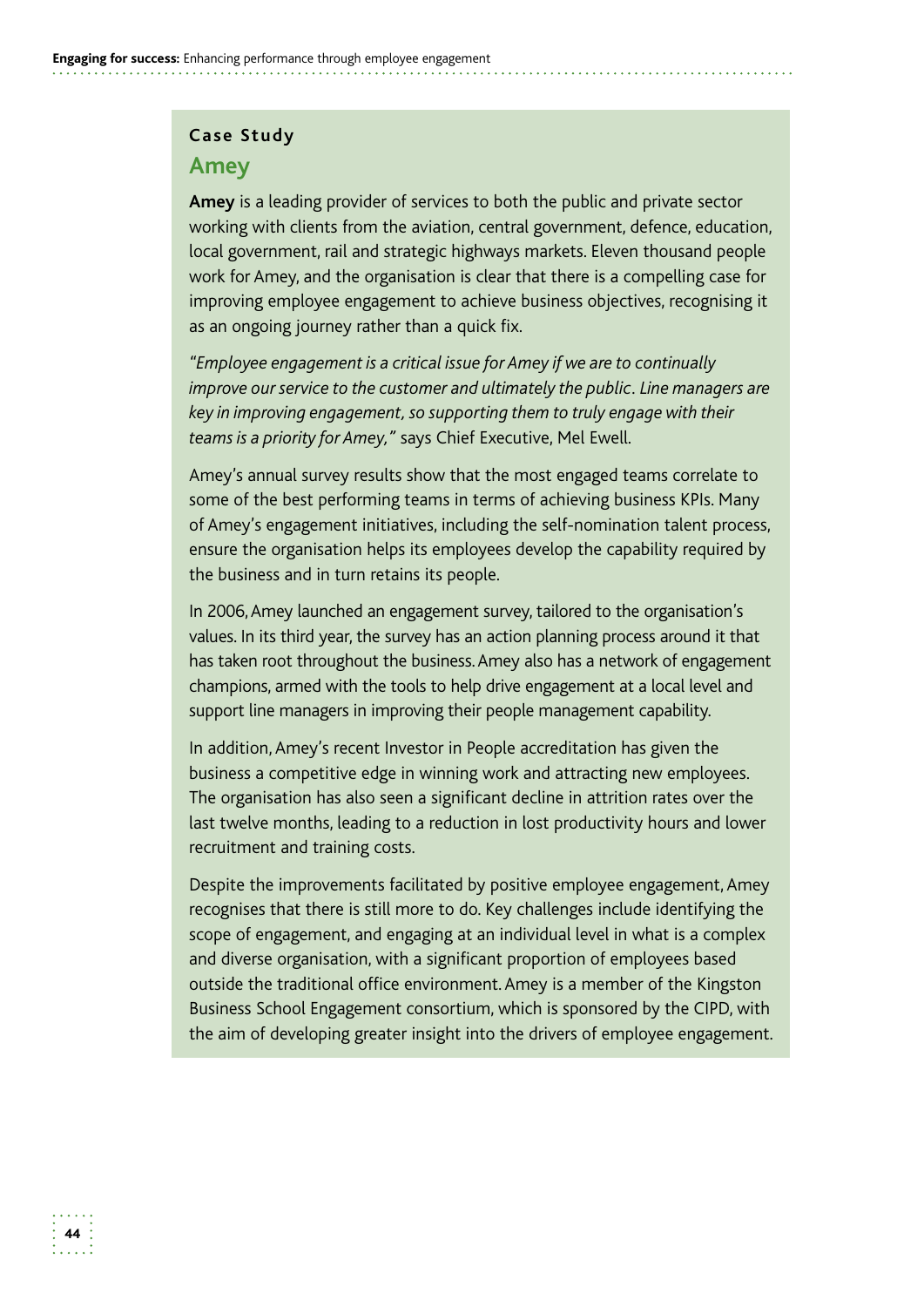#### **Case Study**

#### **Amey**

**Amey** is a leading provider of services to both the public and private sector working with clients from the aviation, central government, defence, education, local government, rail and strategic highways markets. Eleven thousand people work for Amey, and the organisation is clear that there is a compelling case for improving employee engagement to achieve business objectives, recognising it as an ongoing journey rather than a quick fix.

*"Employee engagement is a critical issue for Amey if we are to continually improve our service to the customer and ultimately the public. Line managers are key in improving engagement, so supporting them to truly engage with their teams is a priority for Amey,"* says Chief Executive, Mel Ewell.

Amey's annual survey results show that the most engaged teams correlate to some of the best performing teams in terms of achieving business KPIs. Many of Amey's engagement initiatives, including the self-nomination talent process, ensure the organisation helps its employees develop the capability required by the business and in turn retains its people.

 In 2006, Amey launched an engagement survey, tailored to the organisation's values. In its third year, the survey has an action planning process around it that has taken root throughout the business. Amey also has a network of engagement champions, armed with the tools to help drive engagement at a local level and support line managers in improving their people management capability.

In addition, Amey's recent Investor in People accreditation has given the business a competitive edge in winning work and attracting new employees. The organisation has also seen a significant decline in attrition rates over the last twelve months, leading to a reduction in lost productivity hours and lower recruitment and training costs.

Despite the improvements facilitated by positive employee engagement, Amey recognises that there is still more to do. Key challenges include identifying the scope of engagement, and engaging at an individual level in what is a complex and diverse organisation, with a significant proportion of employees based outside the traditional office environment. Amey is a member of the Kingston Business School Engagement consortium, which is sponsored by the CIPD, with the aim of developing greater insight into the drivers of employee engagement.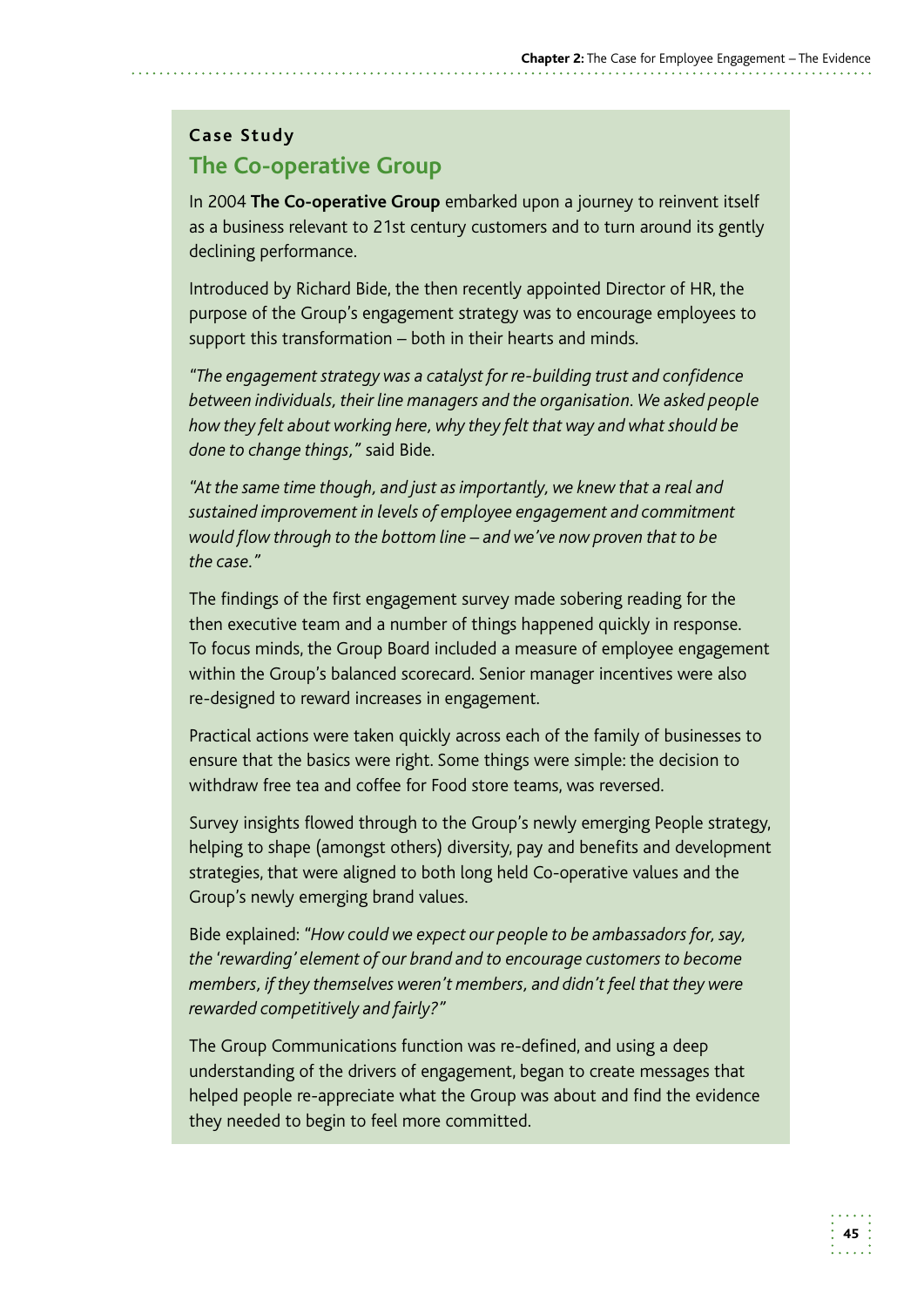#### **Case Study**

# **The Co-operative Group**

In 2004 **The Co-operative Group** embarked upon a journey to reinvent itself as a business relevant to 21st century customers and to turn around its gently declining performance.

Introduced by Richard Bide, the then recently appointed Director of HR, the purpose of the Group's engagement strategy was to encourage employees to support this transformation – both in their hearts and minds.

*"The engagement strategy was a catalyst for re-building trust and confidence between individuals, their line managers and the organisation. We asked people how they felt about working here, why they felt that way and what should be done to change things,"* said Bide.

*"At the same time though, and just as importantly, we knew that a real and sustained improvement in levels of employee engagement and commitment would flow through to the bottom line – and we've now proven that to be the case."* 

The findings of the first engagement survey made sobering reading for the then executive team and a number of things happened quickly in response. To focus minds, the Group Board included a measure of employee engagement within the Group's balanced scorecard. Senior manager incentives were also re-designed to reward increases in engagement.

Practical actions were taken quickly across each of the family of businesses to ensure that the basics were right. Some things were simple: the decision to withdraw free tea and coffee for Food store teams, was reversed.

Survey insights flowed through to the Group's newly emerging People strategy, helping to shape (amongst others) diversity, pay and benefits and development strategies, that were aligned to both long held Co-operative values and the Group's newly emerging brand values.

Bide explained: *"How could we expect our people to be ambassadors for, say, the 'rewarding' element of our brand and to encourage customers to become members, if they themselves weren't members, and didn't feel that they were rewarded competitively and fairly?"* 

The Group Communications function was re-defined, and using a deep understanding of the drivers of engagement, began to create messages that helped people re-appreciate what the Group was about and find the evidence they needed to begin to feel more committed.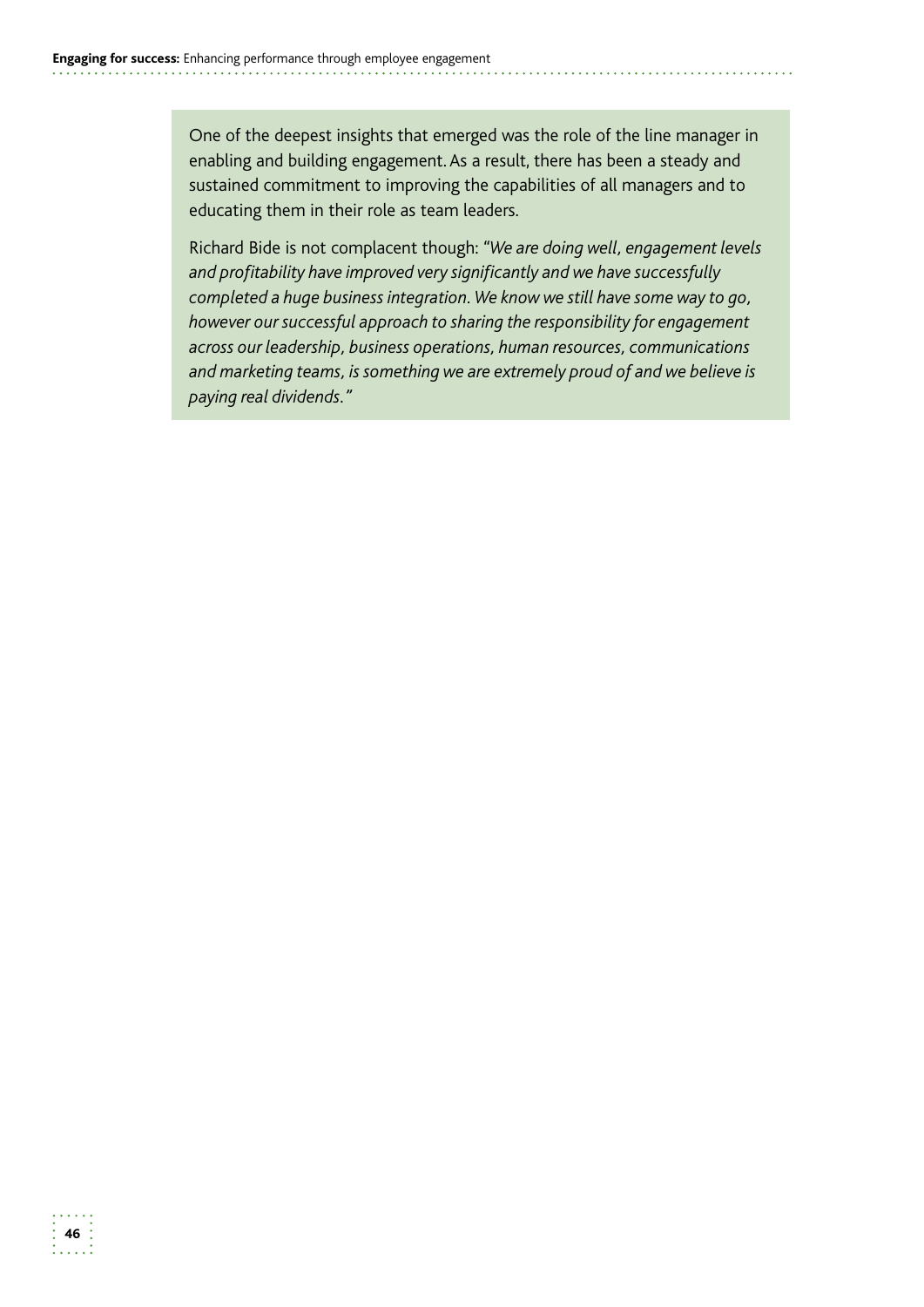One of the deepest insights that emerged was the role of the line manager in enabling and building engagement. As a result, there has been a steady and sustained commitment to improving the capabilities of all managers and to educating them in their role as team leaders.

Richard Bide is not complacent though: *"We are doing well, engagement levels and profitability have improved very significantly and we have successfully completed a huge business integration. We know we still have some way to go, however our successful approach to sharing the responsibility for engagement across our leadership, business operations, human resources, communications and marketing teams, is something we are extremely proud of and we believe is paying real dividends."*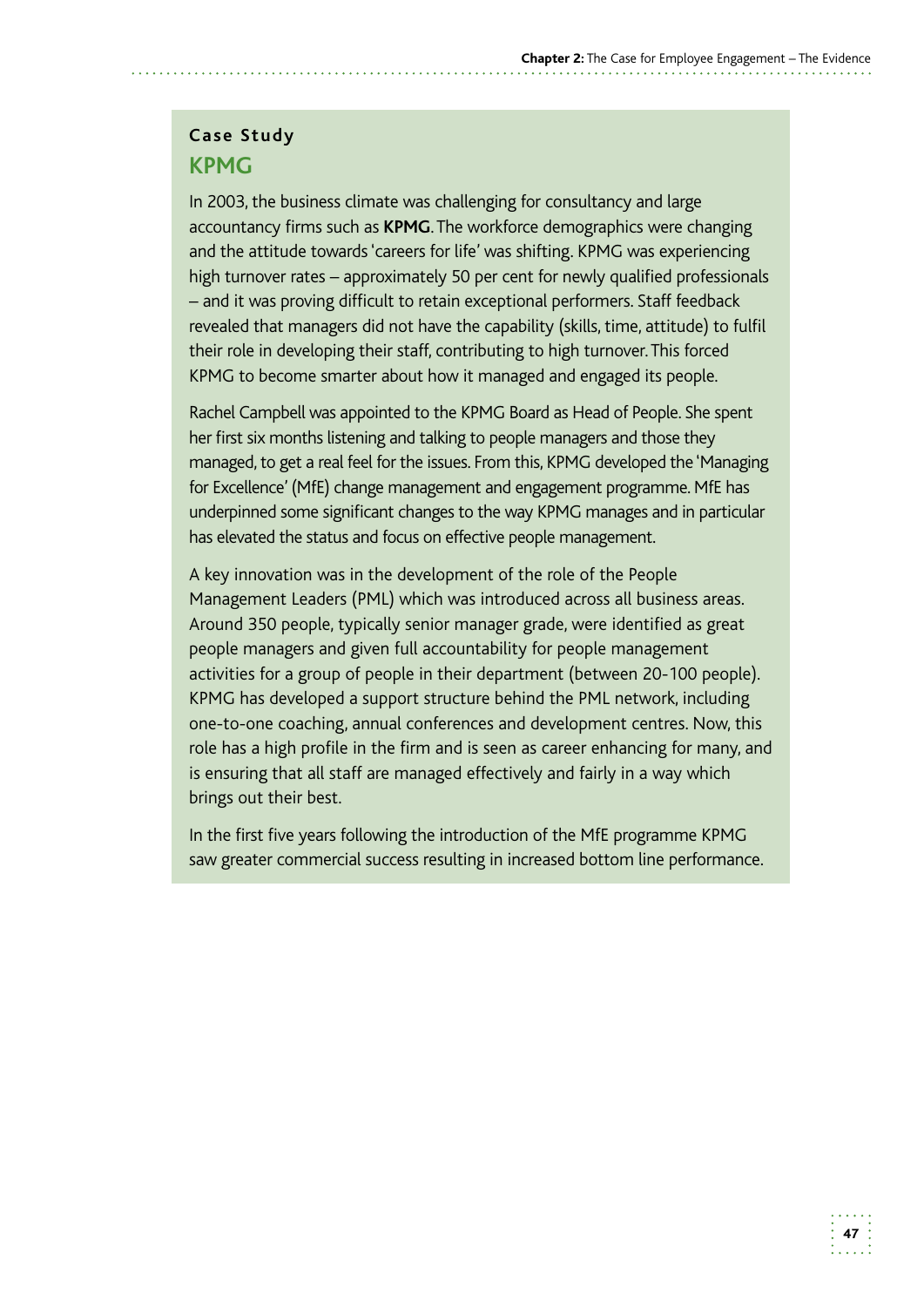# **Case Study KPMG**

 In 2003, the business climate was challenging for consultancy and large accountancy firms such as **KPMG**. The workforce demographics were changing high turnover rates – approximately 50 per cent for newly qualified professionals – and it was proving difficult to retain exceptional performers. Staff feedback revealed that managers did not have the capability (skills, time, attitude) to fulfil their role in developing their staff, contributing to high turnover. This forced and the attitude towards 'careers for life' was shifting. KPMG was experiencing KPMG to become smarter about how it managed and engaged its people.

 Rachel Campbell was appointed to the KPMG Board as Head of People. She spent her first six months listening and talking to people managers and those they managed, to get a real feel for the issues. From this, KPMG developed the 'Managing for Excellence' (MfE) change management and engagement programme. MfE has underpinned some significant changes to the way KPMG manages and in particular has elevated the status and focus on effective people management.

A key innovation was in the development of the role of the People Management Leaders (PML) which was introduced across all business areas. Around 350 people, typically senior manager grade, were identified as great people managers and given full accountability for people management activities for a group of people in their department (between 20-100 people). KPMG has developed a support structure behind the PML network, including one-to-one coaching, annual conferences and development centres. Now, this role has a high profile in the firm and is seen as career enhancing for many, and is ensuring that all staff are managed effectively and fairly in a way which brings out their best.

 In the first five years following the introduction of the MfE programme KPMG saw greater commercial success resulting in increased bottom line performance.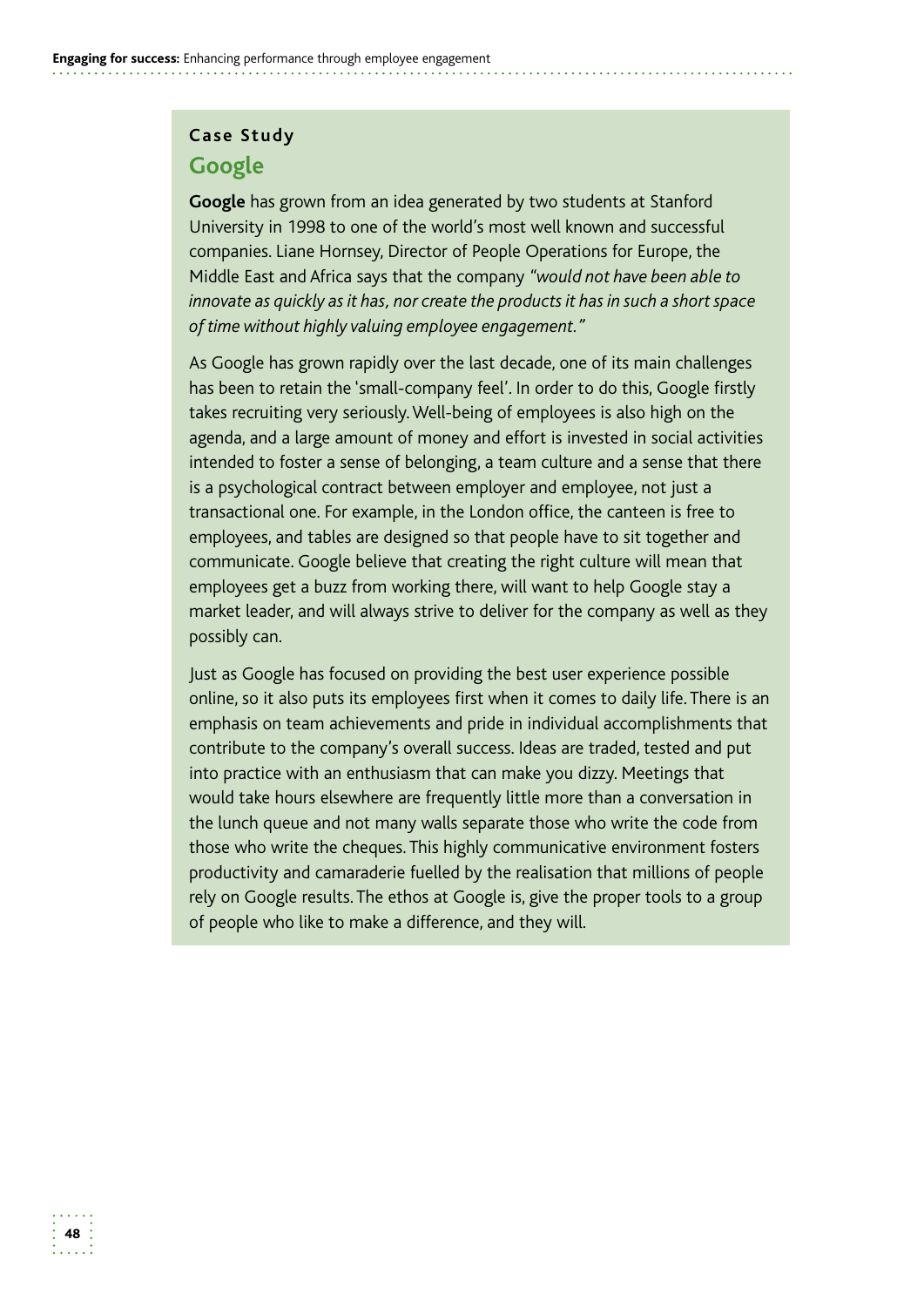### **Case Study Google**

**Google** has grown from an idea generated by two students at Stanford University in 1998 to one of the world's most well known and successful companies. Liane Hornsey, Director of People Operations for Europe, the Middle East and Africa says that the company *"would not have been able to innovate as quickly as it has, nor create the products it has in such a short space of time without highly valuing employee engagement."* 

As Google has grown rapidly over the last decade, one of its main challenges has been to retain the 'small-company feel'. In order to do this, Google firstly takes recruiting very seriously. Well-being of employees is also high on the agenda, and a large amount of money and effort is invested in social activities intended to foster a sense of belonging, a team culture and a sense that there is a psychological contract between employer and employee, not just a transactional one. For example, in the London office, the canteen is free to employees, and tables are designed so that people have to sit together and communicate. Google believe that creating the right culture will mean that employees get a buzz from working there, will want to help Google stay a market leader, and will always strive to deliver for the company as well as they possibly can.

Just as Google has focused on providing the best user experience possible online, so it also puts its employees first when it comes to daily life. There is an emphasis on team achievements and pride in individual accomplishments that contribute to the company's overall success. Ideas are traded, tested and put into practice with an enthusiasm that can make you dizzy. Meetings that would take hours elsewhere are frequently little more than a conversation in the lunch queue and not many walls separate those who write the code from those who write the cheques. This highly communicative environment fosters productivity and camaraderie fuelled by the realisation that millions of people rely on Google results. The ethos at Google is, give the proper tools to a group of people who like to make a difference, and they will.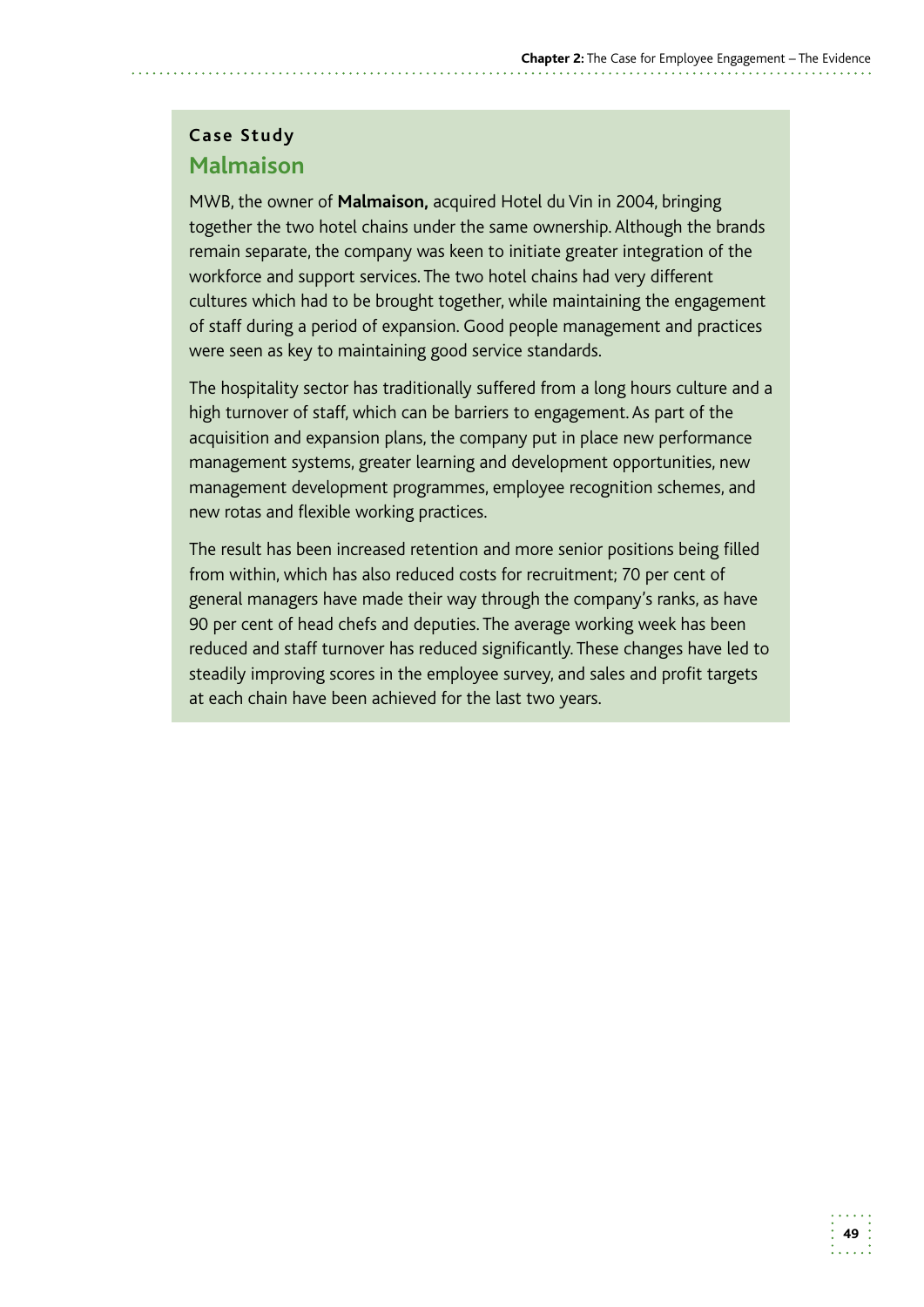# **Case Study Malmaison**

MWB, the owner of **Malmaison,** acquired Hotel du Vin in 2004, bringing together the two hotel chains under the same ownership. Although the brands remain separate, the company was keen to initiate greater integration of the workforce and support services. The two hotel chains had very different cultures which had to be brought together, while maintaining the engagement of staff during a period of expansion. Good people management and practices were seen as key to maintaining good service standards.

The hospitality sector has traditionally suffered from a long hours culture and a high turnover of staff, which can be barriers to engagement. As part of the acquisition and expansion plans, the company put in place new performance management systems, greater learning and development opportunities, new management development programmes, employee recognition schemes, and new rotas and flexible working practices.

The result has been increased retention and more senior positions being filled from within, which has also reduced costs for recruitment; 70 per cent of general managers have made their way through the company's ranks, as have 90 per cent of head chefs and deputies. The average working week has been reduced and staff turnover has reduced significantly. These changes have led to steadily improving scores in the employee survey, and sales and profit targets at each chain have been achieved for the last two years.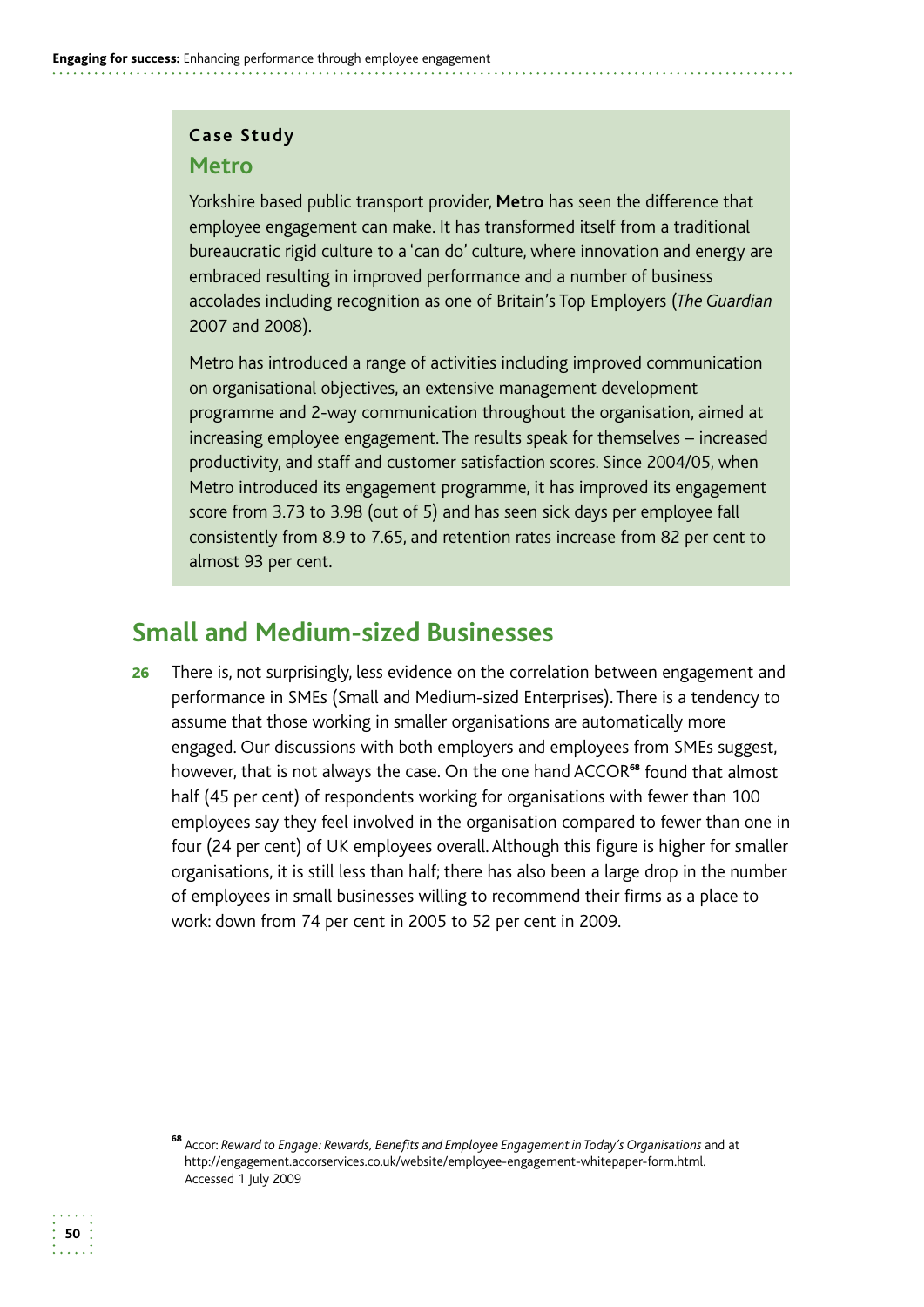#### **Case Study**

#### **Metro**

 bureaucratic rigid culture to a 'can do' culture, where innovation and energy are Yorkshire based public transport provider, **Metro** has seen the difference that employee engagement can make. It has transformed itself from a traditional embraced resulting in improved performance and a number of business accolades including recognition as one of Britain's Top Employers (*The Guardian*  2007 and 2008).

Metro has introduced a range of activities including improved communication on organisational objectives, an extensive management development programme and 2-way communication throughout the organisation, aimed at increasing employee engagement. The results speak for themselves – increased productivity, and staff and customer satisfaction scores. Since 2004/05, when Metro introduced its engagement programme, it has improved its engagement score from 3.73 to 3.98 (out of 5) and has seen sick days per employee fall consistently from 8.9 to 7.65, and retention rates increase from 82 per cent to almost 93 per cent.

# **Small and Medium-sized Businesses**

**26** There is, not surprisingly, less evidence on the correlation between engagement and performance in SMEs (Small and Medium-sized Enterprises). There is a tendency to assume that those working in smaller organisations are automatically more engaged. Our discussions with both employers and employees from SMEs suggest, however, that is not always the case. On the one hand ACCOR<sup>68</sup> found that almost half (45 per cent) of respondents working for organisations with fewer than 100 employees say they feel involved in the organisation compared to fewer than one in four (24 per cent) of UK employees overall. Although this figure is higher for smaller organisations, it is still less than half; there has also been a large drop in the number of employees in small businesses willing to recommend their firms as a place to work: down from 74 per cent in 2005 to 52 per cent in 2009.

<sup>68</sup>Accor: *Reward to Engage: Rewards, Benefits and Employee Engagement in Today's Organisations* and at http://engagement.accorservices.co.uk/website/employee-engagement-whitepaper-form.html. Accessed 1 July 2009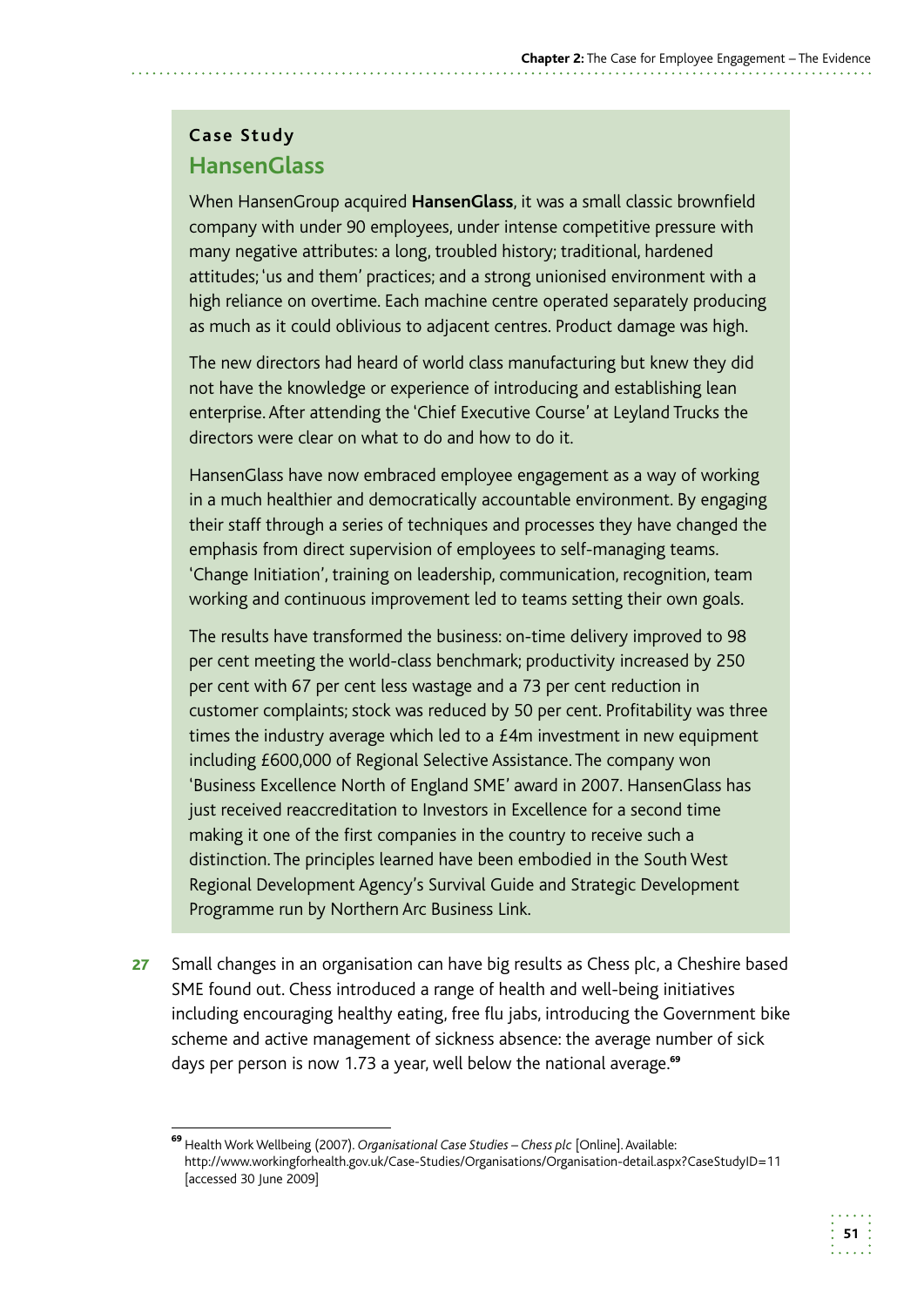# **Case Study HansenGlass**

When HansenGroup acquired **HansenGlass**, it was a small classic brownfield company with under 90 employees, under intense competitive pressure with many negative attributes: a long, troubled history; traditional, hardened attitudes; 'us and them' practices; and a strong unionised environment with a high reliance on overtime. Each machine centre operated separately producing as much as it could oblivious to adjacent centres. Product damage was high.

The new directors had heard of world class manufacturing but knew they did not have the knowledge or experience of introducing and establishing lean enterprise. After attending the 'Chief Executive Course' at Leyland Trucks the directors were clear on what to do and how to do it.

HansenGlass have now embraced employee engagement as a way of working in a much healthier and democratically accountable environment. By engaging their staff through a series of techniques and processes they have changed the emphasis from direct supervision of employees to self-managing teams. 'Change Initiation', training on leadership, communication, recognition, team working and continuous improvement led to teams setting their own goals.

The results have transformed the business: on-time delivery improved to 98 per cent meeting the world-class benchmark; productivity increased by 250 per cent with 67 per cent less wastage and a 73 per cent reduction in customer complaints; stock was reduced by 50 per cent. Profitability was three times the industry average which led to a £4m investment in new equipment including £600,000 of Regional Selective Assistance. The company won 'Business Excellence North of England SME' award in 2007. HansenGlass has just received reaccreditation to Investors in Excellence for a second time making it one of the first companies in the country to receive such a distinction. The principles learned have been embodied in the South West Regional Development Agency's Survival Guide and Strategic Development Programme run by Northern Arc Business Link.

27 Small changes in an organisation can have big results as Chess plc, a Cheshire based SME found out. Chess introduced a range of health and well-being initiatives including encouraging healthy eating, free flu jabs, introducing the Government bike scheme and active management of sickness absence: the average number of sick days per person is now 1.73 a year, well below the national average.<sup>69</sup>

<sup>&</sup>lt;sup>69</sup> Health Work Wellbeing (2007). *Organisational Case Studies – Chess plc* [Online]. Available: http://www.workingforhealth.gov.uk/Case-Studies/Organisations/Organisation-detail.aspx?CaseStudyID=11 [accessed 30 June 2009]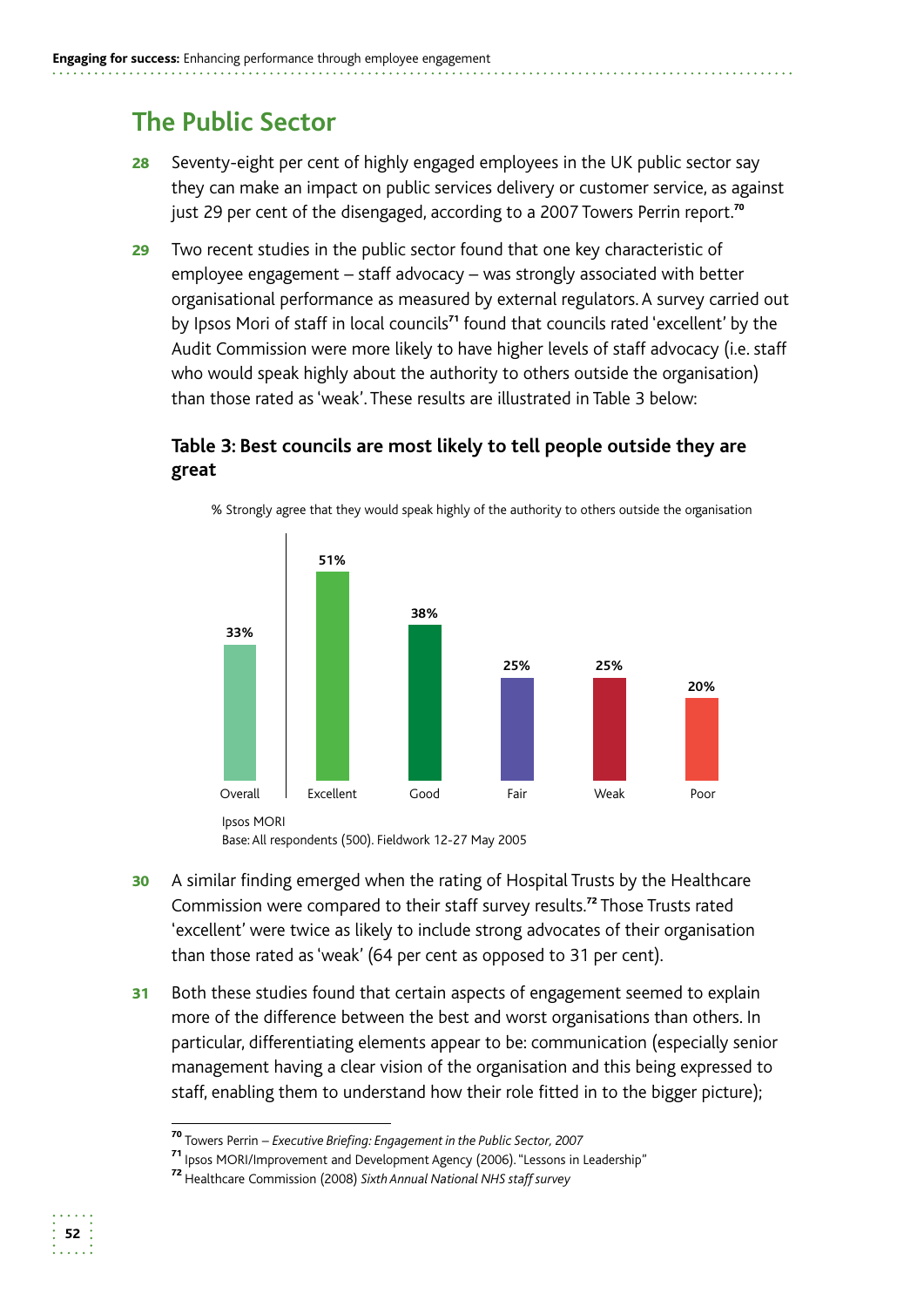# **The Public Sector**

- **28** Seventy-eight per cent of highly engaged employees in the UK public sector say they can make an impact on public services delivery or customer service, as against just 29 per cent of the disengaged, according to a 2007 Towers Perrin report.<sup>70</sup>
- 29 Two recent studies in the public sector found that one key characteristic of employee engagement – staff advocacy – was strongly associated with better organisational performance as measured by external regulators. A survey carried out by Ipsos Mori of staff in local councils<sup>71</sup> found that councils rated 'excellent' by the Audit Commission were more likely to have higher levels of staff advocacy (i.e. staff who would speak highly about the authority to others outside the organisation) than those rated as 'weak'. These results are illustrated in Table 3 below:

#### **Table 3: Best councils are most likely to tell people outside they are great**



% Strongly agree that they would speak highly of the authority to others outside the organisation

than those rated as 'weak' (64 per cent as opposed to 31 per cent).

31 Both these studies found that certain aspects of engagement seemed to explain more of the difference between the best and worst organisations than others. In particular, differentiating elements appear to be: communication (especially senior management having a clear vision of the organisation and this being expressed to staff, enabling them to understand how their role fitted in to the bigger picture);



<sup>30</sup> A similar finding emerged when the rating of Hospital Trusts by the Healthcare Commission were compared to their staff survey results.<sup>72</sup> Those Trusts rated 'excellent' were twice as likely to include strong advocates of their organisation

<sup>70</sup>Towers Perrin – *Executive Briefing: Engagement in the Public Sector, 2007* 

<sup>71</sup>Ipsos MORI/Improvement and Development Agency (2006). "Lessons in Leadership"

<sup>&</sup>lt;sup>72</sup> Healthcare Commission (2008) Sixth Annual National NHS staff survey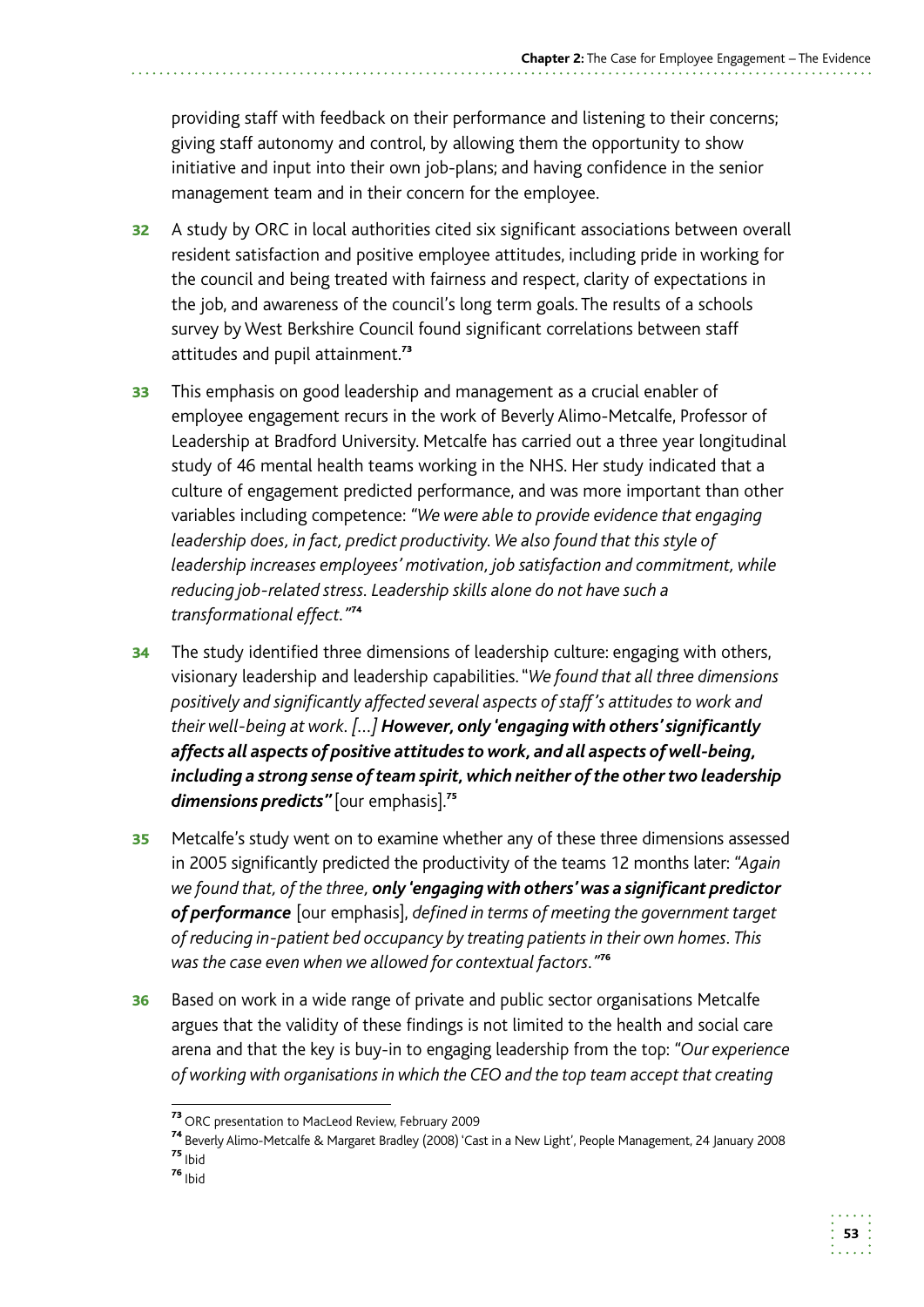providing staff with feedback on their performance and listening to their concerns; giving staff autonomy and control, by allowing them the opportunity to show initiative and input into their own job-plans; and having confidence in the senior management team and in their concern for the employee.

- 32 A study by ORC in local authorities cited six significant associations between overall resident satisfaction and positive employee attitudes, including pride in working for the council and being treated with fairness and respect, clarity of expectations in the job, and awareness of the council's long term goals. The results of a schools survey by West Berkshire Council found significant correlations between staff attitudes and pupil attainment.<sup>73</sup>
- **33** This emphasis on good leadership and management as a crucial enabler of employee engagement recurs in the work of Beverly Alimo-Metcalfe, Professor of Leadership at Bradford University. Metcalfe has carried out a three year longitudinal study of 46 mental health teams working in the NHS. Her study indicated that a culture of engagement predicted performance, and was more important than other variables including competence: *"We were able to provide evidence that engaging leadership does, in fact, predict productivity. We also found that this style of leadership increases employees' motivation, job satisfaction and commitment, while reducing job-related stress. Leadership skills alone do not have such a transformational effect."*<sup>74</sup>
- **34** The study identified three dimensions of leadership culture: engaging with others, visionary leadership and leadership capabilities. "*We found that all three dimensions positively and significantly affected several aspects of staff 's attitudes to work and their well-being at work. […] However, only 'engaging with others' significantly affects all aspects of positive attitudes to work, and all aspects of well-being, including a strong sense of team spirit, which neither of the other two leadership*  dimensions predicts" [our emphasis].<sup>75</sup>
- **35** Metcalfe's study went on to examine whether any of these three dimensions assessed in 2005 significantly predicted the productivity of the teams 12 months later: *"Again we found that, of the three, only 'engaging with others' was a significant predictor of performance* [our emphasis], *defined in terms of meeting the government target of reducing in-patient bed occupancy by treating patients in their own homes. This was the case even when we allowed for contextual factors."*<sup>76</sup>
- **36** Based on work in a wide range of private and public sector organisations Metcalfe argues that the validity of these findings is not limited to the health and social care arena and that the key is buy-in to engaging leadership from the top: *"Our experience of working with organisations in which the CEO and the top team accept that creating*

<sup>76</sup> Ibid

<sup>&</sup>lt;sup>73</sup> ORC presentation to MacLeod Review, February 2009

<sup>&</sup>lt;sup>74</sup> Beverly Alimo-Metcalfe & Margaret Bradley (2008) 'Cast in a New Light', People Management, 24 January 2008 <sup>75</sup> Ibid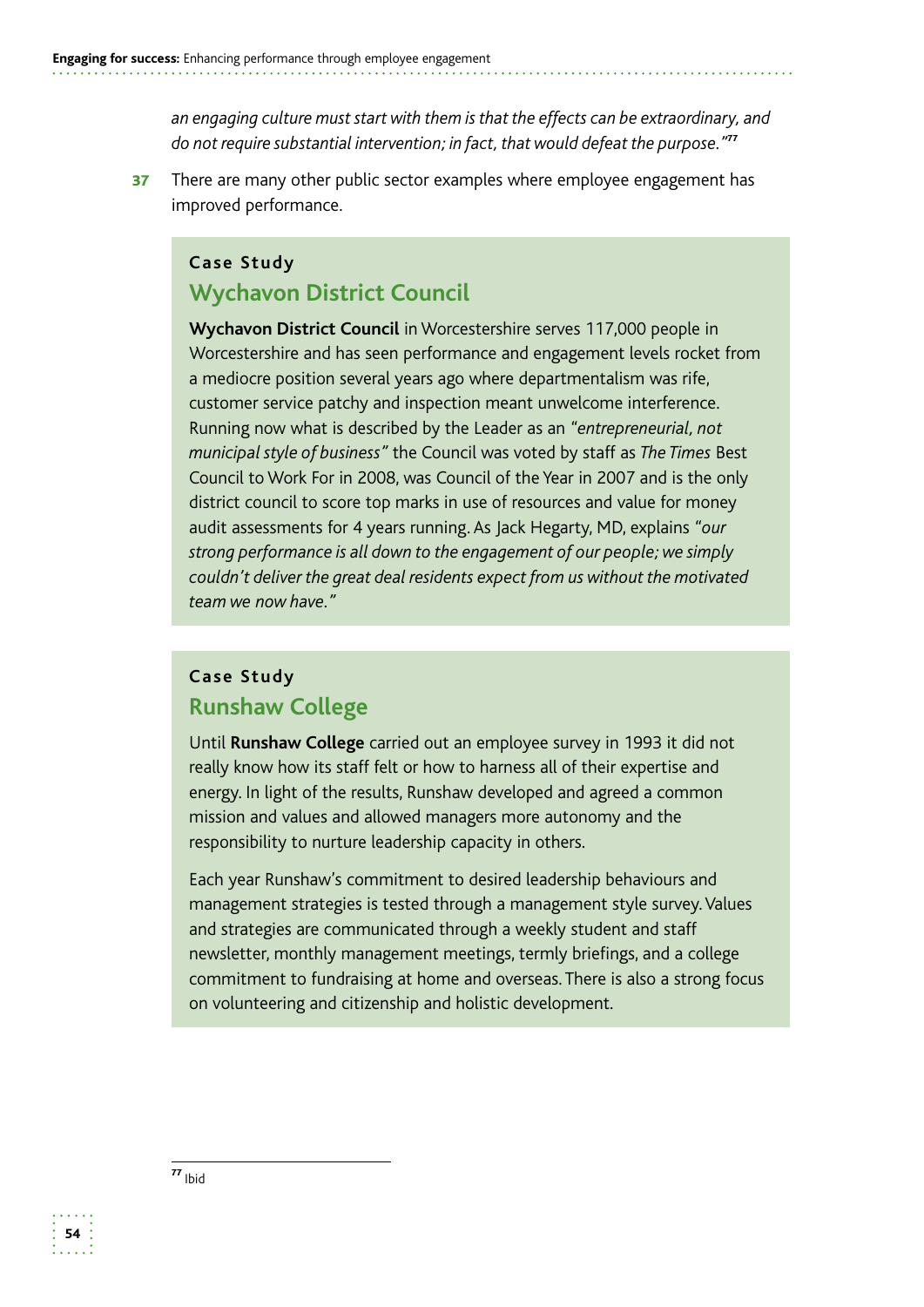*an engaging culture must start with them is that the effects can be extraordinary, and do not require substantial intervention; in fact, that would defeat the purpose."*<sup>77</sup>

37 There are many other public sector examples where employee engagement has improved performance.

#### **Case Study**

#### **Wychavon District Council**

 *team we now have."*  **Wychavon District Council** in Worcestershire serves 117,000 people in Worcestershire and has seen performance and engagement levels rocket from a mediocre position several years ago where departmentalism was rife, customer service patchy and inspection meant unwelcome interference. Running now what is described by the Leader as an *"entrepreneurial, not municipal style of business"* the Council was voted by staff as *The Times* Best Council to Work For in 2008, was Council of the Year in 2007 and is the only district council to score top marks in use of resources and value for money audit assessments for 4 years running. As Jack Hegarty, MD, explains *"our strong performance is all down to the engagement of our people; we simply couldn't deliver the great deal residents expect from us without the motivated* 

### **Case Study Runshaw College**

Until **Runshaw College** carried out an employee survey in 1993 it did not really know how its staff felt or how to harness all of their expertise and energy. In light of the results, Runshaw developed and agreed a common mission and values and allowed managers more autonomy and the responsibility to nurture leadership capacity in others.

Each year Runshaw's commitment to desired leadership behaviours and management strategies is tested through a management style survey. Values and strategies are communicated through a weekly student and staff newsletter, monthly management meetings, termly briefings, and a college commitment to fundraising at home and overseas. There is also a strong focus on volunteering and citizenship and holistic development.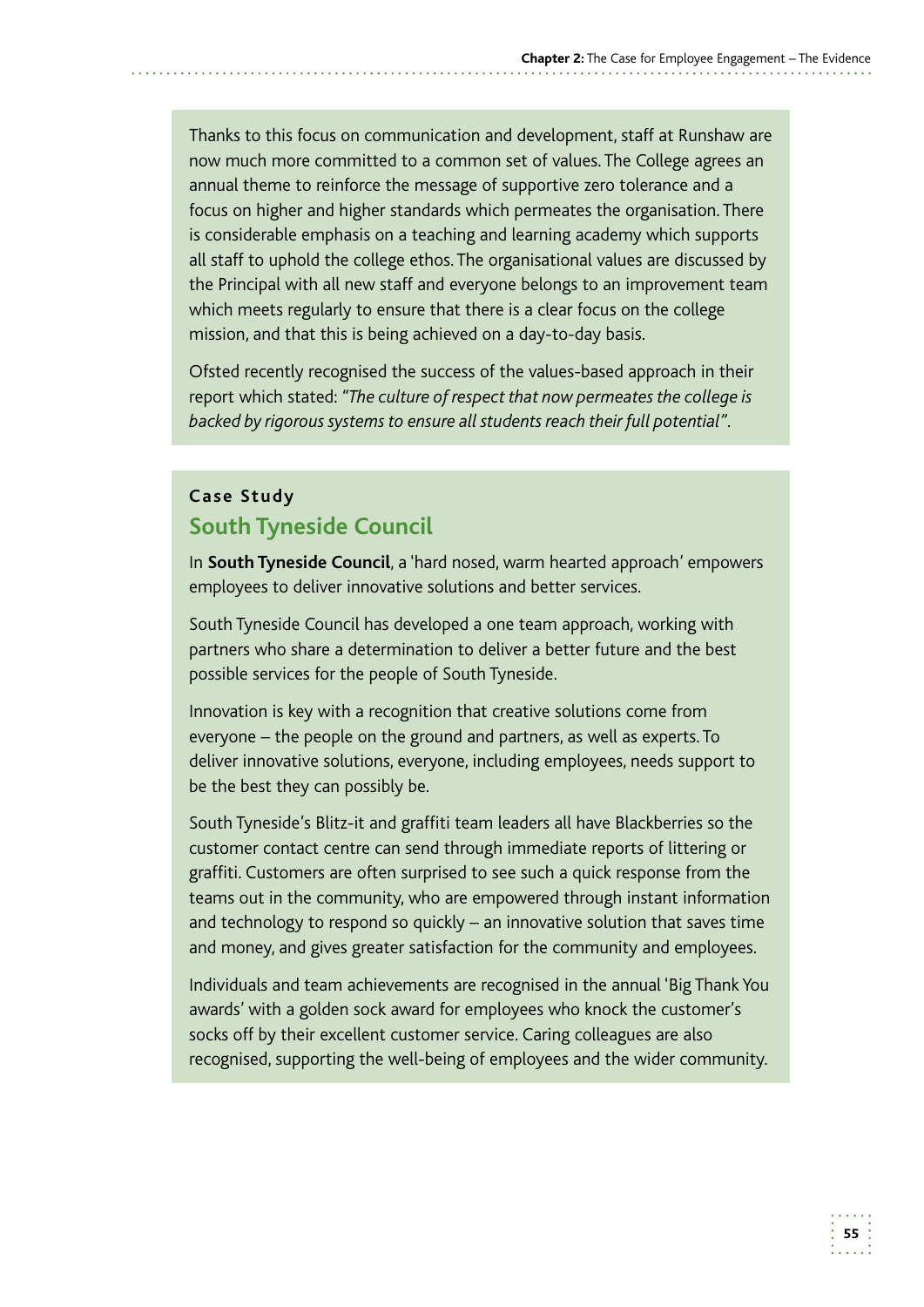Thanks to this focus on communication and development, staff at Runshaw are now much more committed to a common set of values. The College agrees an annual theme to reinforce the message of supportive zero tolerance and a focus on higher and higher standards which permeates the organisation. There is considerable emphasis on a teaching and learning academy which supports all staff to uphold the college ethos. The organisational values are discussed by the Principal with all new staff and everyone belongs to an improvement team which meets regularly to ensure that there is a clear focus on the college mission, and that this is being achieved on a day-to-day basis.

Ofsted recently recognised the success of the values-based approach in their report which stated: *"The culture of respect that now permeates the college is backed by rigorous systems to ensure all students reach their full potential".* 

### **Case Study South Tyneside Council**

In **South Tyneside Council**, a 'hard nosed, warm hearted approach' empowers employees to deliver innovative solutions and better services.

South Tyneside Council has developed a one team approach, working with partners who share a determination to deliver a better future and the best possible services for the people of South Tyneside.

Innovation is key with a recognition that creative solutions come from everyone – the people on the ground and partners, as well as experts. To deliver innovative solutions, everyone, including employees, needs support to be the best they can possibly be.

South Tyneside's Blitz-it and graffiti team leaders all have Blackberries so the customer contact centre can send through immediate reports of littering or graffiti. Customers are often surprised to see such a quick response from the teams out in the community, who are empowered through instant information and technology to respond so quickly – an innovative solution that saves time and money, and gives greater satisfaction for the community and employees.

Individuals and team achievements are recognised in the annual 'Big Thank You awards' with a golden sock award for employees who knock the customer's socks off by their excellent customer service. Caring colleagues are also recognised, supporting the well-being of employees and the wider community.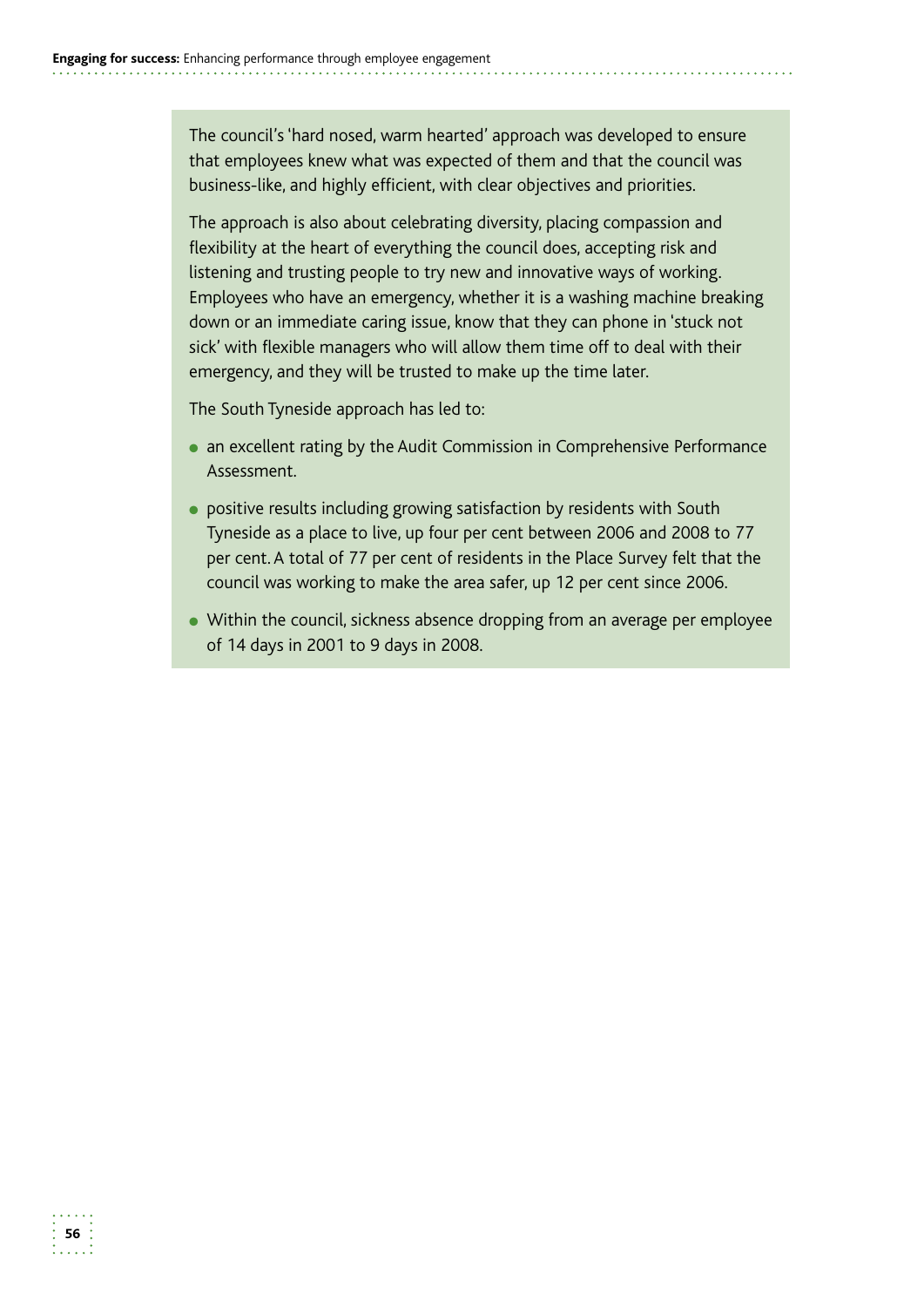The council's 'hard nosed, warm hearted' approach was developed to ensure that employees knew what was expected of them and that the council was business-like, and highly efficient, with clear objectives and priorities.

The approach is also about celebrating diversity, placing compassion and flexibility at the heart of everything the council does, accepting risk and listening and trusting people to try new and innovative ways of working. Employees who have an emergency, whether it is a washing machine breaking down or an immediate caring issue, know that they can phone in 'stuck not sick' with flexible managers who will allow them time off to deal with their emergency, and they will be trusted to make up the time later.

The South Tyneside approach has led to:

- an excellent rating by the Audit Commission in Comprehensive Performance Assessment.
- positive results including growing satisfaction by residents with South Tyneside as a place to live, up four per cent between 2006 and 2008 to 77 per cent. A total of 77 per cent of residents in the Place Survey felt that the council was working to make the area safer, up 12 per cent since 2006.
- Within the council, sickness absence dropping from an average per employee of 14 days in 2001 to 9 days in 2008.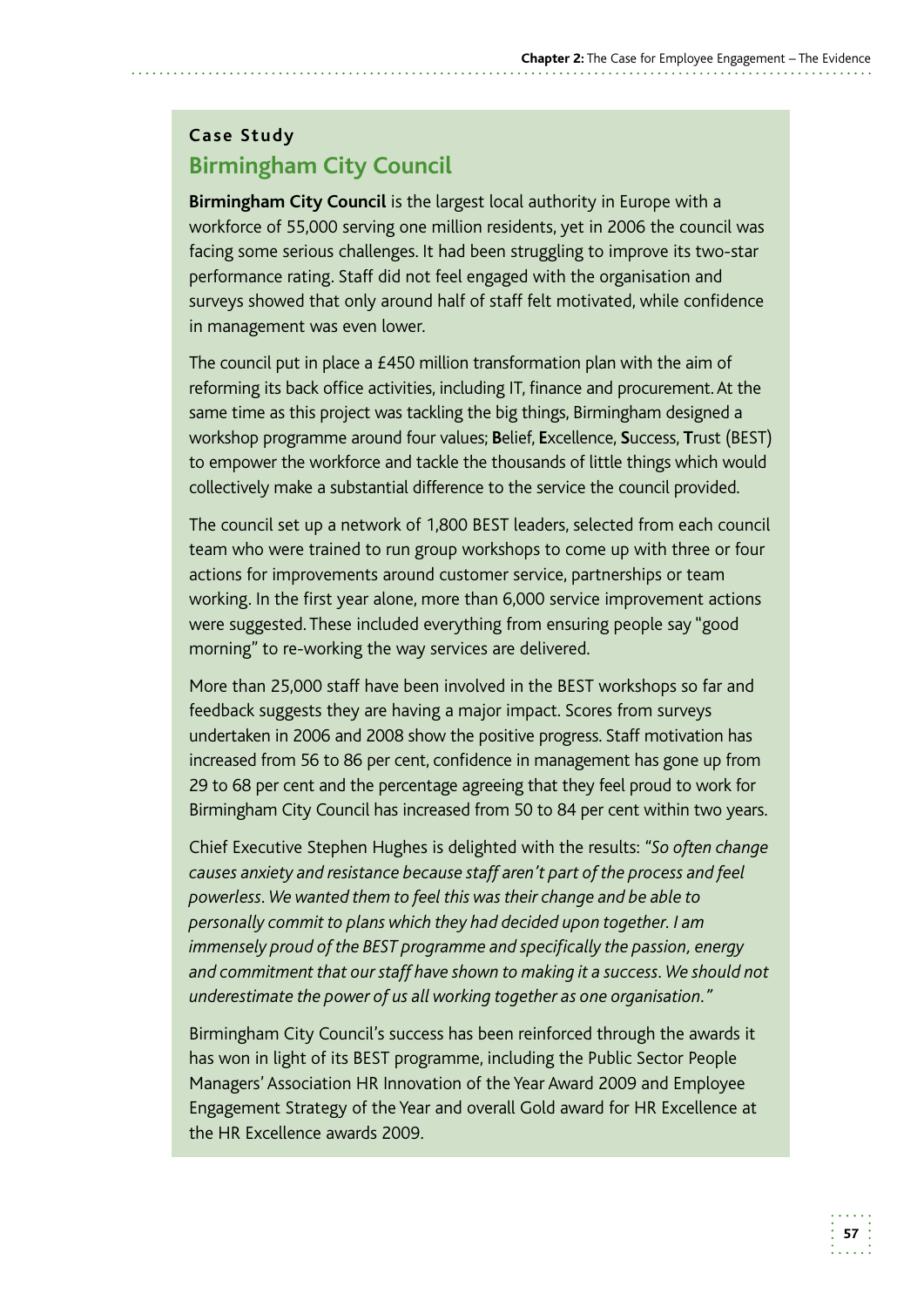# **Case Study Birmingham City Council**

**Birmingham City Council** is the largest local authority in Europe with a workforce of 55,000 serving one million residents, yet in 2006 the council was facing some serious challenges. It had been struggling to improve its two-star performance rating. Staff did not feel engaged with the organisation and surveys showed that only around half of staff felt motivated, while confidence in management was even lower.

The council put in place a £450 million transformation plan with the aim of reforming its back office activities, including IT, finance and procurement. At the same time as this project was tackling the big things, Birmingham designed a workshop programme around four values; **B**elief, **E**xcellence, **S**uccess, **T**rust (BEST) to empower the workforce and tackle the thousands of little things which would collectively make a substantial difference to the service the council provided.

The council set up a network of 1,800 BEST leaders, selected from each council team who were trained to run group workshops to come up with three or four actions for improvements around customer service, partnerships or team working. In the first year alone, more than 6,000 service improvement actions were suggested. These included everything from ensuring people say "good morning" to re-working the way services are delivered.

 undertaken in 2006 and 2008 show the positive progress. Staff motivation has increased from 56 to 86 per cent, confidence in management has gone up from 29 to 68 per cent and the percentage agreeing that they feel proud to work for More than 25,000 staff have been involved in the BEST workshops so far and feedback suggests they are having a major impact. Scores from surveys Birmingham City Council has increased from 50 to 84 per cent within two years.

Chief Executive Stephen Hughes is delighted with the results: *"So often change causes anxiety and resistance because staff aren't part of the process and feel powerless. We wanted them to feel this was their change and be able to personally commit to plans which they had decided upon together. I am immensely proud of the BEST programme and specifically the passion, energy and commitment that our staff have shown to making it a success. We should not underestimate the power of us all working together as one organisation."* 

Birmingham City Council's success has been reinforced through the awards it has won in light of its BEST programme, including the Public Sector People Managers' Association HR Innovation of the Year Award 2009 and Employee Engagement Strategy of the Year and overall Gold award for HR Excellence at the HR Excellence awards 2009.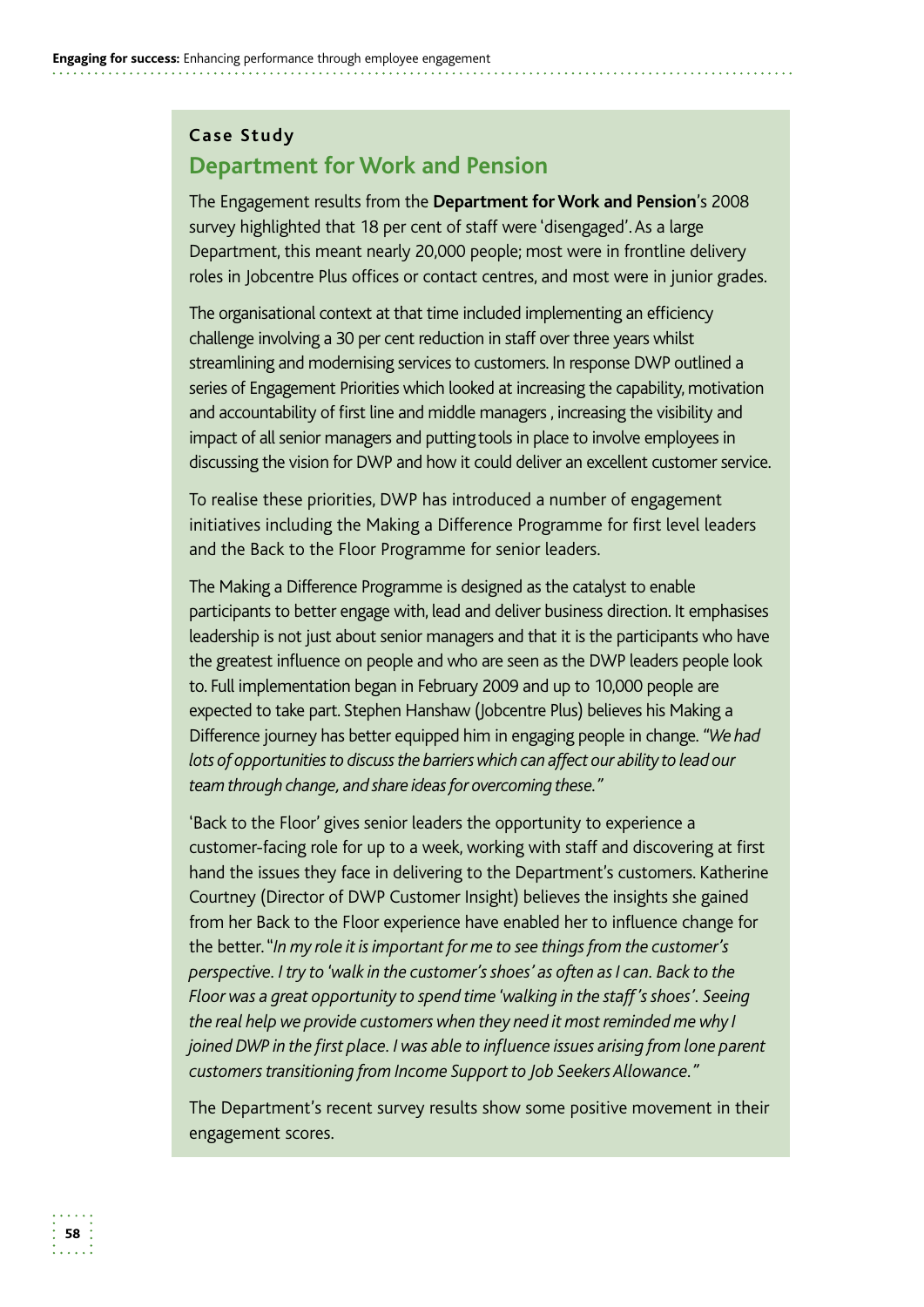#### **Case Study**

# **Department for Work and Pension**

 survey highlighted that 18 per cent of staff were 'disengaged'. As a large Department, this meant nearly 20,000 people; most were in frontline delivery The Engagement results from the **Department for Work and Pension**'s 2008 roles in Jobcentre Plus offices or contact centres, and most were in junior grades.

 The organisational context at that time included implementing an efficiency challenge involving a 30 per cent reduction in staff over three years whilst streamlining and modernising services to customers. In response DWP outlined a series of Engagement Priorities which looked at increasing the capability, motivation and accountability of first line and middle managers , increasing the visibility and impact of all senior managers and putting tools in place to involve employees in discussing the vision for DWP and how it could deliver an excellent customer service.

To realise these priorities, DWP has introduced a number of engagement initiatives including the Making a Difference Programme for first level leaders and the Back to the Floor Programme for senior leaders.

 The Making a Difference Programme is designed as the catalyst to enable participants to better engage with, lead and deliver business direction. It emphasises leadership is not just about senior managers and that it is the participants who have the greatest influence on people and who are seen as the DWP leaders people look to. Full implementation began in February 2009 and up to 10,000 people are expected to take part. Stephen Hanshaw (Jobcentre Plus) believes his Making a Difference journey has better equipped him in engaging people in change. *"We had lots of opportunities to discuss the barriers which can affect our ability to lead our team through change, and share ideas for overcoming these."* 

 customer-facing role for up to a week, working with staff and discovering at first hand the issues they face in delivering to the Department's customers. Katherine Courtney (Director of DWP Customer Insight) believes the insights she gained from her Back to the Floor experience have enabled her to influence change for  'Back to the Floor' gives senior leaders the opportunity to experience a the better. "*In my role it is important for me to see things from the customer's perspective. I try to 'walk in the customer's shoes' as often as I can. Back to the Floor was a great opportunity to spend time 'walking in the staff 's shoes'. Seeing the real help we provide customers when they need it most reminded me why I joined DWP in the first place. I was able to influence issues arising from lone parent customers transitioning from Income Support to Job Seekers Allowance."* 

The Department's recent survey results show some positive movement in their engagement scores.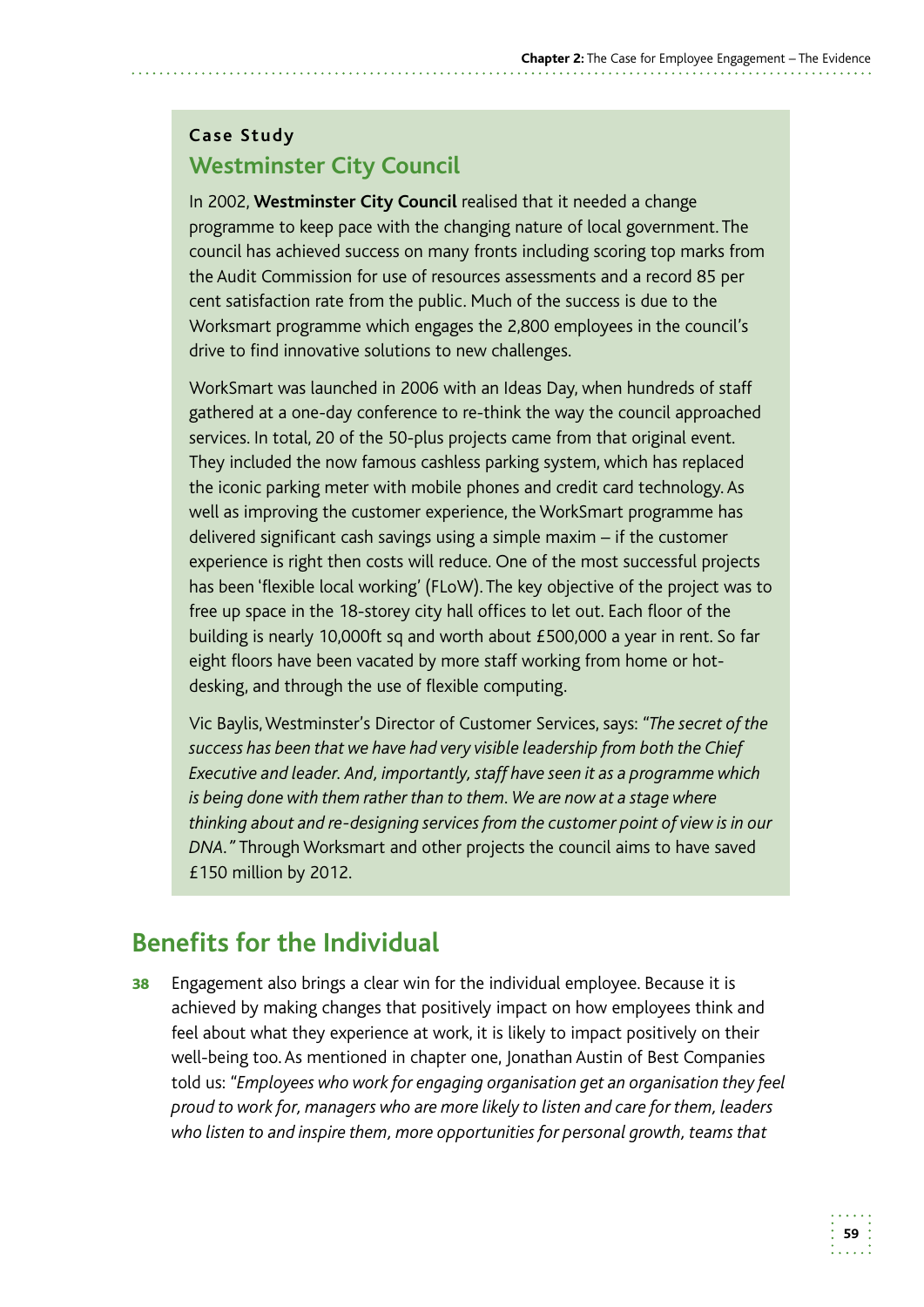# **Case Study Westminster City Council**

In 2002, **Westminster City Council** realised that it needed a change programme to keep pace with the changing nature of local government. The council has achieved success on many fronts including scoring top marks from the Audit Commission for use of resources assessments and a record 85 per cent satisfaction rate from the public. Much of the success is due to the Worksmart programme which engages the 2,800 employees in the council's drive to find innovative solutions to new challenges.

WorkSmart was launched in 2006 with an Ideas Day, when hundreds of staff gathered at a one-day conference to re-think the way the council approached services. In total, 20 of the 50-plus projects came from that original event. They included the now famous cashless parking system, which has replaced the iconic parking meter with mobile phones and credit card technology. As well as improving the customer experience, the WorkSmart programme has delivered significant cash savings using a simple maxim – if the customer experience is right then costs will reduce. One of the most successful projects has been 'flexible local working' (FLoW). The key objective of the project was to free up space in the 18-storey city hall offices to let out. Each floor of the building is nearly 10,000ft sq and worth about £500,000 a year in rent. So far eight floors have been vacated by more staff working from home or hotdesking, and through the use of flexible computing.

Vic Baylis, Westminster's Director of Customer Services, says: *"The secret of the success has been that we have had very visible leadership from both the Chief Executive and leader. And, importantly, staff have seen it as a programme which is being done with them rather than to them. We are now at a stage where thinking about and re-designing services from the customer point of view is in our DNA."* Through Worksmart and other projects the council aims to have saved £150 million by 2012.

# **Benefits for the Individual**

**38** Engagement also brings a clear win for the individual employee. Because it is achieved by making changes that positively impact on how employees think and feel about what they experience at work, it is likely to impact positively on their well-being too. As mentioned in chapter one, Jonathan Austin of Best Companies told us: *"Employees who work for engaging organisation get an organisation they feel proud to work for, managers who are more likely to listen and care for them, leaders who listen to and inspire them, more opportunities for personal growth, teams that*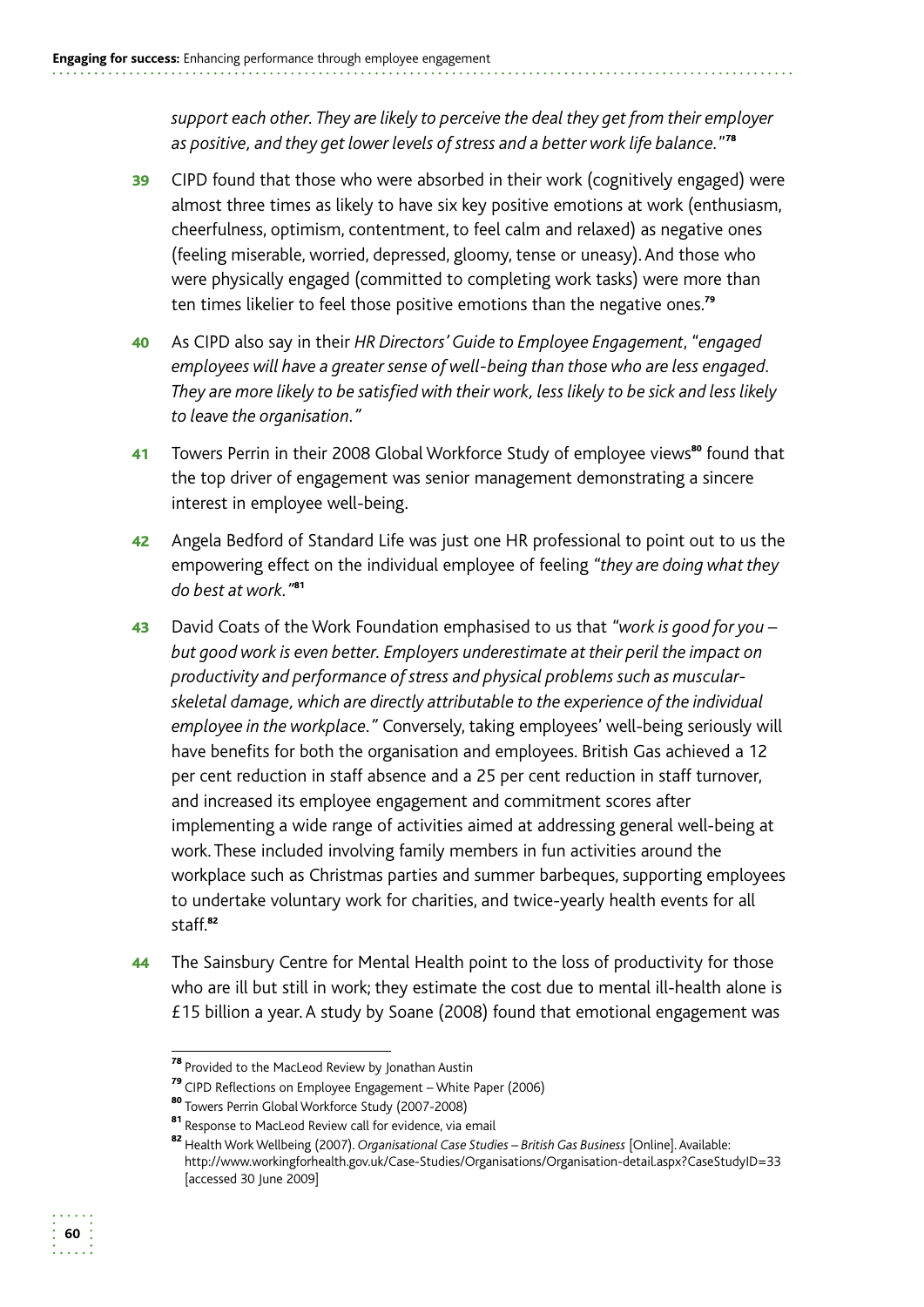*support each other. They are likely to perceive the deal they get from their employer as positive, and they get lower levels of stress and a better work life balance.*" 78

- 39 CIPD found that those who were absorbed in their work (cognitively engaged) were almost three times as likely to have six key positive emotions at work (enthusiasm, cheerfulness, optimism, contentment, to feel calm and relaxed) as negative ones (feeling miserable, worried, depressed, gloomy, tense or uneasy). And those who were physically engaged (committed to completing work tasks) were more than ten times likelier to feel those positive emotions than the negative ones.<sup>79</sup>
- 40 As CIPD also say in their *HR Directors' Guide to Employee Engagement*, *"engaged employees will have a greater sense of well-being than those who are less engaged. They are more likely to be satisfied with their work, less likely to be sick and less likely to leave the organisation."*
- 41 Towers Perrin in their 2008 Global Workforce Study of employee views<sup>80</sup> found that the top driver of engagement was senior management demonstrating a sincere interest in employee well-being.
- 42 Angela Bedford of Standard Life was just one HR professional to point out to us the empowering effect on the individual employee of feeling *"they are doing what they do best at work."*<sup>81</sup>
- 43 David Coats of the Work Foundation emphasised to us that *"work is good for you but good work is even better. Employers underestimate at their peril the impact on productivity and performance of stress and physical problems such as muscularskeletal damage, which are directly attributable to the experience of the individual employee in the workplace."* Conversely, taking employees' well-being seriously will have benefits for both the organisation and employees. British Gas achieved a 12 per cent reduction in staff absence and a 25 per cent reduction in staff turnover, and increased its employee engagement and commitment scores after implementing a wide range of activities aimed at addressing general well-being at work. These included involving family members in fun activities around the workplace such as Christmas parties and summer barbeques, supporting employees to undertake voluntary work for charities, and twice-yearly health events for all staff.<sup>82</sup>
- 44 The Sainsbury Centre for Mental Health point to the loss of productivity for those who are ill but still in work; they estimate the cost due to mental ill-health alone is £15 billion a year. A study by Soane (2008) found that emotional engagement was



<sup>&</sup>lt;sup>78</sup> Provided to the MacLeod Review by Jonathan Austin

<sup>79</sup>CIPD Reflections on Employee Engagement – White Paper (2006)

<sup>80</sup> Towers Perrin Global Workforce Study (2007-2008)

<sup>81</sup> Response to MacLeod Review call for evidence, via email

<sup>&</sup>lt;sup>82</sup> Health Work Wellbeing (2007). *Organisational Case Studies – British Gas Business [Online]. Available:* http://www.workingforhealth.gov.uk/Case-Studies/Organisations/Organisation-detail.aspx?CaseStudyID=33 [accessed 30 June 2009]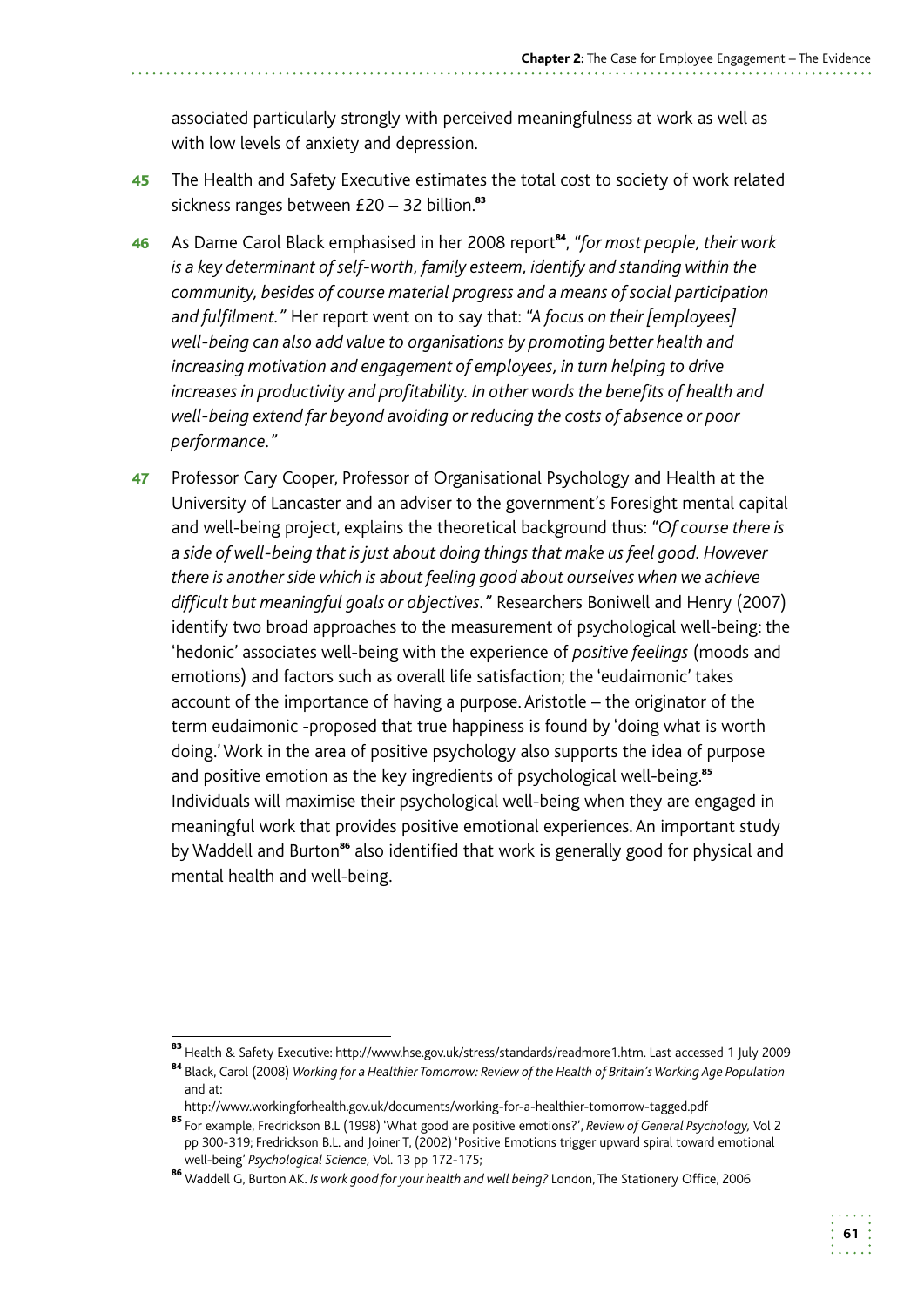associated particularly strongly with perceived meaningfulness at work as well as with low levels of anxiety and depression.

- 45 The Health and Safety Executive estimates the total cost to society of work related sickness ranges between  $£20 - 32$  billion.<sup>83</sup>
- 46 As Dame Carol Black emphasised in her 2008 report <sup>84</sup>, *"for most people, their work is a key determinant of self-worth, family esteem, identify and standing within the community, besides of course material progress and a means of social participation and fulfilment."* Her report went on to say that: *"A focus on their [employees] well-being can also add value to organisations by promoting better health and increasing motivation and engagement of employees, in turn helping to drive increases in productivity and profitability. In other words the benefits of health and well-being extend far beyond avoiding or reducing the costs of absence or poor performance."*
- 47 Professor Cary Cooper, Professor of Organisational Psychology and Health at the University of Lancaster and an adviser to the government's Foresight mental capital and well-being project, explains the theoretical background thus: *"Of course there is a side of well-being that is just about doing things that make us feel good. However there is another side which is about feeling good about ourselves when we achieve difficult but meaningful goals or objectives."* Researchers Boniwell and Henry (2007) identify two broad approaches to the measurement of psychological well-being: the 'hedonic' associates well-being with the experience of *positive feelings* (moods and emotions) and factors such as overall life satisfaction; the 'eudaimonic' takes account of the importance of having a purpose. Aristotle – the originator of the term eudaimonic -proposed that true happiness is found by 'doing what is worth doing.' Work in the area of positive psychology also supports the idea of purpose and positive emotion as the key ingredients of psychological well-being.<sup>85</sup> Individuals will maximise their psychological well-being when they are engaged in meaningful work that provides positive emotional experiences. An important study by Waddell and Burton<sup>86</sup> also identified that work is generally good for physical and mental health and well-being.

<sup>83</sup> Health & Safety Executive: http://www.hse.gov.uk/stress/standards/readmore1.htm. Last accessed 1 July 2009 84 Black, Carol (2008) *Working for a Healthier Tomorrow: Review of the Health of Britain's Working Age Population* 

 and at:

http://www.workingforhealth.gov.uk/documents/working-for-a-healthier-tomorrow-tagged.pdf

<sup>85</sup>For example, Fredrickson B.L (1998) 'What good are positive emotions?', *Review of General Psychology,* Vol 2 pp 300-319; Fredrickson B.L. and Joiner T, (2002) 'Positive Emotions trigger upward spiral toward emotional well-being' *Psychological Science,* Vol. 13 pp 172-175;

<sup>86</sup>Waddell G, Burton AK. *Is work good for your health and well being?* London, The Stationery Office, 2006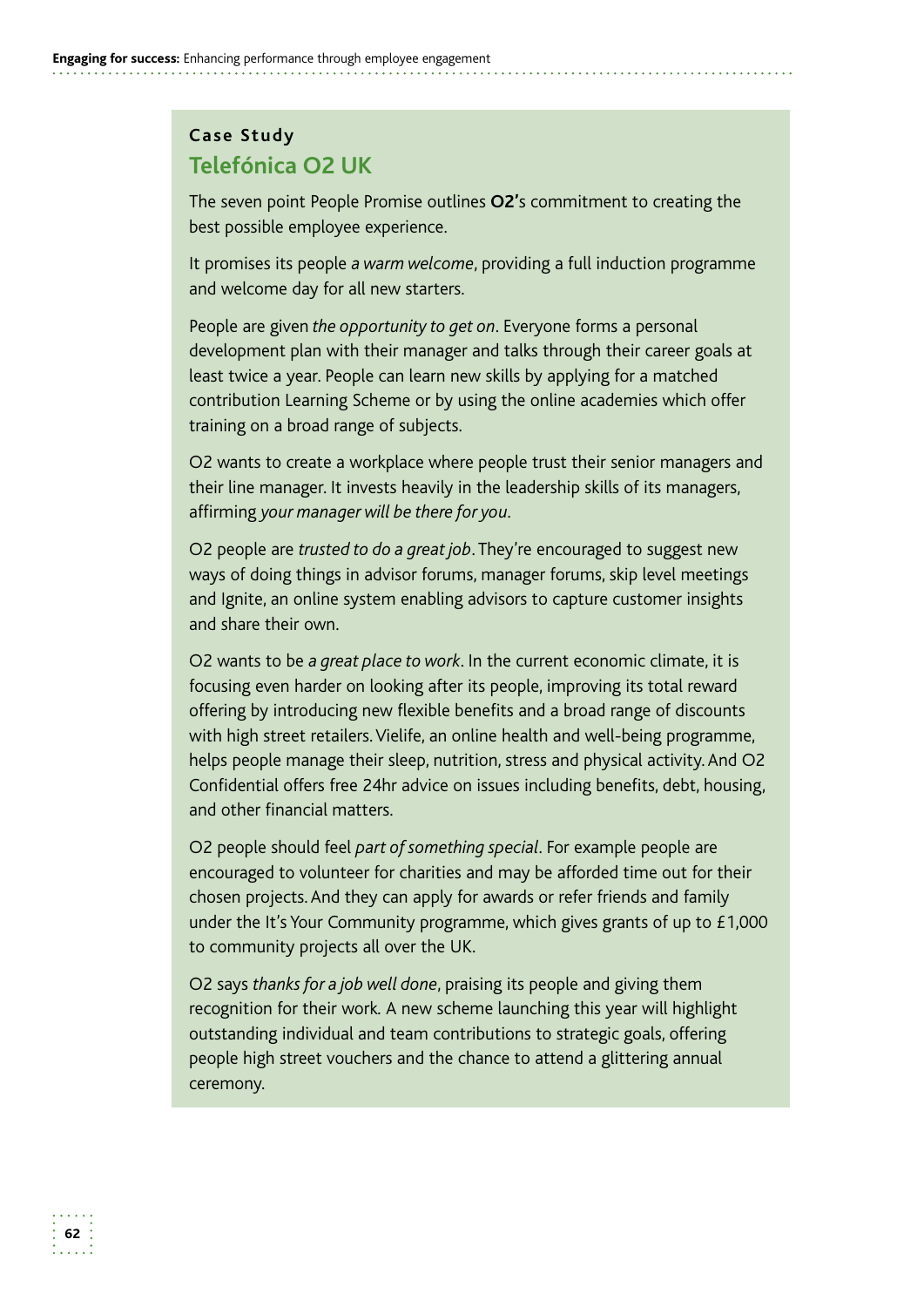# **Case Study Telefónica O2 UK**

The seven point People Promise outlines **O2'**s commitment to creating the best possible employee experience.

It promises its people *a warm welcome*, providing a full induction programme and welcome day for all new starters.

People are given *the opportunity to get on*. Everyone forms a personal development plan with their manager and talks through their career goals at least twice a year. People can learn new skills by applying for a matched contribution Learning Scheme or by using the online academies which offer training on a broad range of subjects.

O2 wants to create a workplace where people trust their senior managers and their line manager. It invests heavily in the leadership skills of its managers, affirming *your manager will be there for you.* 

O2 people are *trusted to do a great job*. They're encouraged to suggest new ways of doing things in advisor forums, manager forums, skip level meetings and Ignite, an online system enabling advisors to capture customer insights and share their own.

O2 wants to be *a great place to work*. In the current economic climate, it is focusing even harder on looking after its people, improving its total reward offering by introducing new flexible benefits and a broad range of discounts with high street retailers. Vielife, an online health and well-being programme, helps people manage their sleep, nutrition, stress and physical activity. And O2 Confidential offers free 24hr advice on issues including benefits, debt, housing, and other financial matters.

O2 people should feel *part of something special*. For example people are encouraged to volunteer for charities and may be afforded time out for their chosen projects. And they can apply for awards or refer friends and family under the It's Your Community programme, which gives grants of up to £1,000 to community projects all over the UK.

O2 says *thanks for a job well done*, praising its people and giving them recognition for their work*.* A new scheme launching this year will highlight outstanding individual and team contributions to strategic goals, offering people high street vouchers and the chance to attend a glittering annual ceremony.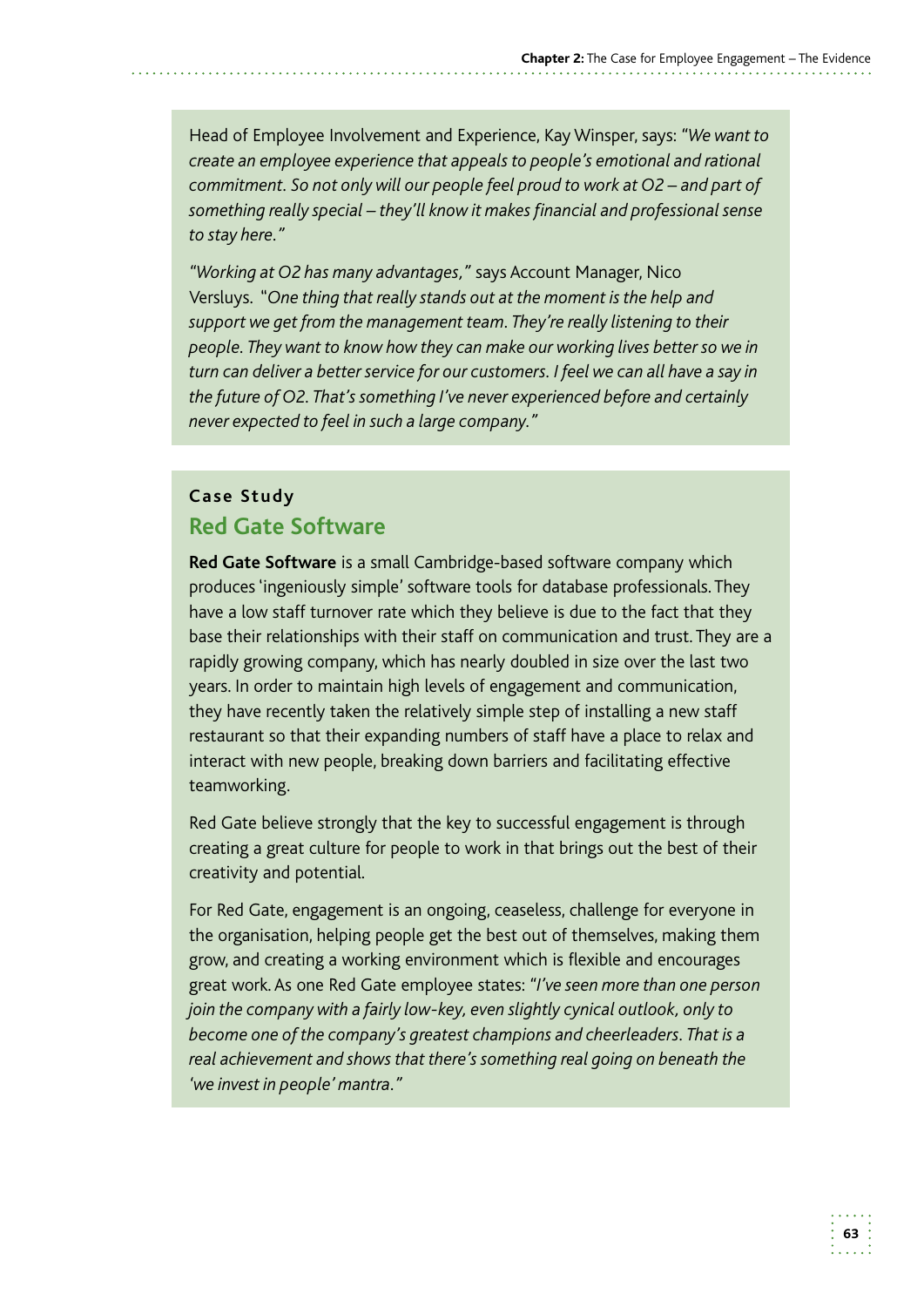Head of Employee Involvement and Experience, Kay Winsper, says: *"We want to create an employee experience that appeals to people's emotional and rational commitment. So not only will our people feel proud to work at O2 – and part of something really special – they'll know it makes financial and professional sense to stay here."* 

 Versluys. "*One thing that really stands out at the moment is the help and "Working at O2 has many advantages,"* says Account Manager, Nico *support we get from the management team. They're really listening to their people. They want to know how they can make our working lives better so we in turn can deliver a better service for our customers. I feel we can all have a say in the future of O2. That's something I've never experienced before and certainly never expected to feel in such a large company."* 

### **Case Study Red Gate Software**

**Red Gate Software** is a small Cambridge-based software company which produces 'ingeniously simple' software tools for database professionals. They have a low staff turnover rate which they believe is due to the fact that they base their relationships with their staff on communication and trust. They are a rapidly growing company, which has nearly doubled in size over the last two years. In order to maintain high levels of engagement and communication, they have recently taken the relatively simple step of installing a new staff restaurant so that their expanding numbers of staff have a place to relax and interact with new people, breaking down barriers and facilitating effective teamworking.

Red Gate believe strongly that the key to successful engagement is through creating a great culture for people to work in that brings out the best of their creativity and potential.

For Red Gate, engagement is an ongoing, ceaseless, challenge for everyone in the organisation, helping people get the best out of themselves, making them grow, and creating a working environment which is flexible and encourages great work. As one Red Gate employee states: *"I've seen more than one person join the company with a fairly low-key, even slightly cynical outlook, only to become one of the company's greatest champions and cheerleaders. That is a real achievement and shows that there's something real going on beneath the 'we invest in people' mantra."*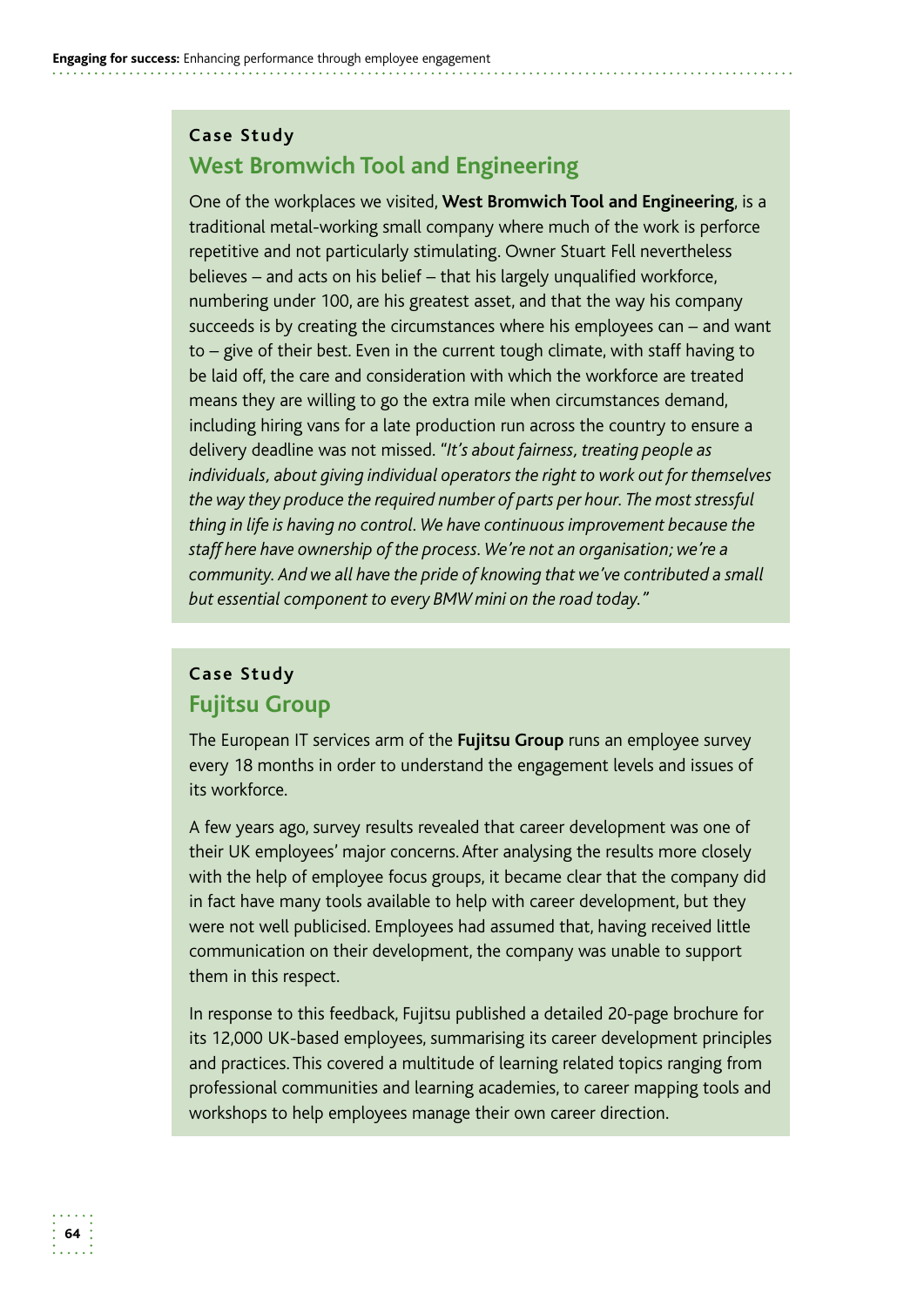### **Case Study West Bromwich Tool and Engineering**

One of the workplaces we visited, **West Bromwich Tool and Engineering**, is a traditional metal-working small company where much of the work is perforce repetitive and not particularly stimulating. Owner Stuart Fell nevertheless believes – and acts on his belief – that his largely unqualified workforce, numbering under 100, are his greatest asset, and that the way his company succeeds is by creating the circumstances where his employees can – and want to – give of their best. Even in the current tough climate, with staff having to be laid off, the care and consideration with which the workforce are treated means they are willing to go the extra mile when circumstances demand, including hiring vans for a late production run across the country to ensure a delivery deadline was not missed. *"It's about fairness, treating people as individuals, about giving individual operators the right to work out for themselves the way they produce the required number of parts per hour. The most stressful thing in life is having no control. We have continuous improvement because the staff here have ownership of the process. We're not an organisation; we're a community. And we all have the pride of knowing that we've contributed a small but essential component to every BMW mini on the road today."* 

### **Case Study Fujitsu Group**

The European IT services arm of the **Fujitsu Group** runs an employee survey every 18 months in order to understand the engagement levels and issues of its workforce.

A few years ago, survey results revealed that career development was one of their UK employees' major concerns. After analysing the results more closely with the help of employee focus groups, it became clear that the company did in fact have many tools available to help with career development, but they were not well publicised. Employees had assumed that, having received little communication on their development, the company was unable to support them in this respect.

In response to this feedback, Fujitsu published a detailed 20-page brochure for its 12,000 UK-based employees, summarising its career development principles and practices. This covered a multitude of learning related topics ranging from professional communities and learning academies, to career mapping tools and workshops to help employees manage their own career direction.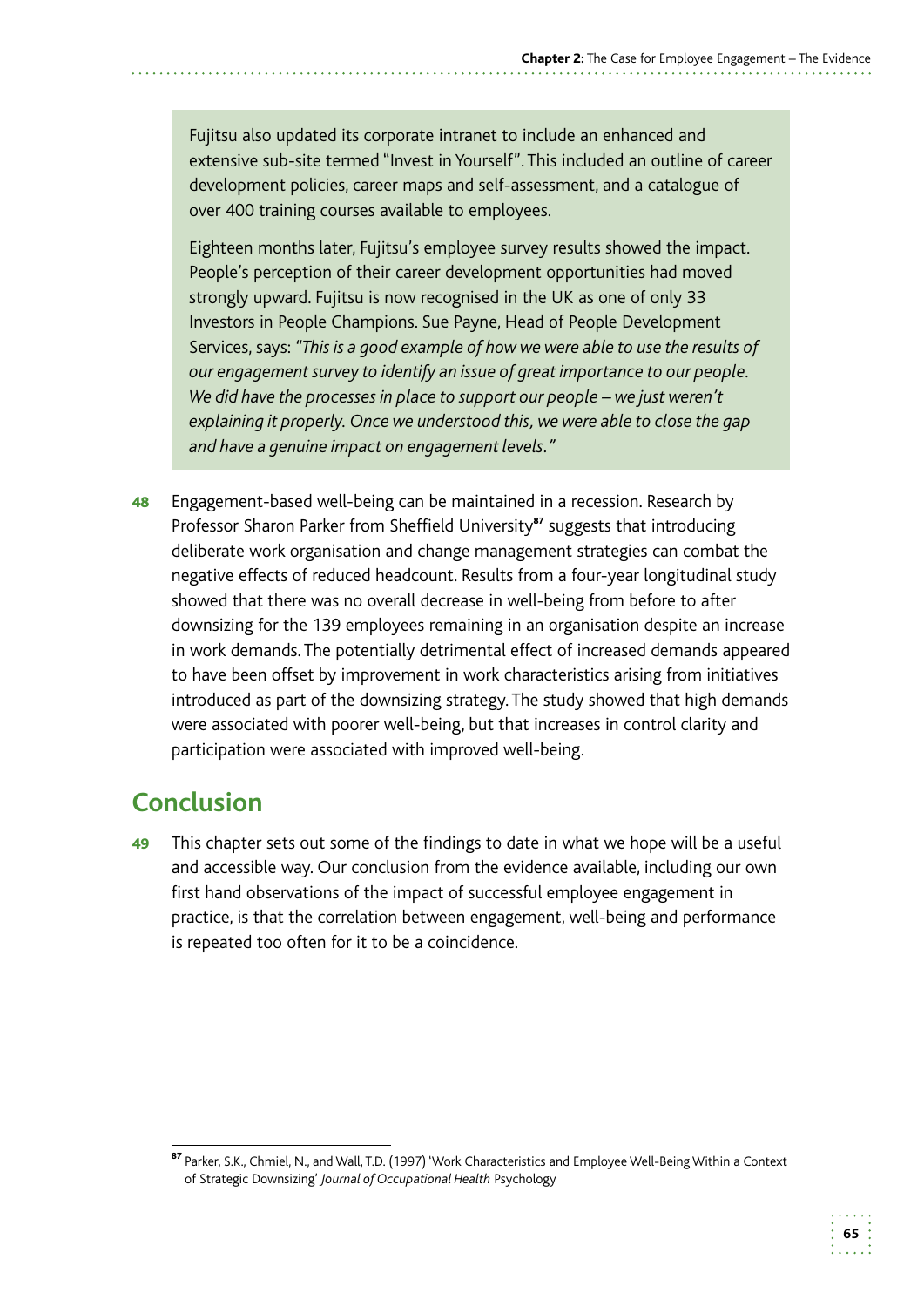Fujitsu also updated its corporate intranet to include an enhanced and extensive sub-site termed "Invest in Yourself". This included an outline of career development policies, career maps and self-assessment, and a catalogue of over 400 training courses available to employees.

Eighteen months later, Fujitsu's employee survey results showed the impact. People's perception of their career development opportunities had moved strongly upward. Fujitsu is now recognised in the UK as one of only 33 Investors in People Champions. Sue Payne, Head of People Development Services, says: *"This is a good example of how we were able to use the results of our engagement survey to identify an issue of great importance to our people. We did have the processes in place to support our people – we just weren't explaining it properly. Once we understood this, we were able to close the gap and have a genuine impact on engagement levels."* 

48 Engagement-based well-being can be maintained in a recession. Research by Professor Sharon Parker from Sheffield University<sup>87</sup> suggests that introducing deliberate work organisation and change management strategies can combat the negative effects of reduced headcount. Results from a four-year longitudinal study showed that there was no overall decrease in well-being from before to after downsizing for the 139 employees remaining in an organisation despite an increase in work demands. The potentially detrimental effect of increased demands appeared to have been offset by improvement in work characteristics arising from initiatives introduced as part of the downsizing strategy. The study showed that high demands were associated with poorer well-being, but that increases in control clarity and participation were associated with improved well-being.

# **Conclusion**

49 This chapter sets out some of the findings to date in what we hope will be a useful and accessible way. Our conclusion from the evidence available, including our own first hand observations of the impact of successful employee engagement in practice, is that the correlation between engagement, well-being and performance is repeated too often for it to be a coincidence.

<sup>87</sup> Parker, S.K., Chmiel, N., and Wall, T.D. (1997) 'Work Characteristics and Employee Well-Being Within a Context of Strategic Downsizing' *Journal of Occupational Health* Psychology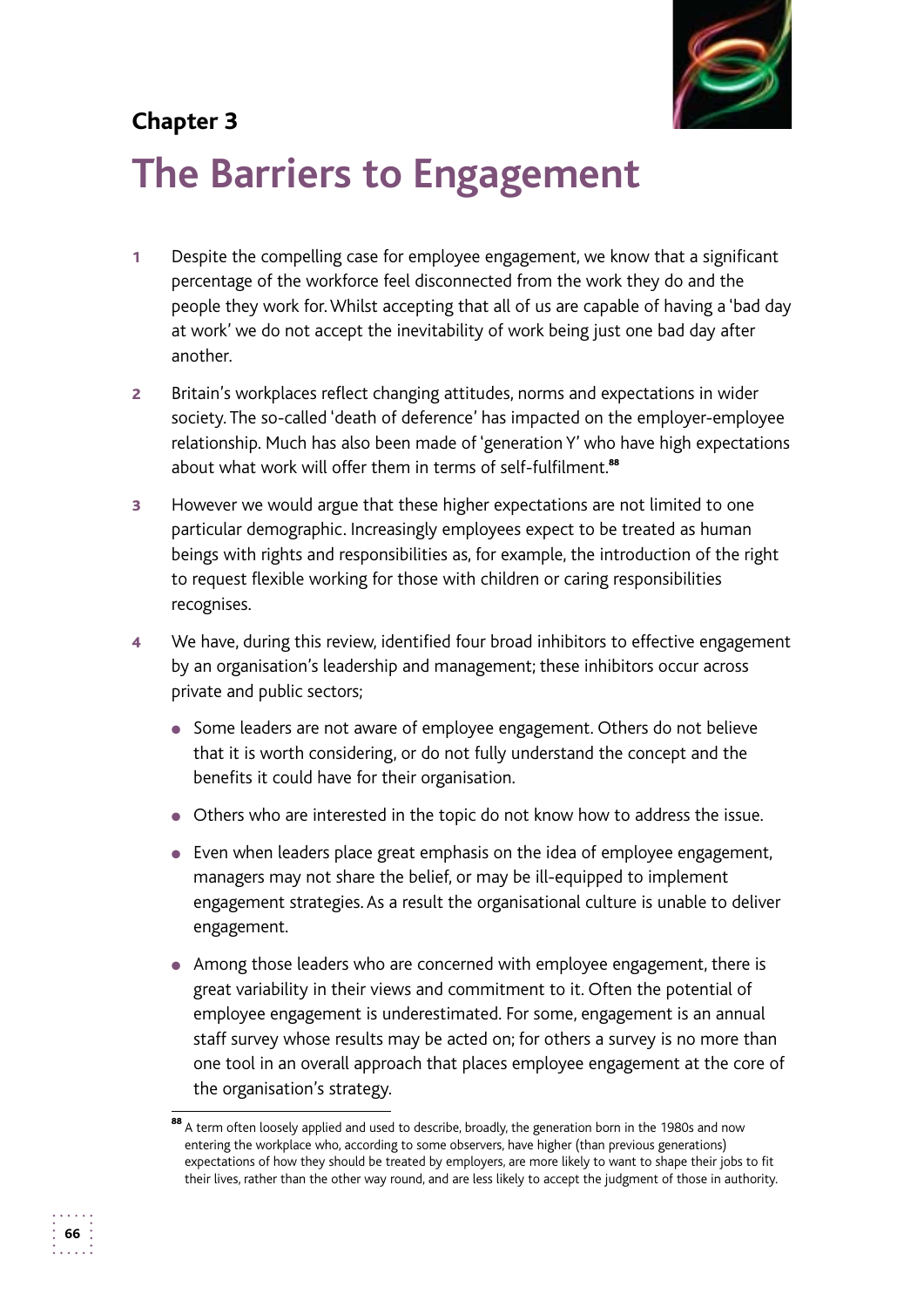# **Chapter 3**



# **The Barriers to Engagement**

- 1 Despite the compelling case for employee engagement, we know that a significant percentage of the workforce feel disconnected from the work they do and the people they work for. Whilst accepting that all of us are capable of having a 'bad day at work' we do not accept the inevitability of work being just one bad day after another.
- 2 Britain's workplaces reflect changing attitudes, norms and expectations in wider society. The so-called 'death of deference' has impacted on the employer-employee relationship. Much has also been made of 'generation Y' who have high expectations about what work will offer them in terms of self-fulfilment.<sup>88</sup>
- **3** However we would argue that these higher expectations are not limited to one particular demographic. Increasingly employees expect to be treated as human beings with rights and responsibilities as, for example, the introduction of the right to request flexible working for those with children or caring responsibilities recognises.
- 4 We have, during this review, identified four broad inhibitors to effective engagement by an organisation's leadership and management; these inhibitors occur across private and public sectors;
	- Some leaders are not aware of employee engagement. Others do not believe that it is worth considering, or do not fully understand the concept and the benefits it could have for their organisation.
	- Others who are interested in the topic do not know how to address the issue.
	- Even when leaders place great emphasis on the idea of employee engagement, managers may not share the belief, or may be ill-equipped to implement engagement strategies. As a result the organisational culture is unable to deliver engagement.
	- Among those leaders who are concerned with employee engagement, there is great variability in their views and commitment to it. Often the potential of employee engagement is underestimated. For some, engagement is an annual staff survey whose results may be acted on; for others a survey is no more than one tool in an overall approach that places employee engagement at the core of the organisation's strategy.

<sup>88</sup> A term often loosely applied and used to describe, broadly, the generation born in the 1980s and now entering the workplace who, according to some observers, have higher (than previous generations) expectations of how they should be treated by employers, are more likely to want to shape their jobs to fit their lives, rather than the other way round, and are less likely to accept the judgment of those in authority.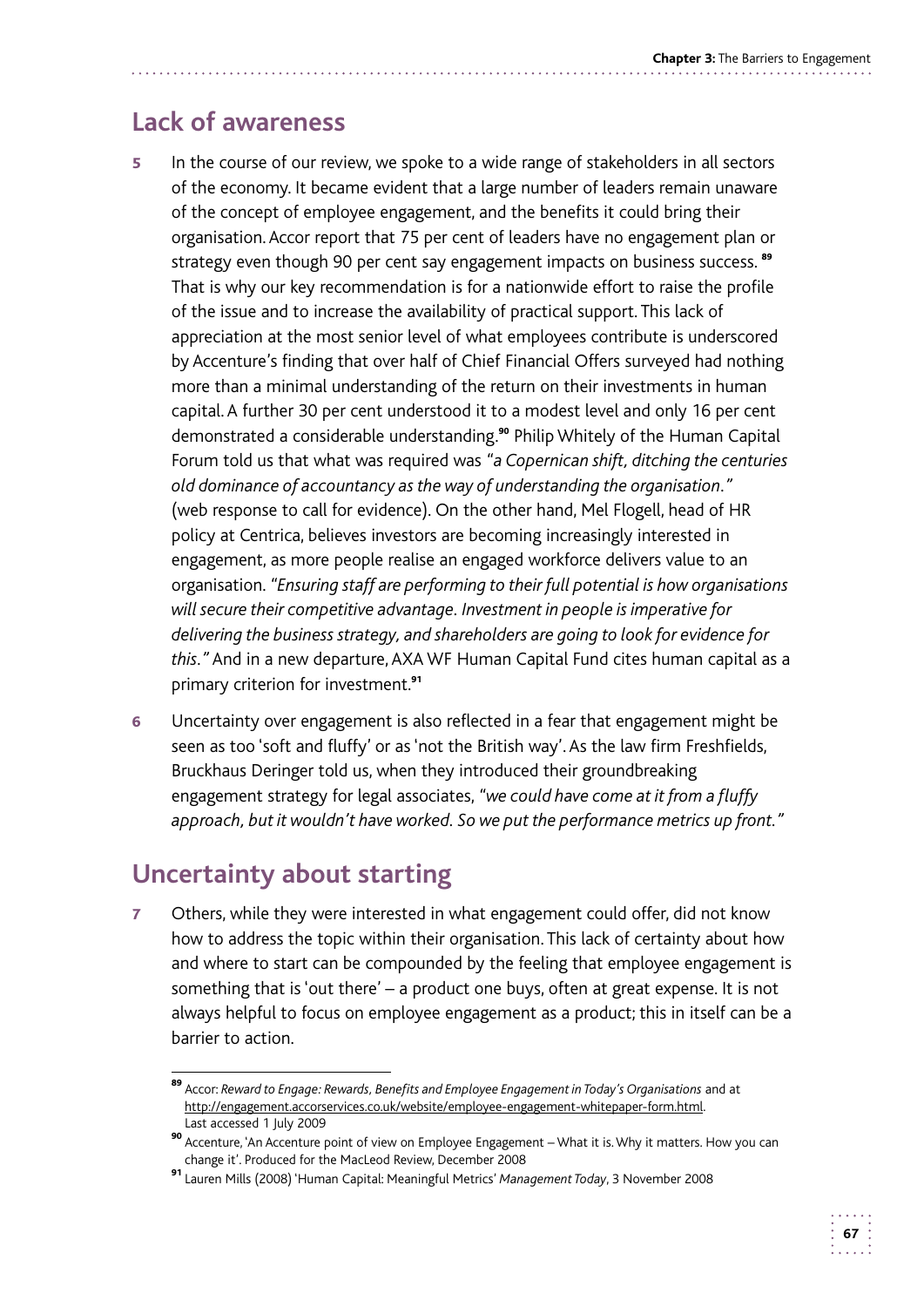# **Lack of awareness**

- capital. A further 30 per cent understood it to a modest level and only 16 per cent 5 In the course of our review, we spoke to a wide range of stakeholders in all sectors of the economy. It became evident that a large number of leaders remain unaware of the concept of employee engagement, and the benefits it could bring their organisation. Accor report that 75 per cent of leaders have no engagement plan or strategy even though 90 per cent say engagement impacts on business success.<sup>89</sup> That is why our key recommendation is for a nationwide effort to raise the profile of the issue and to increase the availability of practical support. This lack of appreciation at the most senior level of what employees contribute is underscored by Accenture's finding that over half of Chief Financial Offers surveyed had nothing more than a minimal understanding of the return on their investments in human demonstrated a considerable understanding.<sup>90</sup> Philip Whitely of the Human Capital Forum told us that what was required was *"a Copernican shift, ditching the centuries old dominance of accountancy as the way of understanding the organisation."*  (web response to call for evidence). On the other hand, Mel Flogell, head of HR policy at Centrica, believes investors are becoming increasingly interested in engagement, as more people realise an engaged workforce delivers value to an organisation. *"Ensuring staff are performing to their full potential is how organisations will secure their competitive advantage. Investment in people is imperative for delivering the business strategy, and shareholders are going to look for evidence for this."* And in a new departure, AXA WF Human Capital Fund cites human capital as a primary criterion for investment.<sup>91</sup>
- 6 Uncertainty over engagement is also reflected in a fear that engagement might be seen as too 'soft and fluffy' or as 'not the British way'. As the law firm Freshfields, Bruckhaus Deringer told us, when they introduced their groundbreaking engagement strategy for legal associates, *"we could have come at it from a fluffy approach, but it wouldn't have worked. So we put the performance metrics up front."*

# **Uncertainty about starting**

7 Others, while they were interested in what engagement could offer, did not know how to address the topic within their organisation. This lack of certainty about how and where to start can be compounded by the feeling that employee engagement is something that is 'out there' – a product one buys, often at great expense. It is not always helpful to focus on employee engagement as a product; this in itself can be a barrier to action.

<sup>89</sup> Accor: *Reward to Engage: Rewards, Benefits and Employee Engagement in Today's Organisations* and at http://engagement.accorservices.co.uk/website/employee-engagement-whitepaper-form.html. Last accessed 1 July 2009

<sup>90</sup> Accenture, 'An Accenture point of view on Employee Engagement – What it is. Why it matters. How you can change it'. Produced for the MacLeod Review, December 2008

<sup>91</sup>Lauren Mills (2008) 'Human Capital: Meaningful Metrics' *Management Today*, 3 November 2008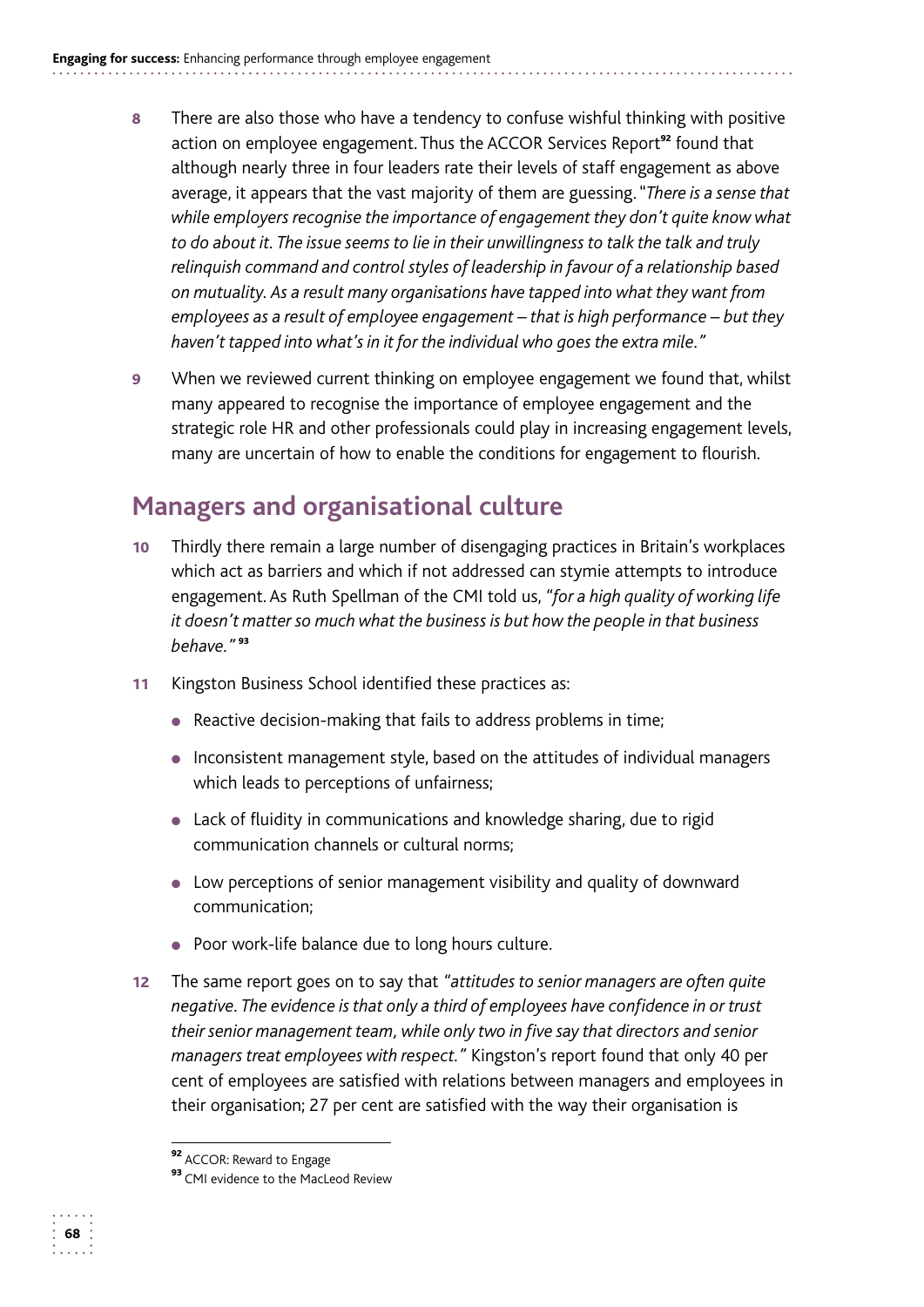- 8 There are also those who have a tendency to confuse wishful thinking with positive action on employee engagement. Thus the ACCOR Services Report<sup>92</sup> found that although nearly three in four leaders rate their levels of staff engagement as above average, it appears that the vast majority of them are guessing. "*There is a sense that while employers recognise the importance of engagement they don't quite know what to do about it. The issue seems to lie in their unwillingness to talk the talk and truly relinquish command and control styles of leadership in favour of a relationship based on mutuality. As a result many organisations have tapped into what they want from employees as a result of employee engagement – that is high performance – but they haven't tapped into what's in it for the individual who goes the extra mile."*
- **9** When we reviewed current thinking on employee engagement we found that, whilst many appeared to recognise the importance of employee engagement and the strategic role HR and other professionals could play in increasing engagement levels, many are uncertain of how to enable the conditions for engagement to flourish.

# **Managers and organisational culture**

- 10 Thirdly there remain a large number of disengaging practices in Britain's workplaces which act as barriers and which if not addressed can stymie attempts to introduce engagement. As Ruth Spellman of the CMI told us, *"for a high quality of working life it doesn't matter so much what the business is but how the people in that business behave."* <sup>93</sup>
- 11 Kingston Business School identified these practices as:
	- Reactive decision-making that fails to address problems in time;
	- Inconsistent management style, based on the attitudes of individual managers which leads to perceptions of unfairness;
	- Lack of fluidity in communications and knowledge sharing, due to rigid communication channels or cultural norms;
	- Low perceptions of senior management visibility and quality of downward communication;
	- Poor work-life balance due to long hours culture.
- 12 The same report goes on to say that *"attitudes to senior managers are often quite negative. The evidence is that only a third of employees have confidence in or trust their senior management team, while only two in five say that directors and senior managers treat employees with respect."* Kingston's report found that only 40 per cent of employees are satisfied with relations between managers and employees in their organisation; 27 per cent are satisfied with the way their organisation is

<sup>92</sup> ACCOR: Reward to Engage

<sup>93</sup> CMI evidence to the MacLeod Review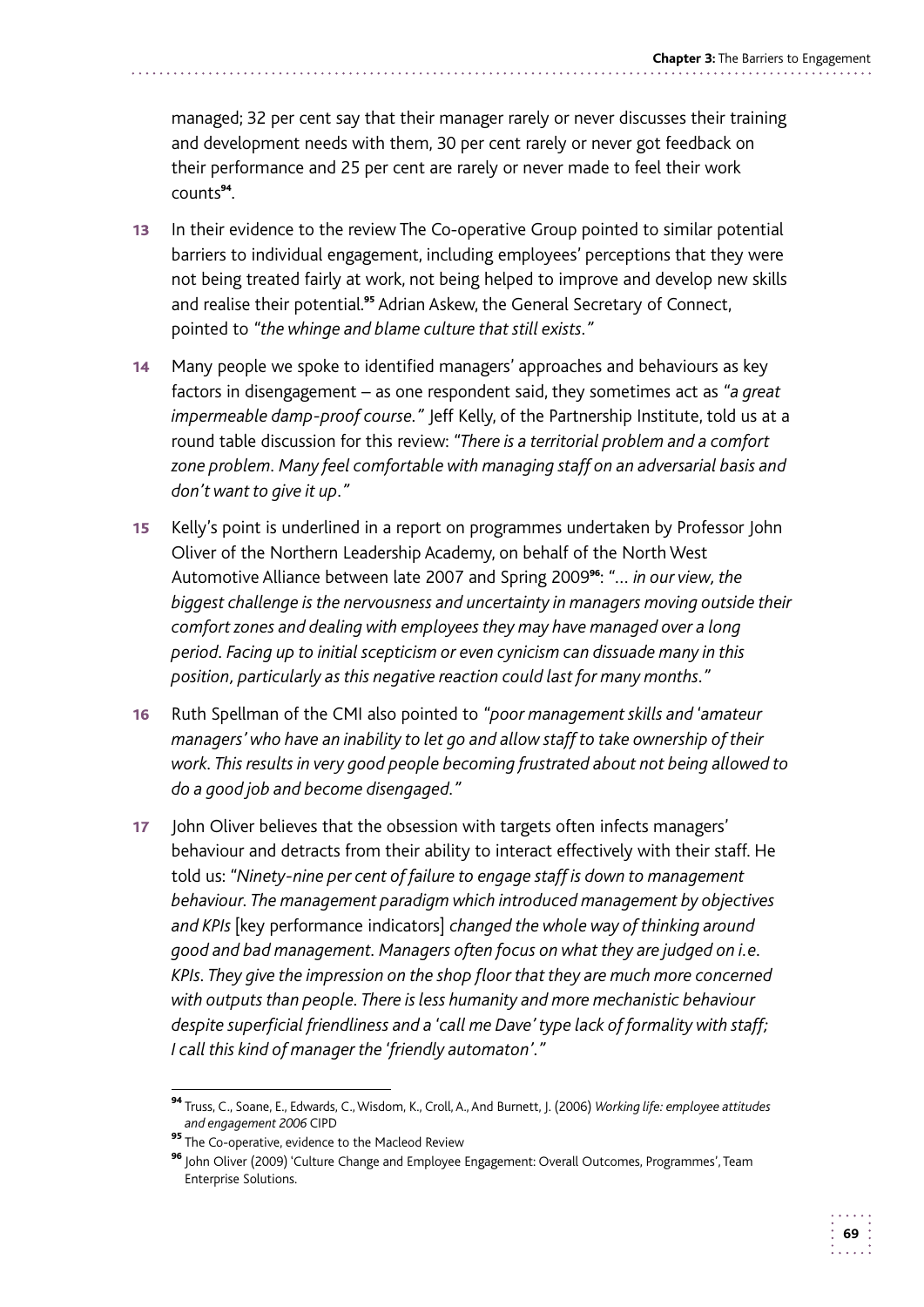managed; 32 per cent say that their manager rarely or never discusses their training and development needs with them, 30 per cent rarely or never got feedback on their performance and 25 per cent are rarely or never made to feel their work counts<sup>94</sup>.

- 13 In their evidence to the review The Co-operative Group pointed to similar potential barriers to individual engagement, including employees' perceptions that they were not being treated fairly at work, not being helped to improve and develop new skills and realise their potential.<sup>95</sup> Adrian Askew, the General Secretary of Connect, pointed to *"the whinge and blame culture that still exists."*
- 14 Many people we spoke to identified managers' approaches and behaviours as key factors in disengagement – as one respondent said, they sometimes act as *"a great impermeable damp-proof course."* Jeff Kelly, of the Partnership Institute, told us at a round table discussion for this review: *"There is a territorial problem and a comfort zone problem. Many feel comfortable with managing staff on an adversarial basis and don't want to give it up."*
- 15 Kelly's point is underlined in a report on programmes undertaken by Professor John Oliver of the Northern Leadership Academy, on behalf of the North West Automotive Alliance between late 2007 and Spring 2009<sup>96</sup>: *"… in our view, the biggest challenge is the nervousness and uncertainty in managers moving outside their comfort zones and dealing with employees they may have managed over a long period. Facing up to initial scepticism or even cynicism can dissuade many in this position, particularly as this negative reaction could last for many months."*
- 16 Ruth Spellman of the CMI also pointed to *"poor management skills and 'amateur managers' who have an inability to let go and allow staff to take ownership of their work. This results in very good people becoming frustrated about not being allowed to do a good job and become disengaged."*
- 17 John Oliver believes that the obsession with targets often infects managers' behaviour and detracts from their ability to interact effectively with their staff. He told us: *"Ninety-nine per cent of failure to engage staff is down to management behaviour. The management paradigm which introduced management by objectives and KPIs* [key performance indicators] *changed the whole way of thinking around good and bad management. Managers often focus on what they are judged on i.e. KPIs. They give the impression on the shop floor that they are much more concerned with outputs than people. There is less humanity and more mechanistic behaviour despite superficial friendliness and a 'call me Dave' type lack of formality with staff; I call this kind of manager the 'friendly automaton'."*

 <sup>94</sup>Truss, C., Soane, E., Edwards, C., Wisdom, K., Croll, A., And Burnett, J. (2006) *Working life: employee attitudes and engagement 2006* CIPD

**<sup>95</sup>** The Co-operative, evidence to the Macleod Review

<sup>&</sup>lt;sup>96</sup> John Oliver (2009) 'Culture Change and Employee Engagement: Overall Outcomes, Programmes', Team Enterprise Solutions.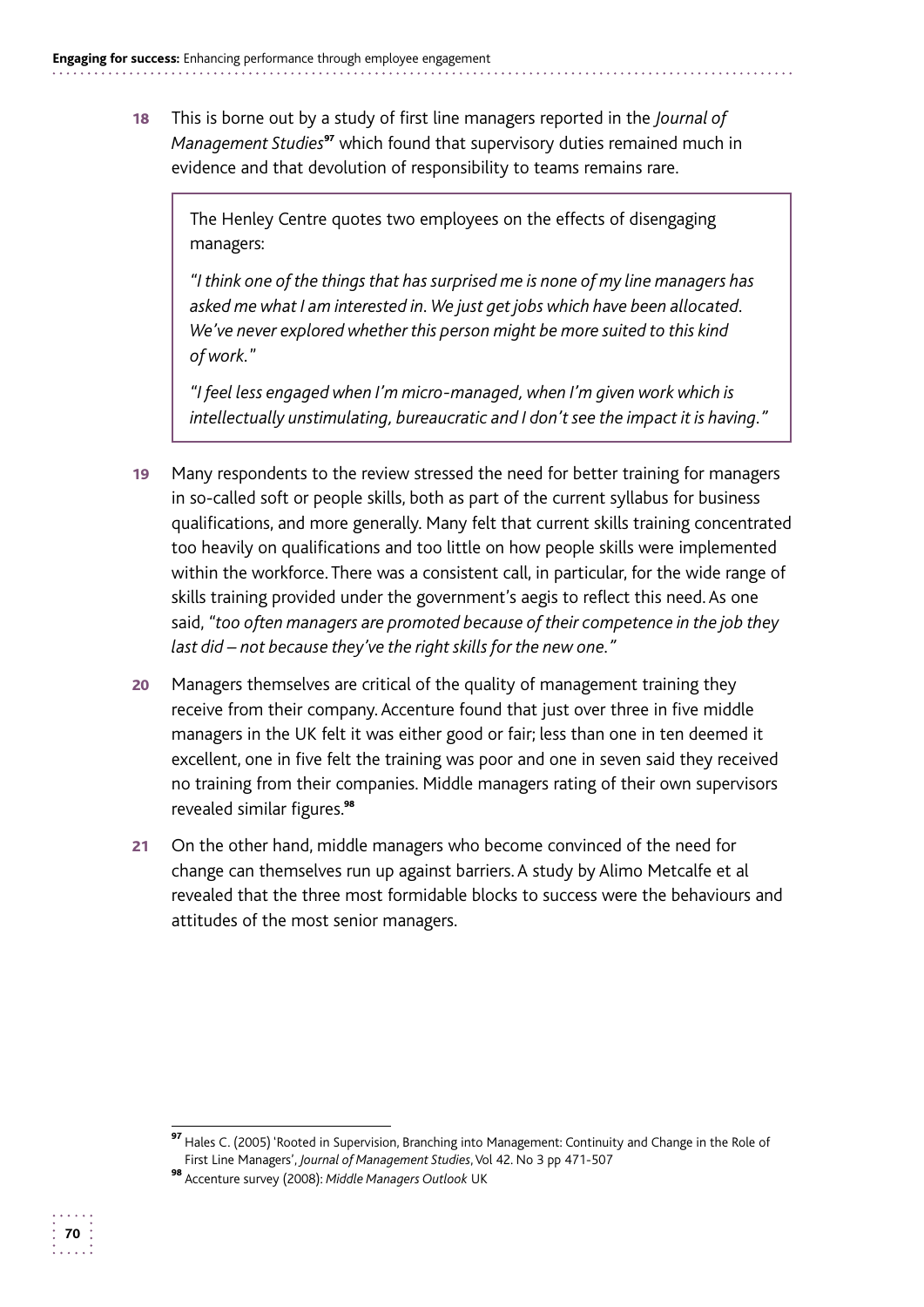18 This is borne out by a study of first line managers reported in the *Journal of Management Studies*<sup>97</sup> which found that supervisory duties remained much in evidence and that devolution of responsibility to teams remains rare.

The Henley Centre quotes two employees on the effects of disengaging managers:

*"I think one of the things that has surprised me is none of my line managers has asked me what I am interested in. We just get jobs which have been allocated. We've never explored whether this person might be more suited to this kind of work.*"

*"I feel less engaged when I'm micro-managed, when I'm given work which is intellectually unstimulating, bureaucratic and I don't see the impact it is having."* 

- 19 Many respondents to the review stressed the need for better training for managers in so-called soft or people skills, both as part of the current syllabus for business qualifications, and more generally. Many felt that current skills training concentrated too heavily on qualifications and too little on how people skills were implemented within the workforce. There was a consistent call, in particular, for the wide range of skills training provided under the government's aegis to reflect this need. As one said, *"too often managers are promoted because of their competence in the job they last did – not because they've the right skills for the new one."*
- 20 Managers themselves are critical of the quality of management training they receive from their company. Accenture found that just over three in five middle managers in the UK felt it was either good or fair; less than one in ten deemed it excellent, one in five felt the training was poor and one in seven said they received no training from their companies. Middle managers rating of their own supervisors revealed similar figures.<sup>98</sup>
- 21 On the other hand, middle managers who become convinced of the need for change can themselves run up against barriers. A study by Alimo Metcalfe et al revealed that the three most formidable blocks to success were the behaviours and attitudes of the most senior managers.

<sup>97</sup> Hales C. (2005) 'Rooted in Supervision, Branching into Management: Continuity and Change in the Role of First Line Managers', *Journal of Management Studies*, Vol 42. No 3 pp 471-507

**<sup>98</sup>** Accenture survey (2008): Middle Managers Outlook UK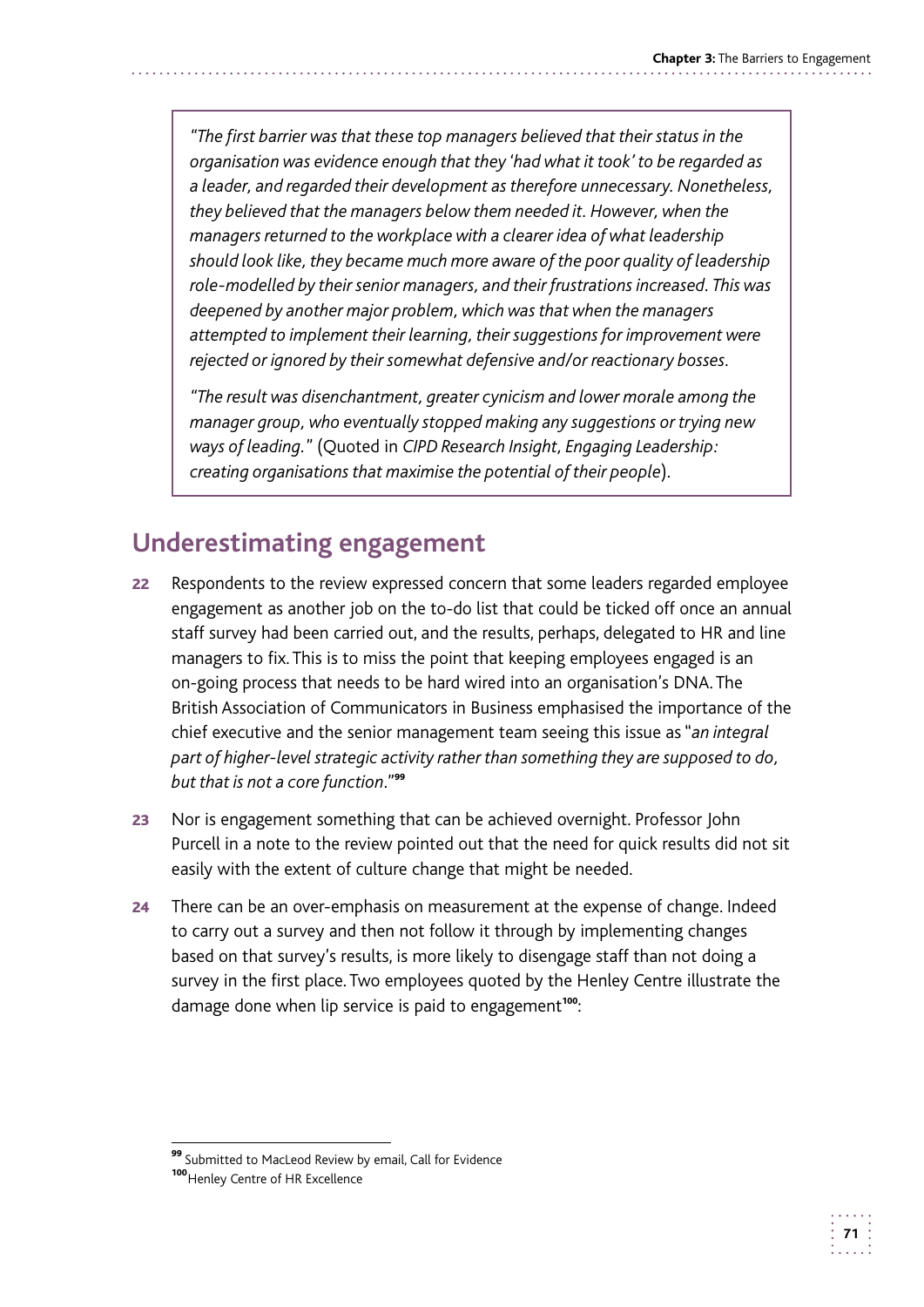*"The first barrier was that these top managers believed that their status in the organisation was evidence enough that they 'had what it took' to be regarded as a leader, and regarded their development as therefore unnecessary. Nonetheless, they believed that the managers below them needed it. However, when the managers returned to the workplace with a clearer idea of what leadership should look like, they became much more aware of the poor quality of leadership role-modelled by their senior managers, and their frustrations increased. This was deepened by another major problem, which was that when the managers attempted to implement their learning, their suggestions for improvement were rejected or ignored by their somewhat defensive and/or reactionary bosses.* 

*"The result was disenchantment, greater cynicism and lower morale among the manager group, who eventually stopped making any suggestions or trying new ways of leading.*" (Quoted in *CIPD Research Insight, Engaging Leadership: creating organisations that maximise the potential of their people*).

# **Underestimating engagement**

- 22 Respondents to the review expressed concern that some leaders regarded employee engagement as another job on the to-do list that could be ticked off once an annual staff survey had been carried out, and the results, perhaps, delegated to HR and line managers to fix. This is to miss the point that keeping employees engaged is an on-going process that needs to be hard wired into an organisation's DNA. The British Association of Communicators in Business emphasised the importance of the chief executive and the senior management team seeing this issue as "*an integral part of higher-level strategic activity rather than something they are supposed to do, but that is not a core function*."<sup>99</sup>
- 23 Nor is engagement something that can be achieved overnight. Professor John Purcell in a note to the review pointed out that the need for quick results did not sit easily with the extent of culture change that might be needed.
- 24 There can be an over-emphasis on measurement at the expense of change. Indeed to carry out a survey and then not follow it through by implementing changes based on that survey's results, is more likely to disengage staff than not doing a survey in the first place. Two employees quoted by the Henley Centre illustrate the damage done when lip service is paid to engagement<sup>100</sup>:

<sup>99</sup> Submitted to MacLeod Review by email, Call for Evidence

<sup>100</sup> Henley Centre of HR Excellence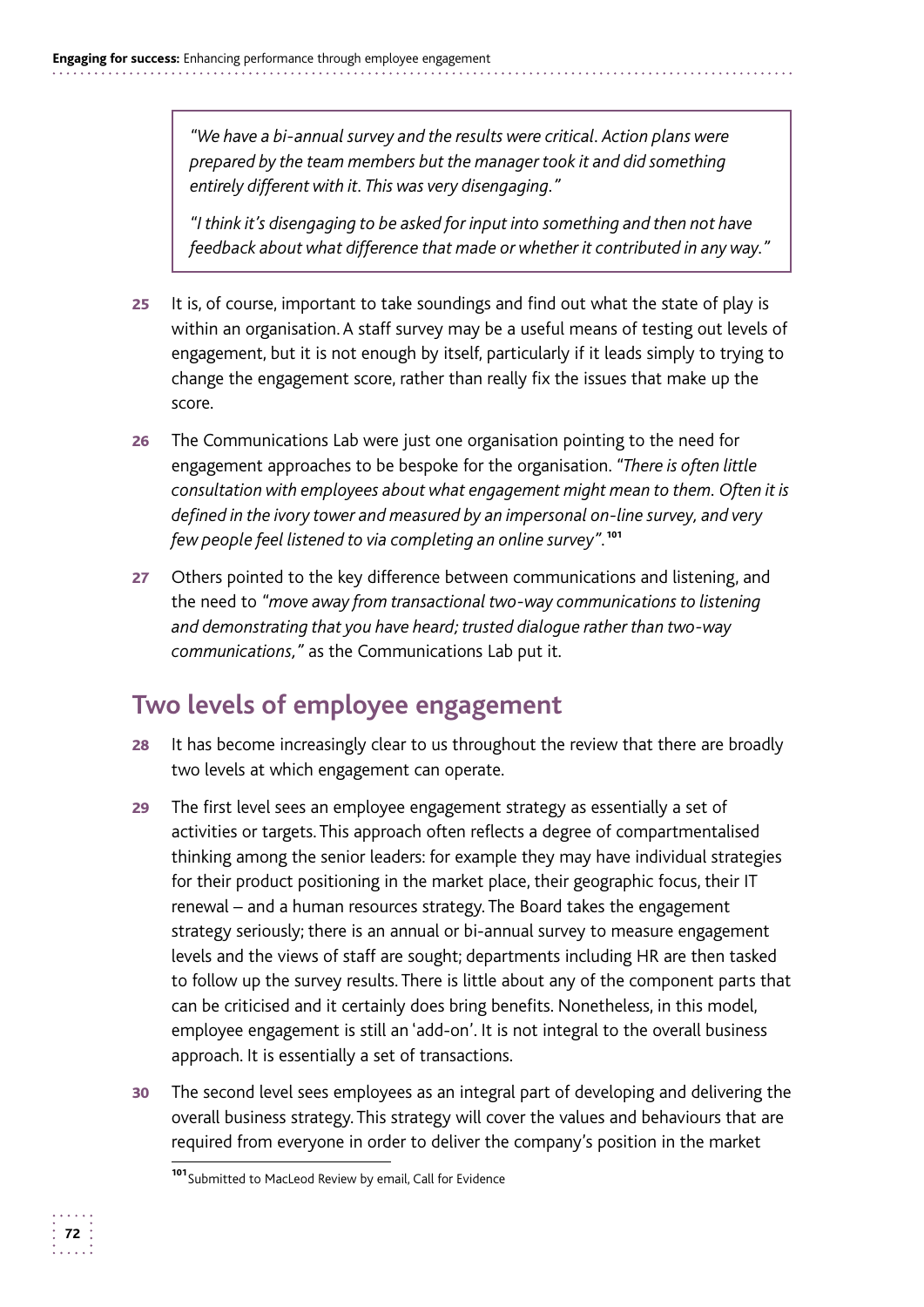*"We have a bi-annual survey and the results were critical. Action plans were prepared by the team members but the manager took it and did something entirely different with it. This was very disengaging."* 

*"I think it's disengaging to be asked for input into something and then not have feedback about what difference that made or whether it contributed in any way."* 

- 25 It is, of course, important to take soundings and find out what the state of play is within an organisation. A staff survey may be a useful means of testing out levels of engagement, but it is not enough by itself, particularly if it leads simply to trying to change the engagement score, rather than really fix the issues that make up the score.
- **26** The Communications Lab were just one organisation pointing to the need for engagement approaches to be bespoke for the organisation. *"There is often little consultation with employees about what engagement might mean to them. Often it is defined in the ivory tower and measured by an impersonal on-line survey, and very few people feel listened to via completing an online survey".*<sup>101</sup>
- 27 Others pointed to the key difference between communications and listening, and the need to *"move away from transactional two-way communications to listening and demonstrating that you have heard; trusted dialogue rather than two-way communications,"* as the Communications Lab put it.

#### **Two levels of employee engagement**

- 28 It has become increasingly clear to us throughout the review that there are broadly two levels at which engagement can operate.
- 29 The first level sees an employee engagement strategy as essentially a set of activities or targets. This approach often reflects a degree of compartmentalised thinking among the senior leaders: for example they may have individual strategies for their product positioning in the market place, their geographic focus, their IT renewal – and a human resources strategy. The Board takes the engagement strategy seriously; there is an annual or bi-annual survey to measure engagement levels and the views of staff are sought; departments including HR are then tasked to follow up the survey results. There is little about any of the component parts that can be criticised and it certainly does bring benefits. Nonetheless, in this model, employee engagement is still an 'add-on'. It is not integral to the overall business approach. It is essentially a set of transactions.
- **30** The second level sees employees as an integral part of developing and delivering the overall business strategy. This strategy will cover the values and behaviours that are required from everyone in order to deliver the company's position in the market

<sup>101</sup> Submitted to MacLeod Review by email, Call for Evidence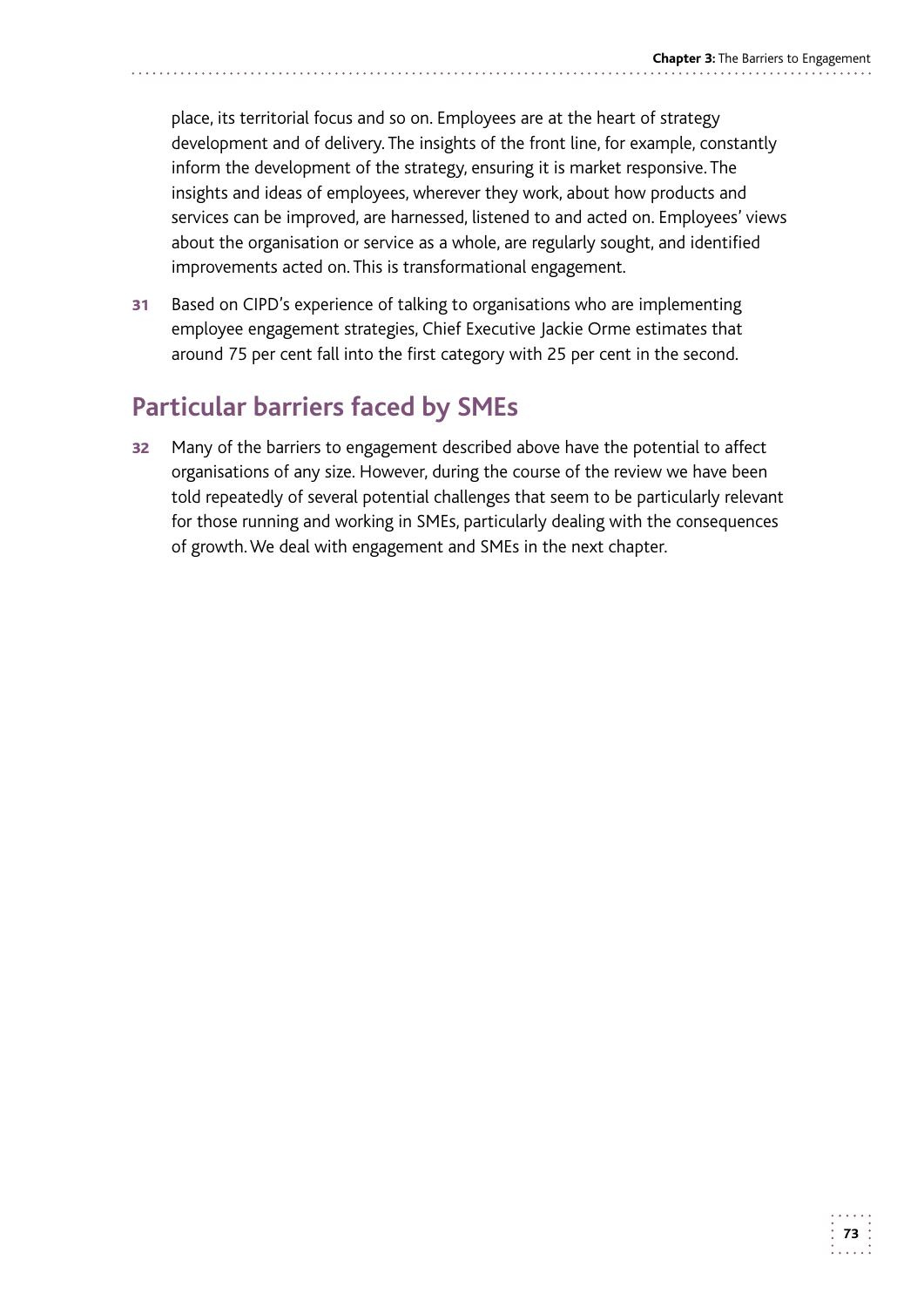place, its territorial focus and so on. Employees are at the heart of strategy development and of delivery. The insights of the front line, for example, constantly inform the development of the strategy, ensuring it is market responsive. The insights and ideas of employees, wherever they work, about how products and services can be improved, are harnessed, listened to and acted on. Employees' views about the organisation or service as a whole, are regularly sought, and identified improvements acted on. This is transformational engagement.

31 Based on CIPD's experience of talking to organisations who are implementing employee engagement strategies, Chief Executive Jackie Orme estimates that around 75 per cent fall into the first category with 25 per cent in the second.

# **Particular barriers faced by SMEs**

32 Many of the barriers to engagement described above have the potential to affect organisations of any size. However, during the course of the review we have been told repeatedly of several potential challenges that seem to be particularly relevant for those running and working in SMEs, particularly dealing with the consequences of growth. We deal with engagement and SMEs in the next chapter.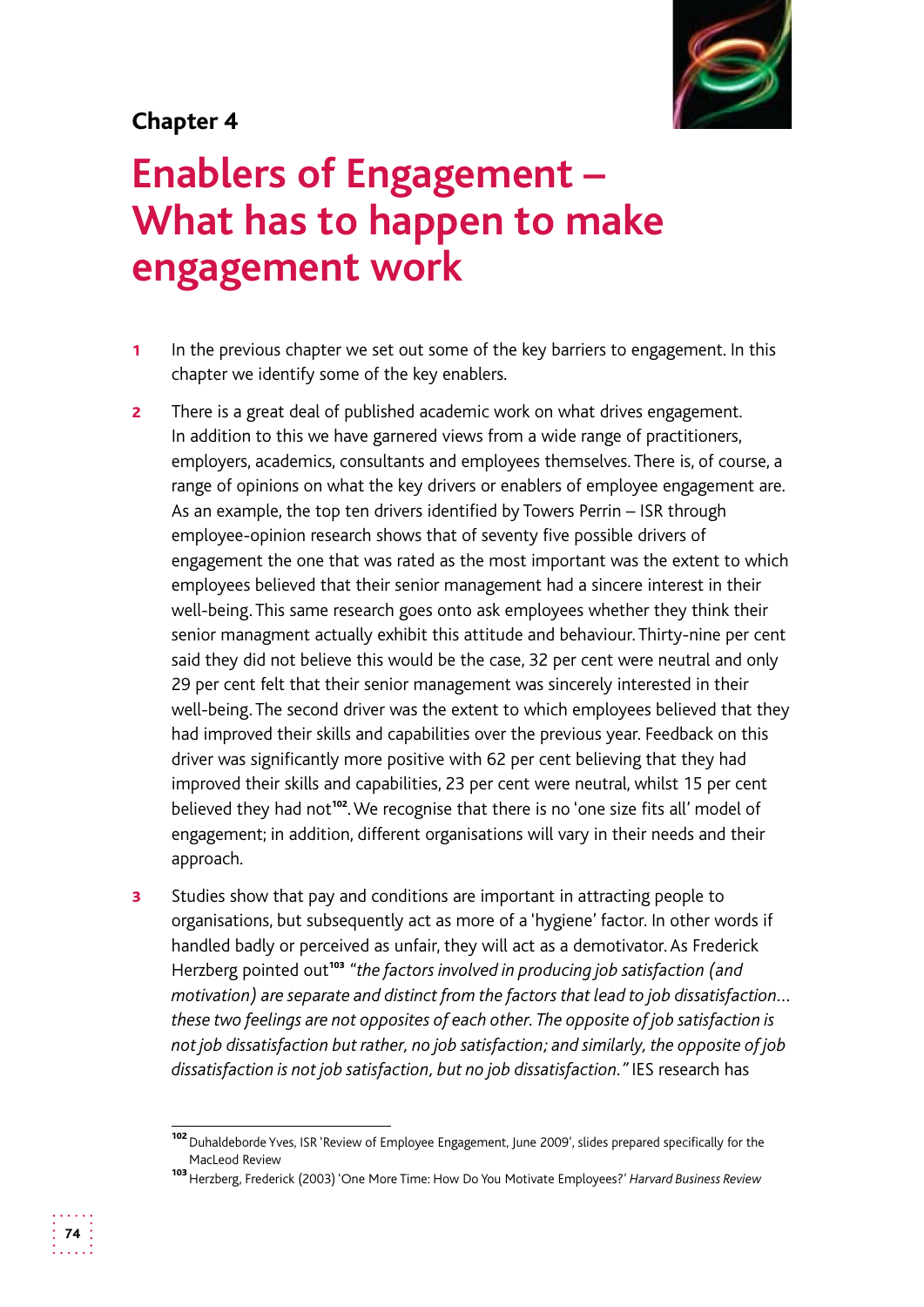#### **Chapter 4**

# **Enablers of Engagement – What has to happen to make engagement work**

- 1 In the previous chapter we set out some of the key barriers to engagement. In this chapter we identify some of the key enablers.
- **2** There is a great deal of published academic work on what drives engagement. In addition to this we have garnered views from a wide range of practitioners, employers, academics, consultants and employees themselves. There is, of course, a range of opinions on what the key drivers or enablers of employee engagement are. As an example, the top ten drivers identified by Towers Perrin – ISR through employee-opinion research shows that of seventy five possible drivers of engagement the one that was rated as the most important was the extent to which employees believed that their senior management had a sincere interest in their well-being. This same research goes onto ask employees whether they think their senior managment actually exhibit this attitude and behaviour. Thirty-nine per cent said they did not believe this would be the case, 32 per cent were neutral and only 29 per cent felt that their senior management was sincerely interested in their well-being. The second driver was the extent to which employees believed that they had improved their skills and capabilities over the previous year. Feedback on this driver was significantly more positive with 62 per cent believing that they had improved their skills and capabilities, 23 per cent were neutral, whilst 15 per cent believed they had not<sup>102</sup>. We recognise that there is no 'one size fits all' model of engagement; in addition, different organisations will vary in their needs and their approach.
- **3** Studies show that pay and conditions are important in attracting people to organisations, but subsequently act as more of a 'hygiene' factor. In other words if handled badly or perceived as unfair, they will act as a demotivator. As Frederick Herzberg pointed out<sup>103</sup> "the factors involved in producing job satisfaction (and *motivation) are separate and distinct from the factors that lead to job dissatisfaction… these two feelings are not opposites of each other. The opposite of job satisfaction is not job dissatisfaction but rather, no job satisfaction; and similarly, the opposite of job dissatisfaction is not job satisfaction, but no job dissatisfaction."* IES research has

<sup>102</sup> Duhaldeborde Yves, ISR 'Review of Employee Engagement, June 2009', slides prepared specifically for the MacLeod Review

<sup>103</sup>Herzberg, Frederick (2003) 'One More Time: How Do You Motivate Employees?' *Harvard Business Review*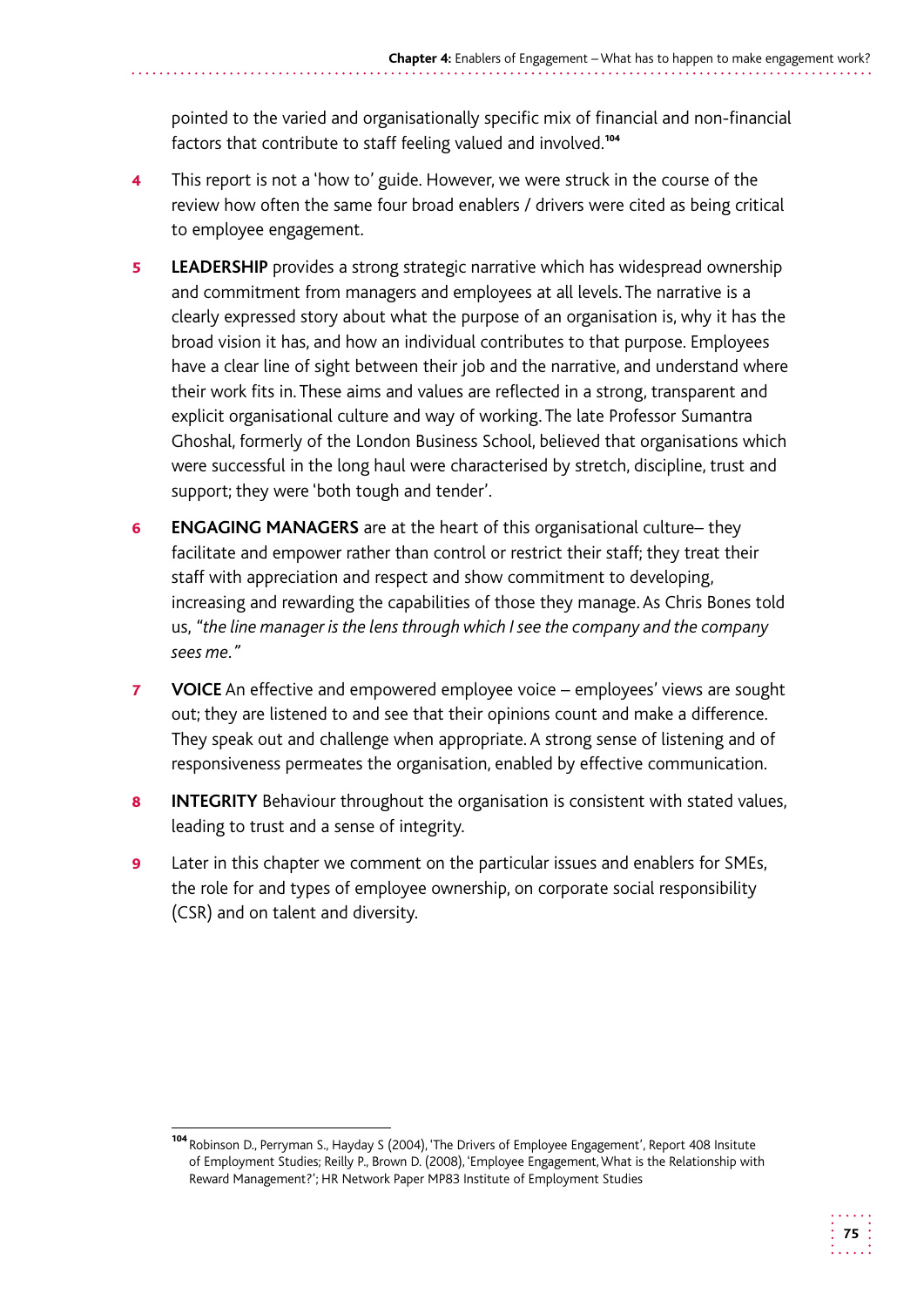pointed to the varied and organisationally specific mix of financial and non-financial factors that contribute to staff feeling valued and involved.<sup>104</sup>

- 4 This report is not a 'how to' guide. However, we were struck in the course of the review how often the same four broad enablers / drivers were cited as being critical to employee engagement.
- **5** LEADERSHIP provides a strong strategic narrative which has widespread ownership and commitment from managers and employees at all levels. The narrative is a clearly expressed story about what the purpose of an organisation is, why it has the broad vision it has, and how an individual contributes to that purpose. Employees have a clear line of sight between their job and the narrative, and understand where their work fits in. These aims and values are reflected in a strong, transparent and explicit organisational culture and way of working. The late Professor Sumantra Ghoshal, formerly of the London Business School, believed that organisations which were successful in the long haul were characterised by stretch, discipline, trust and support; they were 'both tough and tender'.
- 6 **ENGAGING MANAGERS** are at the heart of this organisational culture– they facilitate and empower rather than control or restrict their staff; they treat their staff with appreciation and respect and show commitment to developing, increasing and rewarding the capabilities of those they manage. As Chris Bones told us, *"the line manager is the lens through which I see the company and the company sees me."*
- **7 VOICE** An effective and empowered employee voice employees' views are sought out; they are listened to and see that their opinions count and make a difference. They speak out and challenge when appropriate. A strong sense of listening and of responsiveness permeates the organisation, enabled by effective communication.
- 8 **INTEGRITY** Behaviour throughout the organisation is consistent with stated values, leading to trust and a sense of integrity.
- **9** Later in this chapter we comment on the particular issues and enablers for SMEs, the role for and types of employee ownership, on corporate social responsibility (CSR) and on talent and diversity.

<sup>104</sup> Robinson D., Perryman S., Hayday S (2004), 'The Drivers of Employee Engagement', Report 408 Insitute of Employment Studies; Reilly P., Brown D. (2008), 'Employee Engagement, What is the Relationship with Reward Management?'; HR Network Paper MP83 Institute of Employment Studies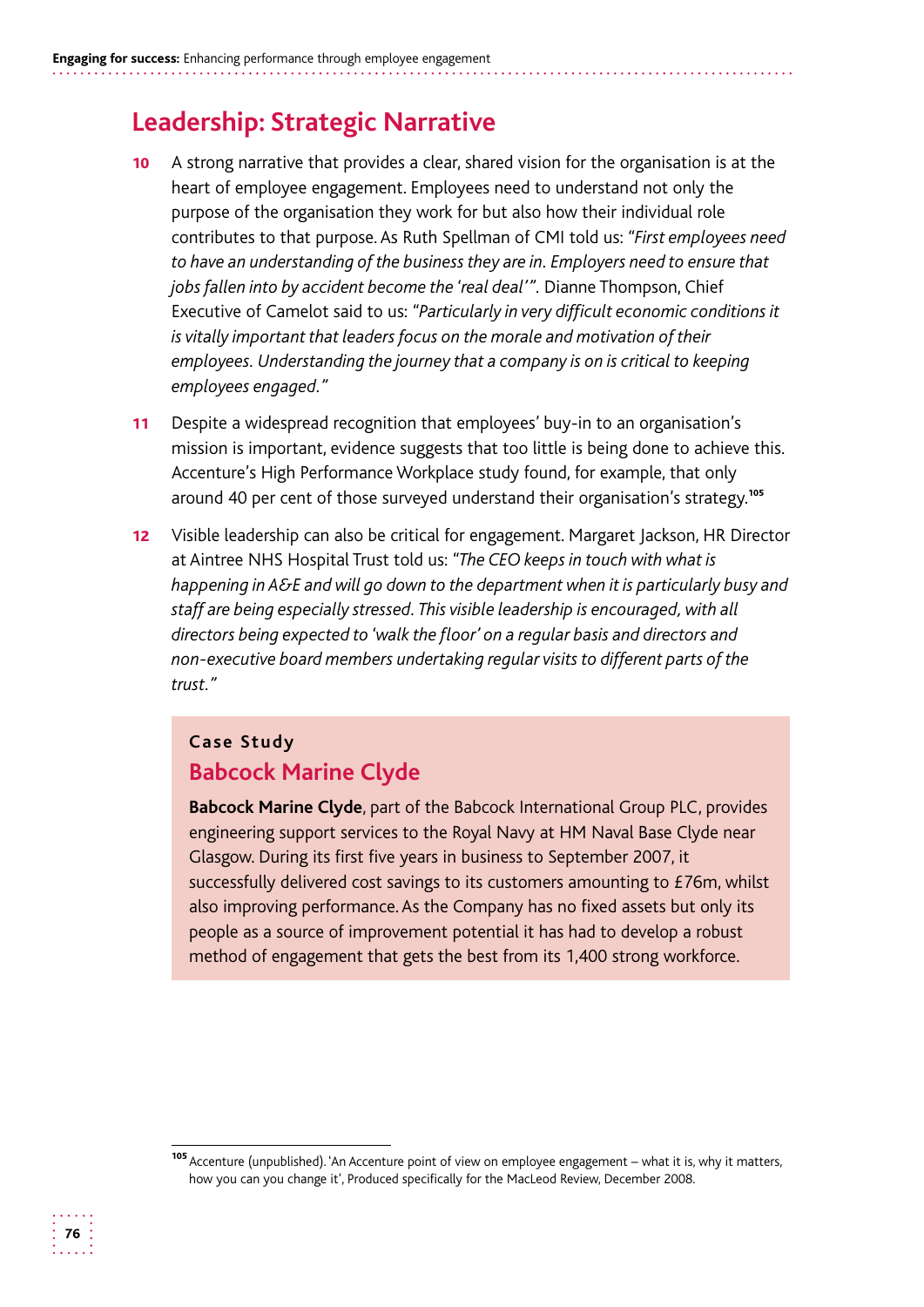## **Leadership: Strategic Narrative**

- 10 A strong narrative that provides a clear, shared vision for the organisation is at the heart of employee engagement. Employees need to understand not only the purpose of the organisation they work for but also how their individual role contributes to that purpose. As Ruth Spellman of CMI told us: *"First employees need to have an understanding of the business they are in. Employers need to ensure that jobs fallen into by accident become the 'real deal'".* Dianne Thompson, Chief Executive of Camelot said to us: *"Particularly in very difficult economic conditions it is vitally important that leaders focus on the morale and motivation of their employees. Understanding the journey that a company is on is critical to keeping employees engaged."*
- 11 Despite a widespread recognition that employees' buy-in to an organisation's mission is important, evidence suggests that too little is being done to achieve this. Accenture's High Performance Workplace study found, for example, that only around 40 per cent of those surveyed understand their organisation's strategy.<sup>105</sup>
- 12 Visible leadership can also be critical for engagement. Margaret Jackson, HR Director at Aintree NHS Hospital Trust told us: *"The CEO keeps in touch with what is happening in A&E and will go down to the department when it is particularly busy and staff are being especially stressed. This visible leadership is encouraged, with all directors being expected to 'walk the floor' on a regular basis and directors and non-executive board members undertaking regular visits to different parts of the trust."*

#### **Case Study Babcock Marine Clyde**

**Babcock Marine Clyde**, part of the Babcock International Group PLC, provides engineering support services to the Royal Navy at HM Naval Base Clyde near Glasgow. During its first five years in business to September 2007, it successfully delivered cost savings to its customers amounting to £76m, whilst also improving performance. As the Company has no fixed assets but only its people as a source of improvement potential it has had to develop a robust method of engagement that gets the best from its 1,400 strong workforce.

<sup>105</sup> Accenture (unpublished). 'An Accenture point of view on employee engagement – what it is, why it matters, how you can you change it', Produced specifically for the MacLeod Review, December 2008.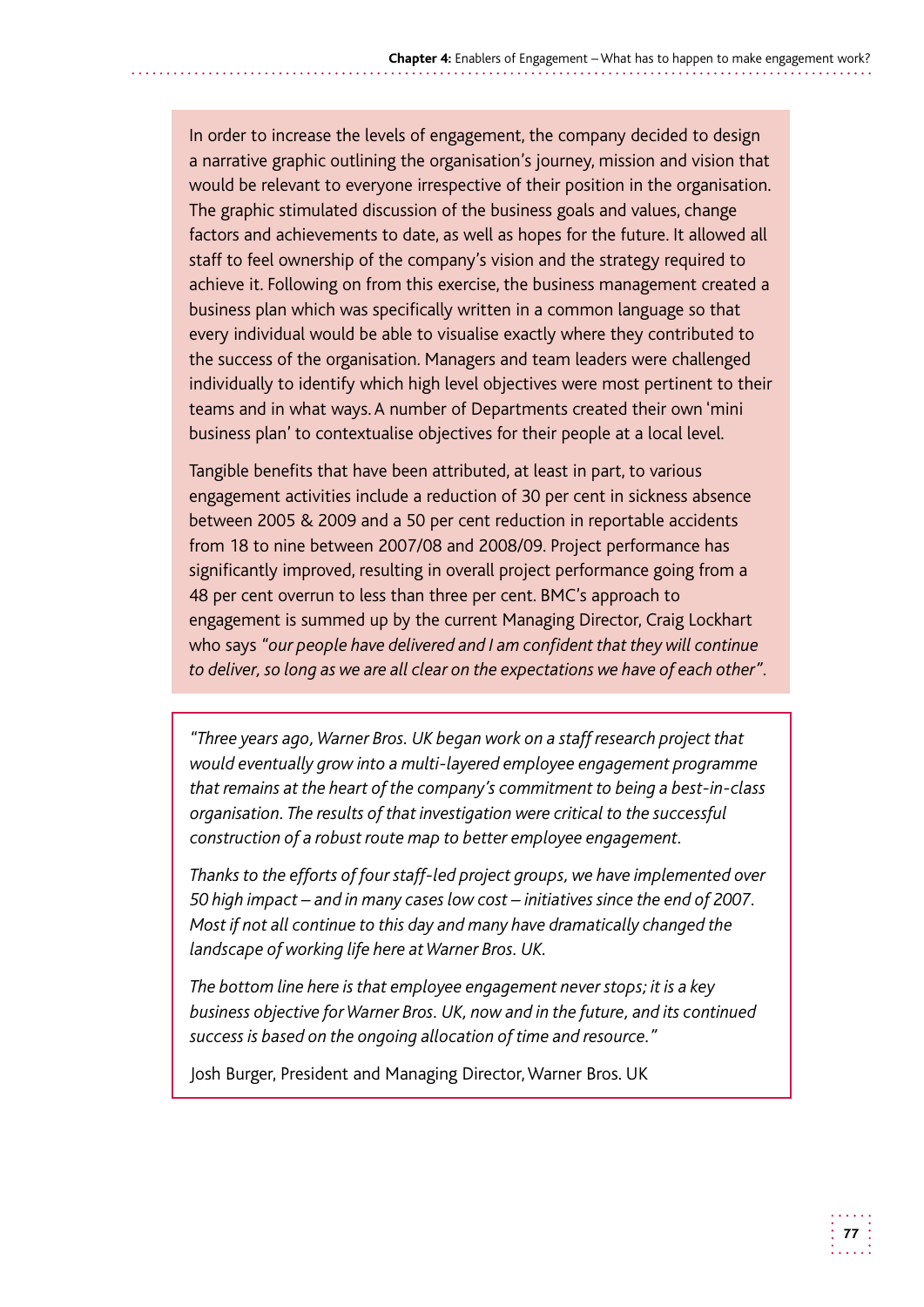In order to increase the levels of engagement, the company decided to design a narrative graphic outlining the organisation's journey, mission and vision that would be relevant to everyone irrespective of their position in the organisation. The graphic stimulated discussion of the business goals and values, change factors and achievements to date, as well as hopes for the future. It allowed all staff to feel ownership of the company's vision and the strategy required to achieve it. Following on from this exercise, the business management created a business plan which was specifically written in a common language so that every individual would be able to visualise exactly where they contributed to the success of the organisation. Managers and team leaders were challenged individually to identify which high level objectives were most pertinent to their teams and in what ways. A number of Departments created their own 'mini business plan' to contextualise objectives for their people at a local level.

Tangible benefits that have been attributed, at least in part, to various engagement activities include a reduction of 30 per cent in sickness absence between 2005 & 2009 and a 50 per cent reduction in reportable accidents from 18 to nine between 2007/08 and 2008/09. Project performance has significantly improved, resulting in overall project performance going from a 48 per cent overrun to less than three per cent. BMC's approach to engagement is summed up by the current Managing Director, Craig Lockhart who says *"our people have delivered and I am confident that they will continue to deliver, so long as we are all clear on the expectations we have of each other"*.

*"Three years ago, Warner Bros. UK began work on a staff research project that would eventually grow into a multi-layered employee engagement programme that remains at the heart of the company's commitment to being a best-in-class organisation. The results of that investigation were critical to the successful construction of a robust route map to better employee engagement.* 

*Thanks to the efforts of four staff-led project groups, we have implemented over 50 high impact – and in many cases low cost – initiatives since the end of 2007. Most if not all continue to this day and many have dramatically changed the landscape of working life here at Warner Bros. UK.* 

*The bottom line here is that employee engagement never stops; it is a key business objective for Warner Bros. UK, now and in the future, and its continued success is based on the ongoing allocation of time and resource."* 

Josh Burger, President and Managing Director, Warner Bros. UK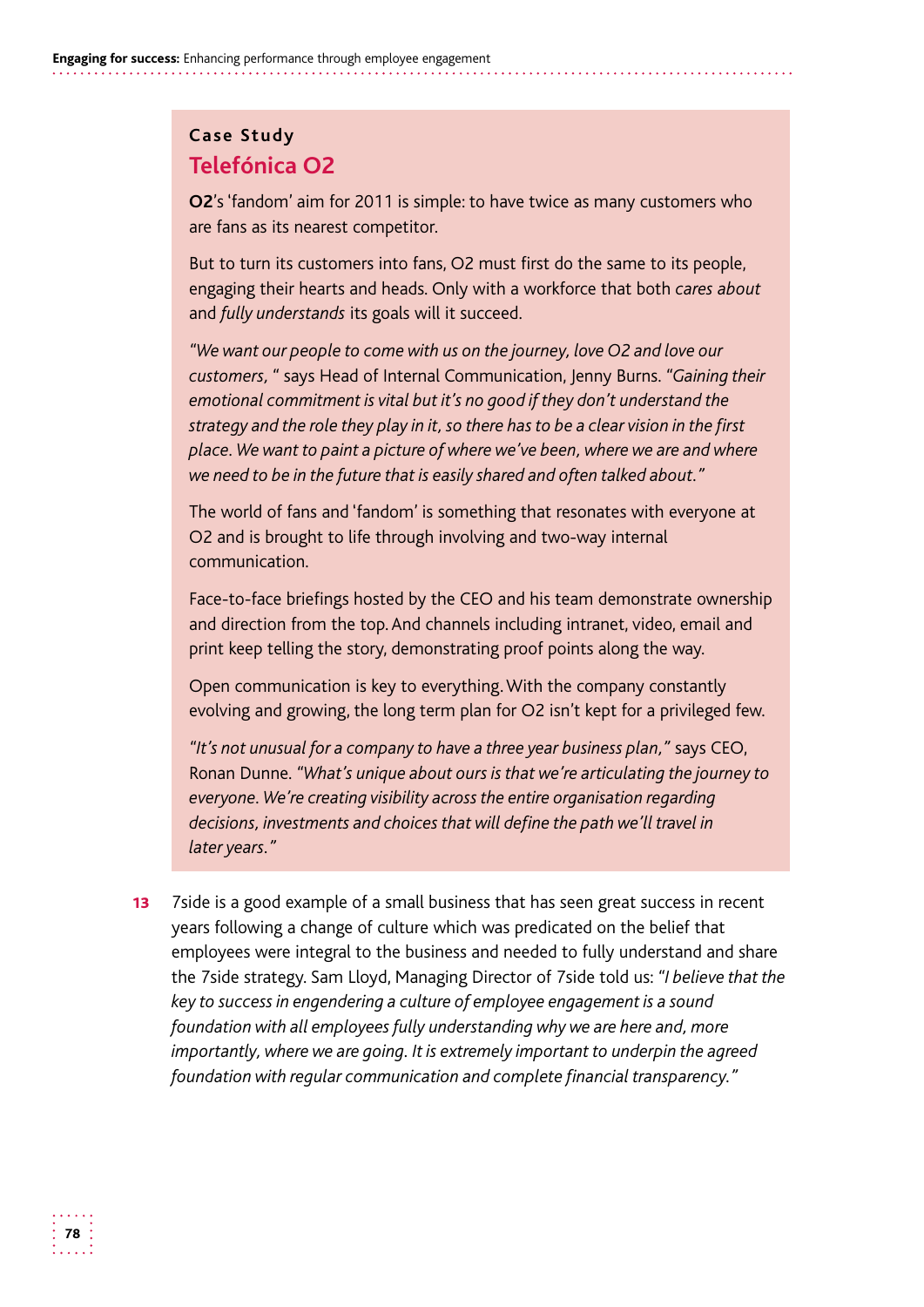#### **Case Study Telefónica O2**

**O2**'s 'fandom' aim for 2011 is simple: to have twice as many customers who are fans as its nearest competitor.

 engaging their hearts and heads. Only with a workforce that both *cares about*  But to turn its customers into fans, O2 must first do the same to its people, and *fully understands* its goals will it succeed.

*"We want our people to come with us on the journey, love O2 and love our customers, "* says Head of Internal Communication, Jenny Burns. *"Gaining their emotional commitment is vital but it's no good if they don't understand the strategy and the role they play in it, so there has to be a clear vision in the first place. We want to paint a picture of where we've been, where we are and where we need to be in the future that is easily shared and often talked about."* 

The world of fans and 'fandom' is something that resonates with everyone at O2 and is brought to life through involving and two-way internal communication.

Face-to-face briefings hosted by the CEO and his team demonstrate ownership and direction from the top. And channels including intranet, video, email and print keep telling the story, demonstrating proof points along the way.

Open communication is key to everything. With the company constantly evolving and growing, the long term plan for O2 isn't kept for a privileged few.

*"It's not unusual for a company to have a three year business plan,"* says CEO, Ronan Dunne. *"What's unique about ours is that we're articulating the journey to everyone. We're creating visibility across the entire organisation regarding decisions, investments and choices that will define the path we'll travel in later years."* 

**13** 7side is a good example of a small business that has seen great success in recent years following a change of culture which was predicated on the belief that employees were integral to the business and needed to fully understand and share the 7side strategy. Sam Lloyd, Managing Director of 7side told us: *"I believe that the key to success in engendering a culture of employee engagement is a sound foundation with all employees fully understanding why we are here and, more importantly, where we are going. It is extremely important to underpin the agreed foundation with regular communication and complete financial transparency."*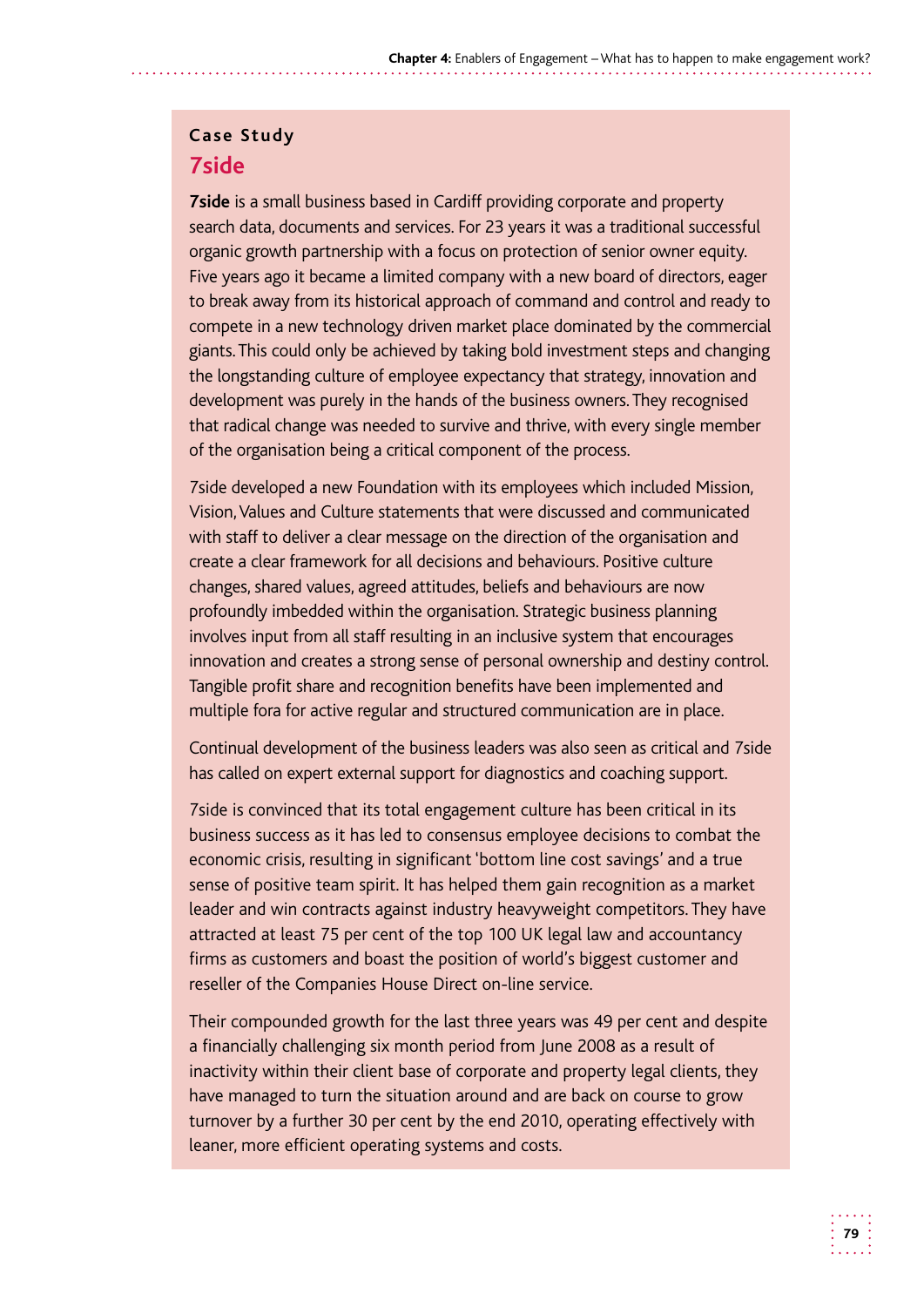#### **Case Study 7side**

 **7side** is a small business based in Cardiff providing corporate and property search data, documents and services. For 23 years it was a traditional successful to break away from its historical approach of command and control and ready to compete in a new technology driven market place dominated by the commercial giants. This could only be achieved by taking bold investment steps and changing the longstanding culture of employee expectancy that strategy, innovation and development was purely in the hands of the business owners. They recognised that radical change was needed to survive and thrive, with every single member organic growth partnership with a focus on protection of senior owner equity. Five years ago it became a limited company with a new board of directors, eager of the organisation being a critical component of the process.

Vision, Values and Culture statements that were discussed and communicated with staff to deliver a clear message on the direction of the organisation and create a clear framework for all decisions and behaviours. Positive culture involves input from all staff resulting in an inclusive system that encourages Tangible profit share and recognition benefits have been implemented and multiple fora for active regular and structured communication are in place. 7side developed a new Foundation with its employees which included Mission, changes, shared values, agreed attitudes, beliefs and behaviours are now profoundly imbedded within the organisation. Strategic business planning innovation and creates a strong sense of personal ownership and destiny control.

 Continual development of the business leaders was also seen as critical and 7side has called on expert external support for diagnostics and coaching support.

7side is convinced that its total engagement culture has been critical in its business success as it has led to consensus employee decisions to combat the economic crisis, resulting in significant 'bottom line cost savings' and a true sense of positive team spirit. It has helped them gain recognition as a market leader and win contracts against industry heavyweight competitors. They have attracted at least 75 per cent of the top 100 UK legal law and accountancy firms as customers and boast the position of world's biggest customer and reseller of the Companies House Direct on-line service.

Their compounded growth for the last three years was 49 per cent and despite a financially challenging six month period from June 2008 as a result of inactivity within their client base of corporate and property legal clients, they have managed to turn the situation around and are back on course to grow turnover by a further 30 per cent by the end 2010, operating effectively with leaner, more efficient operating systems and costs.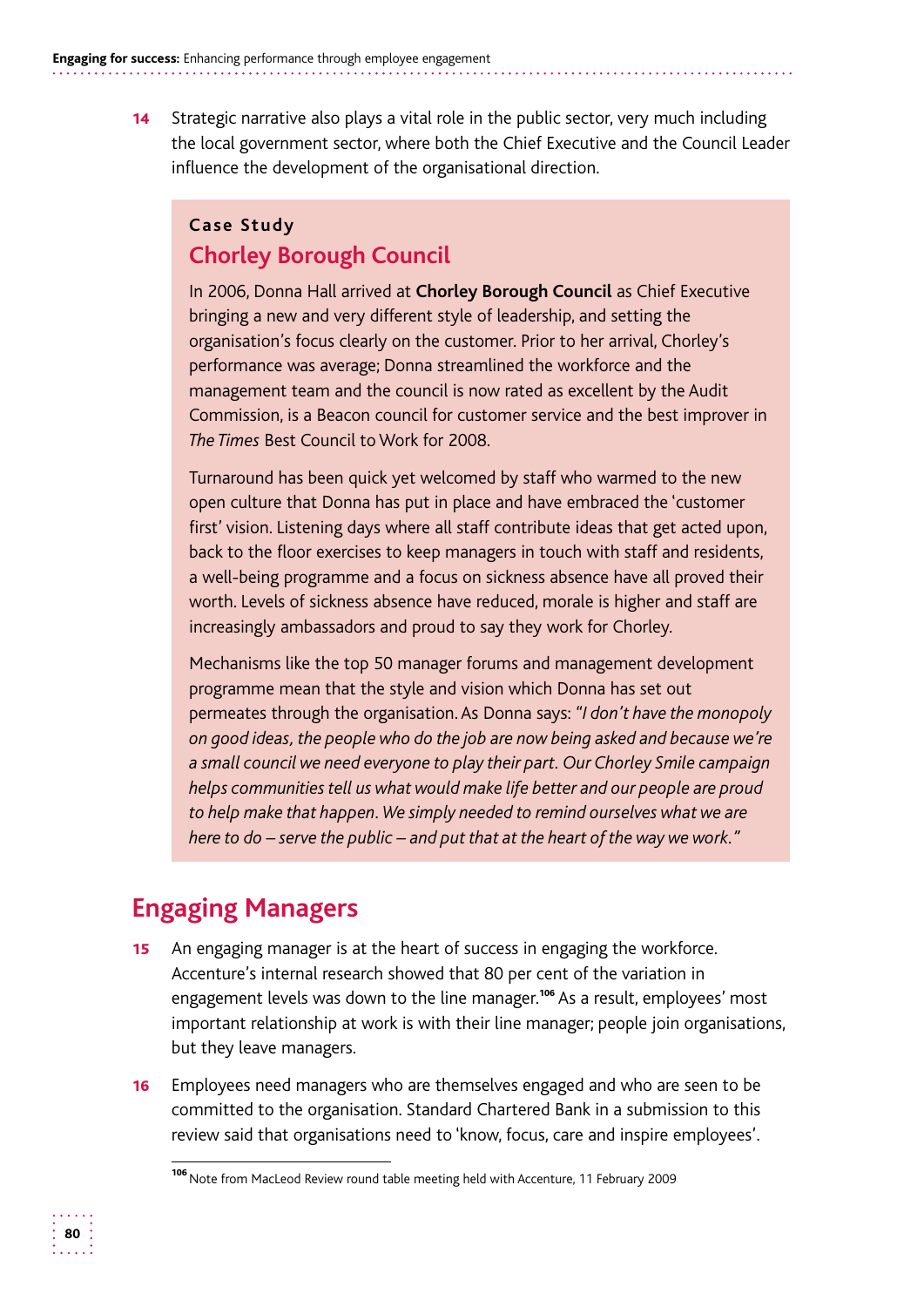**14** Strategic narrative also plays a vital role in the public sector, very much including the local government sector, where both the Chief Executive and the Council Leader influence the development of the organisational direction.

#### **Case Study Chorley Borough Council**

In 2006, Donna Hall arrived at **Chorley Borough Council** as Chief Executive bringing a new and very different style of leadership, and setting the organisation's focus clearly on the customer. Prior to her arrival, Chorley's performance was average; Donna streamlined the workforce and the management team and the council is now rated as excellent by the Audit Commission, is a Beacon council for customer service and the best improver in *The Times* Best Council to Work for 2008.

Turnaround has been quick yet welcomed by staff who warmed to the new open culture that Donna has put in place and have embraced the 'customer first' vision. Listening days where all staff contribute ideas that get acted upon, back to the floor exercises to keep managers in touch with staff and residents, a well-being programme and a focus on sickness absence have all proved their worth. Levels of sickness absence have reduced, morale is higher and staff are increasingly ambassadors and proud to say they work for Chorley.

Mechanisms like the top 50 manager forums and management development programme mean that the style and vision which Donna has set out permeates through the organisation. As Donna says: *"I don't have the monopoly on good ideas, the people who do the job are now being asked and because we're a small council we need everyone to play their part. Our Chorley Smile campaign helps communities tell us what would make life better and our people are proud to help make that happen. We simply needed to remind ourselves what we are here to do – serve the public – and put that at the heart of the way we work."* 

# **Engaging Managers**

- **15** An engaging manager is at the heart of success in engaging the workforce. Accenture's internal research showed that 80 per cent of the variation in engagement levels was down to the line manager.<sup>106</sup> As a result, employees' most important relationship at work is with their line manager; people join organisations, but they leave managers.
- **16** Employees need managers who are themselves engaged and who are seen to be committed to the organisation. Standard Chartered Bank in a submission to this review said that organisations need to 'know, focus, care and inspire employees'.

<sup>106</sup> Note from MacLeod Review round table meeting held with Accenture, 11 February 2009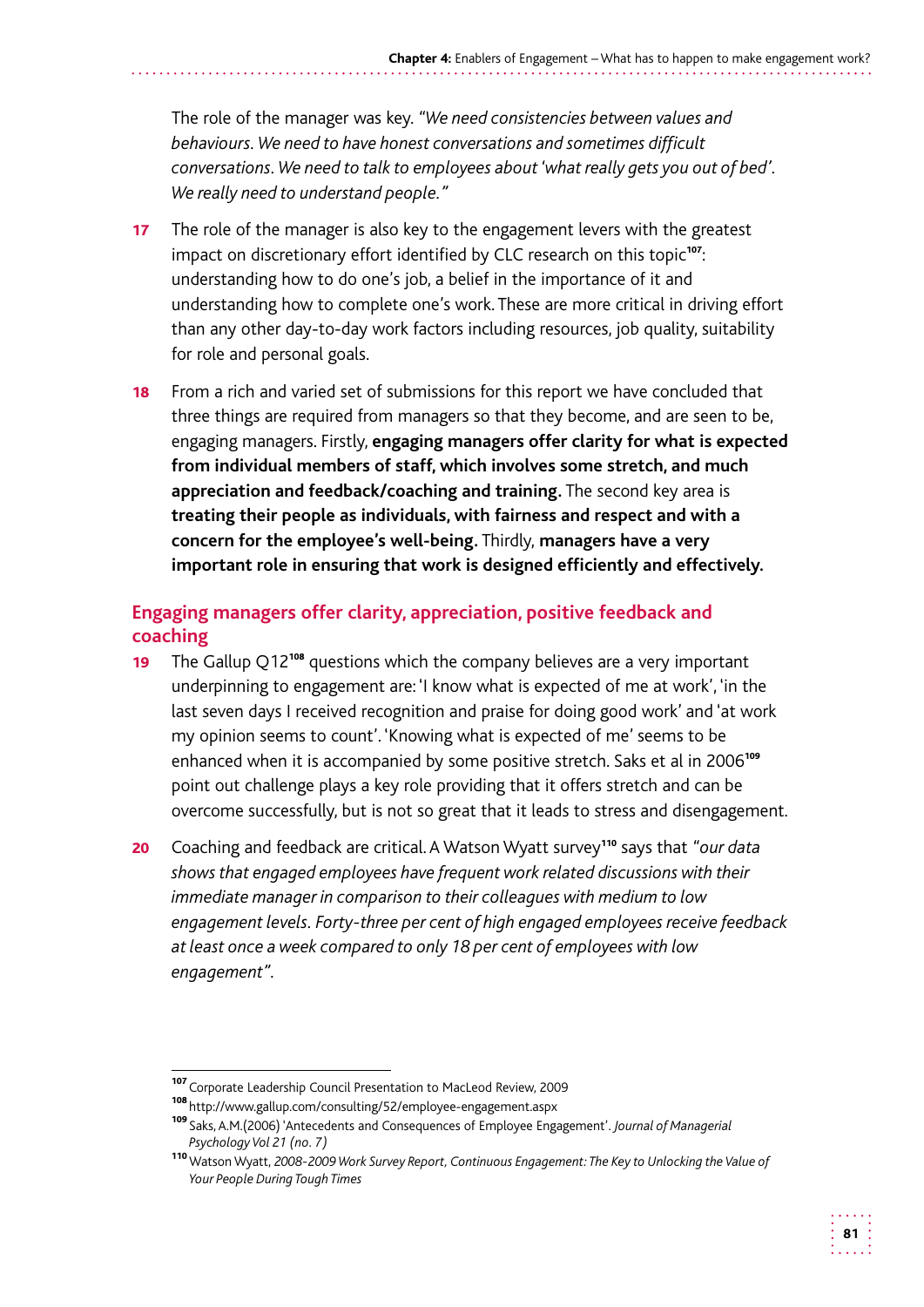The role of the manager was key. *"We need consistencies between values and behaviours. We need to have honest conversations and sometimes difficult conversations. We need to talk to employees about 'what really gets you out of bed'. We really need to understand people."* 

- 17 The role of the manager is also key to the engagement levers with the greatest impact on discretionary effort identified by CLC research on this topic<sup>107</sup>: understanding how to do one's job, a belief in the importance of it and understanding how to complete one's work. These are more critical in driving effort than any other day-to-day work factors including resources, job quality, suitability for role and personal goals.
- **18** From a rich and varied set of submissions for this report we have concluded that three things are required from managers so that they become, and are seen to be, engaging managers. Firstly, **engaging managers offer clarity for what is expected from individual members of staff, which involves some stretch, and much appreciation and feedback/coaching and training.** The second key area is **treating their people as individuals, with fairness and respect and with a concern for the employee's well-being.** Thirdly, **managers have a very important role in ensuring that work is designed efficiently and effectively.**

#### **Engaging managers offer clarity, appreciation, positive feedback and coaching**

- 19 The Gallup  $Q12^{108}$  questions which the company believes are a very important underpinning to engagement are: 'I know what is expected of me at work', 'in the last seven days I received recognition and praise for doing good work' and 'at work my opinion seems to count'. 'Knowing what is expected of me' seems to be enhanced when it is accompanied by some positive stretch. Saks et al in 2006<sup>109</sup> point out challenge plays a key role providing that it offers stretch and can be overcome successfully, but is not so great that it leads to stress and disengagement.
- 20 Coaching and feedback are critical. A Watson Wyatt survey<sup>110</sup> says that "our data *shows that engaged employees have frequent work related discussions with their immediate manager in comparison to their colleagues with medium to low engagement levels. Forty-three per cent of high engaged employees receive feedback at least once a week compared to only 18 per cent of employees with low engagement".*

<sup>110</sup>Watson Wyatt, *2008-2009 Work Survey Report, Continuous Engagement: The Key to Unlocking the Value of Your People During Tough Times* 



<sup>107</sup> Corporate Leadership Council Presentation to MacLeod Review, 2009

<sup>108</sup> http://www.gallup.com/consulting/52/employee-engagement.aspx

<sup>109</sup>Saks, A.M.(2006) 'Antecedents and Consequences of Employee Engagement'. *Journal of Managerial Psychology Vol 21 (no. 7)*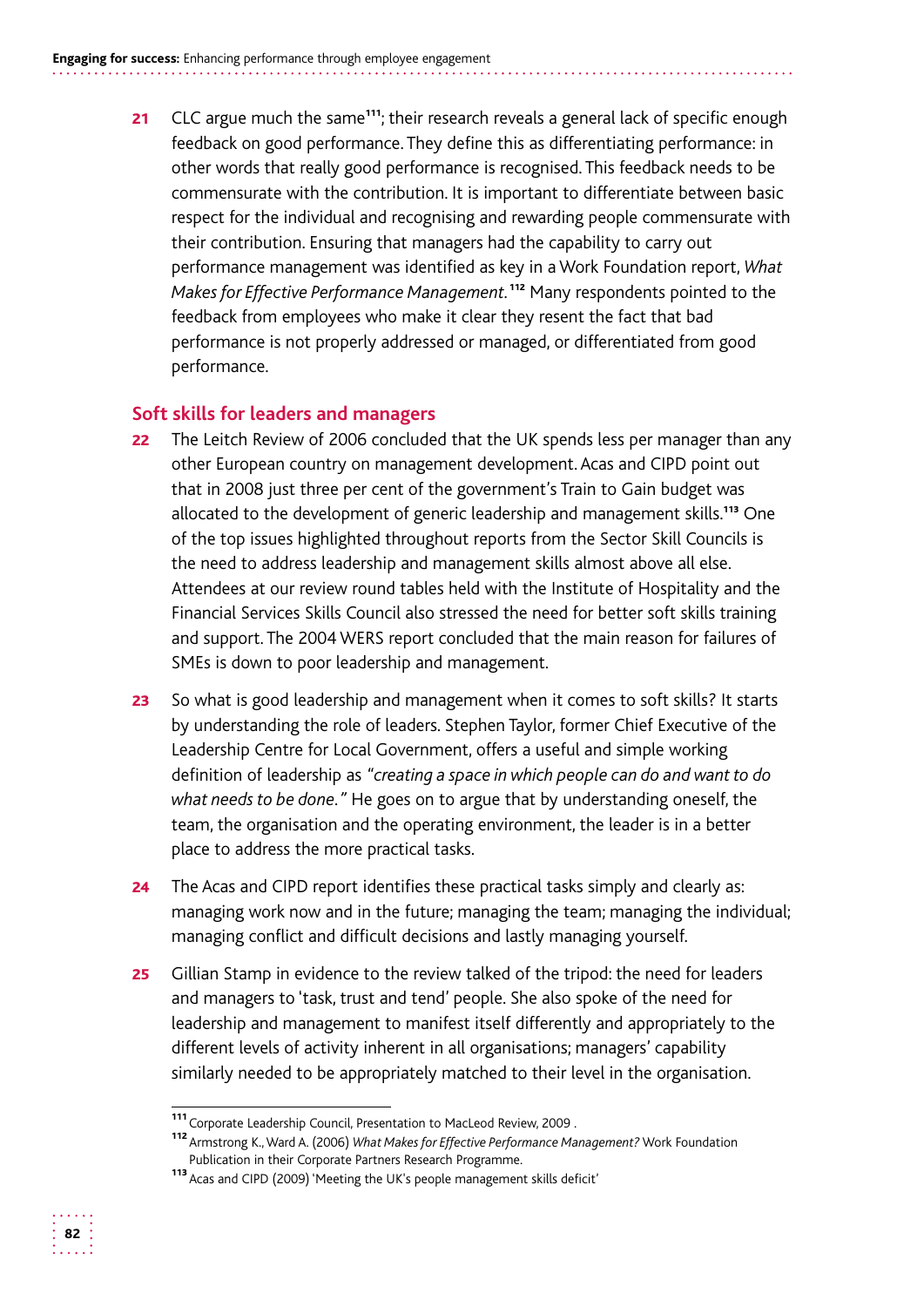21 CLC argue much the same<sup>111</sup>; their research reveals a general lack of specific enough feedback on good performance. They define this as differentiating performance: in other words that really good performance is recognised. This feedback needs to be commensurate with the contribution. It is important to differentiate between basic respect for the individual and recognising and rewarding people commensurate with their contribution. Ensuring that managers had the capability to carry out performance management was identified as key in a Work Foundation report, *What Makes for Effective Performance Management.*<sup>112</sup> Many respondents pointed to the feedback from employees who make it clear they resent the fact that bad performance is not properly addressed or managed, or differentiated from good performance.

#### **Soft skills for leaders and managers**

- 22 The Leitch Review of 2006 concluded that the UK spends less per manager than any other European country on management development. Acas and CIPD point out that in 2008 just three per cent of the government's Train to Gain budget was allocated to the development of generic leadership and management skills.<sup>113</sup> One of the top issues highlighted throughout reports from the Sector Skill Councils is the need to address leadership and management skills almost above all else. Attendees at our review round tables held with the Institute of Hospitality and the Financial Services Skills Council also stressed the need for better soft skills training and support. The 2004 WERS report concluded that the main reason for failures of SMEs is down to poor leadership and management.
- **23** So what is good leadership and management when it comes to soft skills? It starts by understanding the role of leaders. Stephen Taylor, former Chief Executive of the Leadership Centre for Local Government, offers a useful and simple working definition of leadership as *"creating a space in which people can do and want to do what needs to be done."* He goes on to argue that by understanding oneself, the team, the organisation and the operating environment, the leader is in a better place to address the more practical tasks.
- **24** The Acas and CIPD report identifies these practical tasks simply and clearly as: managing work now and in the future; managing the team; managing the individual; managing conflict and difficult decisions and lastly managing yourself.
- 25 Gillian Stamp in evidence to the review talked of the tripod: the need for leaders and managers to 'task, trust and tend' people. She also spoke of the need for leadership and management to manifest itself differently and appropriately to the different levels of activity inherent in all organisations; managers' capability similarly needed to be appropriately matched to their level in the organisation.



<sup>111</sup>Corporate Leadership Council, Presentation to MacLeod Review, 2009 .

<sup>112</sup>Armstrong K., Ward A. (2006) *What Makes for Effective Performance Management?* Work Foundation Publication in their Corporate Partners Research Programme.

<sup>113</sup> Acas and CIPD (2009) 'Meeting the UK's people management skills deficit'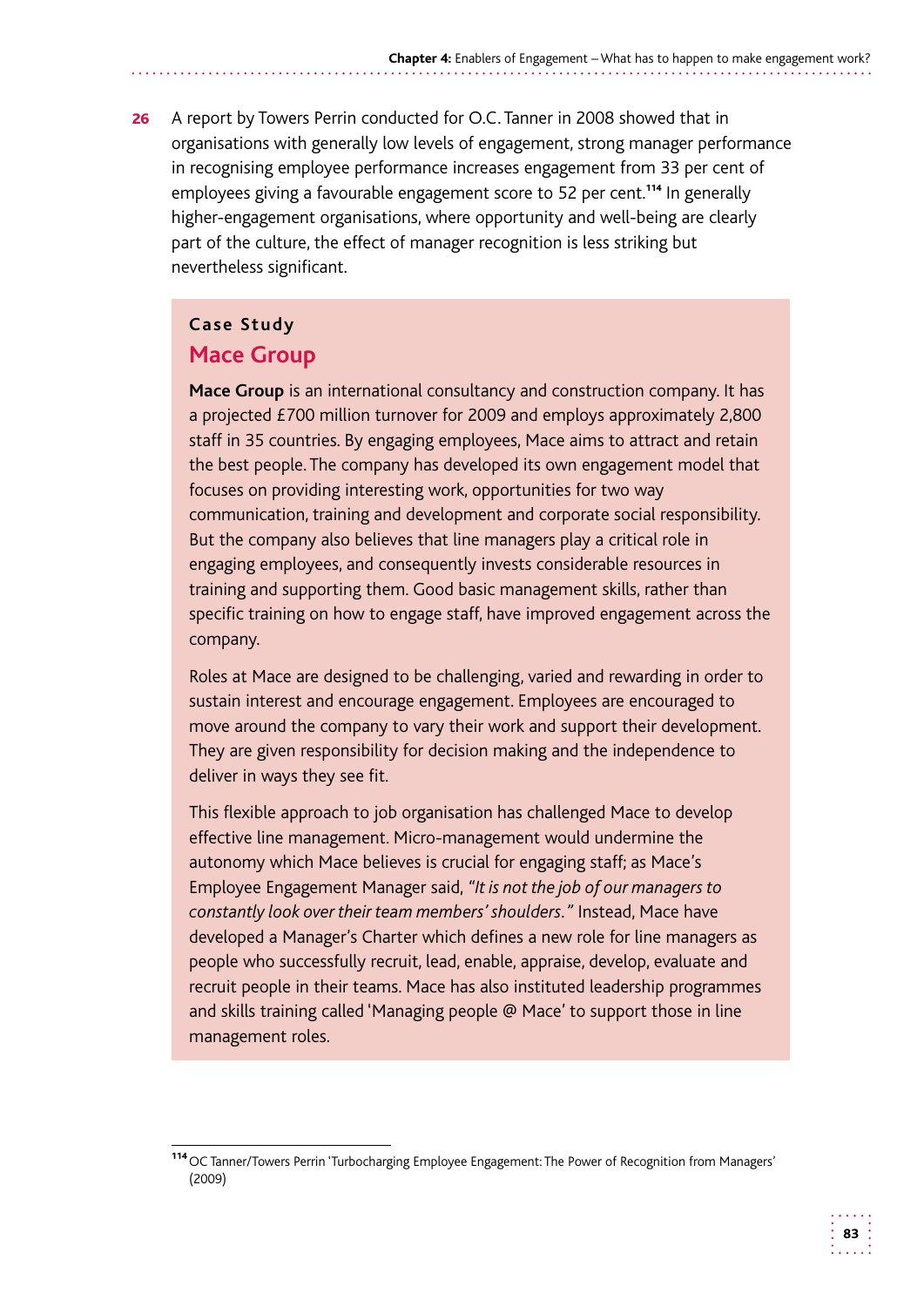26 A report by Towers Perrin conducted for O.C. Tanner in 2008 showed that in organisations with generally low levels of engagement, strong manager performance in recognising employee performance increases engagement from 33 per cent of employees giving a favourable engagement score to 52 per cent.<sup>114</sup> In generally higher-engagement organisations, where opportunity and well-being are clearly part of the culture, the effect of manager recognition is less striking but nevertheless significant.

#### **Case Study**

#### **Mace Group**

**Mace Group** is an international consultancy and construction company. It has a projected £700 million turnover for 2009 and employs approximately 2,800 staff in 35 countries. By engaging employees, Mace aims to attract and retain the best people. The company has developed its own engagement model that focuses on providing interesting work, opportunities for two way communication, training and development and corporate social responsibility. But the company also believes that line managers play a critical role in engaging employees, and consequently invests considerable resources in training and supporting them. Good basic management skills, rather than specific training on how to engage staff, have improved engagement across the company.

Roles at Mace are designed to be challenging, varied and rewarding in order to sustain interest and encourage engagement. Employees are encouraged to move around the company to vary their work and support their development. They are given responsibility for decision making and the independence to deliver in ways they see fit.

This flexible approach to job organisation has challenged Mace to develop effective line management. Micro-management would undermine the autonomy which Mace believes is crucial for engaging staff; as Mace's Employee Engagement Manager said, *"It is not the job of our managers to constantly look over their team members' shoulders."* Instead, Mace have developed a Manager's Charter which defines a new role for line managers as people who successfully recruit, lead, enable, appraise, develop, evaluate and recruit people in their teams. Mace has also instituted leadership programmes and skills training called 'Managing people @ Mace' to support those in line management roles.

<sup>114</sup>OC Tanner/Towers Perrin 'Turbocharging Employee Engagement: The Power of Recognition from Managers' (2009)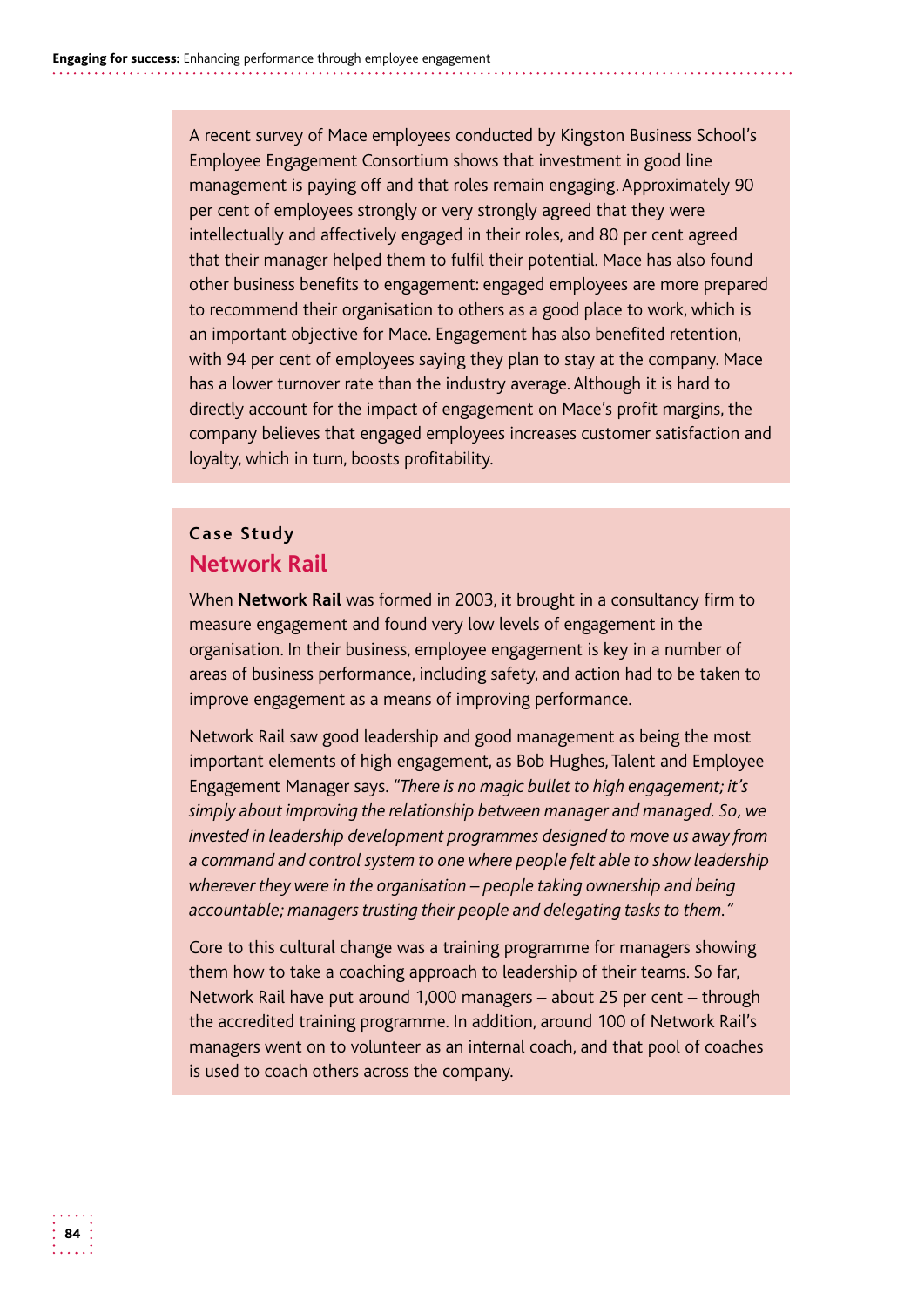A recent survey of Mace employees conducted by Kingston Business School's Employee Engagement Consortium shows that investment in good line management is paying off and that roles remain engaging. Approximately 90 per cent of employees strongly or very strongly agreed that they were intellectually and affectively engaged in their roles, and 80 per cent agreed that their manager helped them to fulfil their potential. Mace has also found other business benefits to engagement: engaged employees are more prepared to recommend their organisation to others as a good place to work, which is an important objective for Mace. Engagement has also benefited retention, with 94 per cent of employees saying they plan to stay at the company. Mace has a lower turnover rate than the industry average. Although it is hard to directly account for the impact of engagement on Mace's profit margins, the company believes that engaged employees increases customer satisfaction and loyalty, which in turn, boosts profitability.

#### **Case Study Network Rail**

When **Network Rail** was formed in 2003, it brought in a consultancy firm to measure engagement and found very low levels of engagement in the organisation. In their business, employee engagement is key in a number of areas of business performance, including safety, and action had to be taken to improve engagement as a means of improving performance.

Network Rail saw good leadership and good management as being the most important elements of high engagement, as Bob Hughes, Talent and Employee Engagement Manager says. *"There is no magic bullet to high engagement; it's simply about improving the relationship between manager and managed. So, we invested in leadership development programmes designed to move us away from a command and control system to one where people felt able to show leadership wherever they were in the organisation – people taking ownership and being accountable; managers trusting their people and delegating tasks to them."* 

Core to this cultural change was a training programme for managers showing them how to take a coaching approach to leadership of their teams. So far, Network Rail have put around 1,000 managers – about 25 per cent – through the accredited training programme. In addition, around 100 of Network Rail's managers went on to volunteer as an internal coach, and that pool of coaches is used to coach others across the company.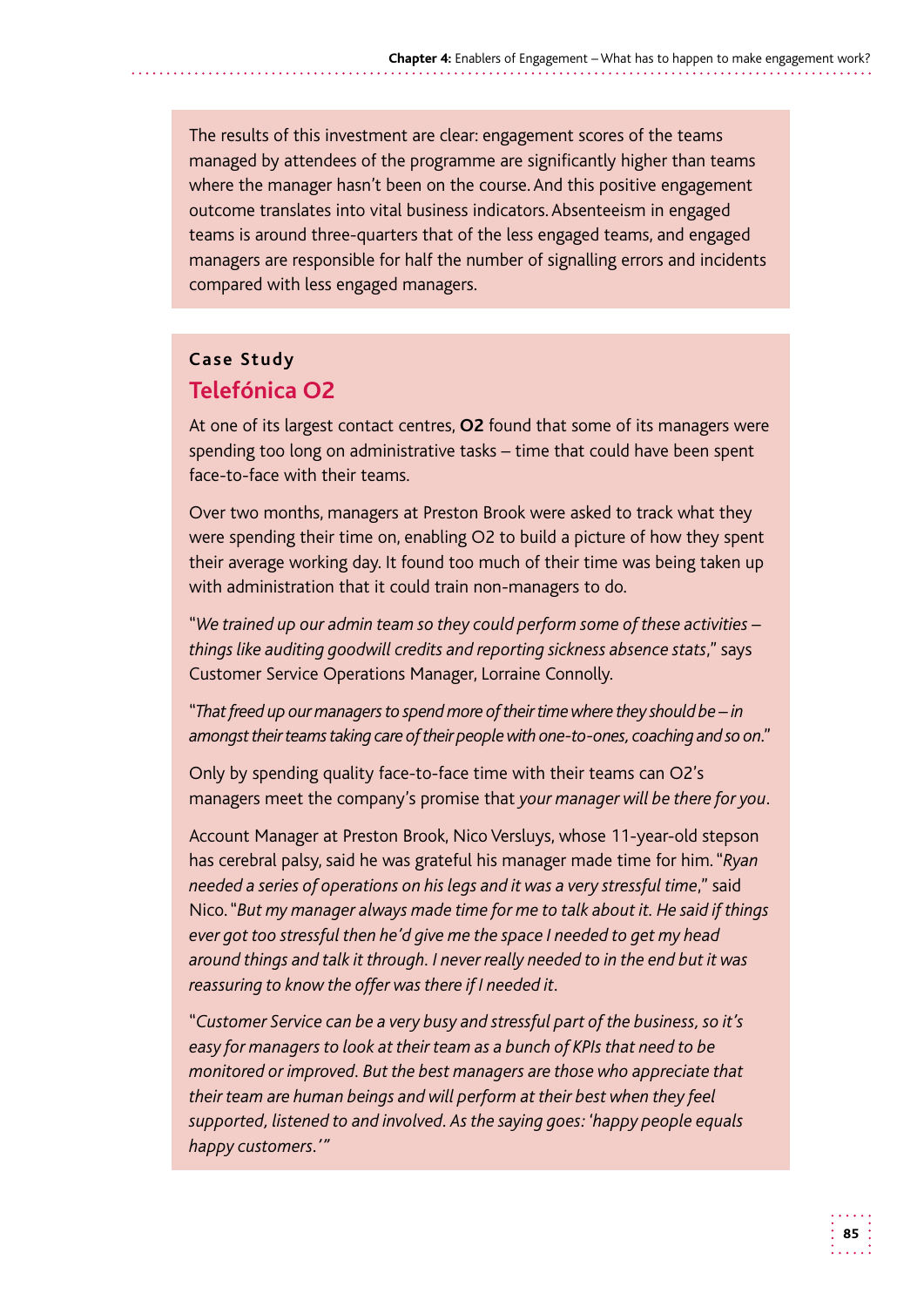The results of this investment are clear: engagement scores of the teams managed by attendees of the programme are significantly higher than teams where the manager hasn't been on the course. And this positive engagement outcome translates into vital business indicators. Absenteeism in engaged teams is around three-quarters that of the less engaged teams, and engaged managers are responsible for half the number of signalling errors and incidents compared with less engaged managers.

#### **Case Study Telefónica O2**

At one of its largest contact centres, **O2** found that some of its managers were spending too long on administrative tasks – time that could have been spent face-to-face with their teams.

Over two months, managers at Preston Brook were asked to track what they were spending their time on, enabling O2 to build a picture of how they spent their average working day. It found too much of their time was being taken up with administration that it could train non-managers to do.

"*We trained up our admin team so they could perform some of these activities – things like auditing goodwill credits and reporting sickness absence stats*," says Customer Service Operations Manager, Lorraine Connolly.

 "*That freed up our managers to spend more of their time where they should be – in amongst their teams taking care of their people with one-to-ones, coaching and so on*."

Only by spending quality face-to-face time with their teams can O2's managers meet the company's promise that *your manager will be there for you*.

Account Manager at Preston Brook, Nico Versluys, whose 11-year-old stepson has cerebral palsy, said he was grateful his manager made time for him. "*Ryan needed a series of operations on his legs and it was a very stressful time*," said Nico. "*But my manager always made time for me to talk about it. He said if things ever got too stressful then he'd give me the space I needed to get my head around things and talk it through. I never really needed to in the end but it was reassuring to know the offer was there if I needed it*.

"*Customer Service can be a very busy and stressful part of the business, so it's easy for managers to look at their team as a bunch of KPIs that need to be monitored or improved. But the best managers are those who appreciate that their team are human beings and will perform at their best when they feel supported, listened to and involved. As the saying goes: 'happy people equals happy customers.'"*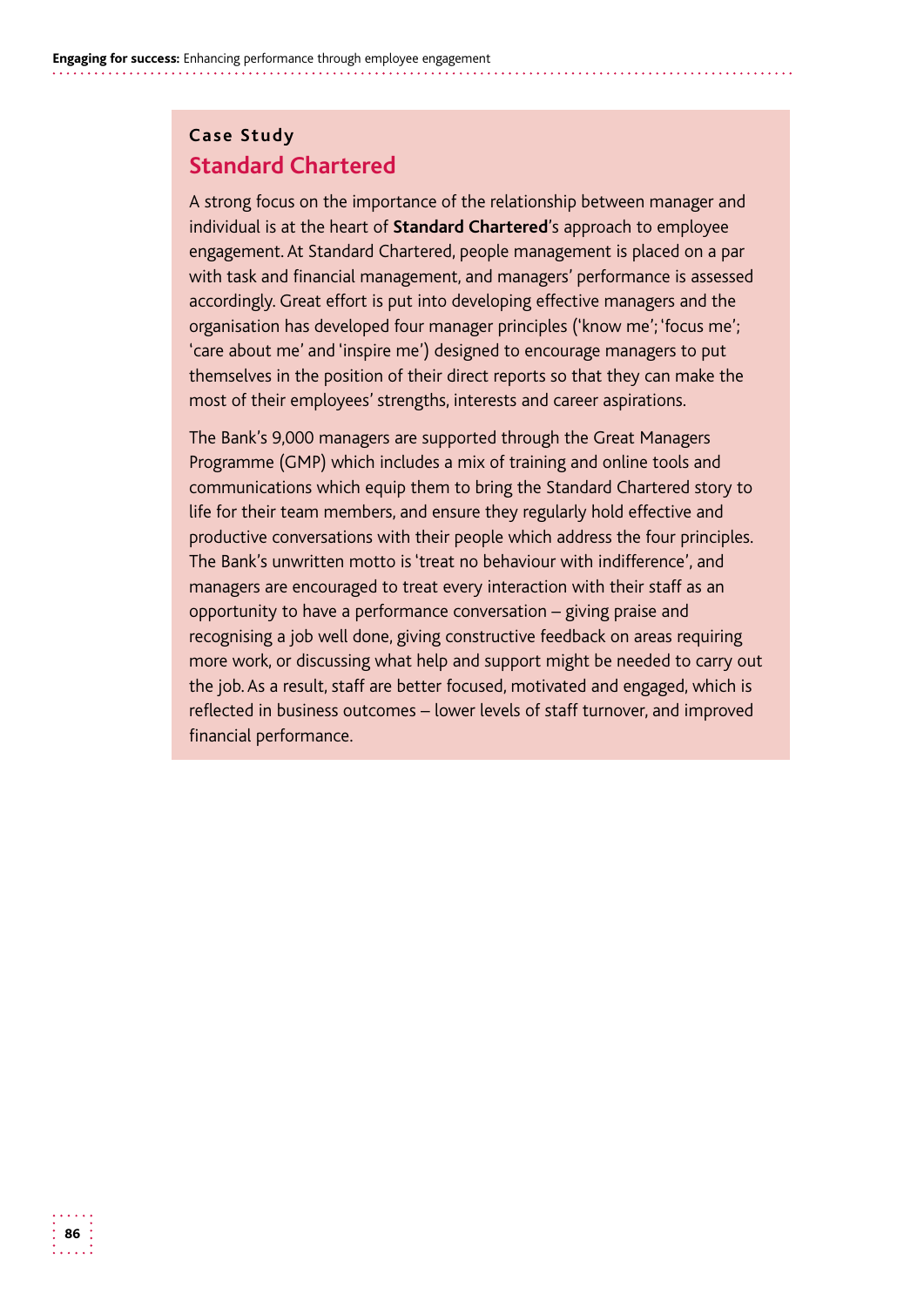#### **Case Study Standard Chartered**

 organisation has developed four manager principles ('know me'; 'focus me'; A strong focus on the importance of the relationship between manager and individual is at the heart of **Standard Chartered**'s approach to employee engagement. At Standard Chartered, people management is placed on a par with task and financial management, and managers' performance is assessed accordingly. Great effort is put into developing effective managers and the 'care about me' and 'inspire me') designed to encourage managers to put themselves in the position of their direct reports so that they can make the most of their employees' strengths, interests and career aspirations.

The Bank's 9,000 managers are supported through the Great Managers Programme (GMP) which includes a mix of training and online tools and communications which equip them to bring the Standard Chartered story to life for their team members, and ensure they regularly hold effective and productive conversations with their people which address the four principles. The Bank's unwritten motto is 'treat no behaviour with indifference', and managers are encouraged to treat every interaction with their staff as an opportunity to have a performance conversation – giving praise and recognising a job well done, giving constructive feedback on areas requiring more work, or discussing what help and support might be needed to carry out the job. As a result, staff are better focused, motivated and engaged, which is reflected in business outcomes – lower levels of staff turnover, and improved financial performance.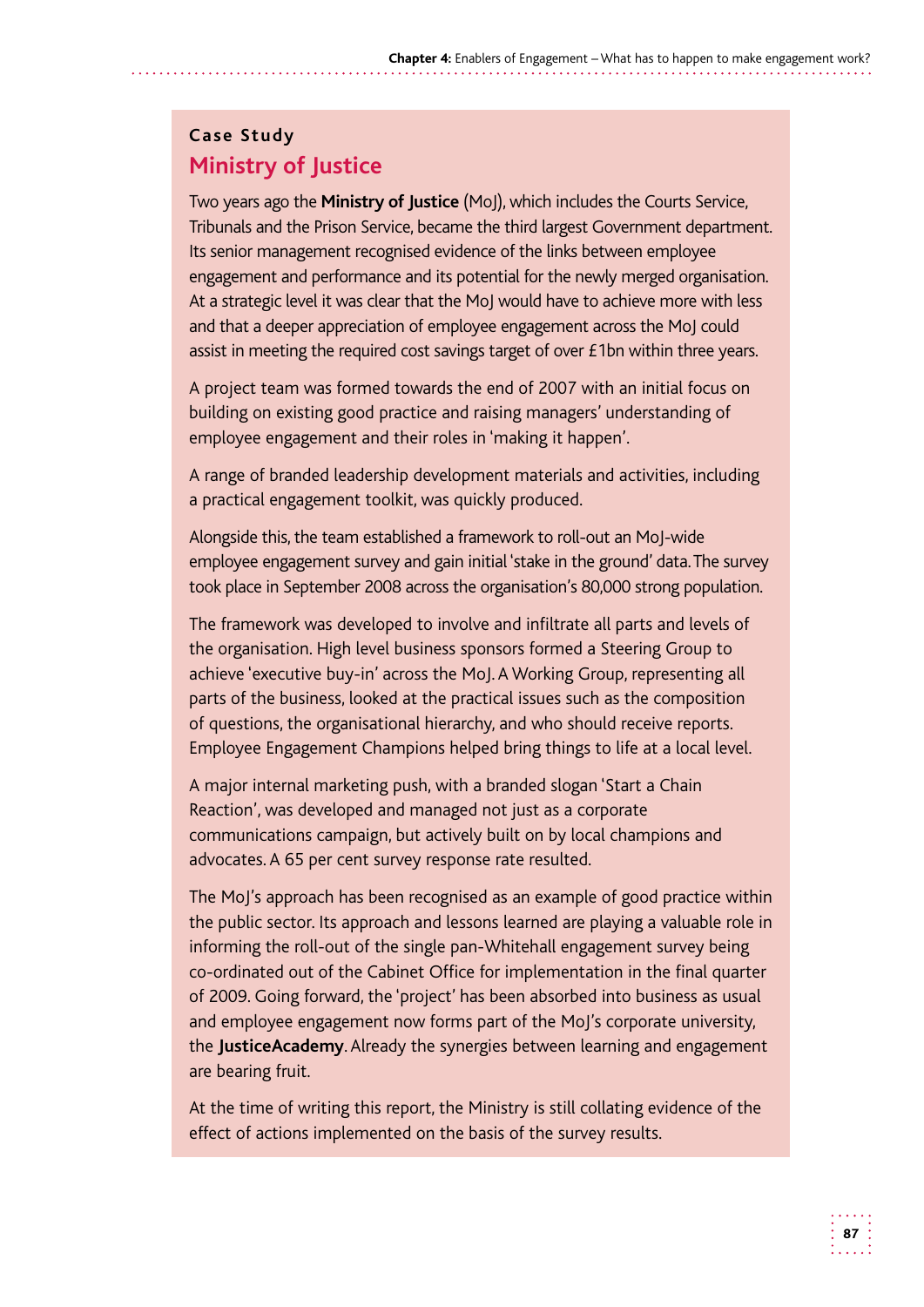#### **Case Study Ministry of Justice**

Two years ago the **Ministry of Justice** (MoJ), which includes the Courts Service, Tribunals and the Prison Service, became the third largest Government department. Its senior management recognised evidence of the links between employee engagement and performance and its potential for the newly merged organisation. At a strategic level it was clear that the MoJ would have to achieve more with less and that a deeper appreciation of employee engagement across the MoJ could assist in meeting the required cost savings target of over £1bn within three years.

A project team was formed towards the end of 2007 with an initial focus on building on existing good practice and raising managers' understanding of employee engagement and their roles in 'making it happen'.

A range of branded leadership development materials and activities, including a practical engagement toolkit, was quickly produced.

 Alongside this, the team established a framework to roll-out an MoJ-wide employee engagement survey and gain initial 'stake in the ground' data.The survey took place in September 2008 across the organisation's 80,000 strong population.

The framework was developed to involve and infiltrate all parts and levels of the organisation. High level business sponsors formed a Steering Group to achieve 'executive buy-in' across the MoJ. A Working Group, representing all parts of the business, looked at the practical issues such as the composition of questions, the organisational hierarchy, and who should receive reports. Employee Engagement Champions helped bring things to life at a local level.

A major internal marketing push, with a branded slogan 'Start a Chain Reaction', was developed and managed not just as a corporate communications campaign, but actively built on by local champions and advocates. A 65 per cent survey response rate resulted.

The MoJ's approach has been recognised as an example of good practice within the public sector. Its approach and lessons learned are playing a valuable role in informing the roll-out of the single pan-Whitehall engagement survey being co-ordinated out of the Cabinet Office for implementation in the final quarter of 2009. Going forward, the 'project' has been absorbed into business as usual and employee engagement now forms part of the MoJ's corporate university, the **JusticeAcademy**. Already the synergies between learning and engagement are bearing fruit.

At the time of writing this report, the Ministry is still collating evidence of the effect of actions implemented on the basis of the survey results.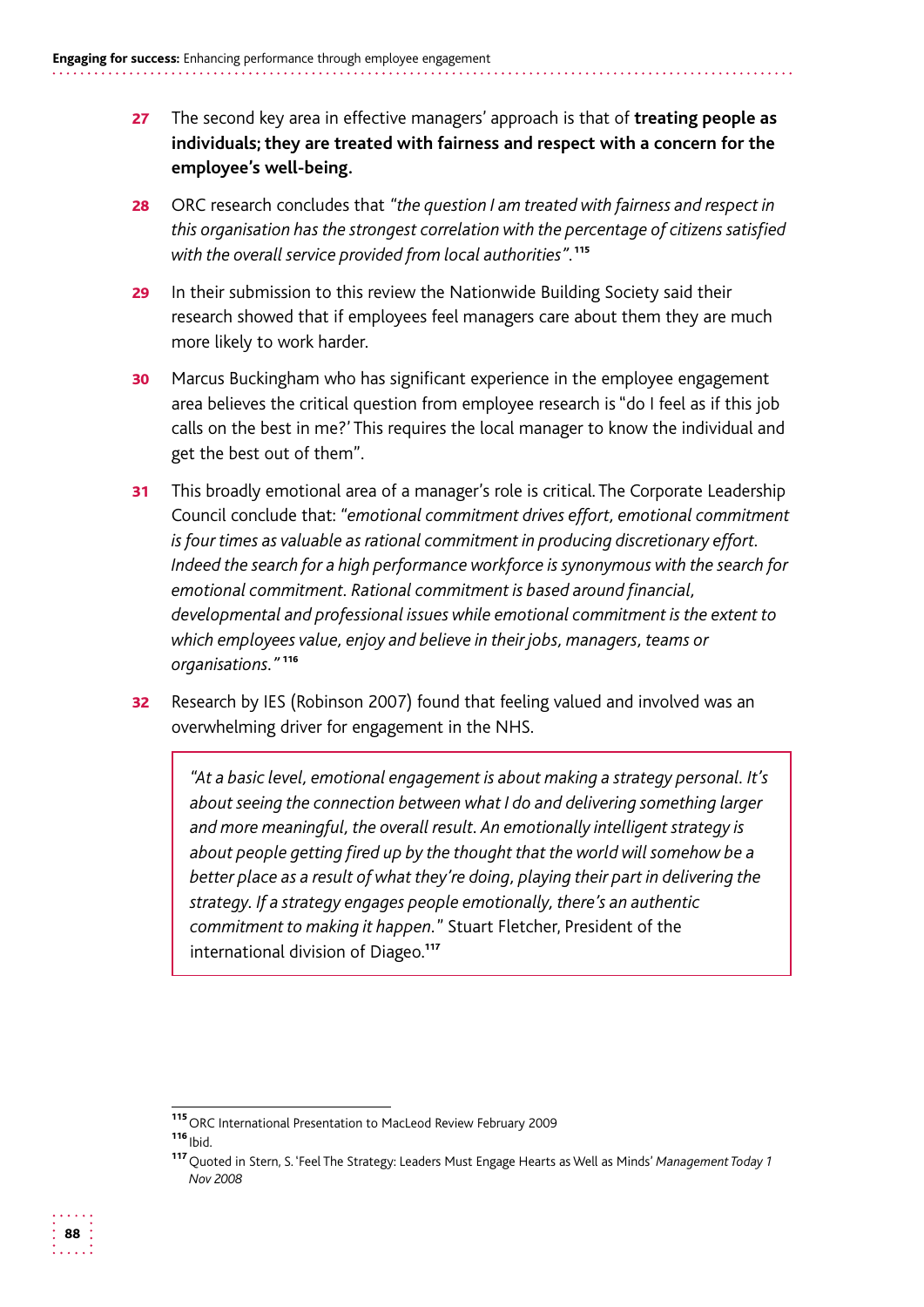- 27 The second key area in effective managers' approach is that of **treating people as individuals; they are treated with fairness and respect with a concern for the employee's well-being.**
- **28** ORC research concludes that "the question I am treated with fairness and respect in *this organisation has the strongest correlation with the percentage of citizens satisfied with the overall service provided from local authorities".*<sup>115</sup>
- 29 In their submission to this review the Nationwide Building Society said their research showed that if employees feel managers care about them they are much more likely to work harder.
- **30** Marcus Buckingham who has significant experience in the employee engagement area believes the critical question from employee research is "do I feel as if this job calls on the best in me?' This requires the local manager to know the individual and get the best out of them".
- 31 This broadly emotional area of a manager's role is critical. The Corporate Leadership Council conclude that: *"emotional commitment drives effort, emotional commitment is four times as valuable as rational commitment in producing discretionary effort. Indeed the search for a high performance workforce is synonymous with the search for emotional commitment. Rational commitment is based around financial, developmental and professional issues while emotional commitment is the extent to which employees value, enjoy and believe in their jobs, managers, teams or organisations."* <sup>116</sup>
- 32 Research by IES (Robinson 2007) found that feeling valued and involved was an overwhelming driver for engagement in the NHS.

*"At a basic level, emotional engagement is about making a strategy personal. It's about seeing the connection between what I do and delivering something larger and more meaningful, the overall result. An emotionally intelligent strategy is about people getting fired up by the thought that the world will somehow be a better place as a result of what they're doing, playing their part in delivering the strategy. If a strategy engages people emotionally, there's an authentic commitment to making it happen.*" Stuart Fletcher, President of the international division of Diageo.<sup>117</sup>

<sup>115</sup>ORC International Presentation to MacLeod Review February 2009

 $116$ <sub>lbid.</sub>

<sup>117</sup>Quoted in Stern, S. 'Feel The Strategy: Leaders Must Engage Hearts as Well as Minds' *Management Today 1 Nov 2008*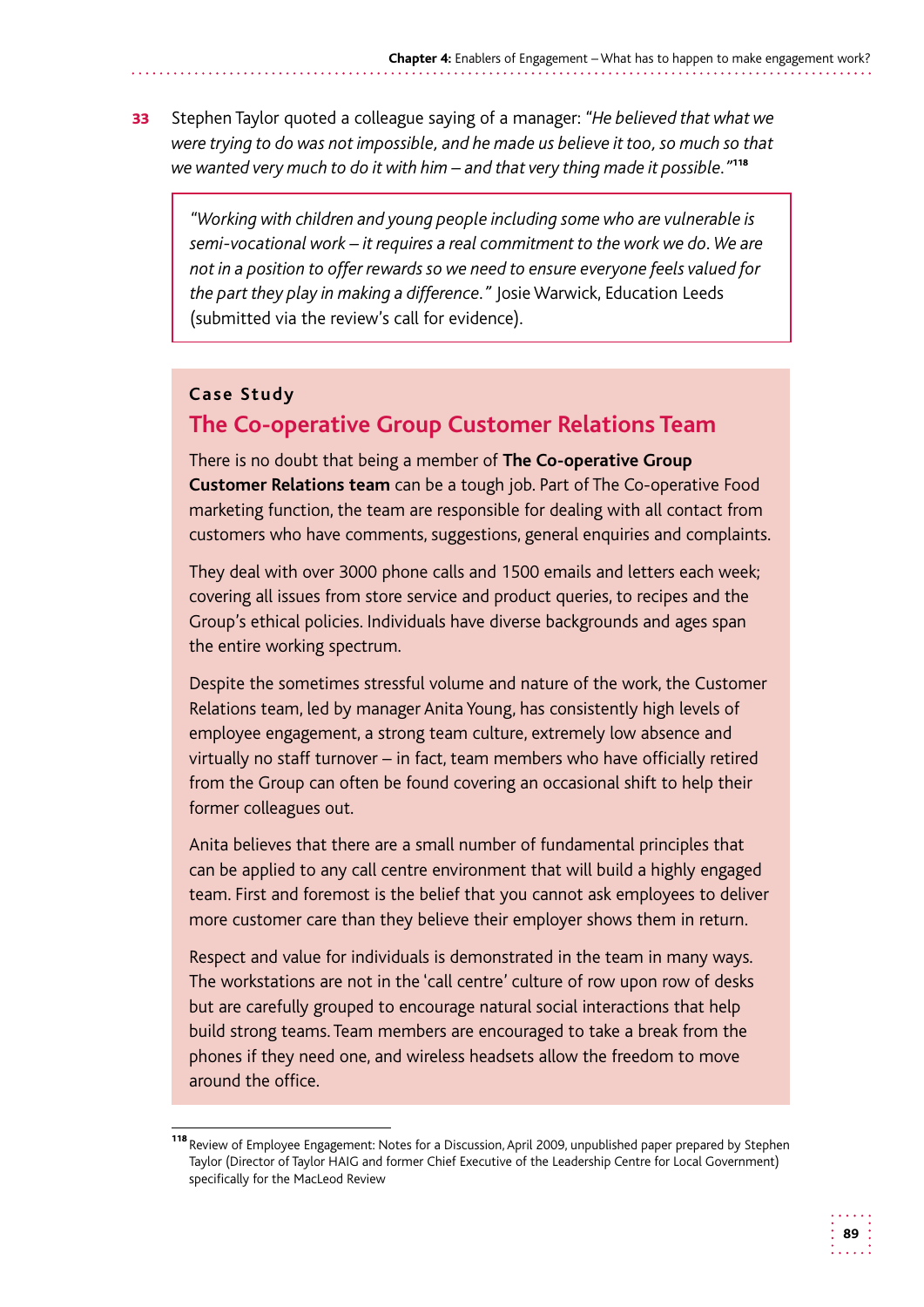**33** Stephen Taylor quoted a colleague saying of a manager: "He believed that what we *were trying to do was not impossible, and he made us believe it too, so much so that we wanted very much to do it with him – and that very thing made it possible."*<sup>118</sup>

*"Working with children and young people including some who are vulnerable is semi-vocational work – it requires a real commitment to the work we do. We are not in a position to offer rewards so we need to ensure everyone feels valued for the part they play in making a difference."* Josie Warwick, Education Leeds (submitted via the review's call for evidence).

#### **Case Study**

#### **The Co-operative Group Customer Relations Team**

There is no doubt that being a member of **The Co-operative Group Customer Relations team** can be a tough job. Part of The Co-operative Food marketing function, the team are responsible for dealing with all contact from customers who have comments, suggestions, general enquiries and complaints.

They deal with over 3000 phone calls and 1500 emails and letters each week; covering all issues from store service and product queries, to recipes and the Group's ethical policies. Individuals have diverse backgrounds and ages span the entire working spectrum.

Despite the sometimes stressful volume and nature of the work, the Customer Relations team, led by manager Anita Young, has consistently high levels of employee engagement, a strong team culture, extremely low absence and virtually no staff turnover – in fact, team members who have officially retired from the Group can often be found covering an occasional shift to help their former colleagues out.

Anita believes that there are a small number of fundamental principles that can be applied to any call centre environment that will build a highly engaged team. First and foremost is the belief that you cannot ask employees to deliver more customer care than they believe their employer shows them in return.

Respect and value for individuals is demonstrated in the team in many ways. The workstations are not in the 'call centre' culture of row upon row of desks but are carefully grouped to encourage natural social interactions that help build strong teams. Team members are encouraged to take a break from the phones if they need one, and wireless headsets allow the freedom to move around the office.

<sup>118</sup> Review of Employee Engagement: Notes for a Discussion, April 2009, unpublished paper prepared by Stephen Taylor (Director of Taylor HAIG and former Chief Executive of the Leadership Centre for Local Government) specifically for the MacLeod Review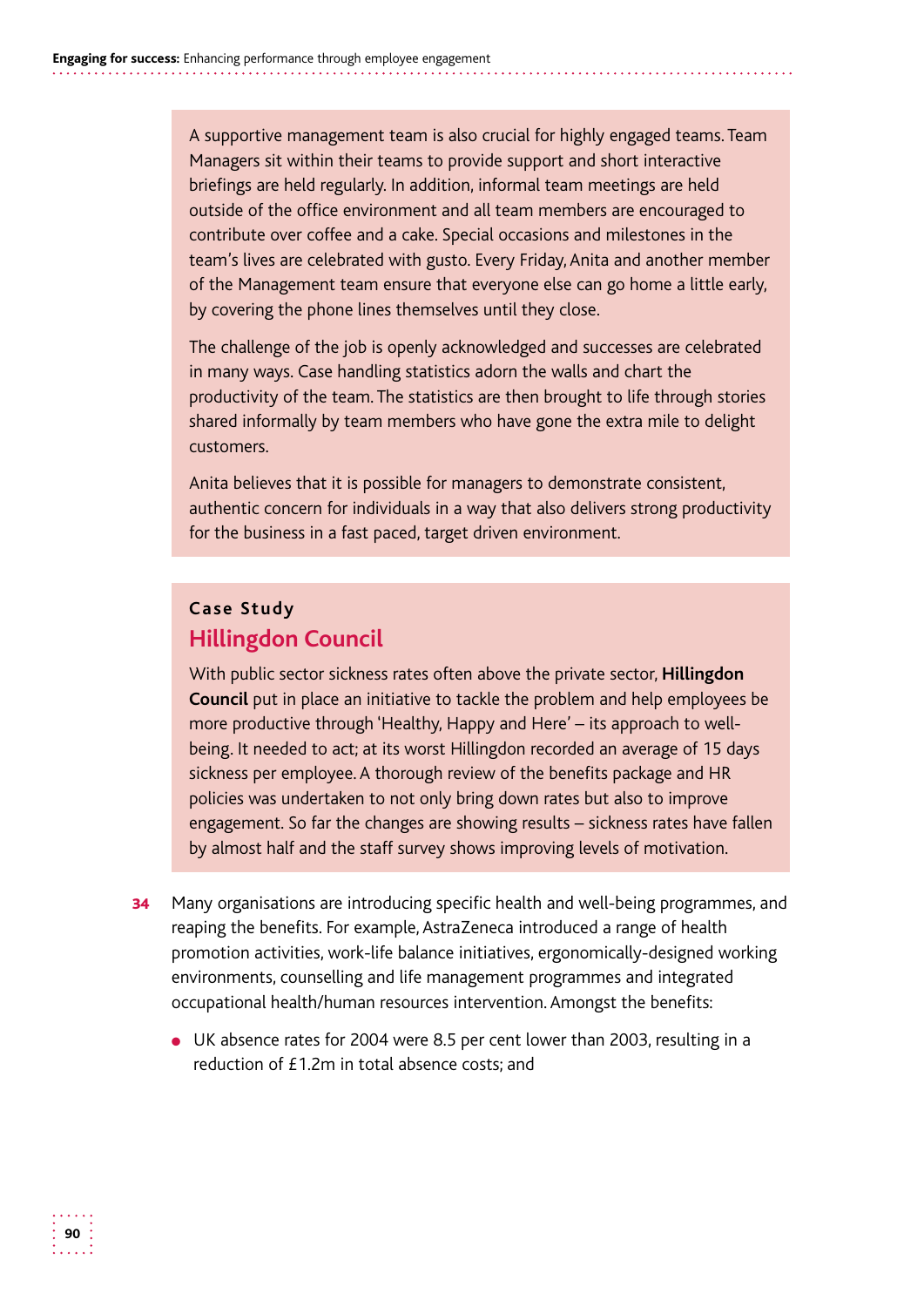A supportive management team is also crucial for highly engaged teams. Team Managers sit within their teams to provide support and short interactive briefings are held regularly. In addition, informal team meetings are held outside of the office environment and all team members are encouraged to contribute over coffee and a cake. Special occasions and milestones in the team's lives are celebrated with gusto. Every Friday, Anita and another member of the Management team ensure that everyone else can go home a little early, by covering the phone lines themselves until they close.

The challenge of the job is openly acknowledged and successes are celebrated in many ways. Case handling statistics adorn the walls and chart the productivity of the team. The statistics are then brought to life through stories shared informally by team members who have gone the extra mile to delight customers.

Anita believes that it is possible for managers to demonstrate consistent, authentic concern for individuals in a way that also delivers strong productivity for the business in a fast paced, target driven environment.

#### **Case Study Hillingdon Council**

With public sector sickness rates often above the private sector, **Hillingdon Council** put in place an initiative to tackle the problem and help employees be more productive through 'Healthy, Happy and Here' – its approach to wellbeing. It needed to act; at its worst Hillingdon recorded an average of 15 days sickness per employee. A thorough review of the benefits package and HR policies was undertaken to not only bring down rates but also to improve engagement. So far the changes are showing results – sickness rates have fallen by almost half and the staff survey shows improving levels of motivation.

- **34** Many organisations are introducing specific health and well-being programmes, and reaping the benefits. For example, AstraZeneca introduced a range of health promotion activities, work-life balance initiatives, ergonomically-designed working environments, counselling and life management programmes and integrated occupational health/human resources intervention. Amongst the benefits:
	- UK absence rates for 2004 were 8.5 per cent lower than 2003, resulting in a reduction of £1.2m in total absence costs; and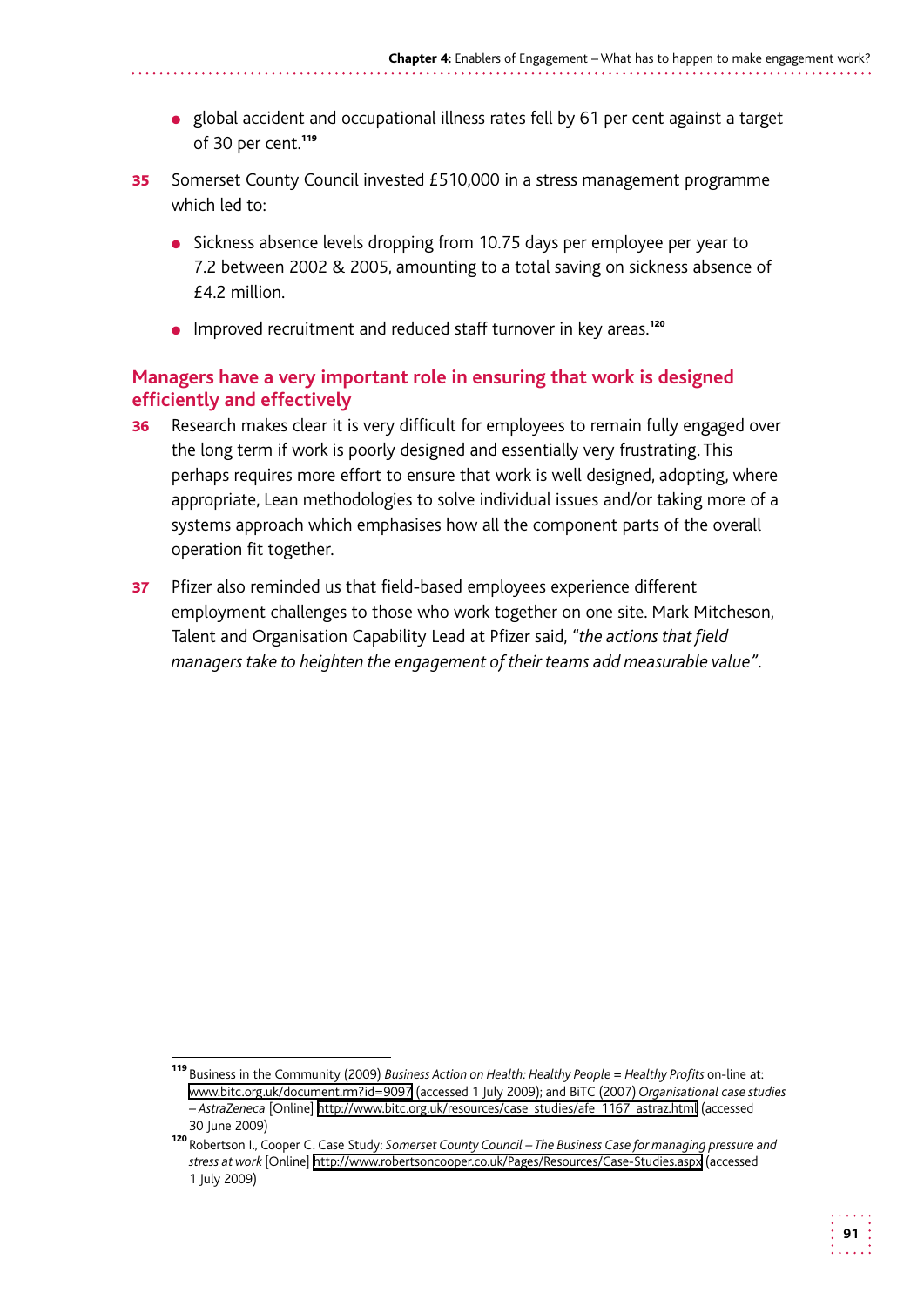- global accident and occupational illness rates fell by 61 per cent against a target of 30 per cent.<sup>119</sup>
- **35** Somerset County Council invested £510,000 in a stress management programme which led to:
	- Sickness absence levels dropping from 10.75 days per employee per year to 7.2 between 2002 & 2005, amounting to a total saving on sickness absence of £4.2 million.
	- Improved recruitment and reduced staff turnover in key areas.<sup>120</sup>

#### **Managers have a very important role in ensuring that work is designed efficiently and effectively**

- **36** Research makes clear it is very difficult for employees to remain fully engaged over the long term if work is poorly designed and essentially very frustrating. This perhaps requires more effort to ensure that work is well designed, adopting, where appropriate, Lean methodologies to solve individual issues and/or taking more of a systems approach which emphasises how all the component parts of the overall operation fit together.
- 37 Pfizer also reminded us that field-based employees experience different employment challenges to those who work together on one site. Mark Mitcheson, Talent and Organisation Capability Lead at Pfizer said, *"the actions that field managers take to heighten the engagement of their teams add measurable value"*.

<sup>119</sup>Business in the Community (2009) *Business Action on Health: Healthy People = Healthy Profits* on-line at: www.bitc.org.uk/document.rm?id=9097 (accessed 1 July 2009); and BiTC (2007) *Organisational case studies – AstraZeneca* [Online] http://www.bitc.org.uk/resources/case\_studies/afe\_1167\_astraz.html (accessed 30 June 2009)

<sup>120</sup> Robertson I., Cooper C. Case Study: Somerset County Council – The Business Case for managing pressure and *stress at work* [Online] http://www.robertsoncooper.co.uk/Pages/Resources/Case-Studies.aspx (accessed 1 July 2009)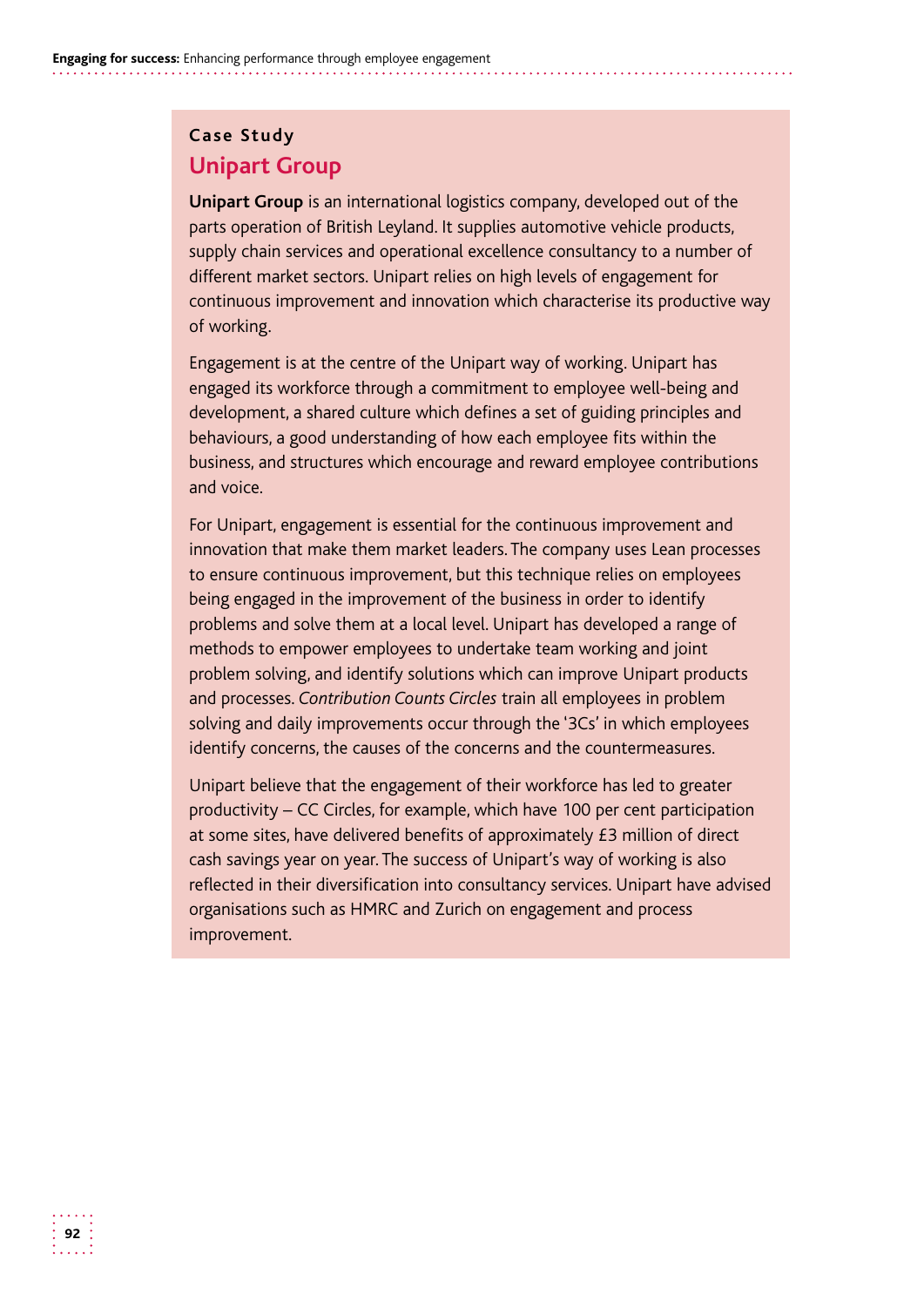#### **Case Study Unipart Group**

**Unipart Group** is an international logistics company, developed out of the parts operation of British Leyland. It supplies automotive vehicle products, supply chain services and operational excellence consultancy to a number of different market sectors. Unipart relies on high levels of engagement for continuous improvement and innovation which characterise its productive way of working.

Engagement is at the centre of the Unipart way of working. Unipart has engaged its workforce through a commitment to employee well-being and development, a shared culture which defines a set of guiding principles and behaviours, a good understanding of how each employee fits within the business, and structures which encourage and reward employee contributions and voice.

For Unipart, engagement is essential for the continuous improvement and innovation that make them market leaders. The company uses Lean processes to ensure continuous improvement, but this technique relies on employees being engaged in the improvement of the business in order to identify problems and solve them at a local level. Unipart has developed a range of methods to empower employees to undertake team working and joint problem solving, and identify solutions which can improve Unipart products and processes. *Contribution Counts Circles* train all employees in problem solving and daily improvements occur through the '3Cs' in which employees identify concerns, the causes of the concerns and the countermeasures.

Unipart believe that the engagement of their workforce has led to greater productivity – CC Circles, for example, which have 100 per cent participation at some sites, have delivered benefits of approximately £3 million of direct cash savings year on year. The success of Unipart's way of working is also reflected in their diversification into consultancy services. Unipart have advised organisations such as HMRC and Zurich on engagement and process improvement.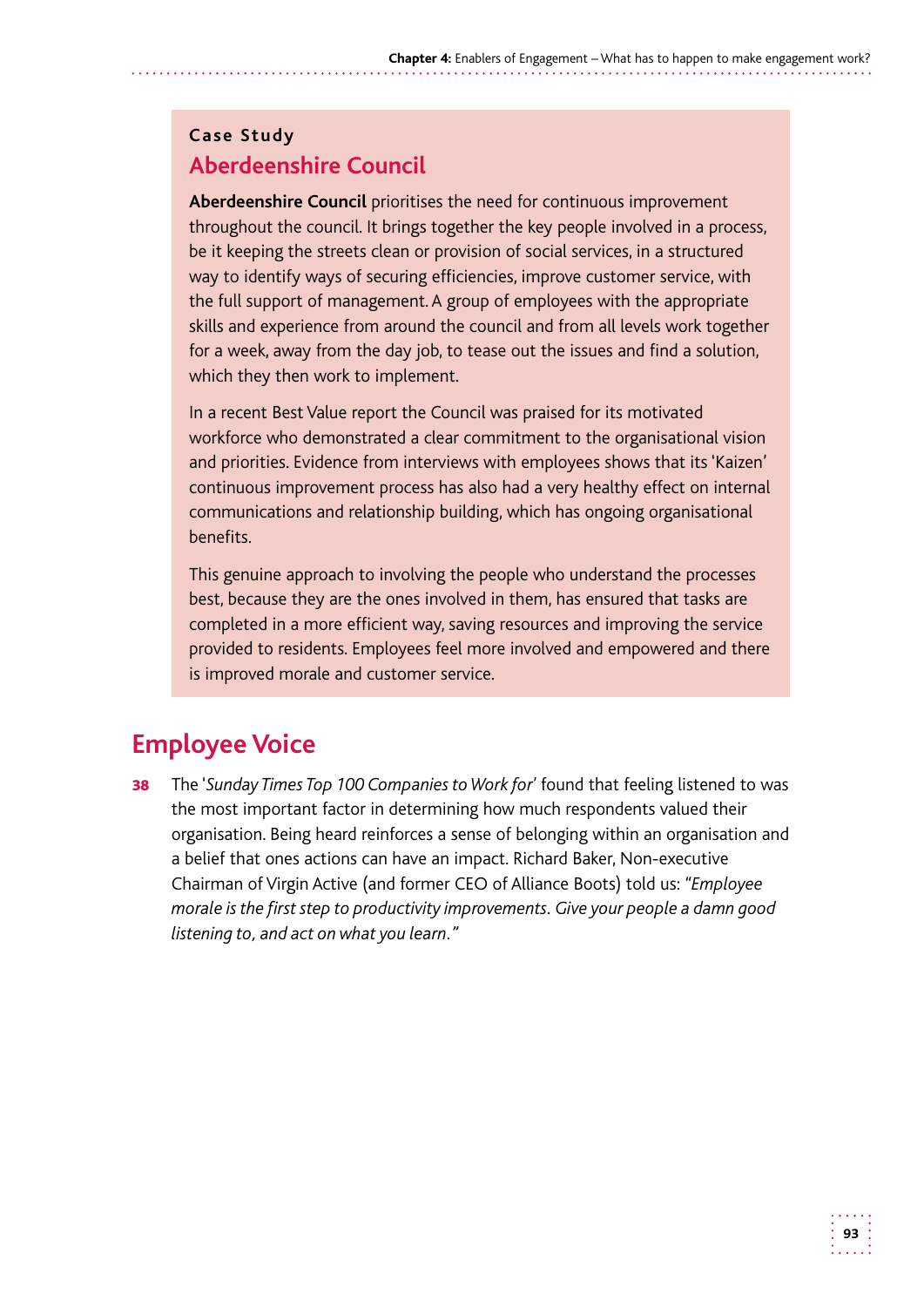#### **Case Study Aberdeenshire Council**

**Aberdeenshire Council** prioritises the need for continuous improvement throughout the council. It brings together the key people involved in a process, be it keeping the streets clean or provision of social services, in a structured way to identify ways of securing efficiencies, improve customer service, with the full support of management. A group of employees with the appropriate skills and experience from around the council and from all levels work together for a week, away from the day job, to tease out the issues and find a solution, which they then work to implement.

In a recent Best Value report the Council was praised for its motivated workforce who demonstrated a clear commitment to the organisational vision and priorities. Evidence from interviews with employees shows that its 'Kaizen' continuous improvement process has also had a very healthy effect on internal communications and relationship building, which has ongoing organisational benefits.

This genuine approach to involving the people who understand the processes best, because they are the ones involved in them, has ensured that tasks are completed in a more efficient way, saving resources and improving the service provided to residents. Employees feel more involved and empowered and there is improved morale and customer service.

# **Employee Voice**

**38** The 'Sunday Times Top 100 Companies to Work for' found that feeling listened to was the most important factor in determining how much respondents valued their organisation. Being heard reinforces a sense of belonging within an organisation and a belief that ones actions can have an impact. Richard Baker, Non-executive Chairman of Virgin Active (and former CEO of Alliance Boots) told us: *"Employee morale is the first step to productivity improvements. Give your people a damn good listening to, and act on what you learn."*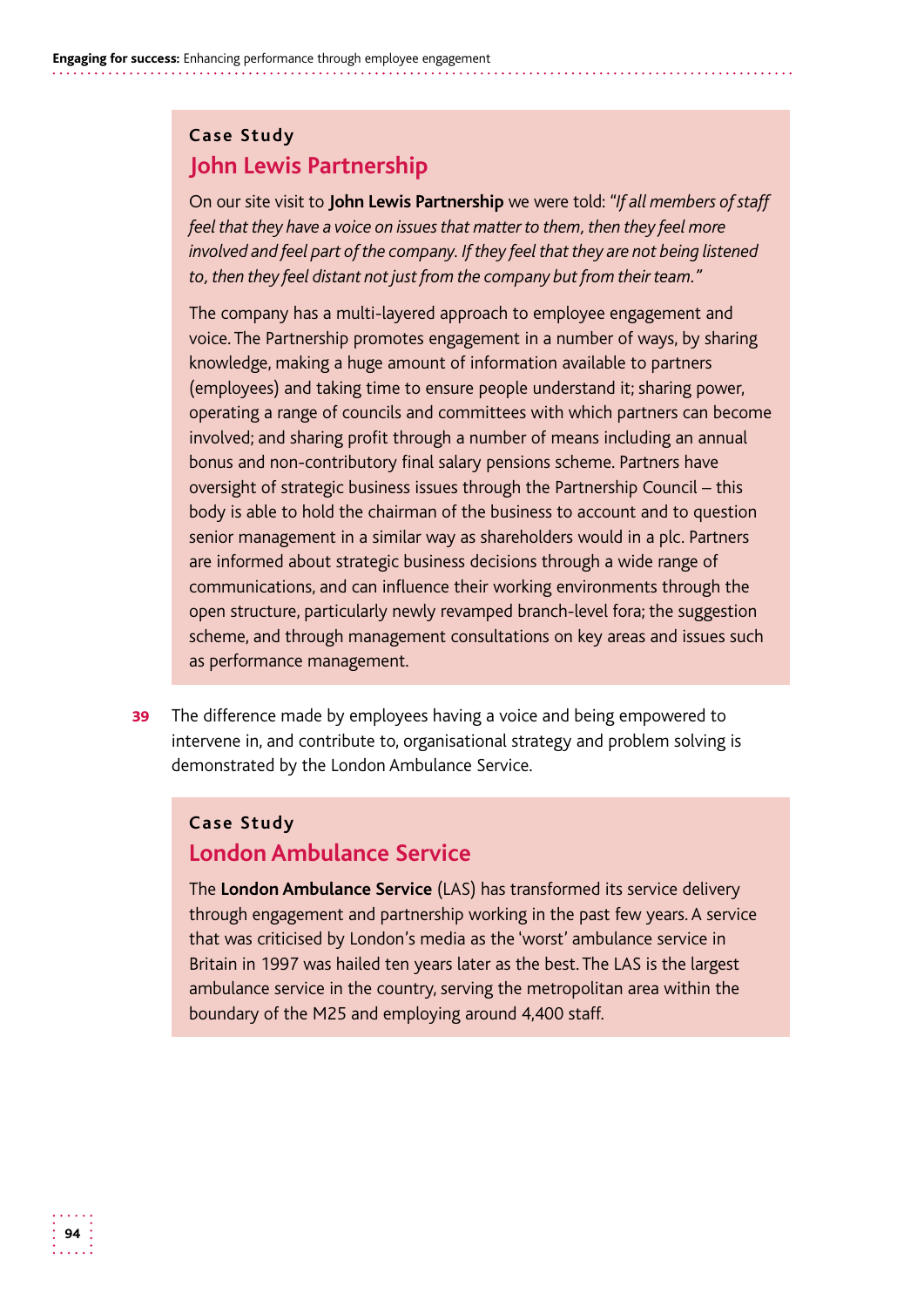#### **Case Study John Lewis Partnership**

 On our site visit to **John Lewis Partnership** we were told: *"If all members of staff feel that they have a voice on issues that matter to them, then they feel more involved and feel part of the company. If they feel that they are not being listened to, then they feel distant not just from the company but from their team."* 

The company has a multi-layered approach to employee engagement and voice. The Partnership promotes engagement in a number of ways, by sharing knowledge, making a huge amount of information available to partners (employees) and taking time to ensure people understand it; sharing power, operating a range of councils and committees with which partners can become involved; and sharing profit through a number of means including an annual bonus and non-contributory final salary pensions scheme. Partners have oversight of strategic business issues through the Partnership Council – this body is able to hold the chairman of the business to account and to question senior management in a similar way as shareholders would in a plc. Partners are informed about strategic business decisions through a wide range of communications, and can influence their working environments through the open structure, particularly newly revamped branch-level fora; the suggestion scheme, and through management consultations on key areas and issues such as performance management.

**39** The difference made by employees having a voice and being empowered to intervene in, and contribute to, organisational strategy and problem solving is demonstrated by the London Ambulance Service.

#### **Case Study London Ambulance Service**

The **London Ambulance Service** (LAS) has transformed its service delivery through engagement and partnership working in the past few years. A service that was criticised by London's media as the 'worst' ambulance service in Britain in 1997 was hailed ten years later as the best. The LAS is the largest ambulance service in the country, serving the metropolitan area within the boundary of the M25 and employing around 4,400 staff.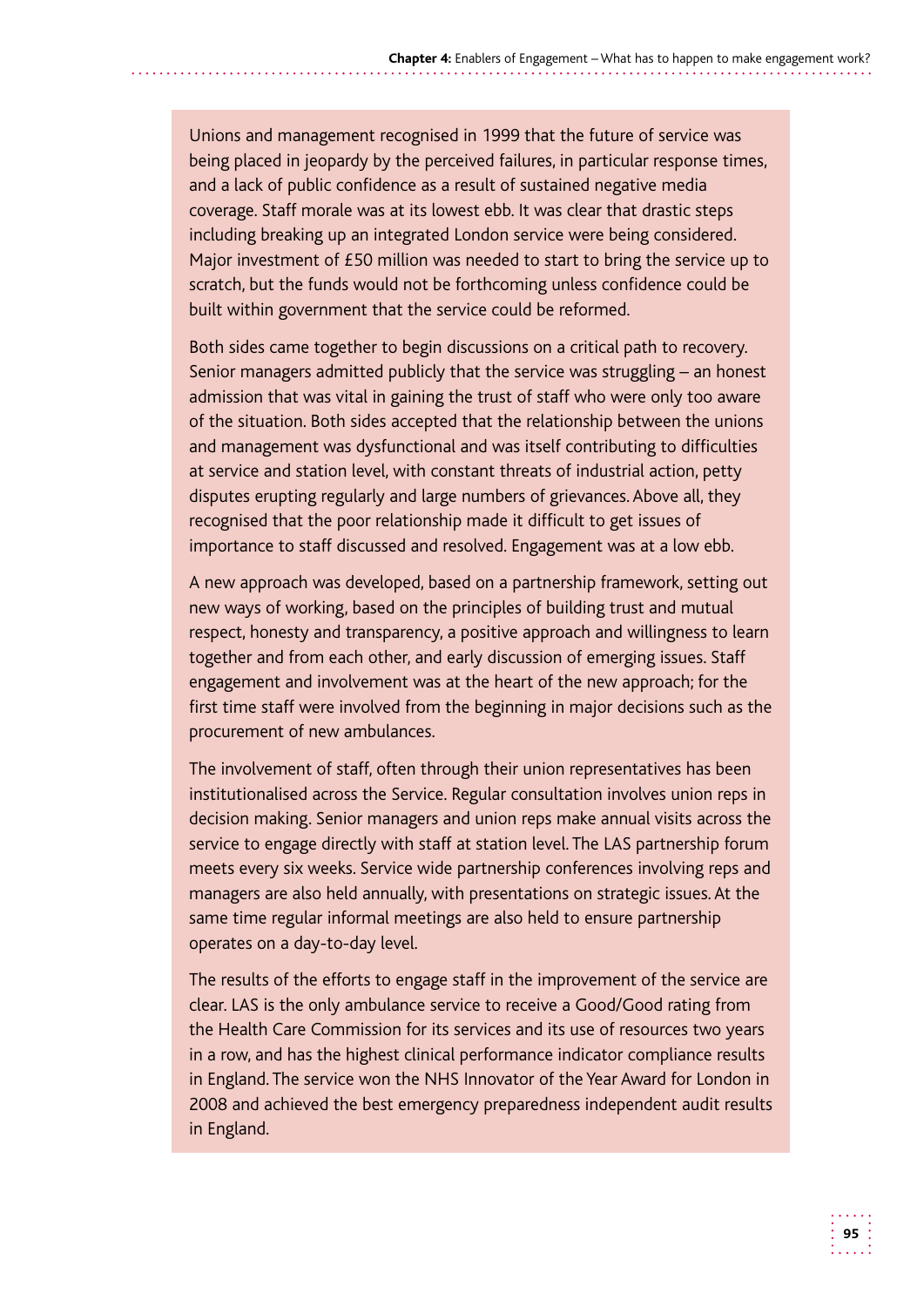Unions and management recognised in 1999 that the future of service was being placed in jeopardy by the perceived failures, in particular response times, and a lack of public confidence as a result of sustained negative media coverage. Staff morale was at its lowest ebb. It was clear that drastic steps including breaking up an integrated London service were being considered. Major investment of £50 million was needed to start to bring the service up to scratch, but the funds would not be forthcoming unless confidence could be built within government that the service could be reformed.

Both sides came together to begin discussions on a critical path to recovery. Senior managers admitted publicly that the service was struggling – an honest admission that was vital in gaining the trust of staff who were only too aware of the situation. Both sides accepted that the relationship between the unions and management was dysfunctional and was itself contributing to difficulties at service and station level, with constant threats of industrial action, petty disputes erupting regularly and large numbers of grievances. Above all, they recognised that the poor relationship made it difficult to get issues of importance to staff discussed and resolved. Engagement was at a low ebb.

A new approach was developed, based on a partnership framework, setting out new ways of working, based on the principles of building trust and mutual respect, honesty and transparency, a positive approach and willingness to learn together and from each other, and early discussion of emerging issues. Staff engagement and involvement was at the heart of the new approach; for the first time staff were involved from the beginning in major decisions such as the procurement of new ambulances.

The involvement of staff, often through their union representatives has been institutionalised across the Service. Regular consultation involves union reps in decision making. Senior managers and union reps make annual visits across the service to engage directly with staff at station level. The LAS partnership forum meets every six weeks. Service wide partnership conferences involving reps and managers are also held annually, with presentations on strategic issues. At the same time regular informal meetings are also held to ensure partnership operates on a day-to-day level.

The results of the efforts to engage staff in the improvement of the service are clear. LAS is the only ambulance service to receive a Good/Good rating from the Health Care Commission for its services and its use of resources two years in a row, and has the highest clinical performance indicator compliance results in England. The service won the NHS Innovator of the Year Award for London in 2008 and achieved the best emergency preparedness independent audit results in England.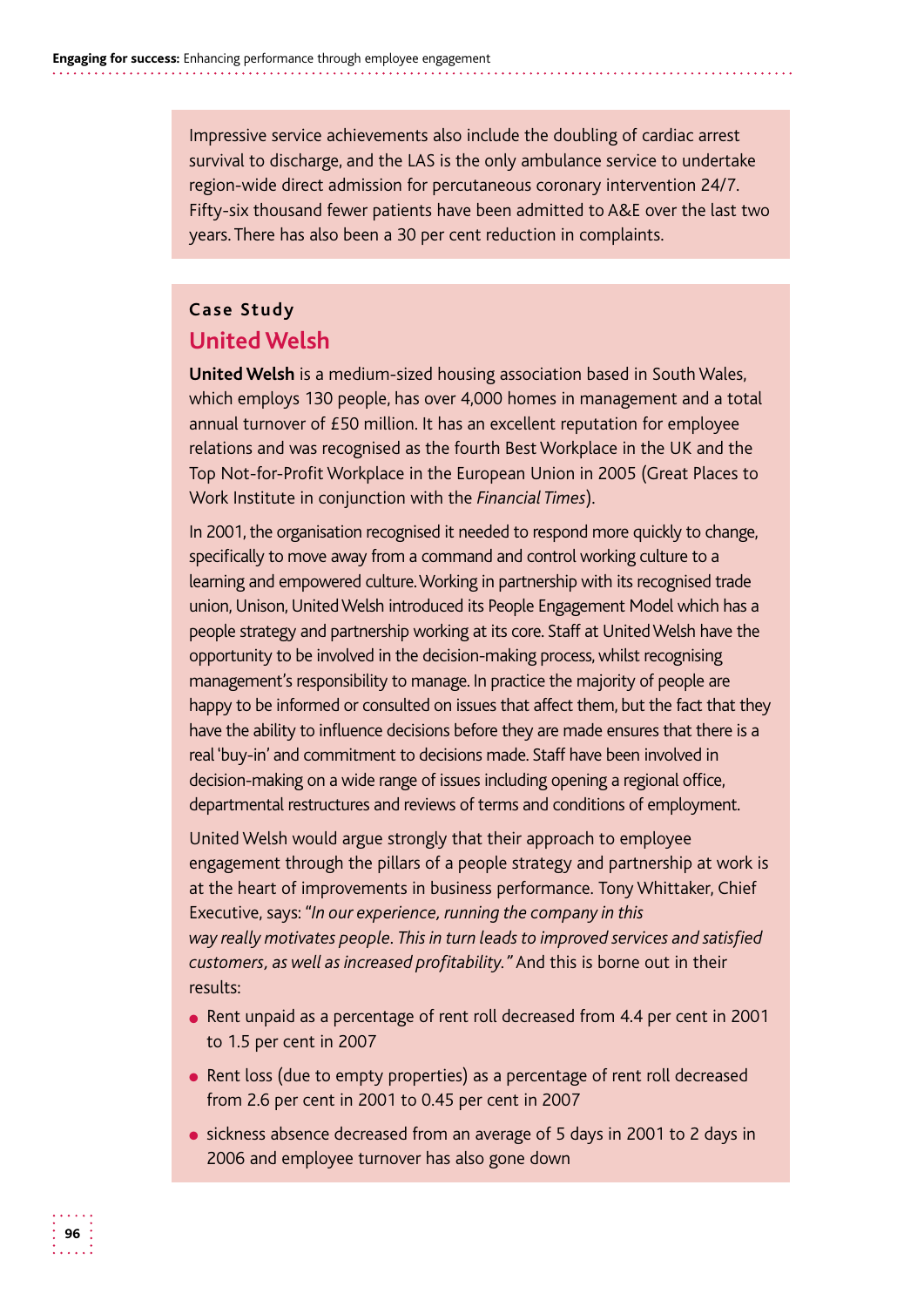Impressive service achievements also include the doubling of cardiac arrest survival to discharge, and the LAS is the only ambulance service to undertake region-wide direct admission for percutaneous coronary intervention 24/7. Fifty-six thousand fewer patients have been admitted to A&E over the last two years. There has also been a 30 per cent reduction in complaints.

#### **Case Study United Welsh**

**United Welsh** is a medium-sized housing association based in South Wales, which employs 130 people, has over 4,000 homes in management and a total annual turnover of £50 million. It has an excellent reputation for employee relations and was recognised as the fourth Best Workplace in the UK and the Top Not-for-Profit Workplace in the European Union in 2005 (Great Places to Work Institute in conjunction with the *Financial Times*).

 learning and empowered culture.Working in partnership with its recognised trade union, Unison, United Welsh introduced its People Engagement Model which has a people strategy and partnership working at its core. Staff at UnitedWelsh have the have the ability to influence decisions before they are made ensures that there is a real 'buy-in' and commitment to decisions made. Staff have been involved in In 2001, the organisation recognised it needed to respond more quickly to change, specifically to move away from a command and control working culture to a opportunity to be involved in the decision-making process, whilst recognising management's responsibility to manage. In practice the majority of people are happy to be informed or consulted on issues that affect them, but the fact that they decision-making on a wide range of issues including opening a regional office, departmental restructures and reviews of terms and conditions of employment.

United Welsh would argue strongly that their approach to employee engagement through the pillars of a people strategy and partnership at work is at the heart of improvements in business performance. Tony Whittaker, Chief Executive, says: *"In our experience, running the company in this way really motivates people. This in turn leads to improved services and satisfied customers, as well as increased profitability."* And this is borne out in their results:

- Rent unpaid as a percentage of rent roll decreased from 4.4 per cent in 2001 to 1.5 per cent in 2007
- Rent loss (due to empty properties) as a percentage of rent roll decreased from 2.6 per cent in 2001 to 0.45 per cent in 2007
- sickness absence decreased from an average of 5 days in 2001 to 2 days in 2006 and employee turnover has also gone down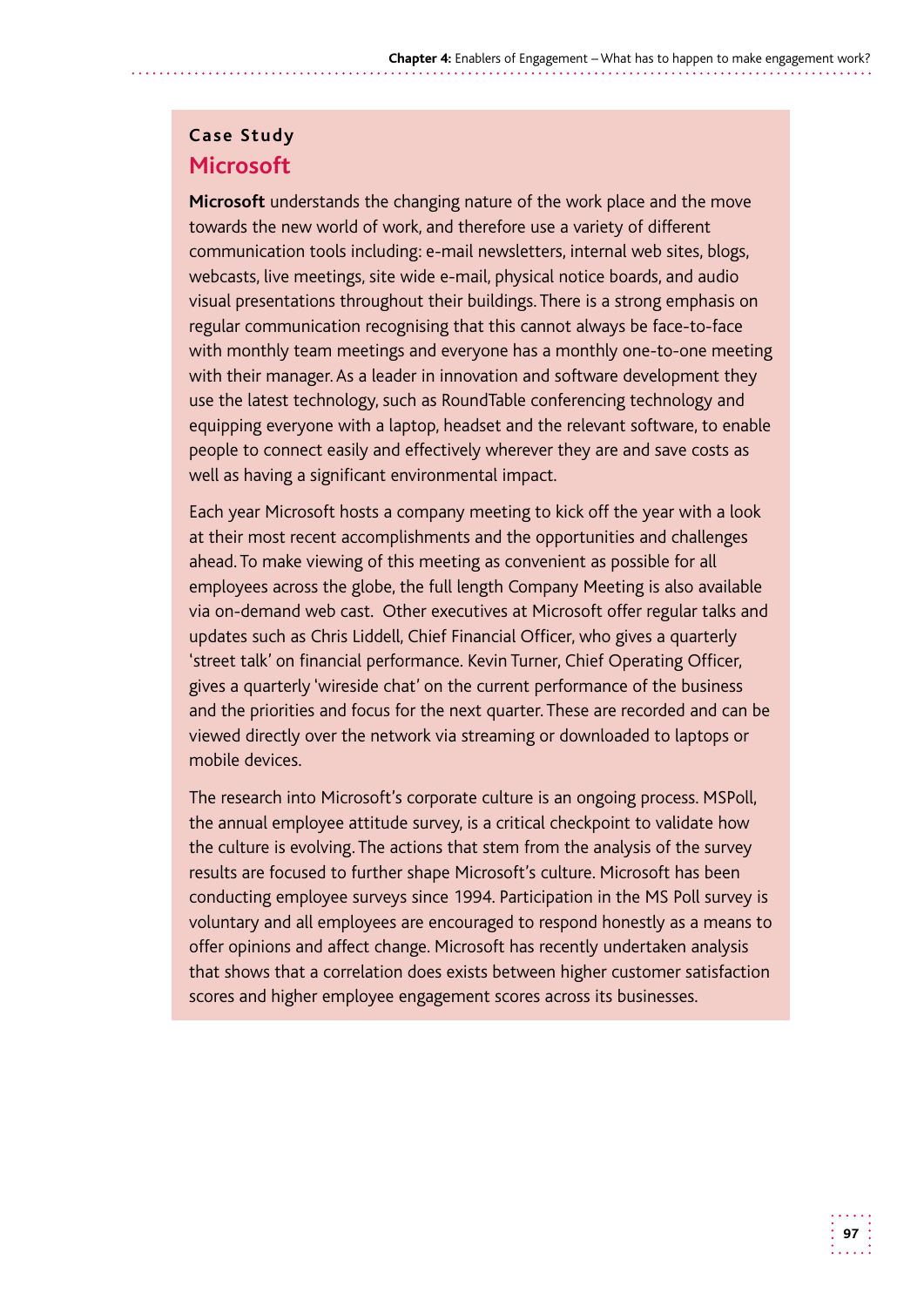#### **Case Study Microsoft**

**Microsoft** understands the changing nature of the work place and the move towards the new world of work, and therefore use a variety of different communication tools including: e-mail newsletters, internal web sites, blogs, webcasts, live meetings, site wide e-mail, physical notice boards, and audio visual presentations throughout their buildings. There is a strong emphasis on regular communication recognising that this cannot always be face-to-face with monthly team meetings and everyone has a monthly one-to-one meeting with their manager. As a leader in innovation and software development they use the latest technology, such as RoundTable conferencing technology and equipping everyone with a laptop, headset and the relevant software, to enable people to connect easily and effectively wherever they are and save costs as well as having a significant environmental impact.

 via on-demand web cast. Other executives at Microsoft offer regular talks and Each year Microsoft hosts a company meeting to kick off the year with a look at their most recent accomplishments and the opportunities and challenges ahead. To make viewing of this meeting as convenient as possible for all employees across the globe, the full length Company Meeting is also available updates such as Chris Liddell, Chief Financial Officer, who gives a quarterly 'street talk' on financial performance. Kevin Turner, Chief Operating Officer, gives a quarterly 'wireside chat' on the current performance of the business and the priorities and focus for the next quarter. These are recorded and can be viewed directly over the network via streaming or downloaded to laptops or mobile devices.

The research into Microsoft's corporate culture is an ongoing process. MSPoll, the annual employee attitude survey, is a critical checkpoint to validate how the culture is evolving. The actions that stem from the analysis of the survey results are focused to further shape Microsoft's culture. Microsoft has been conducting employee surveys since 1994. Participation in the MS Poll survey is voluntary and all employees are encouraged to respond honestly as a means to offer opinions and affect change. Microsoft has recently undertaken analysis that shows that a correlation does exists between higher customer satisfaction scores and higher employee engagement scores across its businesses.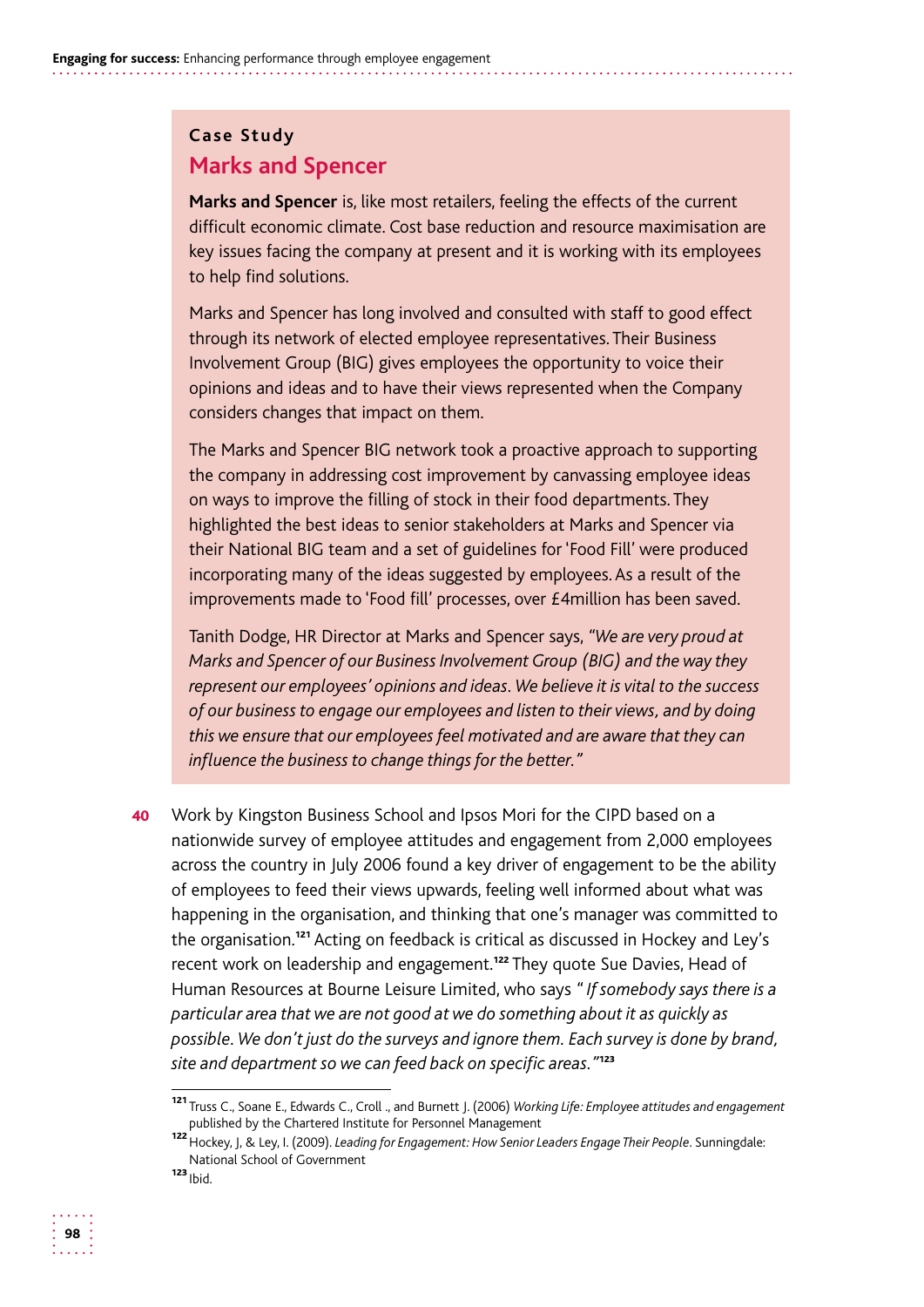#### **Case Study Marks and Spencer**

**Marks and Spencer** is, like most retailers, feeling the effects of the current difficult economic climate. Cost base reduction and resource maximisation are key issues facing the company at present and it is working with its employees to help find solutions.

Marks and Spencer has long involved and consulted with staff to good effect through its network of elected employee representatives. Their Business Involvement Group (BIG) gives employees the opportunity to voice their opinions and ideas and to have their views represented when the Company considers changes that impact on them.

The Marks and Spencer BIG network took a proactive approach to supporting the company in addressing cost improvement by canvassing employee ideas on ways to improve the filling of stock in their food departments. They highlighted the best ideas to senior stakeholders at Marks and Spencer via their National BIG team and a set of guidelines for 'Food Fill' were produced incorporating many of the ideas suggested by employees. As a result of the improvements made to 'Food fill' processes, over £4million has been saved.

Tanith Dodge, HR Director at Marks and Spencer says, *"We are very proud at Marks and Spencer of our Business Involvement Group (BIG) and the way they represent our employees' opinions and ideas. We believe it is vital to the success of our business to engage our employees and listen to their views, and by doing this we ensure that our employees feel motivated and are aware that they can influence the business to change things for the better."* 

40 Work by Kingston Business School and Ipsos Mori for the CIPD based on a nationwide survey of employee attitudes and engagement from 2,000 employees across the country in July 2006 found a key driver of engagement to be the ability of employees to feed their views upwards, feeling well informed about what was happening in the organisation, and thinking that one's manager was committed to the organisation.<sup>121</sup> Acting on feedback is critical as discussed in Hockey and Ley's recent work on leadership and engagement.<sup>122</sup> They quote Sue Davies, Head of Human Resources at Bourne Leisure Limited, who says *" If somebody says there is a particular area that we are not good at we do something about it as quickly as possible. We don't just do the surveys and ignore them. Each survey is done by brand, site and department so we can feed back on specific areas."*<sup>123</sup>

<sup>121</sup>Truss C., Soane E., Edwards C., Croll ., and Burnett J. (2006) *Working Life: Employee attitudes and engagement*  published by the Chartered Institute for Personnel Management

<sup>122</sup>Hockey, J, & Ley, I. (2009). *Leading for Engagement: How Senior Leaders Engage Their People*. Sunningdale: National School of Government

 $123$  Ibid.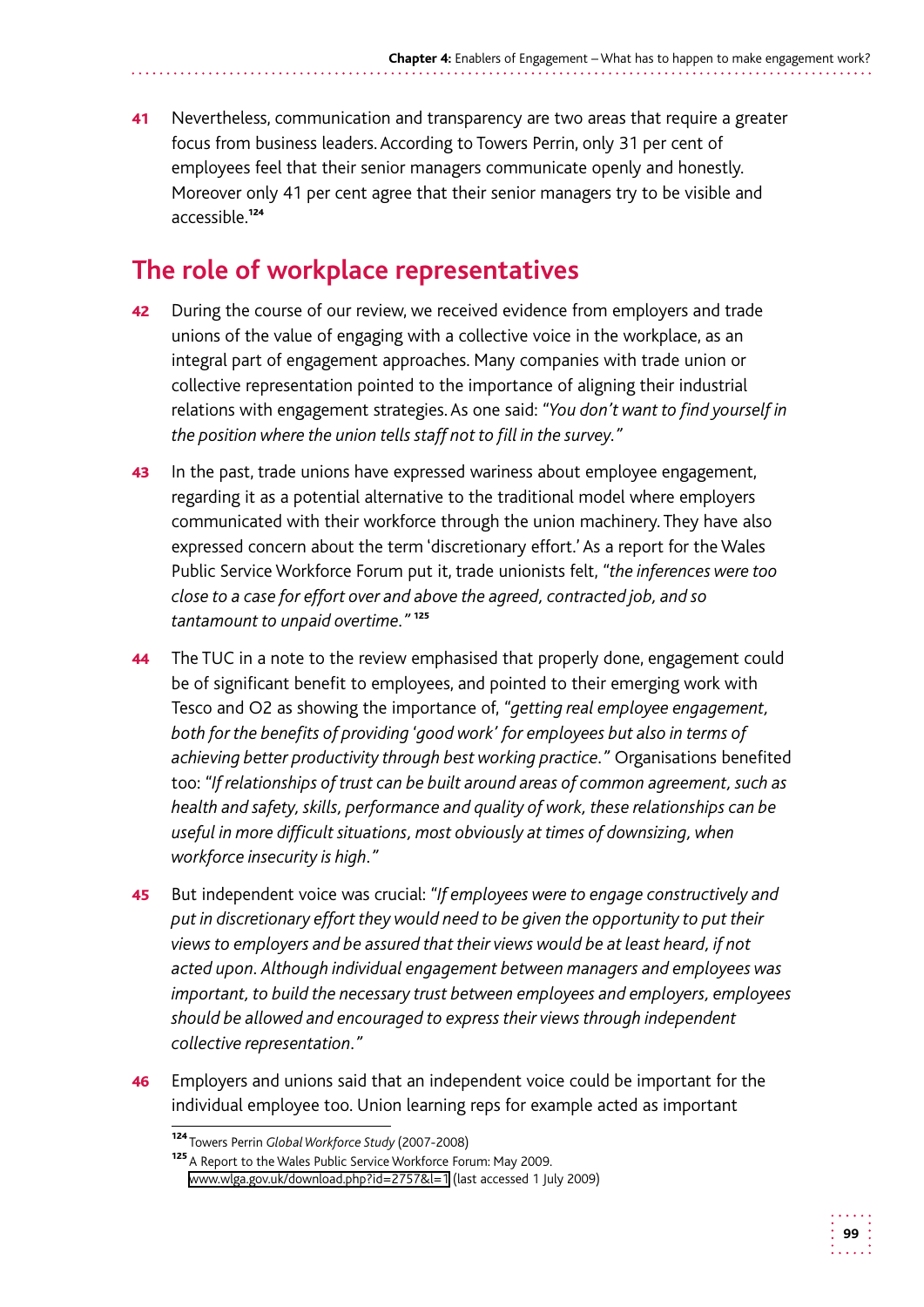41 Nevertheless, communication and transparency are two areas that require a greater focus from business leaders. According to Towers Perrin, only 31 per cent of employees feel that their senior managers communicate openly and honestly. Moreover only 41 per cent agree that their senior managers try to be visible and accessible.<sup>124</sup>

## **The role of workplace representatives**

- relations with engagement strategies. As one said: *"You don't want to find yourself in*  42 During the course of our review, we received evidence from employers and trade unions of the value of engaging with a collective voice in the workplace, as an integral part of engagement approaches. Many companies with trade union or collective representation pointed to the importance of aligning their industrial *the position where the union tells staff not to fill in the survey."*
- 43 In the past, trade unions have expressed wariness about employee engagement, regarding it as a potential alternative to the traditional model where employers communicated with their workforce through the union machinery. They have also expressed concern about the term 'discretionary effort.' As a report for the Wales Public Service Workforce Forum put it, trade unionists felt, *"the inferences were too close to a case for effort over and above the agreed, contracted job, and so tantamount to unpaid overtime."* <sup>125</sup>
- **44** The TUC in a note to the review emphasised that properly done, engagement could be of significant benefit to employees, and pointed to their emerging work with Tesco and O2 as showing the importance of, *"getting real employee engagement, both for the benefits of providing 'good work' for employees but also in terms of achieving better productivity through best working practice."* Organisations benefited too: *"If relationships of trust can be built around areas of common agreement, such as health and safety, skills, performance and quality of work, these relationships can be useful in more difficult situations, most obviously at times of downsizing, when workforce insecurity is high."*
- **45** But independent voice was crucial: "If employees were to engage constructively and *put in discretionary effort they would need to be given the opportunity to put their views to employers and be assured that their views would be at least heard, if not acted upon. Although individual engagement between managers and employees was important, to build the necessary trust between employees and employers, employees should be allowed and encouraged to express their views through independent collective representation."*
- **46** Employers and unions said that an independent voice could be important for the individual employee too. Union learning reps for example acted as important

<sup>124</sup>Towers Perrin *Global Workforce Study* (2007-2008)

<sup>125</sup> A Report to the Wales Public Service Workforce Forum: May 2009.

www.wlga.gov.uk/download.php?id=2757&l=1 (last accessed 1 July 2009)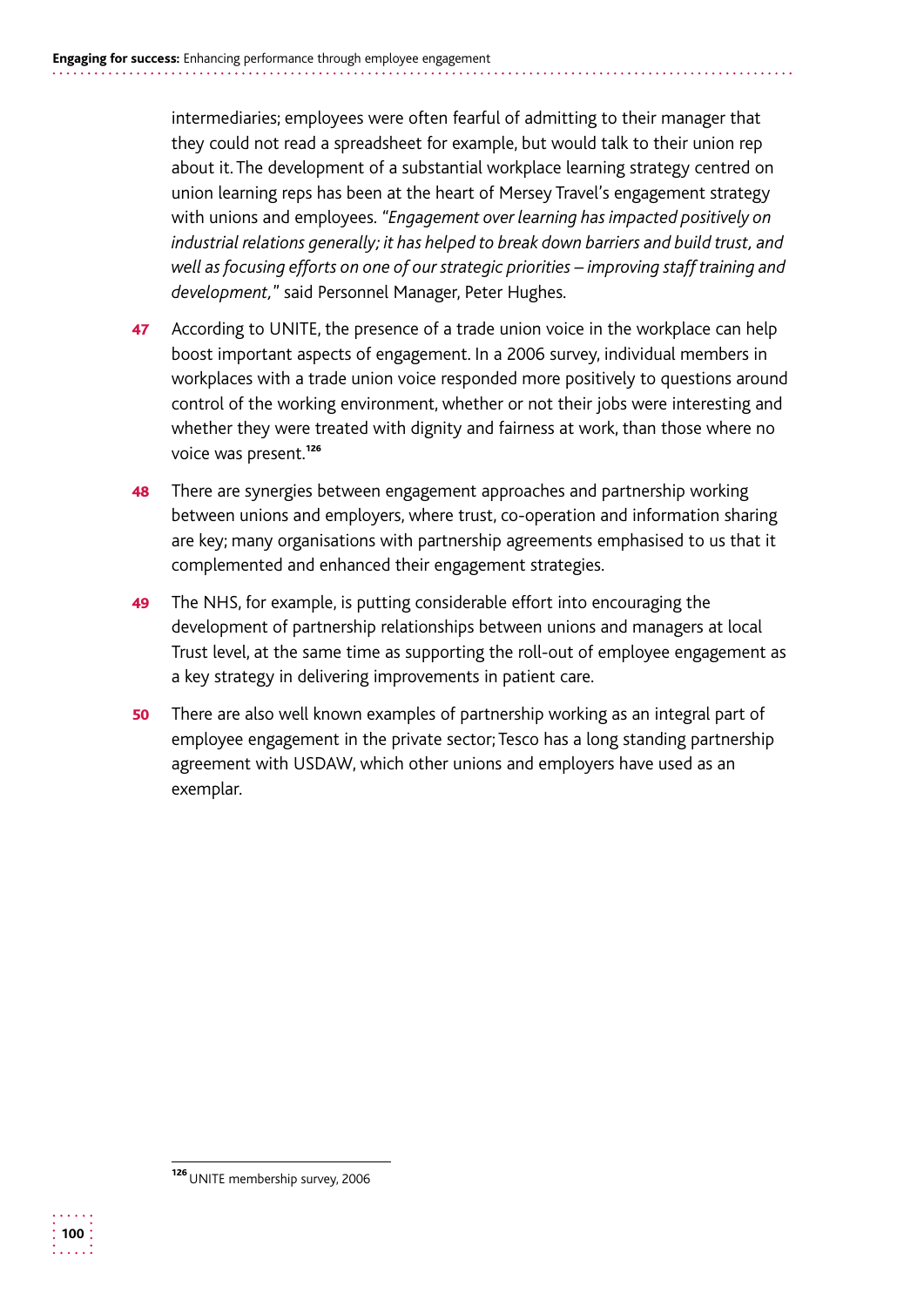intermediaries; employees were often fearful of admitting to their manager that they could not read a spreadsheet for example, but would talk to their union rep about it. The development of a substantial workplace learning strategy centred on union learning reps has been at the heart of Mersey Travel's engagement strategy with unions and employees. *"Engagement over learning has impacted positively on industrial relations generally; it has helped to break down barriers and build trust, and well as focusing efforts on one of our strategic priorities – improving staff training and development,*" said Personnel Manager, Peter Hughes.

- 47 According to UNITE, the presence of a trade union voice in the workplace can help boost important aspects of engagement. In a 2006 survey, individual members in workplaces with a trade union voice responded more positively to questions around control of the working environment, whether or not their jobs were interesting and whether they were treated with dignity and fairness at work, than those where no voice was present.<sup>126</sup>
- **48** There are synergies between engagement approaches and partnership working between unions and employers, where trust, co-operation and information sharing are key; many organisations with partnership agreements emphasised to us that it complemented and enhanced their engagement strategies.
- 49 The NHS, for example, is putting considerable effort into encouraging the development of partnership relationships between unions and managers at local Trust level, at the same time as supporting the roll-out of employee engagement as a key strategy in delivering improvements in patient care.
- 50 There are also well known examples of partnership working as an integral part of employee engagement in the private sector; Tesco has a long standing partnership agreement with USDAW, which other unions and employers have used as an exemplar.



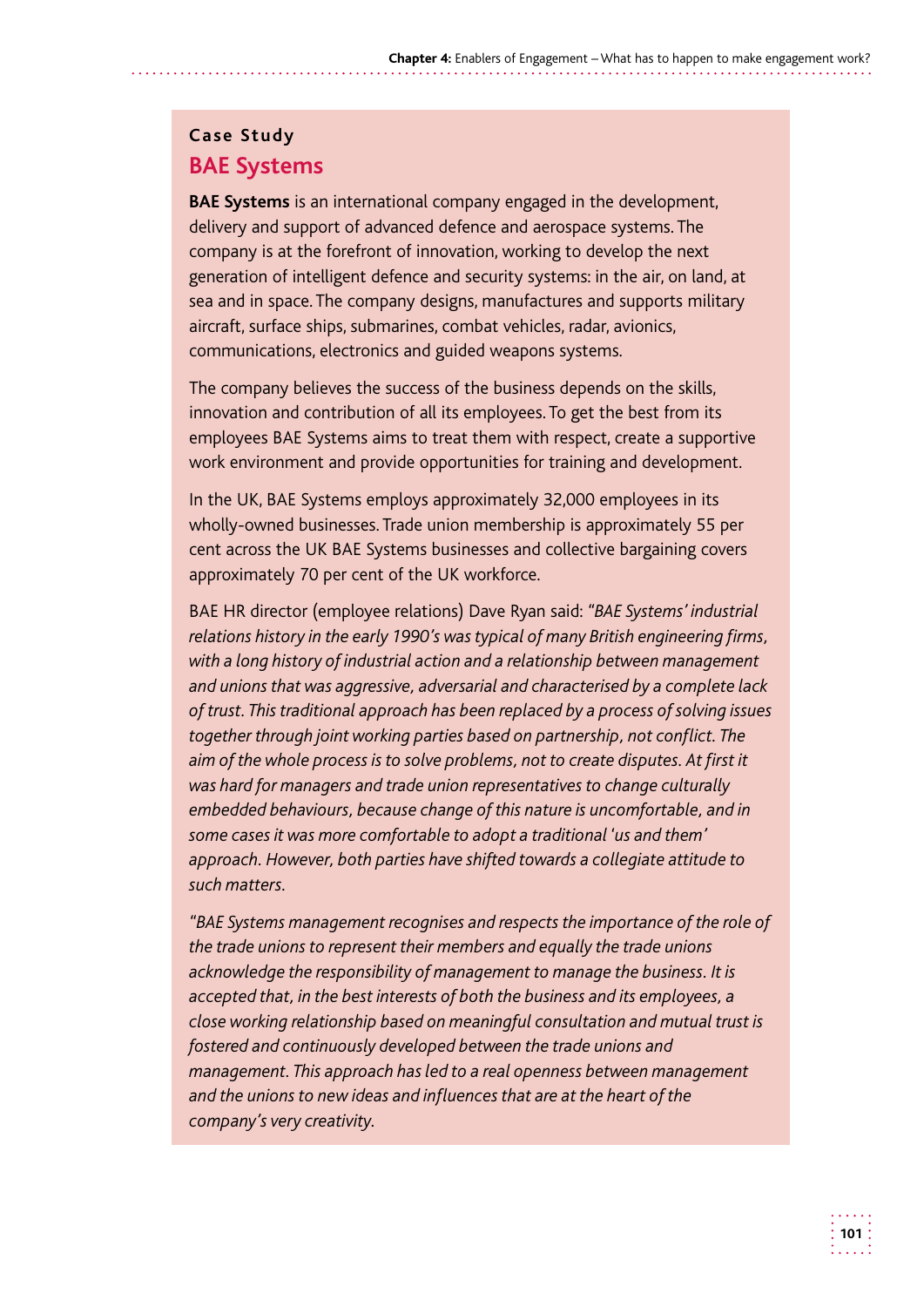#### **Case Study BAE Systems**

**BAE Systems** is an international company engaged in the development, delivery and support of advanced defence and aerospace systems. The company is at the forefront of innovation, working to develop the next generation of intelligent defence and security systems: in the air, on land, at sea and in space. The company designs, manufactures and supports military aircraft, surface ships, submarines, combat vehicles, radar, avionics, communications, electronics and guided weapons systems.

The company believes the success of the business depends on the skills, innovation and contribution of all its employees. To get the best from its employees BAE Systems aims to treat them with respect, create a supportive work environment and provide opportunities for training and development.

In the UK, BAE Systems employs approximately 32,000 employees in its wholly-owned businesses. Trade union membership is approximately 55 per cent across the UK BAE Systems businesses and collective bargaining covers approximately 70 per cent of the UK workforce.

BAE HR director (employee relations) Dave Ryan said: *"BAE Systems' industrial relations history in the early 1990's was typical of many British engineering firms, with a long history of industrial action and a relationship between management and unions that was aggressive, adversarial and characterised by a complete lack of trust. This traditional approach has been replaced by a process of solving issues together through joint working parties based on partnership, not conflict. The*  aim of the whole process is to solve problems, not to create disputes. At first it *was hard for managers and trade union representatives to change culturally embedded behaviours, because change of this nature is uncomfortable, and in some cases it was more comfortable to adopt a traditional 'us and them' approach. However, both parties have shifted towards a collegiate attitude to such matters.* 

*"BAE Systems management recognises and respects the importance of the role of the trade unions to represent their members and equally the trade unions acknowledge the responsibility of management to manage the business. It is accepted that, in the best interests of both the business and its employees, a close working relationship based on meaningful consultation and mutual trust is fostered and continuously developed between the trade unions and management. This approach has led to a real openness between management and the unions to new ideas and influences that are at the heart of the company's very creativity.*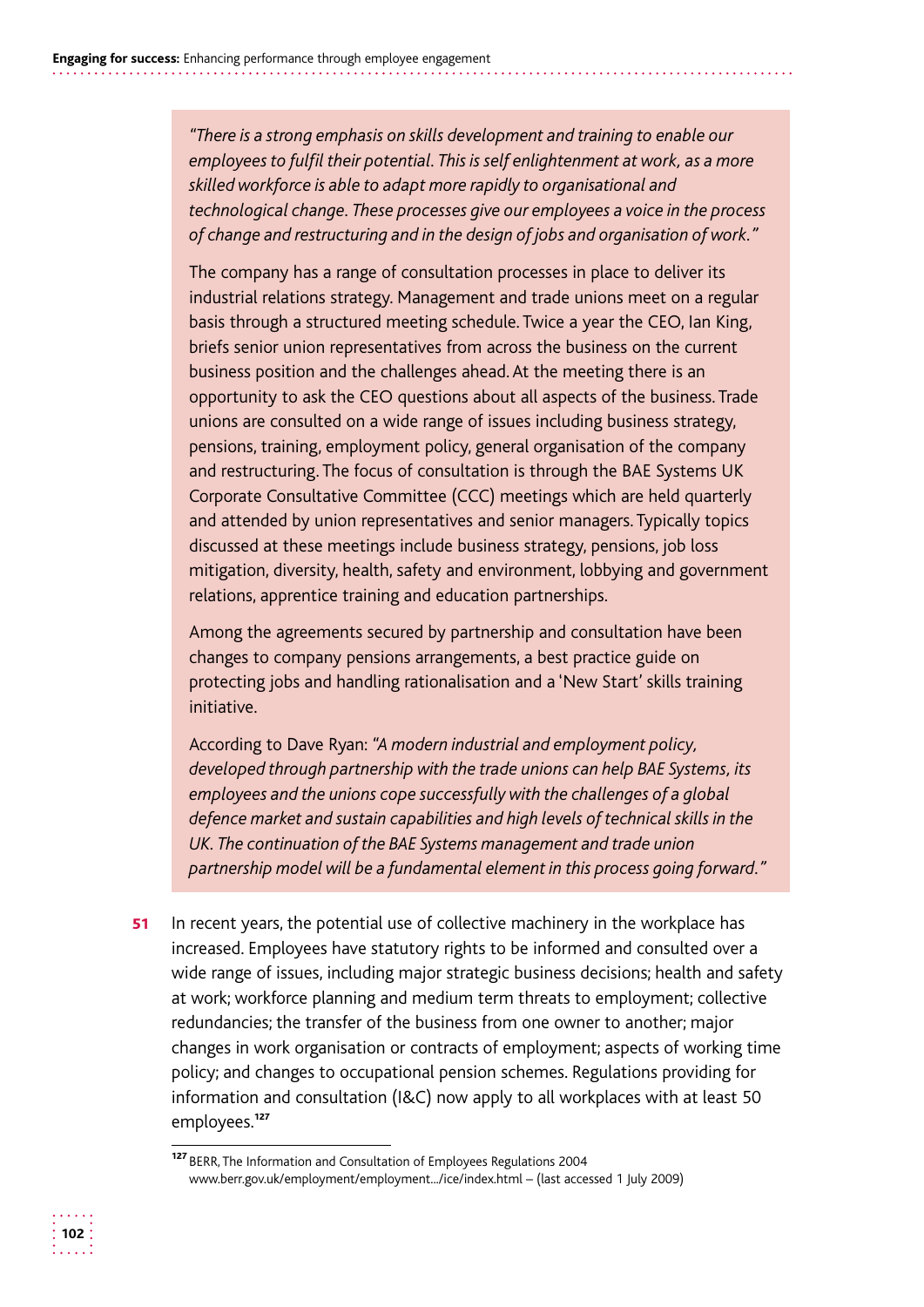*"There is a strong emphasis on skills development and training to enable our employees to fulfil their potential. This is self enlightenment at work, as a more skilled workforce is able to adapt more rapidly to organisational and technological change. These processes give our employees a voice in the process of change and restructuring and in the design of jobs and organisation of work."* 

The company has a range of consultation processes in place to deliver its industrial relations strategy. Management and trade unions meet on a regular basis through a structured meeting schedule. Twice a year the CEO, Ian King, briefs senior union representatives from across the business on the current business position and the challenges ahead. At the meeting there is an opportunity to ask the CEO questions about all aspects of the business. Trade unions are consulted on a wide range of issues including business strategy, pensions, training, employment policy, general organisation of the company and restructuring. The focus of consultation is through the BAE Systems UK Corporate Consultative Committee (CCC) meetings which are held quarterly and attended by union representatives and senior managers. Typically topics discussed at these meetings include business strategy, pensions, job loss mitigation, diversity, health, safety and environment, lobbying and government relations, apprentice training and education partnerships.

Among the agreements secured by partnership and consultation have been changes to company pensions arrangements, a best practice guide on protecting jobs and handling rationalisation and a 'New Start' skills training initiative.

According to Dave Ryan: *"A modern industrial and employment policy, developed through partnership with the trade unions can help BAE Systems, its employees and the unions cope successfully with the challenges of a global defence market and sustain capabilities and high levels of technical skills in the UK. The continuation of the BAE Systems management and trade union partnership model will be a fundamental element in this process going forward."* 

51 In recent years, the potential use of collective machinery in the workplace has increased. Employees have statutory rights to be informed and consulted over a wide range of issues, including major strategic business decisions; health and safety at work; workforce planning and medium term threats to employment; collective redundancies; the transfer of the business from one owner to another; major changes in work organisation or contracts of employment; aspects of working time policy; and changes to occupational pension schemes. Regulations providing for information and consultation (I&C) now apply to all workplaces with at least 50 employees.<sup>127</sup>



<sup>127</sup> BERR, The Information and Consultation of Employees Regulations 2004 www.berr.gov.uk/employment/employment.../ice/index.html – (last accessed 1 July 2009)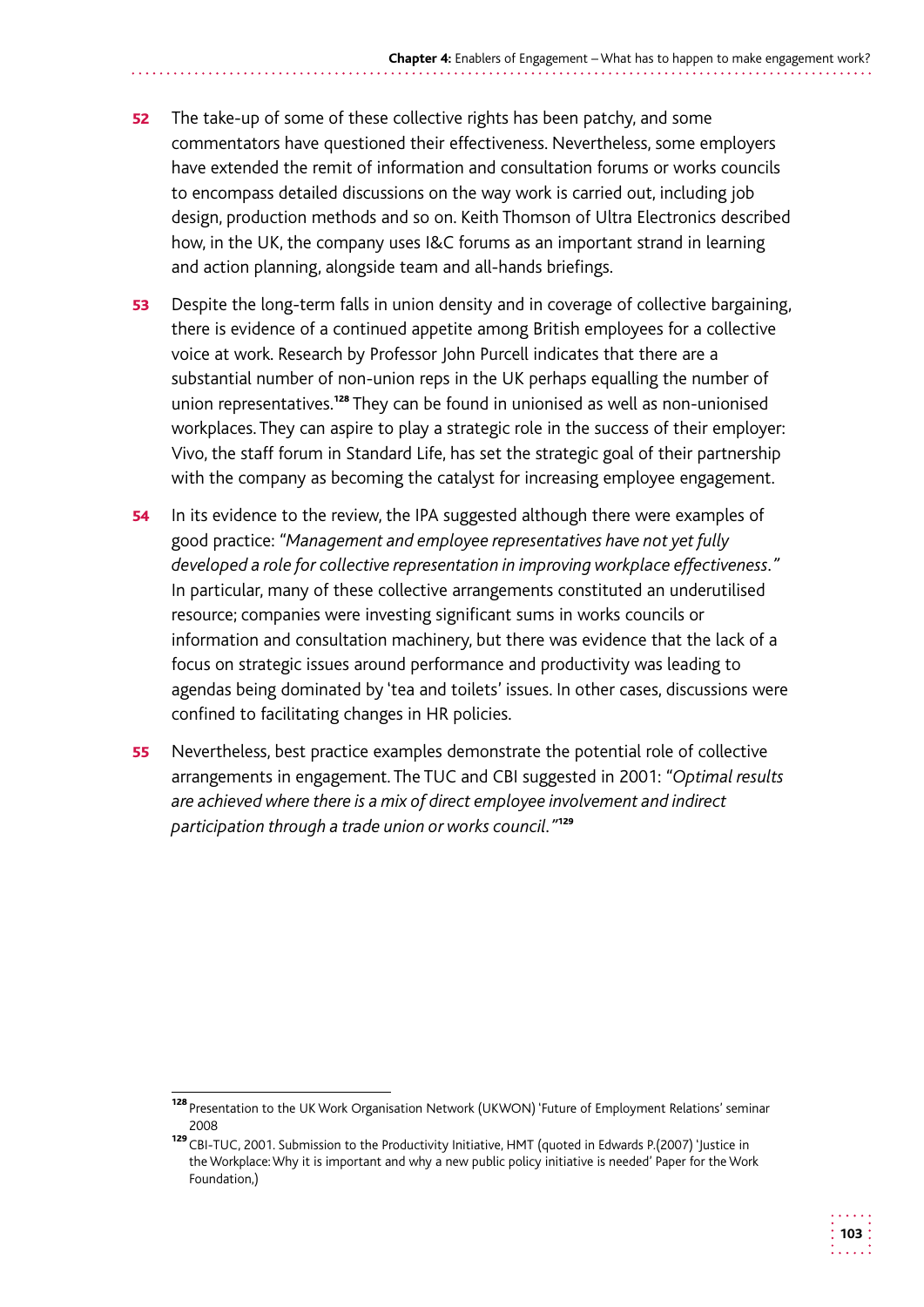- **52** The take-up of some of these collective rights has been patchy, and some commentators have questioned their effectiveness. Nevertheless, some employers have extended the remit of information and consultation forums or works councils to encompass detailed discussions on the way work is carried out, including job design, production methods and so on. Keith Thomson of Ultra Electronics described how, in the UK, the company uses I&C forums as an important strand in learning and action planning, alongside team and all-hands briefings.
- 53 Despite the long-term falls in union density and in coverage of collective bargaining, there is evidence of a continued appetite among British employees for a collective voice at work. Research by Professor John Purcell indicates that there are a substantial number of non-union reps in the UK perhaps equalling the number of union representatives.<sup>128</sup> They can be found in unionised as well as non-unionised workplaces. They can aspire to play a strategic role in the success of their employer: Vivo, the staff forum in Standard Life, has set the strategic goal of their partnership with the company as becoming the catalyst for increasing employee engagement.
- 54 In its evidence to the review, the IPA suggested although there were examples of good practice: *"Management and employee representatives have not yet fully developed a role for collective representation in improving workplace effectiveness."*  In particular, many of these collective arrangements constituted an underutilised resource; companies were investing significant sums in works councils or information and consultation machinery, but there was evidence that the lack of a focus on strategic issues around performance and productivity was leading to agendas being dominated by 'tea and toilets' issues. In other cases, discussions were confined to facilitating changes in HR policies.
- **55** Nevertheless, best practice examples demonstrate the potential role of collective arrangements in engagement. The TUC and CBI suggested in 2001: *"Optimal results are achieved where there is a mix of direct employee involvement and indirect participation through a trade union or works council."*<sup>129</sup>

<sup>128</sup> Presentation to the UK Work Organisation Network (UKWON) 'Future of Employment Relations' seminar 2008

<sup>129</sup> CBI-TUC, 2001. Submission to the Productivity Initiative, HMT (quoted in Edwards P.(2007) 'Justice in the Workplace: Why it is important and why a new public policy initiative is needed' Paper for the Work Foundation,)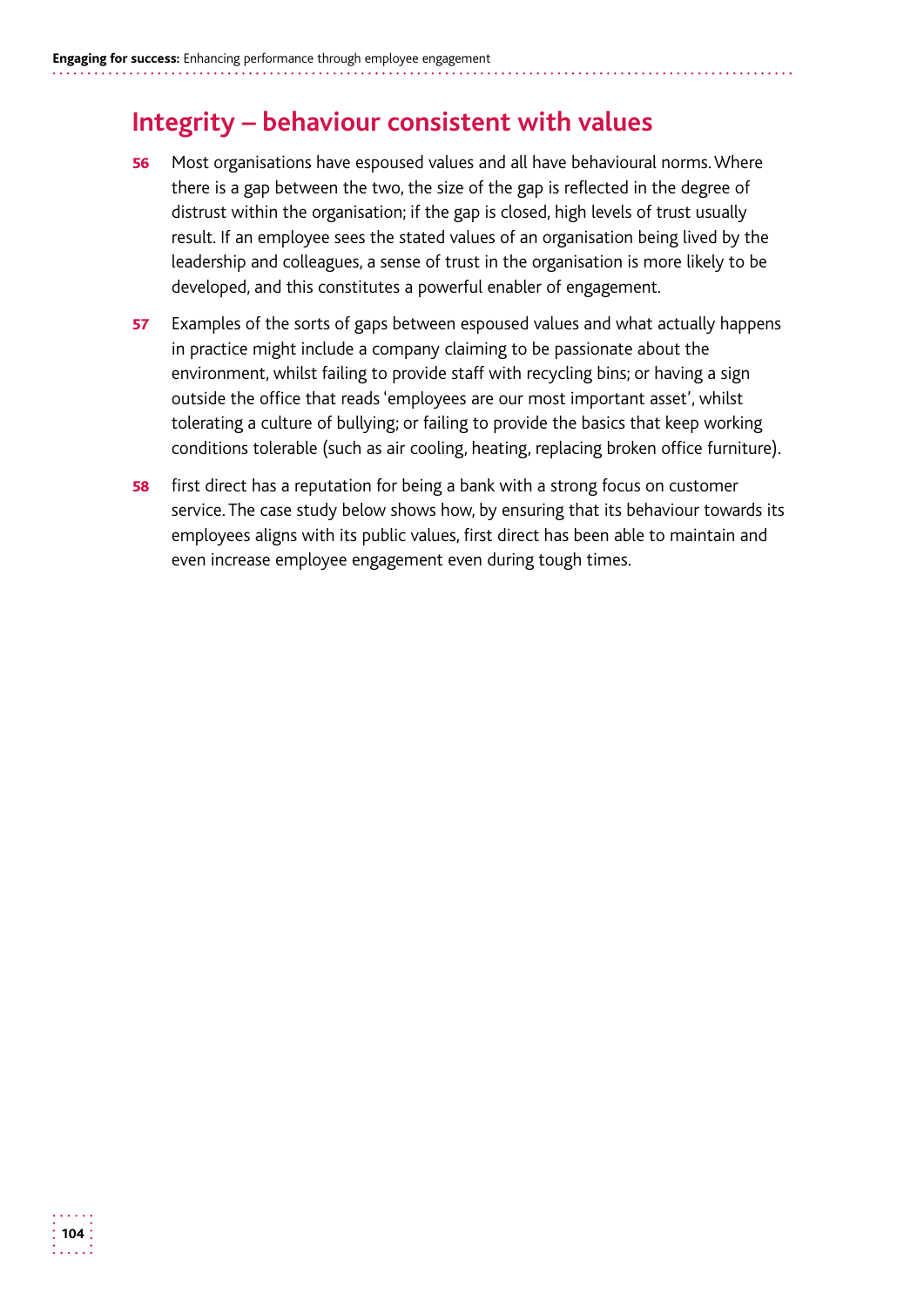# **Integrity – behaviour consistent with values**

- 56 Most organisations have espoused values and all have behavioural norms. Where there is a gap between the two, the size of the gap is reflected in the degree of distrust within the organisation; if the gap is closed, high levels of trust usually result. If an employee sees the stated values of an organisation being lived by the leadership and colleagues, a sense of trust in the organisation is more likely to be developed, and this constitutes a powerful enabler of engagement.
- 57 Examples of the sorts of gaps between espoused values and what actually happens in practice might include a company claiming to be passionate about the environment, whilst failing to provide staff with recycling bins; or having a sign outside the office that reads 'employees are our most important asset', whilst tolerating a culture of bullying; or failing to provide the basics that keep working conditions tolerable (such as air cooling, heating, replacing broken office furniture).
- **58** first direct has a reputation for being a bank with a strong focus on customer service. The case study below shows how, by ensuring that its behaviour towards its employees aligns with its public values, first direct has been able to maintain and even increase employee engagement even during tough times.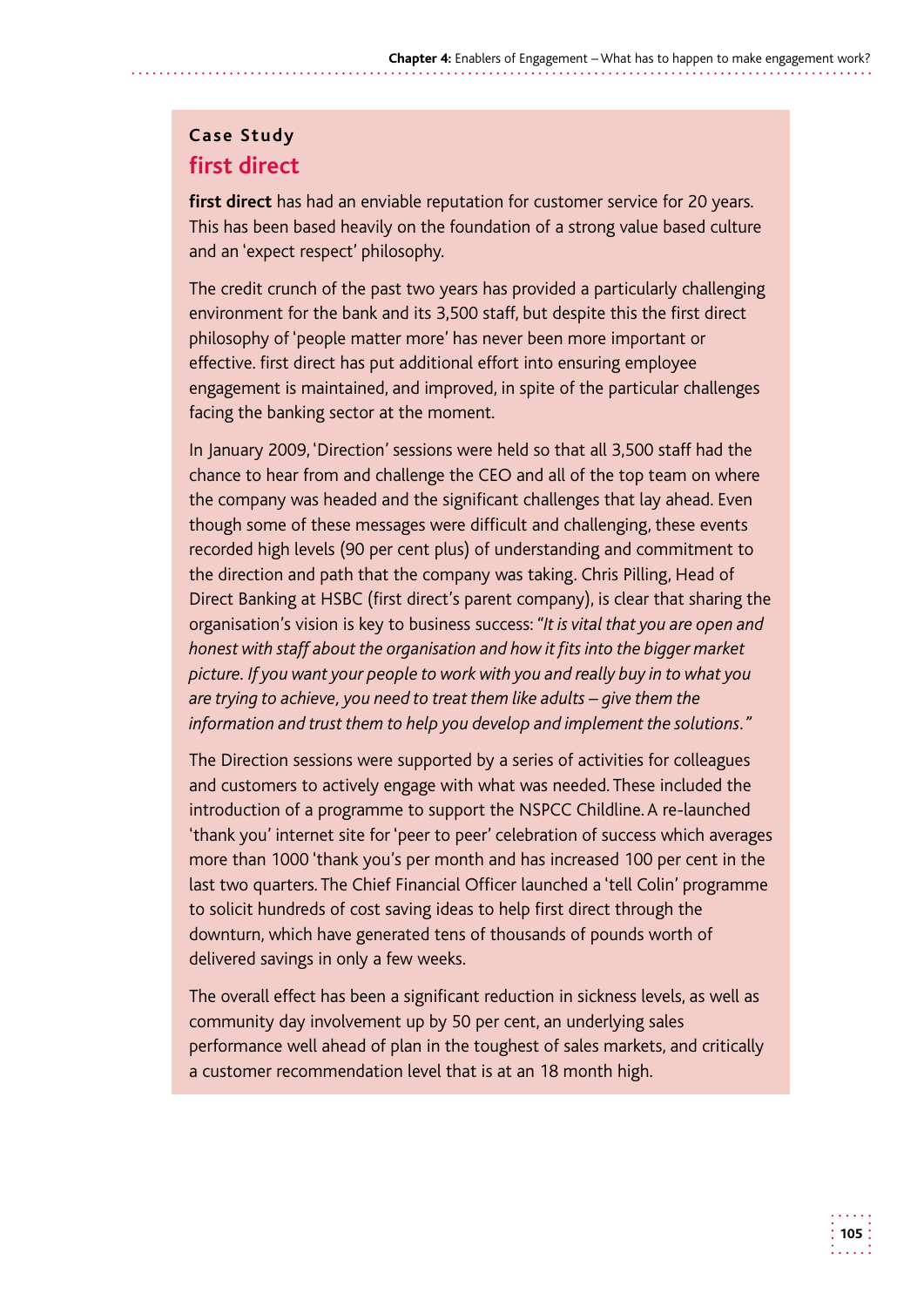## **Case Study first direct**

**first direct** has had an enviable reputation for customer service for 20 years. This has been based heavily on the foundation of a strong value based culture and an 'expect respect' philosophy.

The credit crunch of the past two years has provided a particularly challenging environment for the bank and its 3,500 staff, but despite this the first direct philosophy of 'people matter more' has never been more important or effective. first direct has put additional effort into ensuring employee engagement is maintained, and improved, in spite of the particular challenges facing the banking sector at the moment.

In January 2009, 'Direction' sessions were held so that all 3,500 staff had the chance to hear from and challenge the CEO and all of the top team on where the company was headed and the significant challenges that lay ahead. Even though some of these messages were difficult and challenging, these events recorded high levels (90 per cent plus) of understanding and commitment to the direction and path that the company was taking. Chris Pilling, Head of Direct Banking at HSBC (first direct's parent company), is clear that sharing the organisation's vision is key to business success: *"It is vital that you are open and honest with staff about the organisation and how it fits into the bigger market picture. If you want your people to work with you and really buy in to what you are trying to achieve, you need to treat them like adults – give them the information and trust them to help you develop and implement the solutions."* 

The Direction sessions were supported by a series of activities for colleagues and customers to actively engage with what was needed. These included the introduction of a programme to support the NSPCC Childline. A re-launched 'thank you' internet site for 'peer to peer' celebration of success which averages more than 1000 'thank you's per month and has increased 100 per cent in the last two quarters. The Chief Financial Officer launched a 'tell Colin' programme to solicit hundreds of cost saving ideas to help first direct through the downturn, which have generated tens of thousands of pounds worth of delivered savings in only a few weeks.

The overall effect has been a significant reduction in sickness levels, as well as community day involvement up by 50 per cent, an underlying sales performance well ahead of plan in the toughest of sales markets, and critically a customer recommendation level that is at an 18 month high.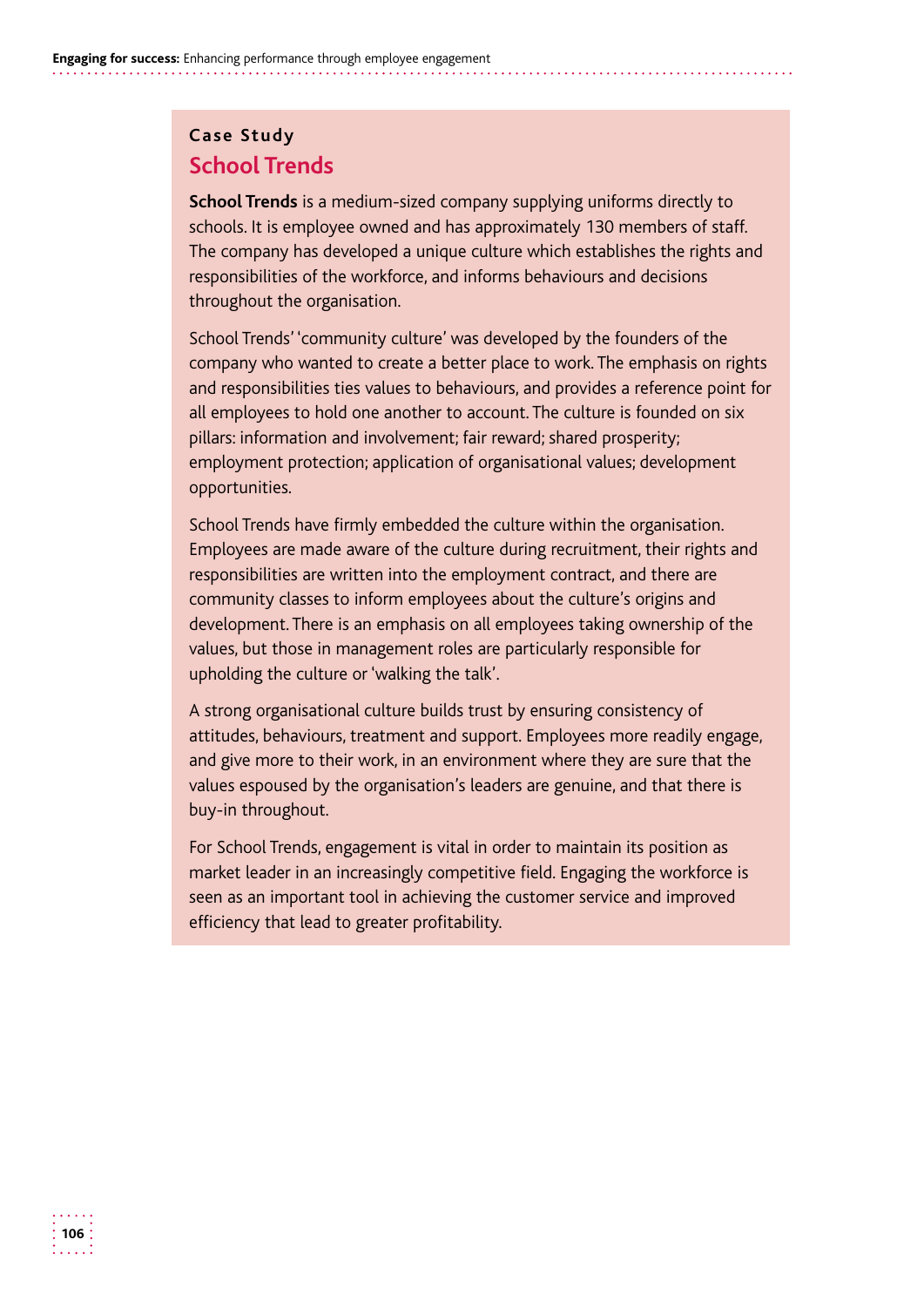## **Case Study School Trends**

**School Trends** is a medium-sized company supplying uniforms directly to schools. It is employee owned and has approximately 130 members of staff. The company has developed a unique culture which establishes the rights and responsibilities of the workforce, and informs behaviours and decisions throughout the organisation.

School Trends' 'community culture' was developed by the founders of the company who wanted to create a better place to work. The emphasis on rights and responsibilities ties values to behaviours, and provides a reference point for all employees to hold one another to account. The culture is founded on six pillars: information and involvement; fair reward; shared prosperity; employment protection; application of organisational values; development opportunities.

School Trends have firmly embedded the culture within the organisation. Employees are made aware of the culture during recruitment, their rights and responsibilities are written into the employment contract, and there are community classes to inform employees about the culture's origins and development. There is an emphasis on all employees taking ownership of the values, but those in management roles are particularly responsible for upholding the culture or 'walking the talk'.

A strong organisational culture builds trust by ensuring consistency of attitudes, behaviours, treatment and support. Employees more readily engage, and give more to their work, in an environment where they are sure that the values espoused by the organisation's leaders are genuine, and that there is buy-in throughout.

For School Trends, engagement is vital in order to maintain its position as market leader in an increasingly competitive field. Engaging the workforce is seen as an important tool in achieving the customer service and improved efficiency that lead to greater profitability.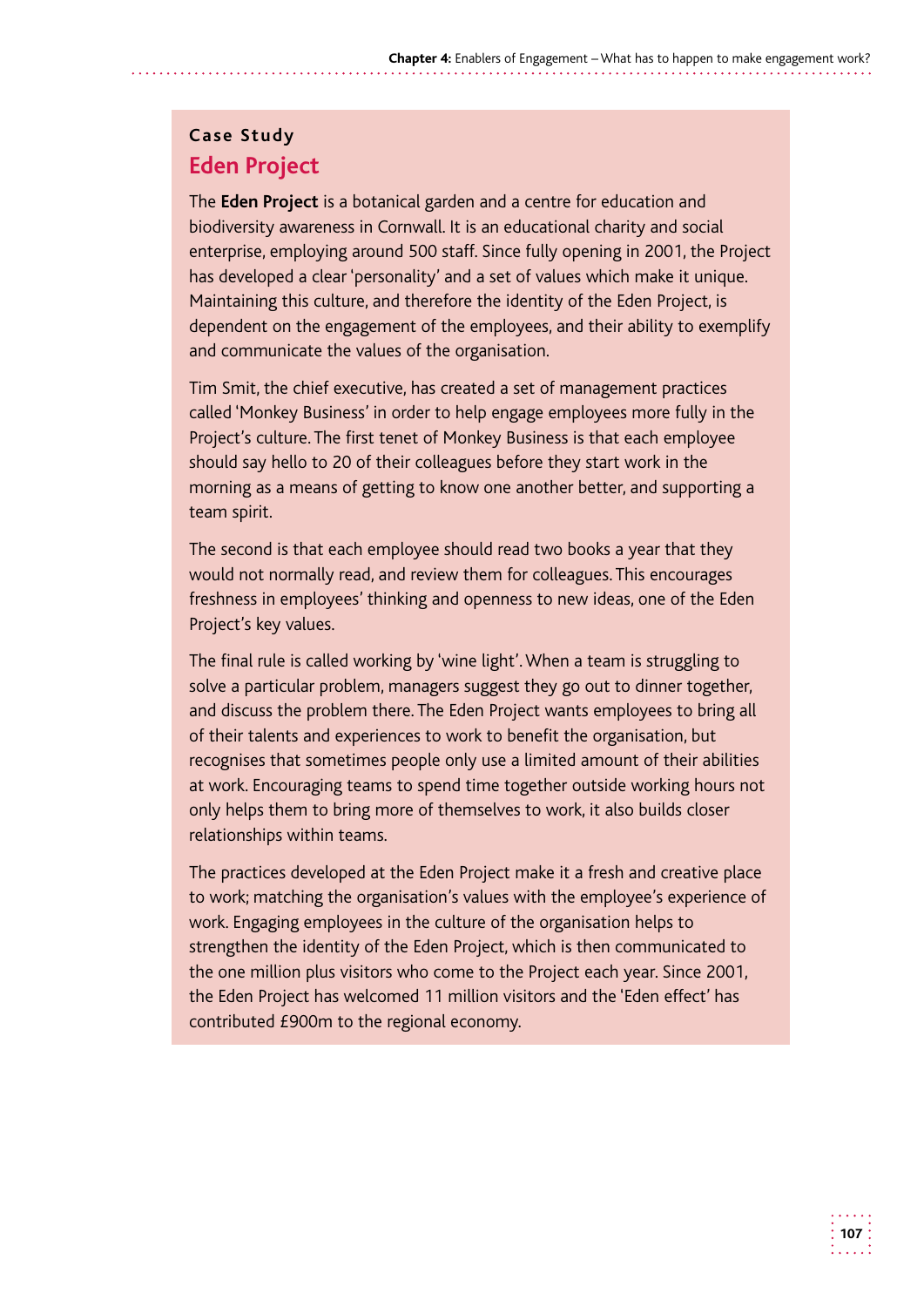## **Case Study Eden Project**

The **Eden Project** is a botanical garden and a centre for education and biodiversity awareness in Cornwall. It is an educational charity and social enterprise, employing around 500 staff. Since fully opening in 2001, the Project has developed a clear 'personality' and a set of values which make it unique. Maintaining this culture, and therefore the identity of the Eden Project, is dependent on the engagement of the employees, and their ability to exemplify and communicate the values of the organisation.

Tim Smit, the chief executive, has created a set of management practices called 'Monkey Business' in order to help engage employees more fully in the Project's culture. The first tenet of Monkey Business is that each employee should say hello to 20 of their colleagues before they start work in the morning as a means of getting to know one another better, and supporting a team spirit.

The second is that each employee should read two books a year that they would not normally read, and review them for colleagues. This encourages freshness in employees' thinking and openness to new ideas, one of the Eden Project's key values.

The final rule is called working by 'wine light'. When a team is struggling to solve a particular problem, managers suggest they go out to dinner together, and discuss the problem there. The Eden Project wants employees to bring all of their talents and experiences to work to benefit the organisation, but recognises that sometimes people only use a limited amount of their abilities at work. Encouraging teams to spend time together outside working hours not only helps them to bring more of themselves to work, it also builds closer relationships within teams.

The practices developed at the Eden Project make it a fresh and creative place to work; matching the organisation's values with the employee's experience of work. Engaging employees in the culture of the organisation helps to strengthen the identity of the Eden Project, which is then communicated to the one million plus visitors who come to the Project each year. Since 2001, the Eden Project has welcomed 11 million visitors and the 'Eden effect' has contributed £900m to the regional economy.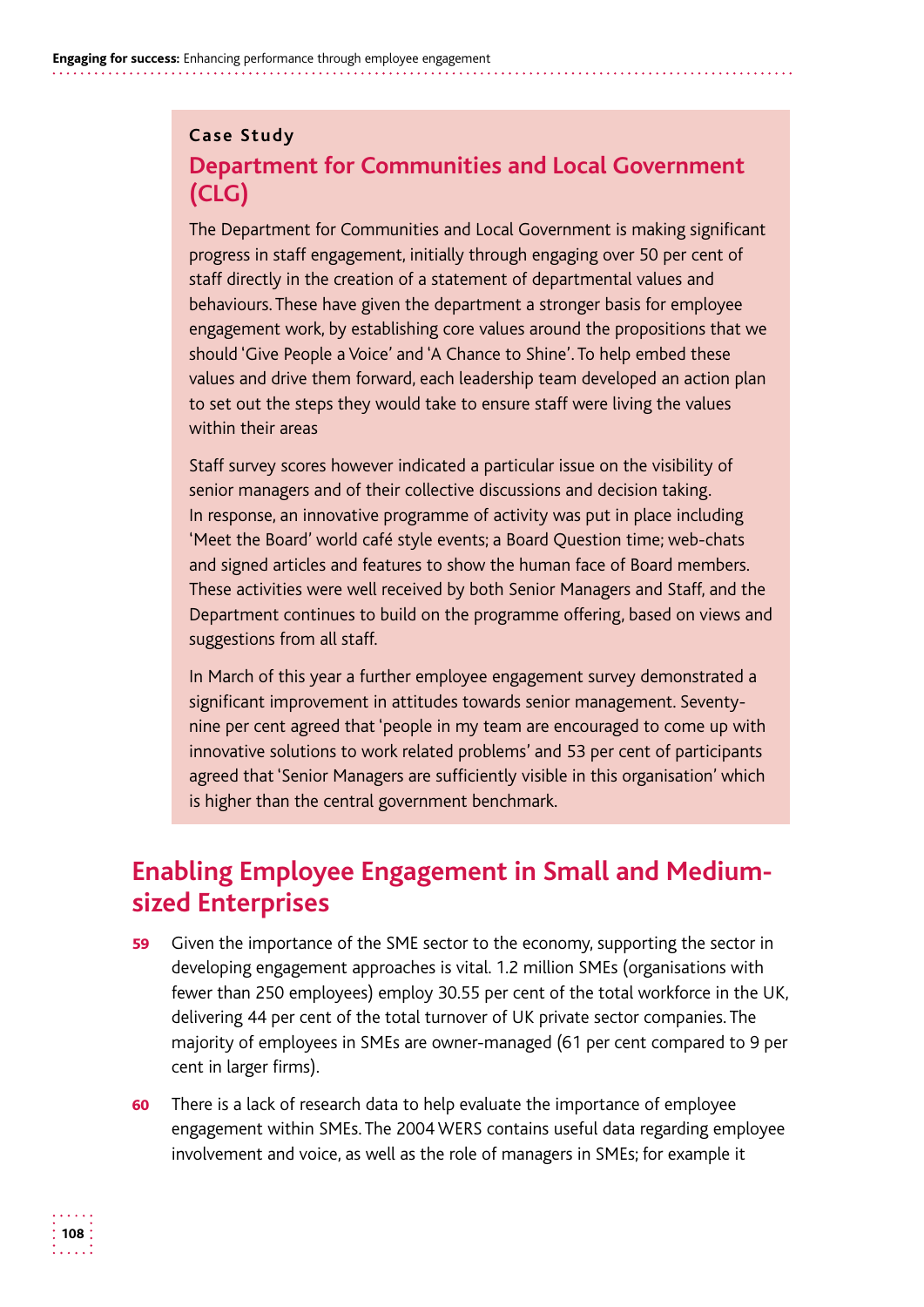## **Case Study Department for Communities and Local Government (CLG)**

The Department for Communities and Local Government is making significant progress in staff engagement, initially through engaging over 50 per cent of staff directly in the creation of a statement of departmental values and behaviours. These have given the department a stronger basis for employee engagement work, by establishing core values around the propositions that we should 'Give People a Voice' and 'A Chance to Shine'. To help embed these values and drive them forward, each leadership team developed an action plan to set out the steps they would take to ensure staff were living the values within their areas

Staff survey scores however indicated a particular issue on the visibility of senior managers and of their collective discussions and decision taking. In response, an innovative programme of activity was put in place including 'Meet the Board' world café style events; a Board Question time; web-chats and signed articles and features to show the human face of Board members. These activities were well received by both Senior Managers and Staff, and the Department continues to build on the programme offering, based on views and suggestions from all staff.

In March of this year a further employee engagement survey demonstrated a significant improvement in attitudes towards senior management. Seventynine per cent agreed that 'people in my team are encouraged to come up with innovative solutions to work related problems' and 53 per cent of participants agreed that 'Senior Managers are sufficiently visible in this organisation' which is higher than the central government benchmark.

# **Enabling Employee Engagement in Small and Mediumsized Enterprises**

- 59 Given the importance of the SME sector to the economy, supporting the sector in developing engagement approaches is vital. 1.2 million SMEs (organisations with fewer than 250 employees) employ 30.55 per cent of the total workforce in the UK, delivering 44 per cent of the total turnover of UK private sector companies. The majority of employees in SMEs are owner-managed (61 per cent compared to 9 per cent in larger firms).
- 60 There is a lack of research data to help evaluate the importance of employee engagement within SMEs. The 2004 WERS contains useful data regarding employee involvement and voice, as well as the role of managers in SMEs; for example it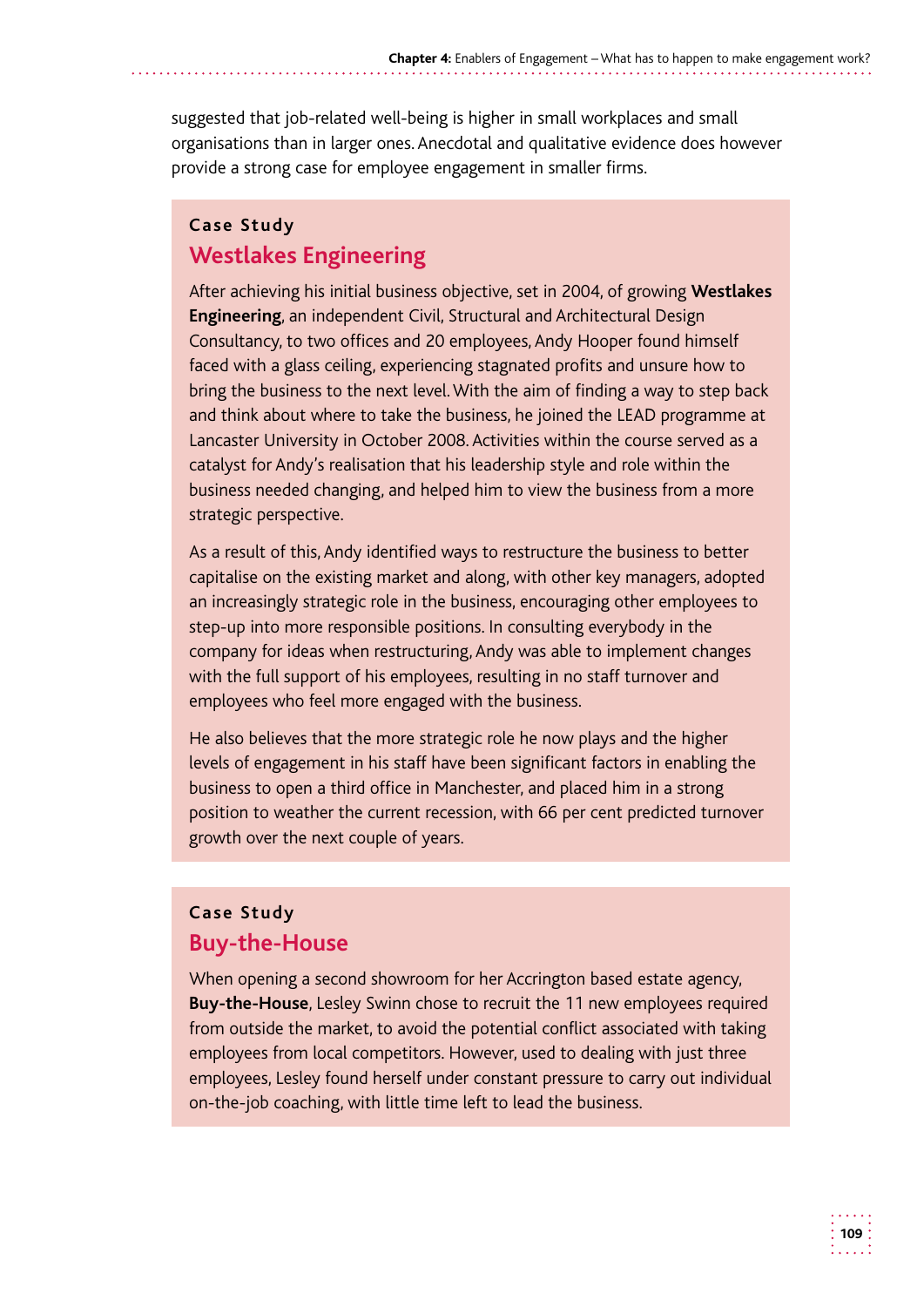suggested that job-related well-being is higher in small workplaces and small organisations than in larger ones. Anecdotal and qualitative evidence does however provide a strong case for employee engagement in smaller firms.

### **Case Study Westlakes Engineering**

After achieving his initial business objective, set in 2004, of growing **Westlakes Engineering**, an independent Civil, Structural and Architectural Design Consultancy, to two offices and 20 employees, Andy Hooper found himself faced with a glass ceiling, experiencing stagnated profits and unsure how to bring the business to the next level. With the aim of finding a way to step back and think about where to take the business, he joined the LEAD programme at Lancaster University in October 2008. Activities within the course served as a catalyst for Andy's realisation that his leadership style and role within the business needed changing, and helped him to view the business from a more strategic perspective.

As a result of this, Andy identified ways to restructure the business to better capitalise on the existing market and along, with other key managers, adopted an increasingly strategic role in the business, encouraging other employees to step-up into more responsible positions. In consulting everybody in the company for ideas when restructuring, Andy was able to implement changes with the full support of his employees, resulting in no staff turnover and employees who feel more engaged with the business.

He also believes that the more strategic role he now plays and the higher levels of engagement in his staff have been significant factors in enabling the business to open a third office in Manchester, and placed him in a strong position to weather the current recession, with 66 per cent predicted turnover growth over the next couple of years.

### **Case Study Buy-the-House**

When opening a second showroom for her Accrington based estate agency, **Buy-the-House**, Lesley Swinn chose to recruit the 11 new employees required from outside the market, to avoid the potential conflict associated with taking employees from local competitors. However, used to dealing with just three employees, Lesley found herself under constant pressure to carry out individual on-the-job coaching, with little time left to lead the business.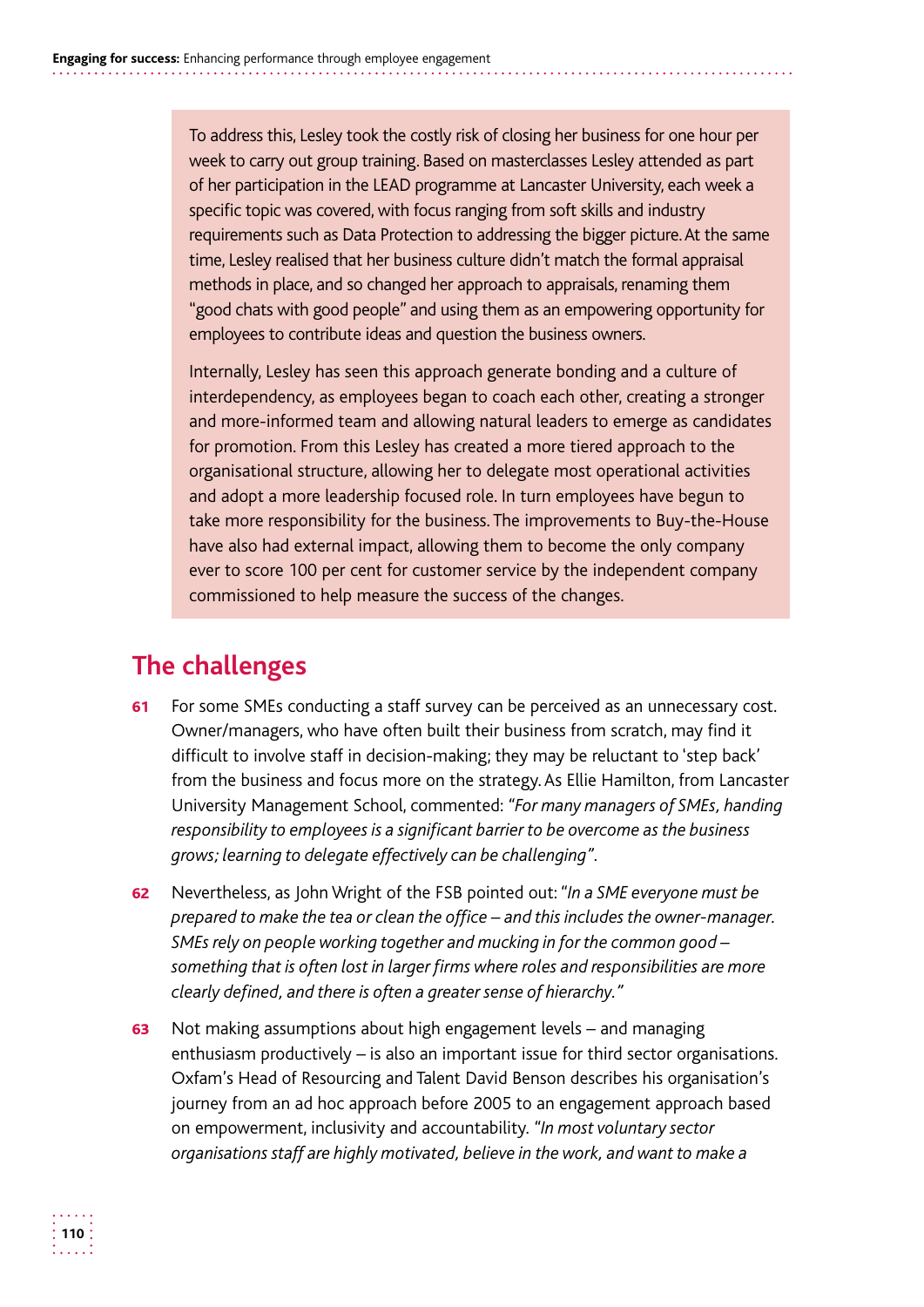To address this, Lesley took the costly risk of closing her business for one hour per of her participation in the LEAD programme at Lancaster University, each week a specific topic was covered, with focus ranging from soft skills and industry requirements such as Data Protection to addressing the bigger picture. At the same time, Lesley realised that her business culture didn't match the formal appraisal week to carry out group training. Based on masterclasses Lesley attended as part methods in place, and so changed her approach to appraisals, renaming them "good chats with good people" and using them as an empowering opportunity for employees to contribute ideas and question the business owners.

Internally, Lesley has seen this approach generate bonding and a culture of interdependency, as employees began to coach each other, creating a stronger and more-informed team and allowing natural leaders to emerge as candidates for promotion. From this Lesley has created a more tiered approach to the organisational structure, allowing her to delegate most operational activities and adopt a more leadership focused role. In turn employees have begun to take more responsibility for the business. The improvements to Buy-the-House have also had external impact, allowing them to become the only company ever to score 100 per cent for customer service by the independent company commissioned to help measure the success of the changes.

# **The challenges**

- 61 For some SMEs conducting a staff survey can be perceived as an unnecessary cost. Owner/managers, who have often built their business from scratch, may find it difficult to involve staff in decision-making; they may be reluctant to 'step back' from the business and focus more on the strategy. As Ellie Hamilton, from Lancaster University Management School, commented: *"For many managers of SMEs, handing responsibility to employees is a significant barrier to be overcome as the business grows; learning to delegate effectively can be challenging".*
- 62 Nevertheless, as John Wright of the FSB pointed out: *"In a SME everyone must be prepared to make the tea or clean the office – and this includes the owner-manager. SMEs rely on people working together and mucking in for the common good – something that is often lost in larger firms where roles and responsibilities are more clearly defined, and there is often a greater sense of hierarchy."*
- **63** Not making assumptions about high engagement levels and managing enthusiasm productively *–* is also an important issue for third sector organisations. Oxfam's Head of Resourcing and Talent David Benson describes his organisation's journey from an ad hoc approach before 2005 to an engagement approach based on empowerment, inclusivity and accountability. *"In most voluntary sector organisations staff are highly motivated, believe in the work, and want to make a*

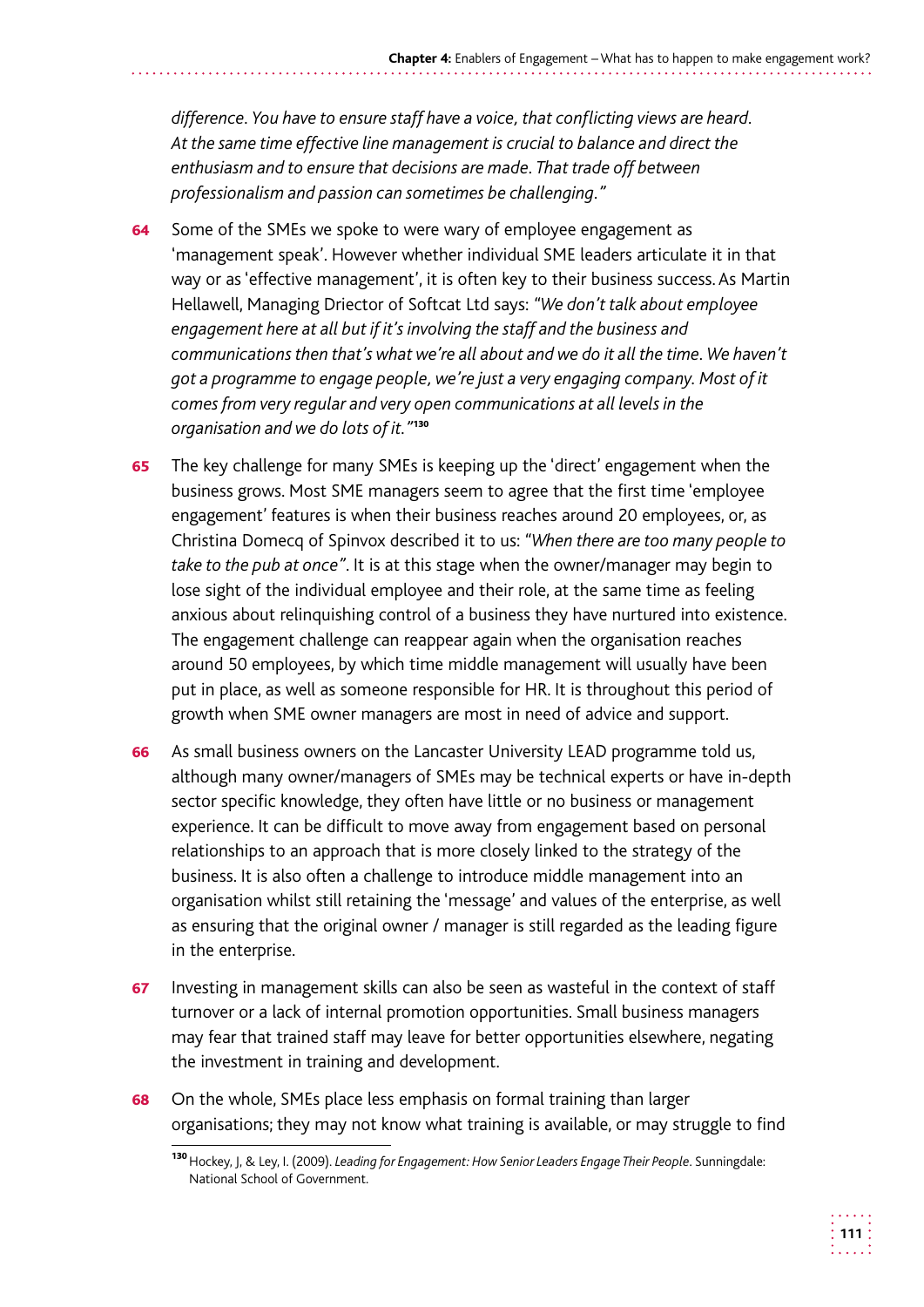*difference. You have to ensure staff have a voice, that conflicting views are heard. At the same time effective line management is crucial to balance and direct the enthusiasm and to ensure that decisions are made. That trade off between professionalism and passion can sometimes be challenging."* 

- **64** Some of the SMEs we spoke to were wary of employee engagement as 'management speak'. However whether individual SME leaders articulate it in that way or as 'effective management', it is often key to their business success. As Martin Hellawell, Managing Driector of Softcat Ltd says: *"We don't talk about employee engagement here at all but if it's involving the staff and the business and communications then that's what we're all about and we do it all the time. We haven't got a programme to engage people, we're just a very engaging company. Most of it comes from very regular and very open communications at all levels in the organisation and we do lots of it."*<sup>130</sup>
- **65** The key challenge for many SMEs is keeping up the 'direct' engagement when the business grows. Most SME managers seem to agree that the first time 'employee engagement' features is when their business reaches around 20 employees, or, as Christina Domecq of Spinvox described it to us: *"When there are too many people to take to the pub at once"*. It is at this stage when the owner/manager may begin to lose sight of the individual employee and their role, at the same time as feeling anxious about relinquishing control of a business they have nurtured into existence. The engagement challenge can reappear again when the organisation reaches around 50 employees, by which time middle management will usually have been put in place, as well as someone responsible for HR. It is throughout this period of growth when SME owner managers are most in need of advice and support.
- 66 As small business owners on the Lancaster University LEAD programme told us, although many owner/managers of SMEs may be technical experts or have in-depth sector specific knowledge, they often have little or no business or management experience. It can be difficult to move away from engagement based on personal relationships to an approach that is more closely linked to the strategy of the business. It is also often a challenge to introduce middle management into an organisation whilst still retaining the 'message' and values of the enterprise, as well as ensuring that the original owner / manager is still regarded as the leading figure in the enterprise.
- 67 Investing in management skills can also be seen as wasteful in the context of staff turnover or a lack of internal promotion opportunities. Small business managers may fear that trained staff may leave for better opportunities elsewhere, negating the investment in training and development.
- **68** On the whole, SMEs place less emphasis on formal training than larger organisations; they may not know what training is available, or may struggle to find

<sup>130</sup>Hockey, J, & Ley, I. (2009). *Leading for Engagement: How Senior Leaders Engage Their People*. Sunningdale: National School of Government.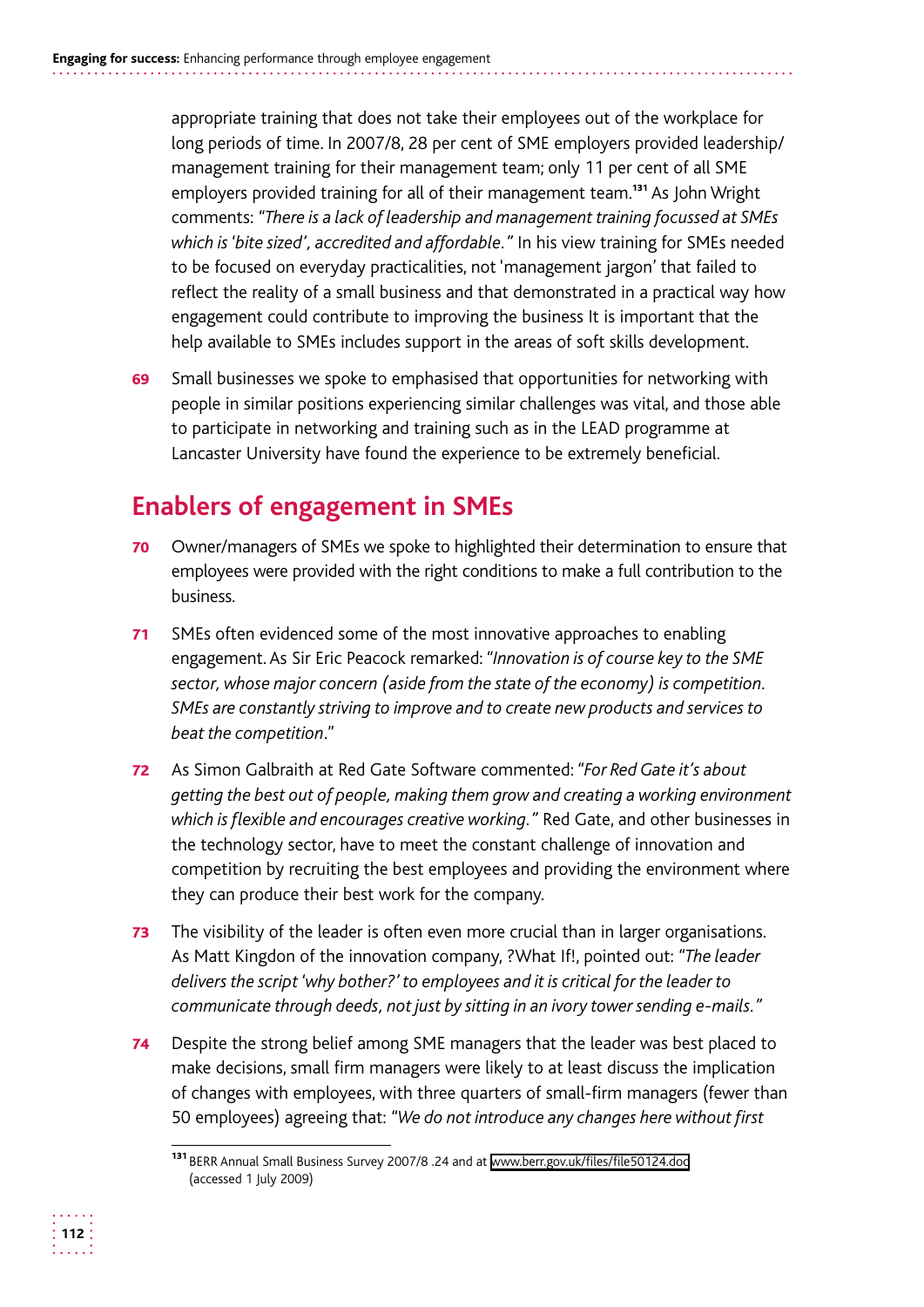appropriate training that does not take their employees out of the workplace for long periods of time. In 2007/8, 28 per cent of SME employers provided leadership/ management training for their management team; only 11 per cent of all SME employers provided training for all of their management team.<sup>131</sup> As John Wright comments: *"There is a lack of leadership and management training focussed at SMEs which is 'bite sized', accredited and affordable."* In his view training for SMEs needed to be focused on everyday practicalities, not 'management jargon' that failed to reflect the reality of a small business and that demonstrated in a practical way how engagement could contribute to improving the business It is important that the help available to SMEs includes support in the areas of soft skills development.

69 Small businesses we spoke to emphasised that opportunities for networking with people in similar positions experiencing similar challenges was vital, and those able to participate in networking and training such as in the LEAD programme at Lancaster University have found the experience to be extremely beneficial.

# **Enablers of engagement in SMEs**

- 70 Owner/managers of SMEs we spoke to highlighted their determination to ensure that employees were provided with the right conditions to make a full contribution to the business.
- 71 SMEs often evidenced some of the most innovative approaches to enabling engagement. As Sir Eric Peacock remarked: *"Innovation is of course key to the SME sector, whose major concern (aside from the state of the economy) is competition. SMEs are constantly striving to improve and to create new products and services to beat the competition*."
- 72 As Simon Galbraith at Red Gate Software commented: *"For Red Gate it's about getting the best out of people, making them grow and creating a working environment which is flexible and encourages creative working."* Red Gate, and other businesses in the technology sector, have to meet the constant challenge of innovation and competition by recruiting the best employees and providing the environment where they can produce their best work for the company.
- **73** The visibility of the leader is often even more crucial than in larger organisations. As Matt Kingdon of the innovation company, ?What If!, pointed out: *"The leader delivers the script 'why bother?' to employees and it is critical for the leader to communicate through deeds, not just by sitting in an ivory tower sending e-mails."*
- 74 Despite the strong belief among SME managers that the leader was best placed to make decisions, small firm managers were likely to at least discuss the implication of changes with employees, with three quarters of small-firm managers (fewer than 50 employees) agreeing that: *"We do not introduce any changes here without first*



<sup>131</sup> BERR Annual Small Business Survey 2007/8 .24 and at www.berr.gov.uk/files/file50124.doc (accessed 1 July 2009)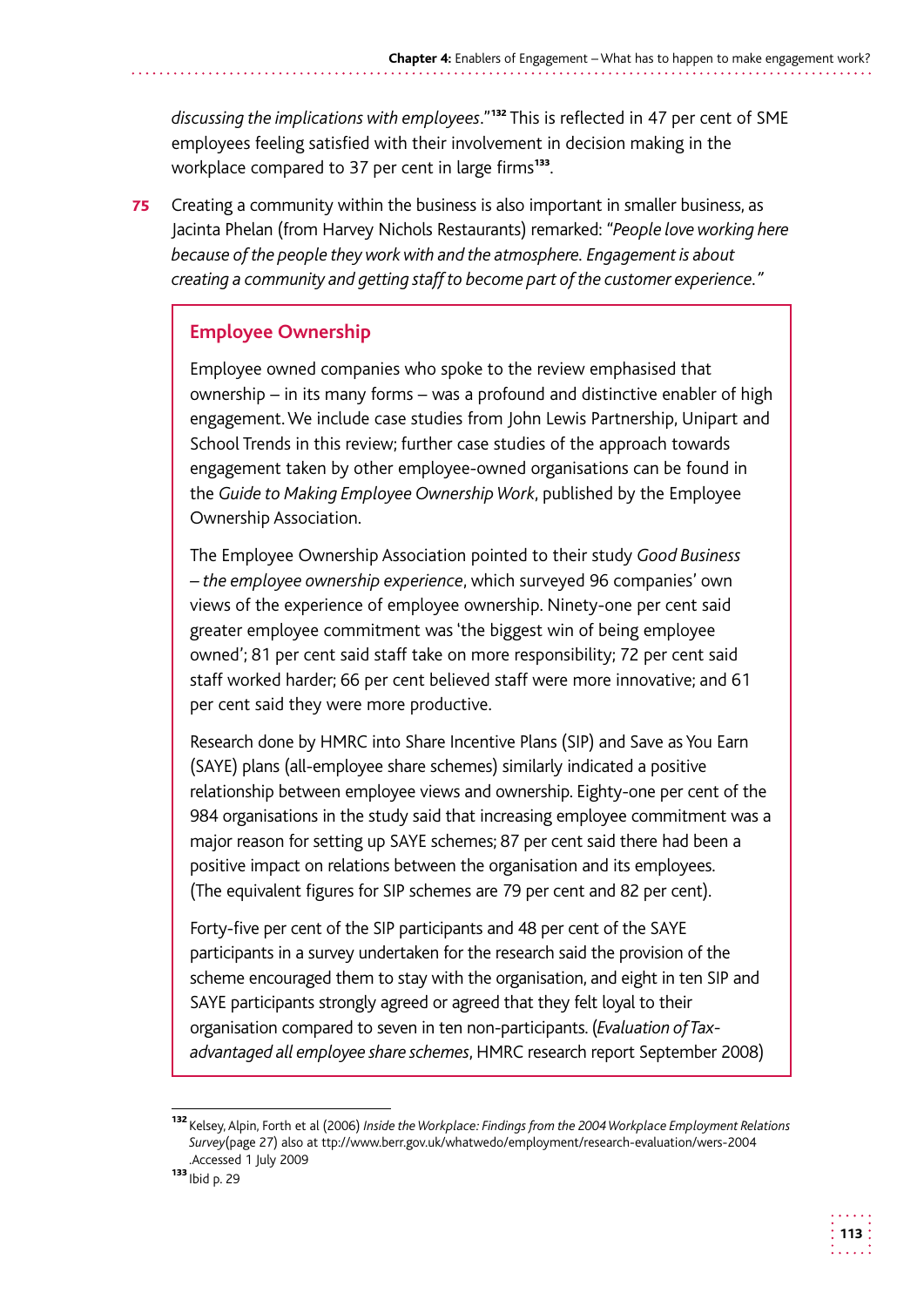discussing the implications with employees."<sup>132</sup> This is reflected in 47 per cent of SME employees feeling satisfied with their involvement in decision making in the workplace compared to 37 per cent in large firms<sup>133</sup>.

**75** Creating a community within the business is also important in smaller business, as  Jacinta Phelan (from Harvey Nichols Restaurants) remarked: *"People love working here because of the people they work with and the atmosphere. Engagement is about creating a community and getting staff to become part of the customer experience."* 

#### **Employee Ownership**

Employee owned companies who spoke to the review emphasised that ownership – in its many forms – was a profound and distinctive enabler of high engagement. We include case studies from John Lewis Partnership, Unipart and School Trends in this review; further case studies of the approach towards engagement taken by other employee-owned organisations can be found in the *Guide to Making Employee Ownership Work*, published by the Employee Ownership Association.

The Employee Ownership Association pointed to their study *Good Business – the employee ownership experience*, which surveyed 96 companies' own views of the experience of employee ownership. Ninety-one per cent said greater employee commitment was 'the biggest win of being employee owned'; 81 per cent said staff take on more responsibility; 72 per cent said staff worked harder; 66 per cent believed staff were more innovative; and 61 per cent said they were more productive.

 Research done by HMRC into Share Incentive Plans (SIP) and Save as You Earn relationship between employee views and ownership. Eighty-one per cent of the 984 organisations in the study said that increasing employee commitment was a major reason for setting up SAYE schemes; 87 per cent said there had been a (SAYE) plans (all-employee share schemes) similarly indicated a positive positive impact on relations between the organisation and its employees. (The equivalent figures for SIP schemes are 79 per cent and 82 per cent).

 Forty-five per cent of the SIP participants and 48 per cent of the SAYE participants in a survey undertaken for the research said the provision of the scheme encouraged them to stay with the organisation, and eight in ten SIP and SAYE participants strongly agreed or agreed that they felt loyal to their organisation compared to seven in ten non-participants. (*Evaluation of Taxadvantaged all employee share schemes*, HMRC research report September 2008)



<sup>132</sup> Kelsey, Alpin, Forth et al (2006) *Inside the Workplace: Findings from the 2004 Workplace Employment Relations Survey*(page 27) also at ttp://www.berr.gov.uk/whatwedo/employment/research-evaluation/wers-2004 .Accessed 1 July 2009

 $133$  Ibid p. 29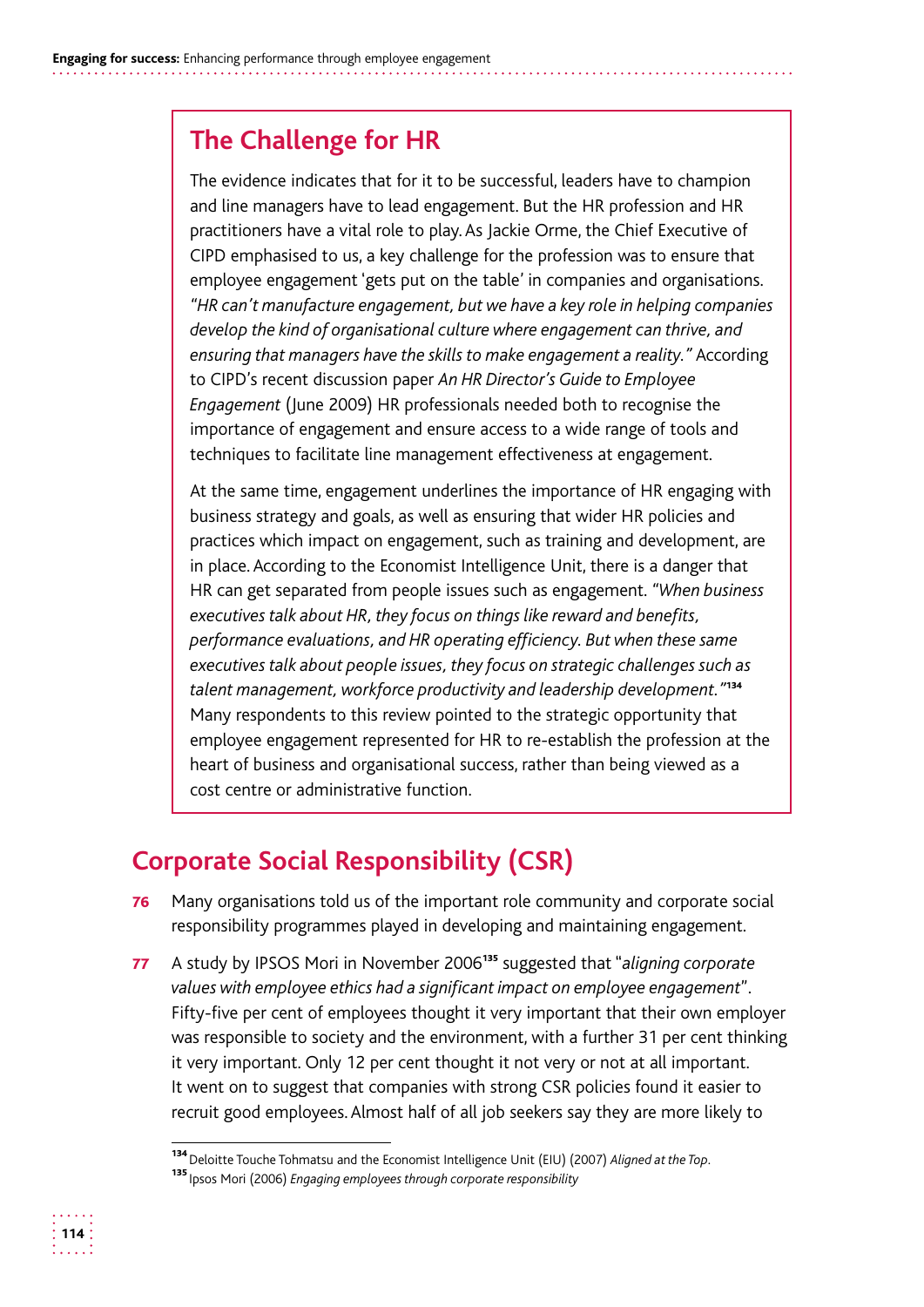# **The Challenge for HR**

The evidence indicates that for it to be successful, leaders have to champion and line managers have to lead engagement. But the HR profession and HR practitioners have a vital role to play. As Jackie Orme, the Chief Executive of CIPD emphasised to us, a key challenge for the profession was to ensure that employee engagement 'gets put on the table' in companies and organisations. *"HR can't manufacture engagement, but we have a key role in helping companies develop the kind of organisational culture where engagement can thrive, and ensuring that managers have the skills to make engagement a reality."* According to CIPD's recent discussion paper *An HR Director's Guide to Employee Engagement* (June 2009) HR professionals needed both to recognise the importance of engagement and ensure access to a wide range of tools and techniques to facilitate line management effectiveness at engagement.

At the same time, engagement underlines the importance of HR engaging with business strategy and goals, as well as ensuring that wider HR policies and practices which impact on engagement, such as training and development, are in place. According to the Economist Intelligence Unit, there is a danger that HR can get separated from people issues such as engagement. *"When business executives talk about HR, they focus on things like reward and benefits, performance evaluations, and HR operating efficiency. But when these same executives talk about people issues, they focus on strategic challenges such as talent management, workforce productivity and leadership development."*<sup>134</sup> Many respondents to this review pointed to the strategic opportunity that employee engagement represented for HR to re-establish the profession at the heart of business and organisational success, rather than being viewed as a cost centre or administrative function.

# **Corporate Social Responsibility (CSR)**

- **76** Many organisations told us of the important role community and corporate social responsibility programmes played in developing and maintaining engagement.
- 77 A study by IPSOS Mori in November 2006 <sup>135</sup> suggested that "*aligning corporate values with employee ethics had a significant impact on employee engagement*". Fifty-five per cent of employees thought it very important that their own employer was responsible to society and the environment, with a further 31 per cent thinking it very important. Only 12 per cent thought it not very or not at all important. It went on to suggest that companies with strong CSR policies found it easier to recruit good employees. Almost half of all job seekers say they are more likely to



<sup>134</sup>Deloitte Touche Tohmatsu and the Economist Intelligence Unit (EIU) (2007) *Aligned at the Top.* 

<sup>135</sup>Ipsos Mori (2006) *Engaging employees through corporate responsibility*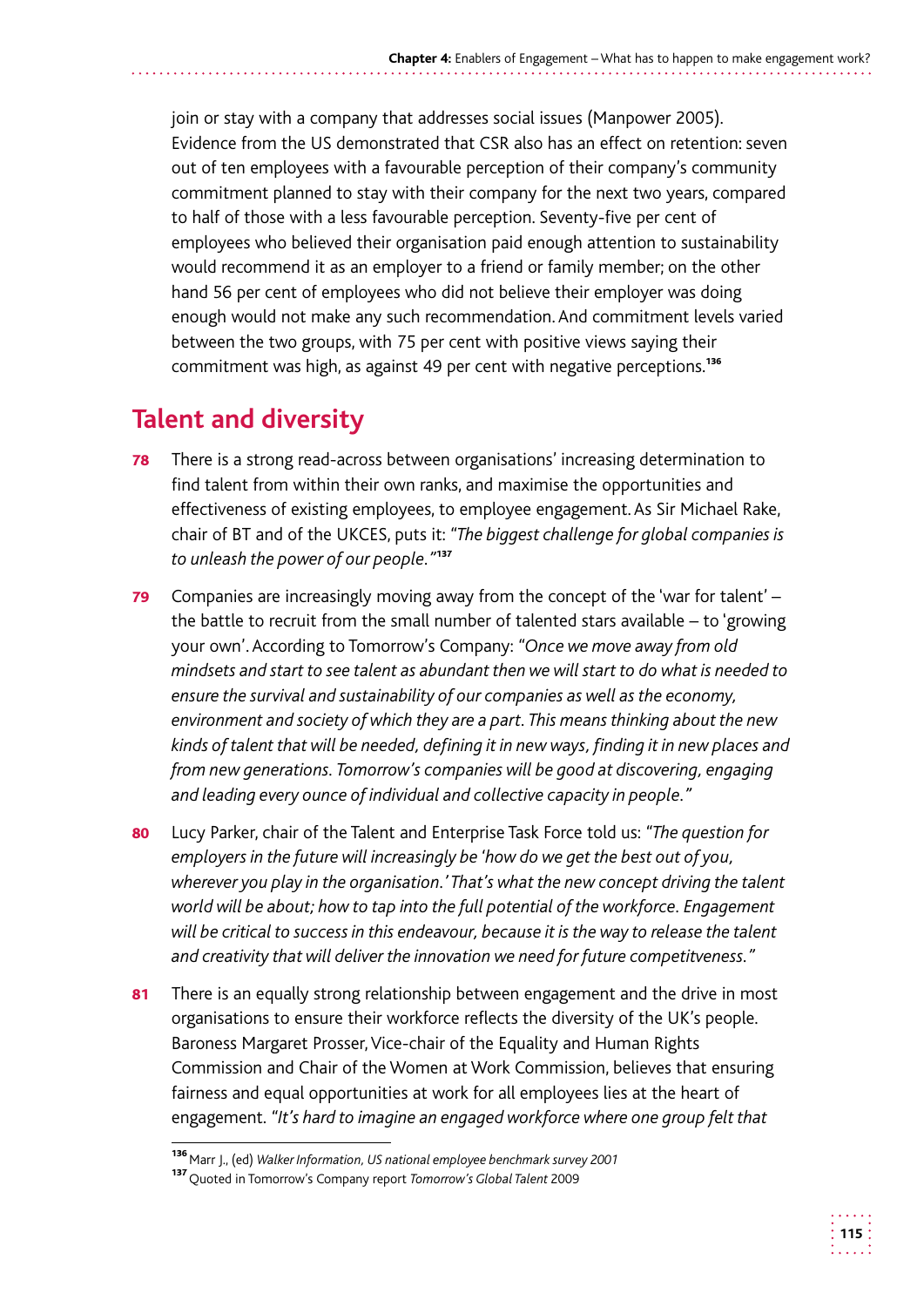join or stay with a company that addresses social issues (Manpower 2005). Evidence from the US demonstrated that CSR also has an effect on retention: seven out of ten employees with a favourable perception of their company's community commitment planned to stay with their company for the next two years, compared to half of those with a less favourable perception. Seventy-five per cent of employees who believed their organisation paid enough attention to sustainability would recommend it as an employer to a friend or family member; on the other hand 56 per cent of employees who did not believe their employer was doing enough would not make any such recommendation. And commitment levels varied between the two groups, with 75 per cent with positive views saying their commitment was high, as against 49 per cent with negative perceptions.<sup>136</sup>

# **Talent and diversity**

- 78 There is a strong read-across between organisations' increasing determination to find talent from within their own ranks, and maximise the opportunities and effectiveness of existing employees, to employee engagement. As Sir Michael Rake, chair of BT and of the UKCES, puts it: *"The biggest challenge for global companies is to unleash the power of our people."*<sup>137</sup>
- **79** Companies are increasingly moving away from the concept of the 'war for talent'  $$ the battle to recruit from the small number of talented stars available – to 'growing your own'. According to Tomorrow's Company: *"Once we move away from old mindsets and start to see talent as abundant then we will start to do what is needed to ensure the survival and sustainability of our companies as well as the economy, environment and society of which they are a part. This means thinking about the new kinds of talent that will be needed, defining it in new ways, finding it in new places and from new generations. Tomorrow's companies will be good at discovering, engaging and leading every ounce of individual and collective capacity in people."*
- 80 Lucy Parker, chair of the Talent and Enterprise Task Force told us: *"The question for employers in the future will increasingly be 'how do we get the best out of you, wherever you play in the organisation.' That's what the new concept driving the talent world will be about; how to tap into the full potential of the workforce. Engagement will be critical to success in this endeavour, because it is the way to release the talent and creativity that will deliver the innovation we need for future competitveness."*
- 81 There is an equally strong relationship between engagement and the drive in most organisations to ensure their workforce reflects the diversity of the UK's people. Baroness Margaret Prosser, Vice-chair of the Equality and Human Rights Commission and Chair of the Women at Work Commission, believes that ensuring fairness and equal opportunities at work for all employees lies at the heart of engagement. *"It's hard to imagine an engaged workforce where one group felt that*

<sup>&</sup>lt;sup>136</sup> Marr J., (ed) *Walker Information, US national employee benchmark survey 2001* 

<sup>137</sup>Quoted in Tomorrow's Company report *Tomorrow's Global Talent* 2009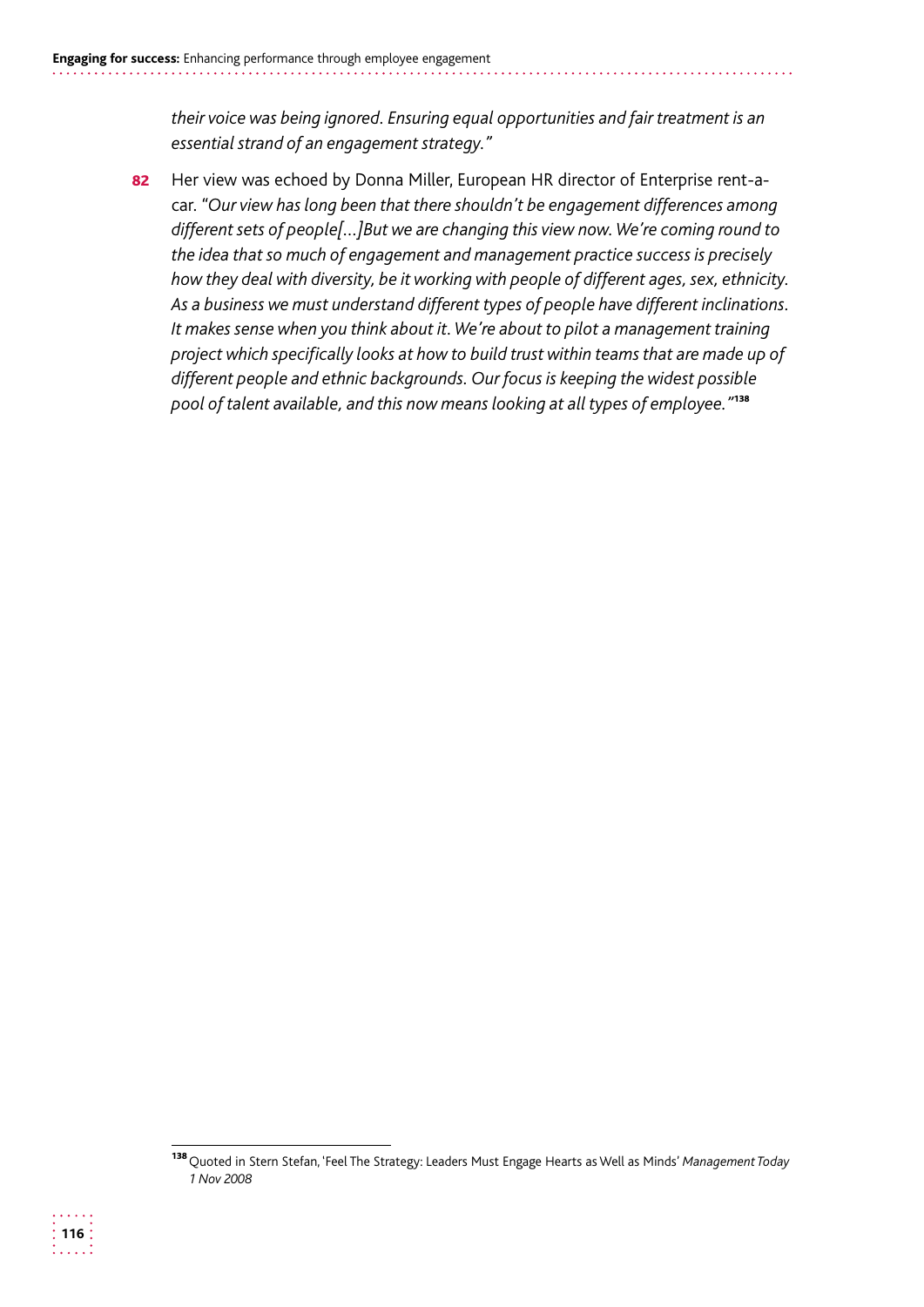*their voice was being ignored. Ensuring equal opportunities and fair treatment is an essential strand of an engagement strategy."* 

82 Her view was echoed by Donna Miller, European HR director of Enterprise rent-acar. *"Our view has long been that there shouldn't be engagement differences among different sets of people[…]But we are changing this view now. We're coming round to the idea that so much of engagement and management practice success is precisely how they deal with diversity, be it working with people of different ages, sex, ethnicity. As a business we must understand different types of people have different inclinations. It makes sense when you think about it. We're about to pilot a management training project which specifically looks at how to build trust within teams that are made up of different people and ethnic backgrounds. Our focus is keeping the widest possible pool of talent available, and this now means looking at all types of employee."*<sup>138</sup>



<sup>138</sup>Quoted in Stern Stefan, 'Feel The Strategy: Leaders Must Engage Hearts as Well as Minds' *Management Today 1 Nov 2008*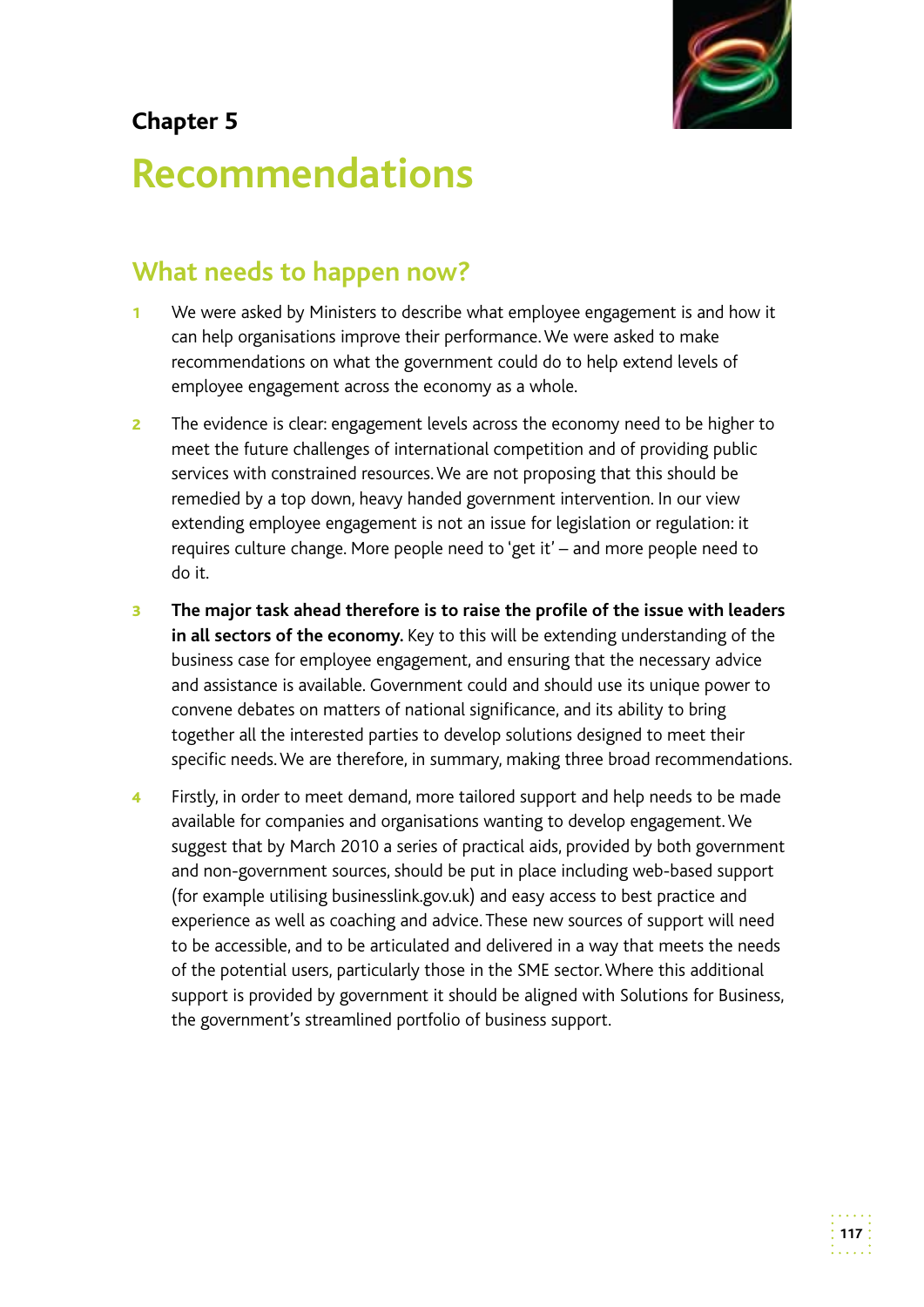

## **Chapter 5**

# **Recommendations**

# **What needs to happen now?**

- 1 We were asked by Ministers to describe what employee engagement is and how it can help organisations improve their performance. We were asked to make recommendations on what the government could do to help extend levels of employee engagement across the economy as a whole.
- **2** The evidence is clear: engagement levels across the economy need to be higher to meet the future challenges of international competition and of providing public services with constrained resources. We are not proposing that this should be remedied by a top down, heavy handed government intervention. In our view extending employee engagement is not an issue for legislation or regulation: it requires culture change. More people need to 'get it' – and more people need to do it.
- convene debates on matters of national significance, and its ability to bring **3** The major task ahead therefore is to raise the profile of the issue with leaders **in all sectors of the economy.** Key to this will be extending understanding of the business case for employee engagement, and ensuring that the necessary advice and assistance is available. Government could and should use its unique power to together all the interested parties to develop solutions designed to meet their specific needs. We are therefore, in summary, making three broad recommendations.
- 4 Firstly, in order to meet demand, more tailored support and help needs to be made available for companies and organisations wanting to develop engagement. We suggest that by March 2010 a series of practical aids, provided by both government and non-government sources, should be put in place including web-based support (for example utilising businesslink.gov.uk) and easy access to best practice and experience as well as coaching and advice. These new sources of support will need to be accessible, and to be articulated and delivered in a way that meets the needs of the potential users, particularly those in the SME sector. Where this additional support is provided by government it should be aligned with Solutions for Business, the government's streamlined portfolio of business support.

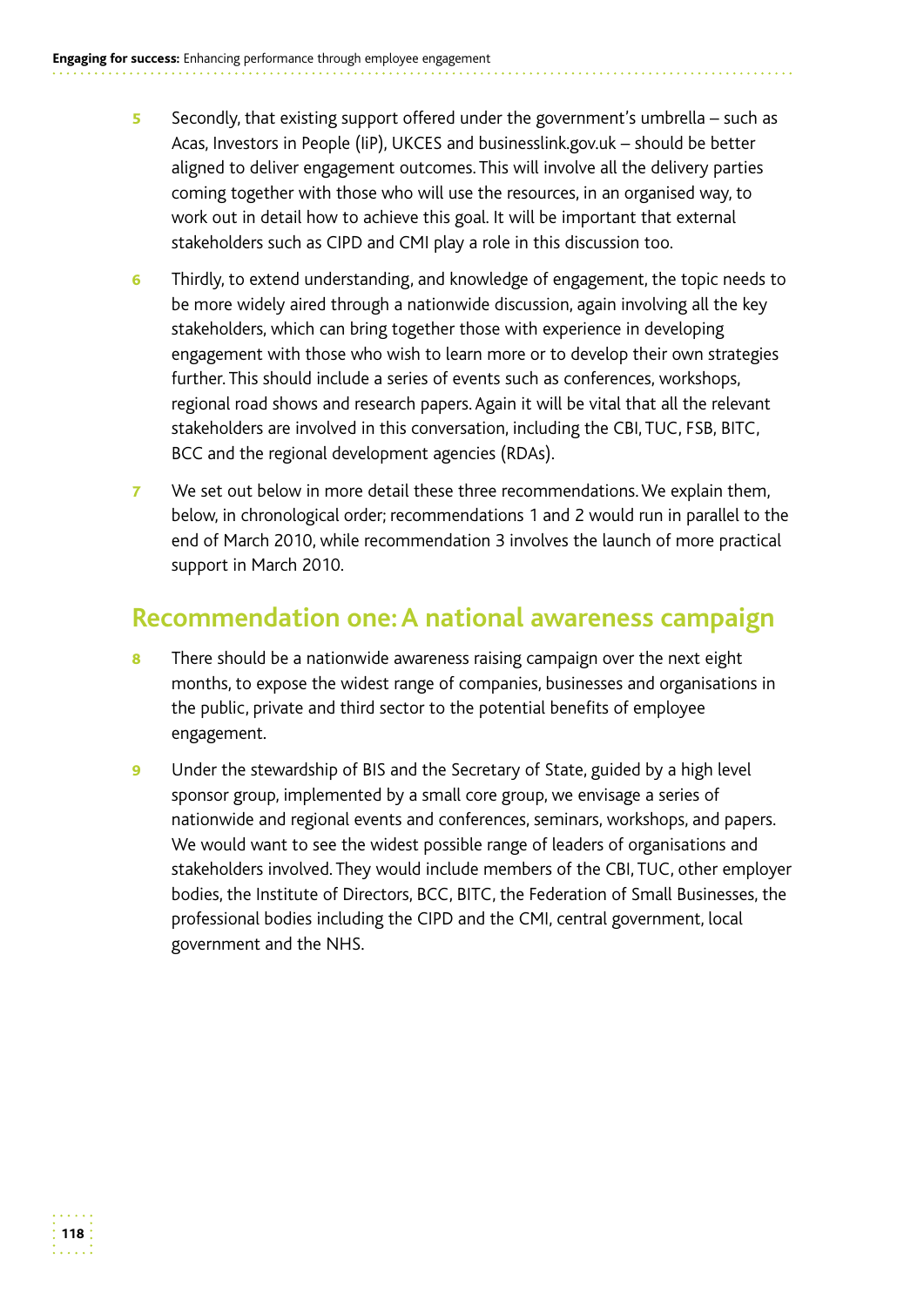- 5 Secondly, that existing support offered under the government's umbrella such as Acas, Investors in People (IiP), UKCES and businesslink.gov.uk – should be better aligned to deliver engagement outcomes. This will involve all the delivery parties coming together with those who will use the resources, in an organised way, to work out in detail how to achieve this goal. It will be important that external stakeholders such as CIPD and CMI play a role in this discussion too.
- Thirdly, to extend understanding, and knowledge of engagement, the topic needs to be more widely aired through a nationwide discussion, again involving all the key stakeholders, which can bring together those with experience in developing engagement with those who wish to learn more or to develop their own strategies further. This should include a series of events such as conferences, workshops, regional road shows and research papers. Again it will be vital that all the relevant stakeholders are involved in this conversation, including the CBI, TUC, FSB, BITC, BCC and the regional development agencies (RDAs). 6
- **7** We set out below in more detail these three recommendations. We explain them, below, in chronological order; recommendations 1 and 2 would run in parallel to the end of March 2010, while recommendation 3 involves the launch of more practical support in March 2010.

## **Recommendation one: A national awareness campaign**

- 8 There should be a nationwide awareness raising campaign over the next eight months, to expose the widest range of companies, businesses and organisations in the public, private and third sector to the potential benefits of employee engagement.
- **9** Under the stewardship of BIS and the Secretary of State, guided by a high level sponsor group, implemented by a small core group, we envisage a series of nationwide and regional events and conferences, seminars, workshops, and papers. We would want to see the widest possible range of leaders of organisations and stakeholders involved. They would include members of the CBI, TUC, other employer bodies, the Institute of Directors, BCC, BITC, the Federation of Small Businesses, the professional bodies including the CIPD and the CMI, central government, local government and the NHS.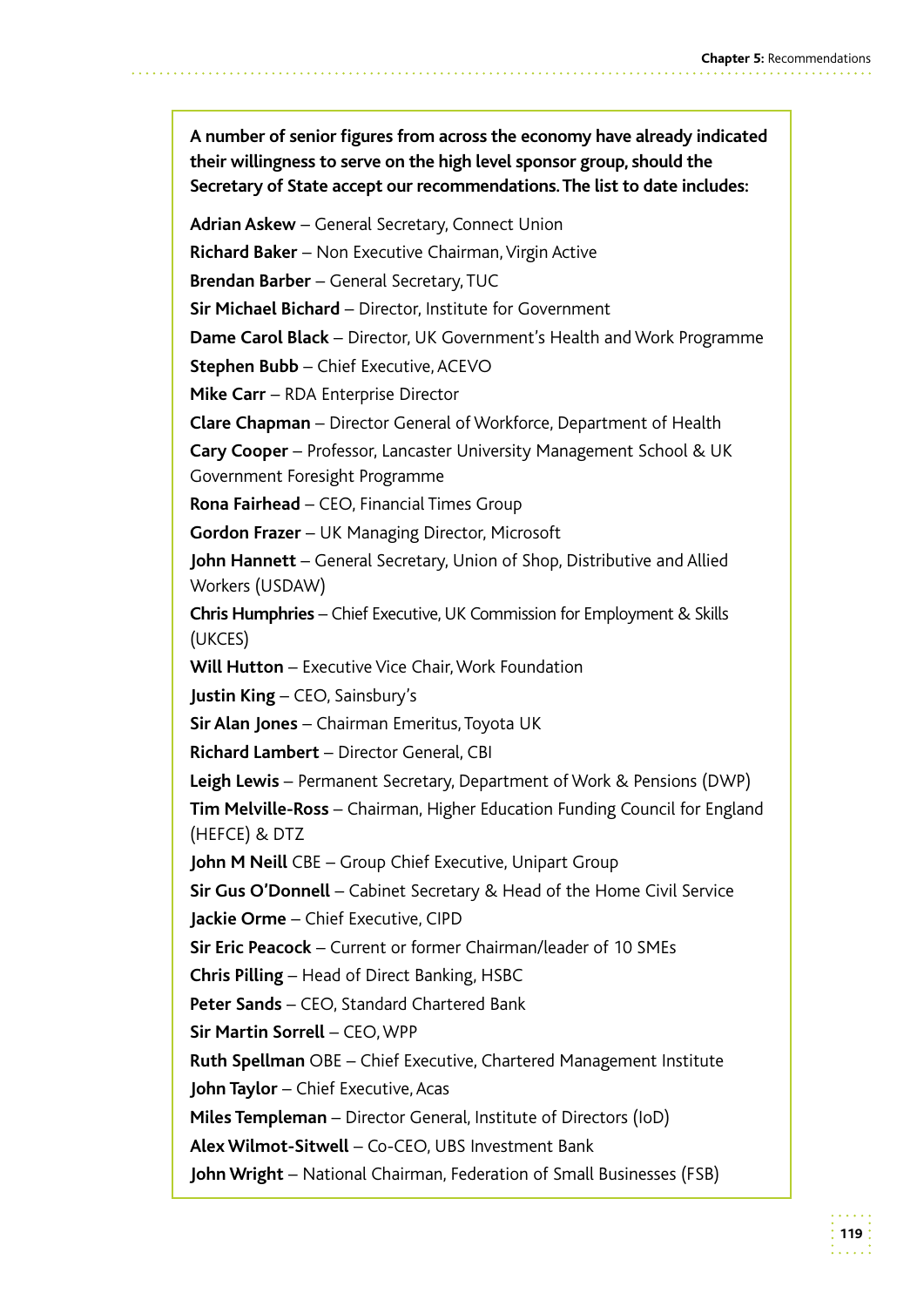**A number of senior figures from across the economy have already indicated their willingness to serve on the high level sponsor group, should the Secretary of State accept our recommendations. The list to date includes:**

**Adrian Askew** – General Secretary, Connect Union

**Richard Baker** – Non Executive Chairman, Virgin Active

**Brendan Barber** – General Secretary, TUC

**Sir Michael Bichard** – Director, Institute for Government

**Dame Carol Black** – Director, UK Government's Health and Work Programme

**Stephen Bubb** – Chief Executive, ACEVO

**Mike Carr** – RDA Enterprise Director

**Clare Chapman** – Director General of Workforce, Department of Health

**Cary Cooper** – Professor, Lancaster University Management School & UK Government Foresight Programme

**Rona Fairhead** – CEO, Financial Times Group

**Gordon Frazer** – UK Managing Director, Microsoft

**John Hannett** – General Secretary, Union of Shop, Distributive and Allied Workers (USDAW)

**Chris Humphries** – Chief Executive, UK Commission for Employment & Skills (UKCES)

**Will Hutton** – Executive Vice Chair, Work Foundation

**Justin King** – CEO, Sainsbury's

**Sir Alan Jones** – Chairman Emeritus, Toyota UK

**Richard Lambert** – Director General, CBI

**Leigh Lewis** – Permanent Secretary, Department of Work & Pensions (DWP)

**Tim Melville-Ross** – Chairman, Higher Education Funding Council for England (HEFCE) & DTZ

**John M Neill** CBE – Group Chief Executive, Unipart Group

**Sir Gus O'Donnell** – Cabinet Secretary & Head of the Home Civil Service **Jackie Orme** – Chief Executive, CIPD

**Sir Eric Peacock** – Current or former Chairman/leader of 10 SMEs

**Chris Pilling** – Head of Direct Banking, HSBC

**Peter Sands** – CEO, Standard Chartered Bank

**Sir Martin Sorrell** – CEO, WPP

**Ruth Spellman** OBE – Chief Executive, Chartered Management Institute

**John Taylor** – Chief Executive, Acas

**Miles Templeman** – Director General, Institute of Directors (IoD)

**Alex Wilmot-Sitwell** – Co-CEO, UBS Investment Bank

**John Wright** – National Chairman, Federation of Small Businesses (FSB)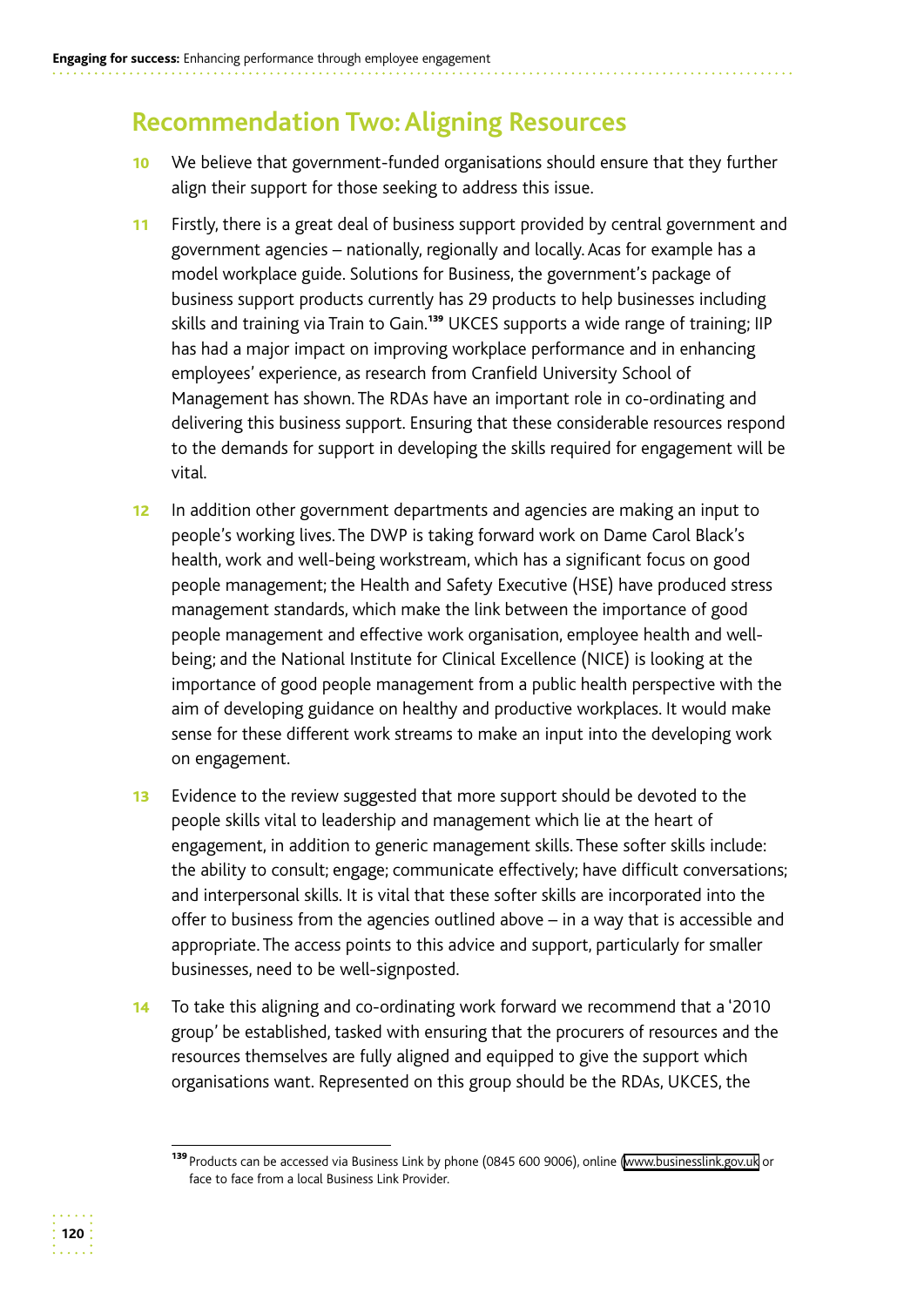# **Recommendation Two: Aligning Resources**

- 10 We believe that government-funded organisations should ensure that they further align their support for those seeking to address this issue.
- 11 Firstly, there is a great deal of business support provided by central government and government agencies – nationally, regionally and locally. Acas for example has a model workplace guide. Solutions for Business, the government's package of business support products currently has 29 products to help businesses including skills and training via Train to Gain.<sup>139</sup> UKCES supports a wide range of training; IIP has had a major impact on improving workplace performance and in enhancing employees' experience, as research from Cranfield University School of Management has shown. The RDAs have an important role in co-ordinating and delivering this business support. Ensuring that these considerable resources respond to the demands for support in developing the skills required for engagement will be vital.
- 12 In addition other government departments and agencies are making an input to people's working lives. The DWP is taking forward work on Dame Carol Black's health, work and well-being workstream, which has a significant focus on good people management; the Health and Safety Executive (HSE) have produced stress management standards, which make the link between the importance of good people management and effective work organisation, employee health and wellbeing; and the National Institute for Clinical Excellence (NICE) is looking at the importance of good people management from a public health perspective with the aim of developing guidance on healthy and productive workplaces. It would make sense for these different work streams to make an input into the developing work on engagement.
- 13 Evidence to the review suggested that more support should be devoted to the people skills vital to leadership and management which lie at the heart of engagement, in addition to generic management skills. These softer skills include: the ability to consult; engage; communicate effectively; have difficult conversations; and interpersonal skills. It is vital that these softer skills are incorporated into the offer to business from the agencies outlined above – in a way that is accessible and appropriate. The access points to this advice and support, particularly for smaller businesses, need to be well-signposted.
- 14 To take this aligning and co-ordinating work forward we recommend that a '2010 group' be established, tasked with ensuring that the procurers of resources and the resources themselves are fully aligned and equipped to give the support which organisations want. Represented on this group should be the RDAs, UKCES, the



<sup>139</sup> Products can be accessed via Business Link by phone (0845 600 9006), online (www.businesslink.gov.uk or face to face from a local Business Link Provider.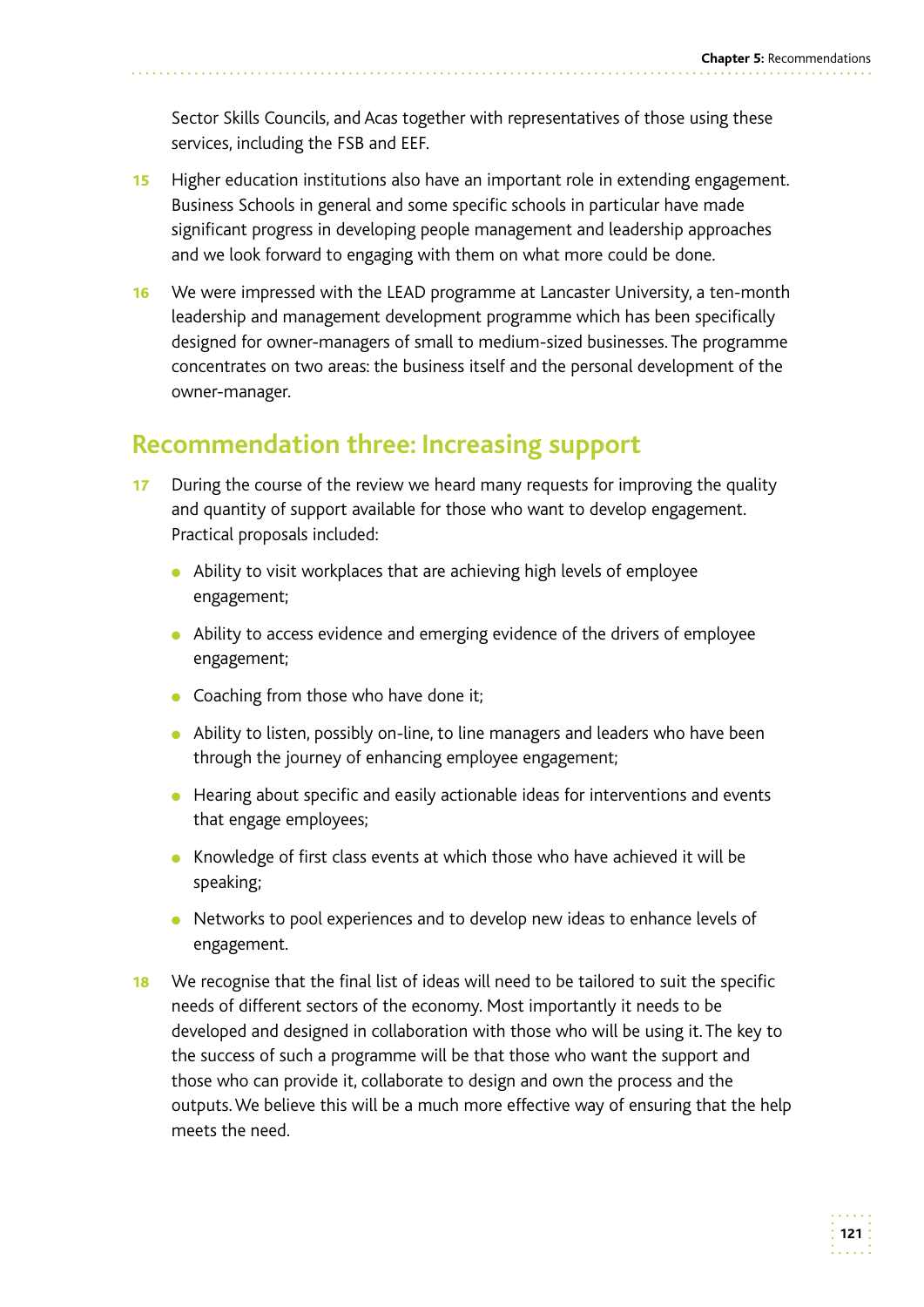Sector Skills Councils, and Acas together with representatives of those using these services, including the FSB and EEF.

- **15** Higher education institutions also have an important role in extending engagement. Business Schools in general and some specific schools in particular have made significant progress in developing people management and leadership approaches and we look forward to engaging with them on what more could be done.
- **16** We were impressed with the LEAD programme at Lancaster University, a ten-month leadership and management development programme which has been specifically designed for owner-managers of small to medium-sized businesses. The programme concentrates on two areas: the business itself and the personal development of the owner-manager.

# **Recommendation three: Increasing support**

- 17 During the course of the review we heard many requests for improving the quality and quantity of support available for those who want to develop engagement. Practical proposals included:
	- Ability to visit workplaces that are achieving high levels of employee engagement;
	- Ability to access evidence and emerging evidence of the drivers of employee engagement;
	- Coaching from those who have done it;
	- Ability to listen, possibly on-line, to line managers and leaders who have been through the journey of enhancing employee engagement;
	- Hearing about specific and easily actionable ideas for interventions and events that engage employees;
	- Knowledge of first class events at which those who have achieved it will be speaking;
	- Networks to pool experiences and to develop new ideas to enhance levels of engagement.
- **18** We recognise that the final list of ideas will need to be tailored to suit the specific needs of different sectors of the economy. Most importantly it needs to be developed and designed in collaboration with those who will be using it. The key to the success of such a programme will be that those who want the support and those who can provide it, collaborate to design and own the process and the outputs. We believe this will be a much more effective way of ensuring that the help meets the need.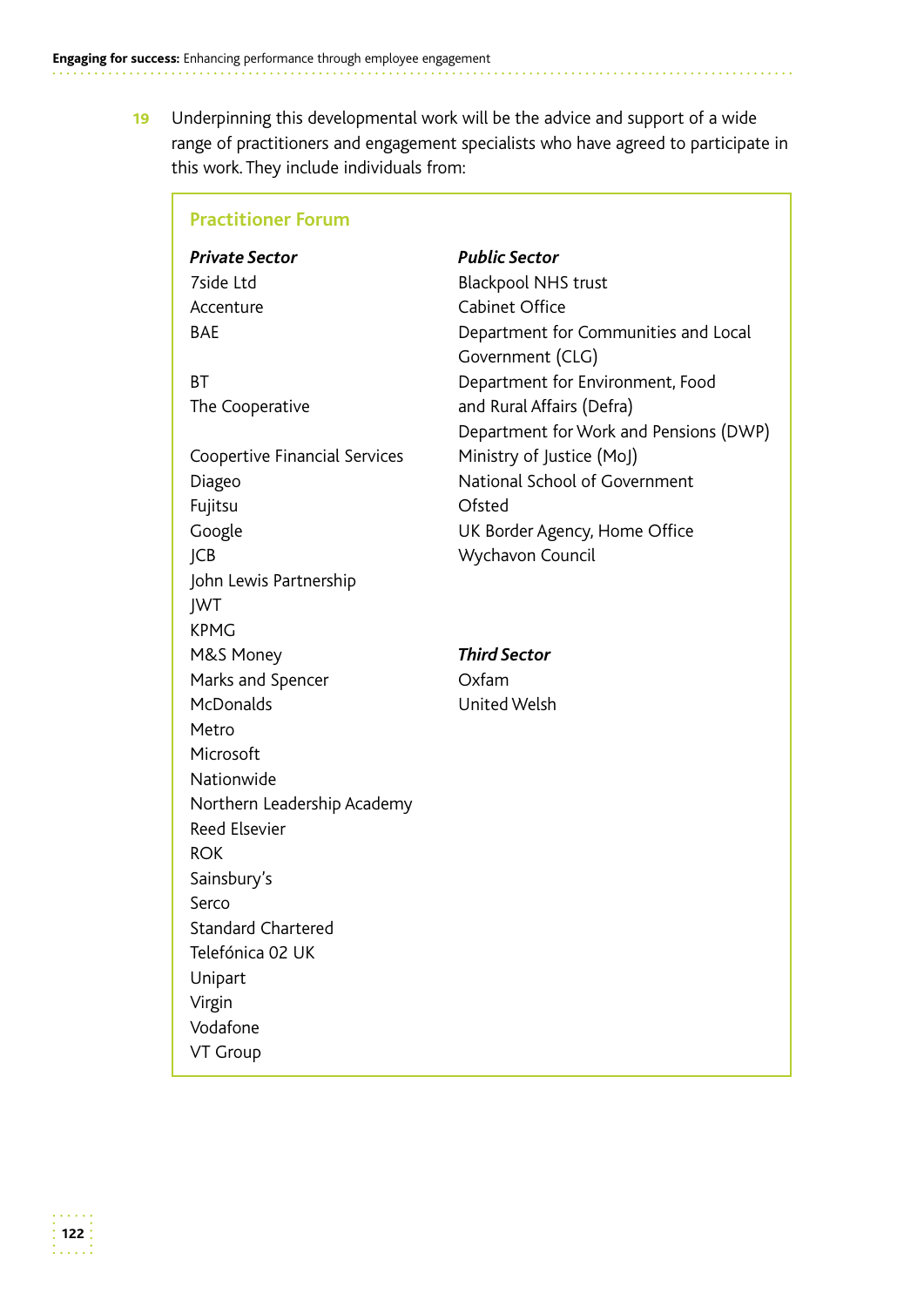19 Underpinning this developmental work will be the advice and support of a wide range of practitioners and engagement specialists who have agreed to participate in this work. They include individuals from:

| <b>Practitioner Forum</b>     |                                        |
|-------------------------------|----------------------------------------|
| <b>Private Sector</b>         | <b>Public Sector</b>                   |
| 7side Ltd                     | <b>Blackpool NHS trust</b>             |
| Accenture                     | Cabinet Office                         |
| <b>BAE</b>                    | Department for Communities and Local   |
|                               | Government (CLG)                       |
| <b>BT</b>                     | Department for Environment, Food       |
| The Cooperative               | and Rural Affairs (Defra)              |
|                               | Department for Work and Pensions (DWP) |
| Coopertive Financial Services | Ministry of Justice (MoJ)              |
| Diageo                        | National School of Government          |
| Fujitsu                       | Ofsted                                 |
| Google                        | UK Border Agency, Home Office          |
| JCB                           | Wychavon Council                       |
| John Lewis Partnership        |                                        |
| JWT                           |                                        |
| <b>KPMG</b>                   |                                        |
| M&S Money                     | <b>Third Sector</b>                    |
| Marks and Spencer             | Oxfam                                  |
| McDonalds                     | United Welsh                           |
| Metro                         |                                        |
| Microsoft                     |                                        |
| Nationwide                    |                                        |
| Northern Leadership Academy   |                                        |
| Reed Elsevier                 |                                        |
| <b>ROK</b>                    |                                        |
| Sainsbury's                   |                                        |
| Serco                         |                                        |
| <b>Standard Chartered</b>     |                                        |
| Telefónica 02 UK              |                                        |
| Unipart                       |                                        |
| Virgin                        |                                        |
| Vodafone                      |                                        |
| VT Group                      |                                        |
|                               |                                        |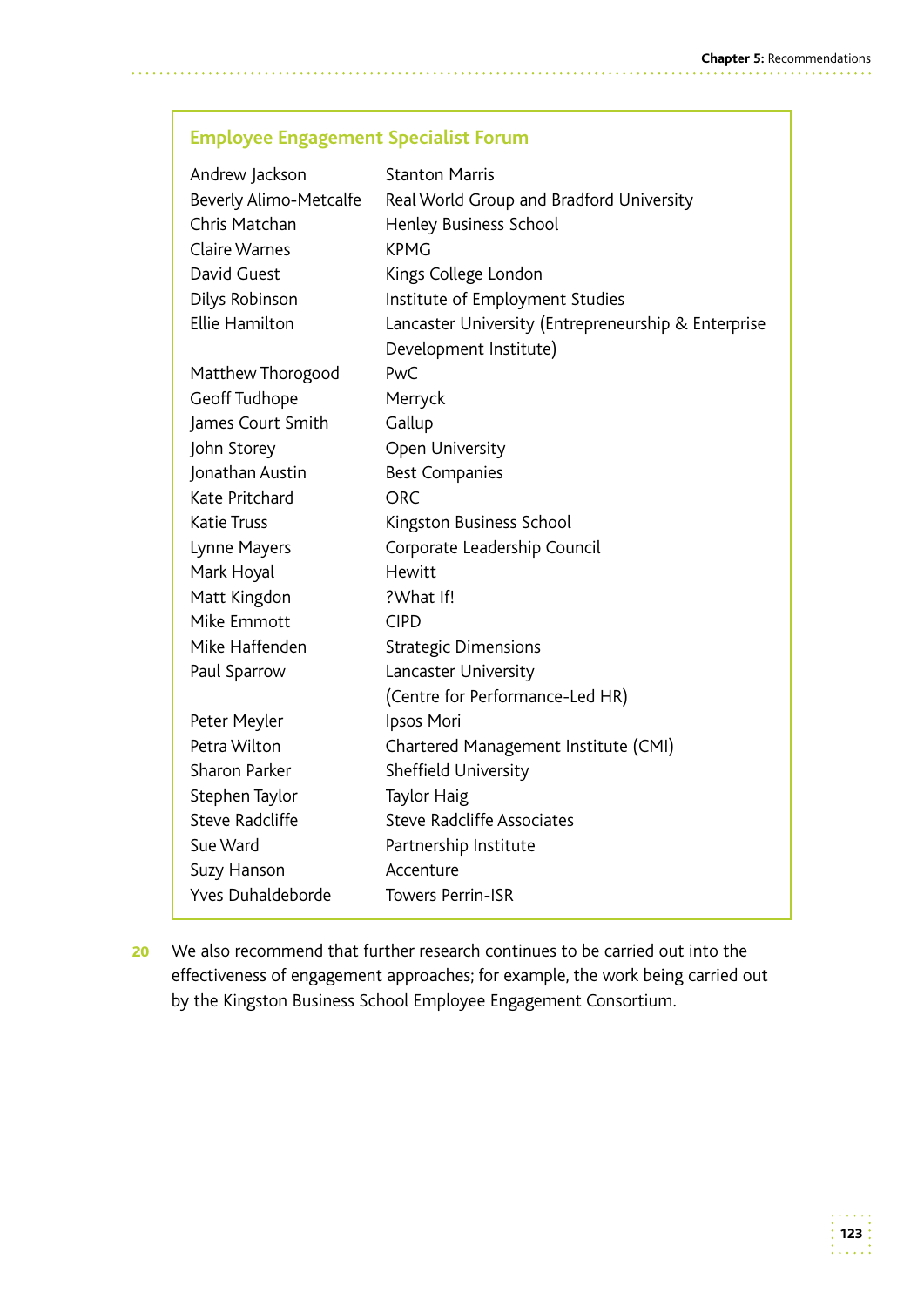#### **Employee Engagement Specialist Forum**

| Andrew Jackson           | <b>Stanton Marris</b>                               |
|--------------------------|-----------------------------------------------------|
| Beverly Alimo-Metcalfe   | Real World Group and Bradford University            |
| Chris Matchan            | Henley Business School                              |
| <b>Claire Warnes</b>     | <b>KPMG</b>                                         |
| David Guest              | Kings College London                                |
| Dilys Robinson           | Institute of Employment Studies                     |
| <b>Ellie Hamilton</b>    | Lancaster University (Entrepreneurship & Enterprise |
|                          | Development Institute)                              |
| Matthew Thorogood        | PwC                                                 |
| Geoff Tudhope            | Merryck                                             |
| James Court Smith        | Gallup                                              |
| John Storey              | Open University                                     |
| Jonathan Austin          | <b>Best Companies</b>                               |
| Kate Pritchard           | <b>ORC</b>                                          |
| <b>Katie Truss</b>       | Kingston Business School                            |
| Lynne Mayers             | Corporate Leadership Council                        |
| Mark Hoyal               | Hewitt                                              |
| Matt Kingdon             | ?What If!                                           |
| Mike Emmott              | <b>CIPD</b>                                         |
| Mike Haffenden           | <b>Strategic Dimensions</b>                         |
| Paul Sparrow             | Lancaster University                                |
|                          | (Centre for Performance-Led HR)                     |
| Peter Meyler             | Ipsos Mori                                          |
| Petra Wilton             | Chartered Management Institute (CMI)                |
| <b>Sharon Parker</b>     | Sheffield University                                |
| Stephen Taylor           | <b>Taylor Haig</b>                                  |
| <b>Steve Radcliffe</b>   | <b>Steve Radcliffe Associates</b>                   |
| Sue Ward                 | Partnership Institute                               |
| Suzy Hanson              | Accenture                                           |
| <b>Yves Duhaldeborde</b> | <b>Towers Perrin-ISR</b>                            |

20 We also recommend that further research continues to be carried out into the effectiveness of engagement approaches; for example, the work being carried out by the Kingston Business School Employee Engagement Consortium.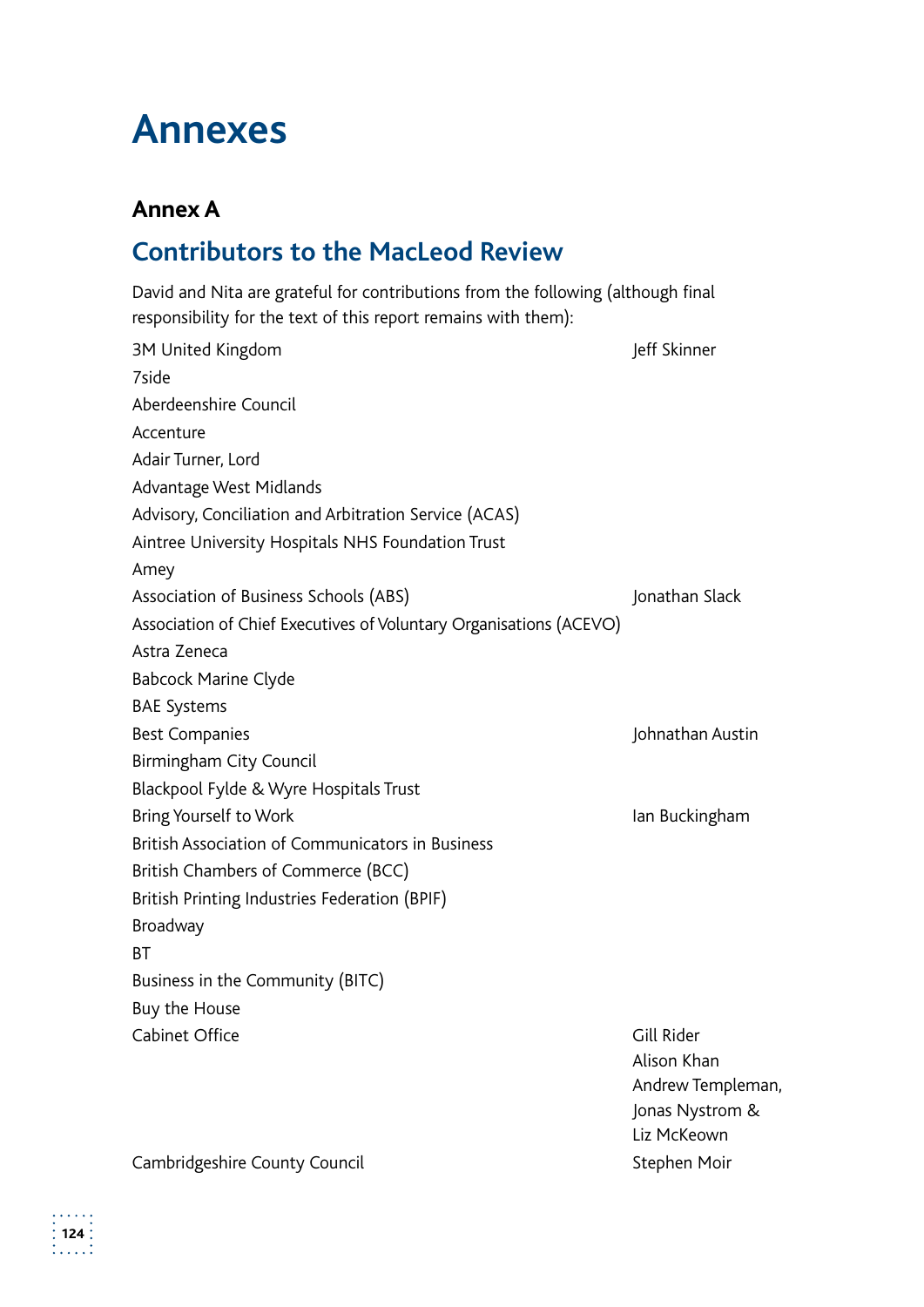# **Annexes**

## **Annex A**

# **Contributors to the MacLeod Review**

David and Nita are grateful for contributions from the following (although final responsibility for the text of this report remains with them):

3M United Kingdom **Jeff Skinner** 7side Aberdeenshire Council Accenture Adair Turner, Lord Advantage West Midlands Advisory, Conciliation and Arbitration Service (ACAS) Aintree University Hospitals NHS Foundation Trust Amey Association of Business Schools (ABS) and the setting of the setting of Business Schools (ABS) Association of Chief Executives of Voluntary Organisations (ACEVO) Astra Zeneca Babcock Marine Clyde BAE Systems Best Companies **Guide Companies Johnathan Austin** Birmingham City Council Blackpool Fylde & Wyre Hospitals Trust Bring Yourself to Work **Internal Community** Bring Yourself to Work British Association of Communicators in Business British Chambers of Commerce (BCC) British Printing Industries Federation (BPIF) Broadway **BT** Business in the Community (BITC) Buy the House Cabinet Office **Gill Rider** Cabinet Office Alison Khan Andrew Templeman, Jonas Nystrom & Liz McKeown

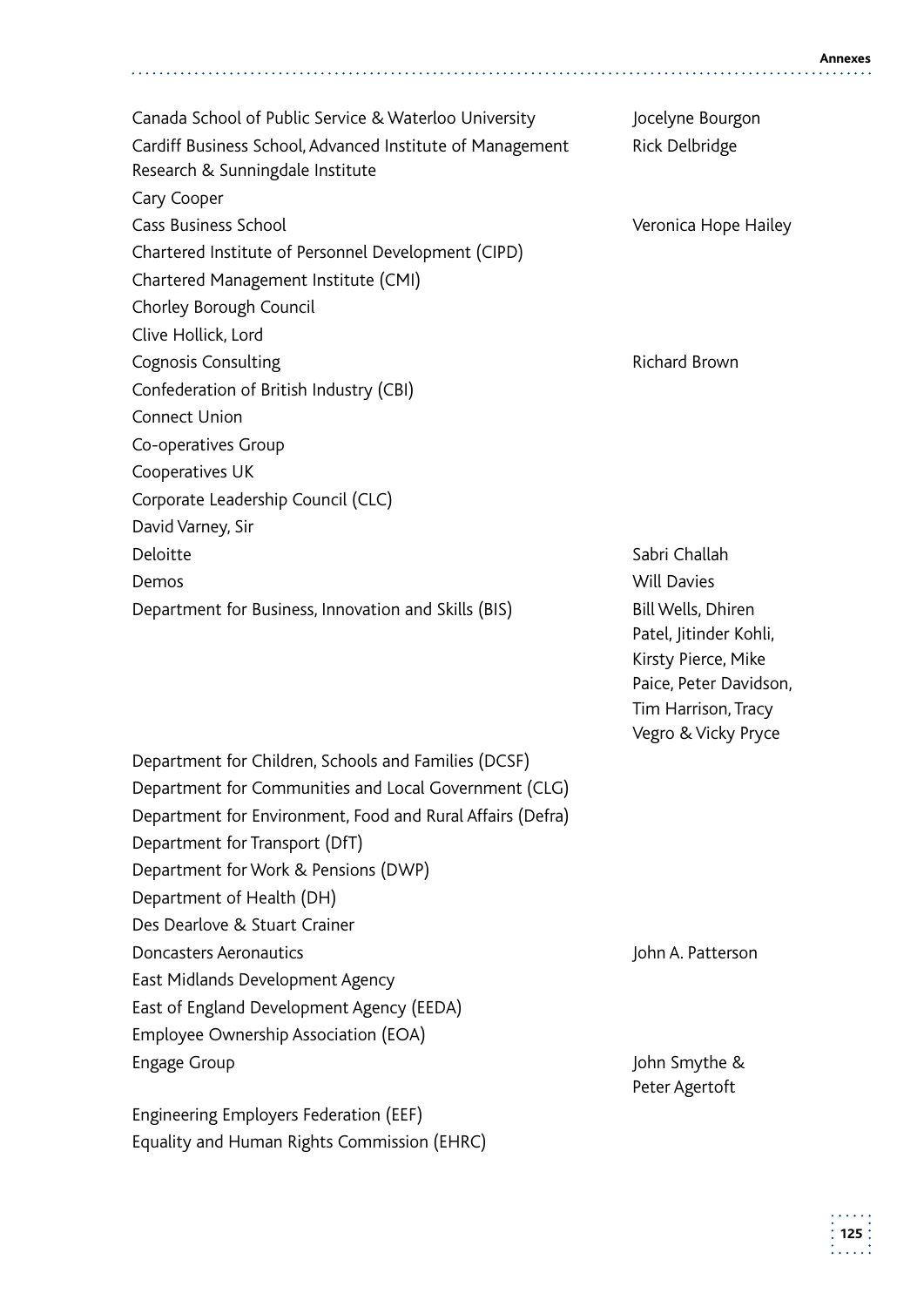Canada School of Public Service & Waterloo University Jocelyne Bourgon Cardiff Business School, Advanced Institute of Management Rick Delbridge Research & Sunningdale Institute Cary Cooper Cass Business School Veronica Hope Hailey Chartered Institute of Personnel Development (CIPD) Chartered Management Institute (CMI) Chorley Borough Council Clive Hollick, Lord Cognosis Consulting **Richard Brown** Confederation of British Industry (CBI) Connect Union Co-operatives Group Cooperatives UK Corporate Leadership Council (CLC) David Varney, Sir Deloitte Sabri Challah (Sabri Challah Sabri Challah Sabri Challah Sabri Challah Sabri Challah Sabri Challah Sabri Challah Sabri Challah Sabri Challah Sabri Challah Sabri Challah Sabri Challah Sabri Challah Sabri Challah Sa Demos Will Davies Department for Business, Innovation and Skills (BIS) Bill Wells, Dhiren

Patel, Jitinder Kohli, Kirsty Pierce, Mike Paice, Peter Davidson, Tim Harrison, Tracy Vegro & Vicky Pryce

Department for Children, Schools and Families (DCSF) Department for Communities and Local Government (CLG) Department for Environment, Food and Rural Affairs (Defra) Department for Transport (DfT) Department for Work & Pensions (DWP) Department of Health (DH) Des Dearlove & Stuart Crainer Doncasters Aeronautics **According to A. Patterson** East Midlands Development Agency East of England Development Agency (EEDA) Employee Ownership Association (EOA) Engage Group and the set of the set of the set of the set of the set of the set of the set of the set of the set of the set of the set of the set of the set of the set of the set of the set of the set of the set of the set Peter Agertoft

Engineering Employers Federation (EEF) Equality and Human Rights Commission (EHRC)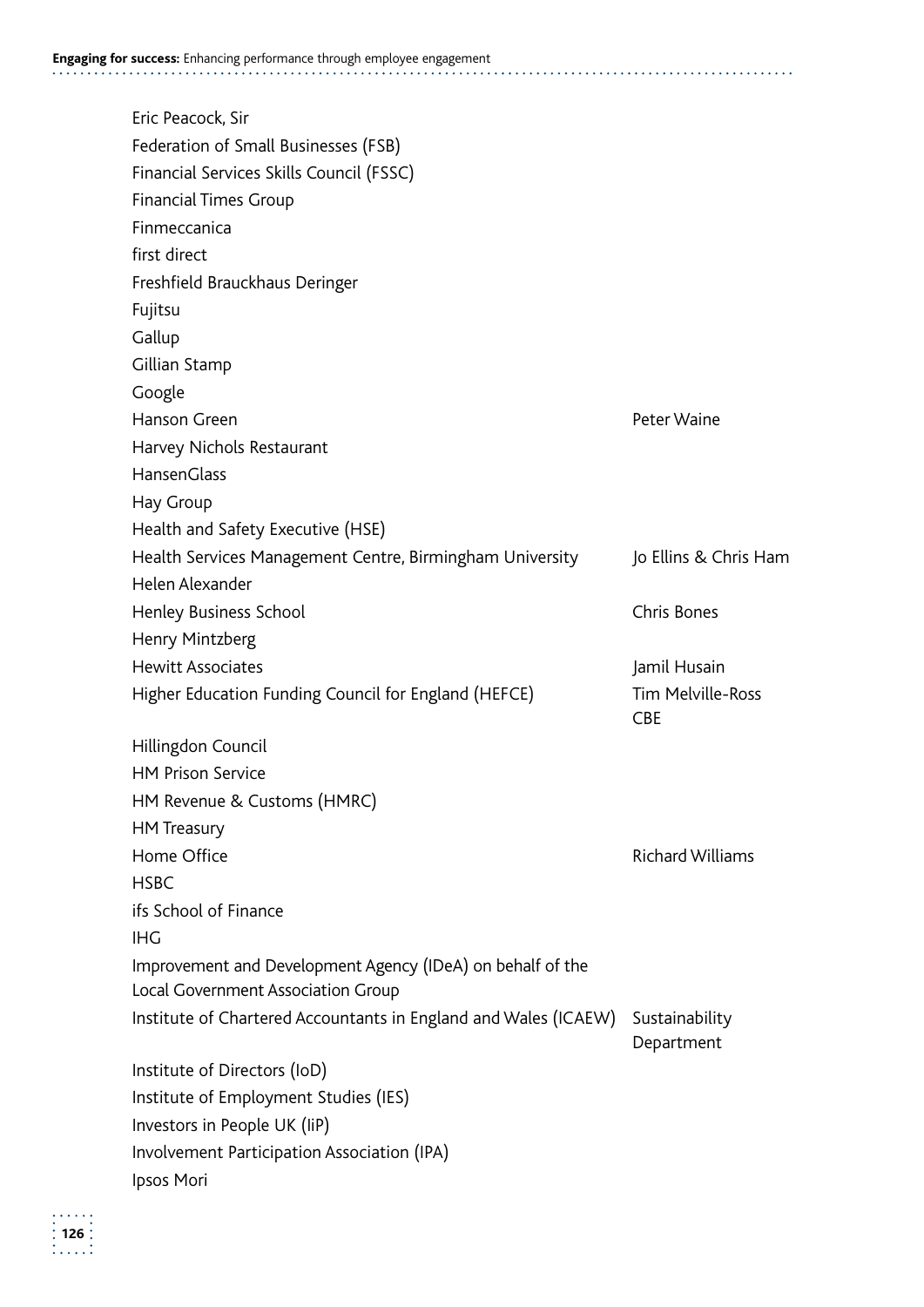| Eric Peacock, Sir                                               |                                        |
|-----------------------------------------------------------------|----------------------------------------|
| Federation of Small Businesses (FSB)                            |                                        |
| Financial Services Skills Council (FSSC)                        |                                        |
| <b>Financial Times Group</b>                                    |                                        |
| Finmeccanica                                                    |                                        |
| first direct                                                    |                                        |
| Freshfield Brauckhaus Deringer                                  |                                        |
| Fujitsu                                                         |                                        |
| Gallup                                                          |                                        |
| Gillian Stamp                                                   |                                        |
| Google                                                          |                                        |
| Hanson Green                                                    | Peter Waine                            |
| Harvey Nichols Restaurant                                       |                                        |
| HansenGlass                                                     |                                        |
| Hay Group                                                       |                                        |
| Health and Safety Executive (HSE)                               |                                        |
| Health Services Management Centre, Birmingham University        | Jo Ellins & Chris Ham                  |
| Helen Alexander                                                 |                                        |
| Henley Business School                                          | Chris Bones                            |
| Henry Mintzberg                                                 |                                        |
| <b>Hewitt Associates</b>                                        | Jamil Husain                           |
| Higher Education Funding Council for England (HEFCE)            | <b>Tim Melville-Ross</b><br><b>CBE</b> |
| Hillingdon Council                                              |                                        |
| <b>HM Prison Service</b>                                        |                                        |
| HM Revenue & Customs (HMRC)                                     |                                        |
| <b>HM</b> Treasury                                              |                                        |
| Home Office                                                     | <b>Richard Williams</b>                |
| <b>HSBC</b>                                                     |                                        |
| ifs School of Finance                                           |                                        |
| <b>IHG</b>                                                      |                                        |
| Improvement and Development Agency (IDeA) on behalf of the      |                                        |
| Local Government Association Group                              |                                        |
| Institute of Chartered Accountants in England and Wales (ICAEW) | Sustainability<br>Department           |
| Institute of Directors (IoD)                                    |                                        |
| Institute of Employment Studies (IES)                           |                                        |
| Investors in People UK (IiP)                                    |                                        |
| Involvement Participation Association (IPA)                     |                                        |
| Ipsos Mori                                                      |                                        |

 $\begin{array}{c} \n 126 \\
\hline\n 126 \\
\hline\n 1\n \end{array}$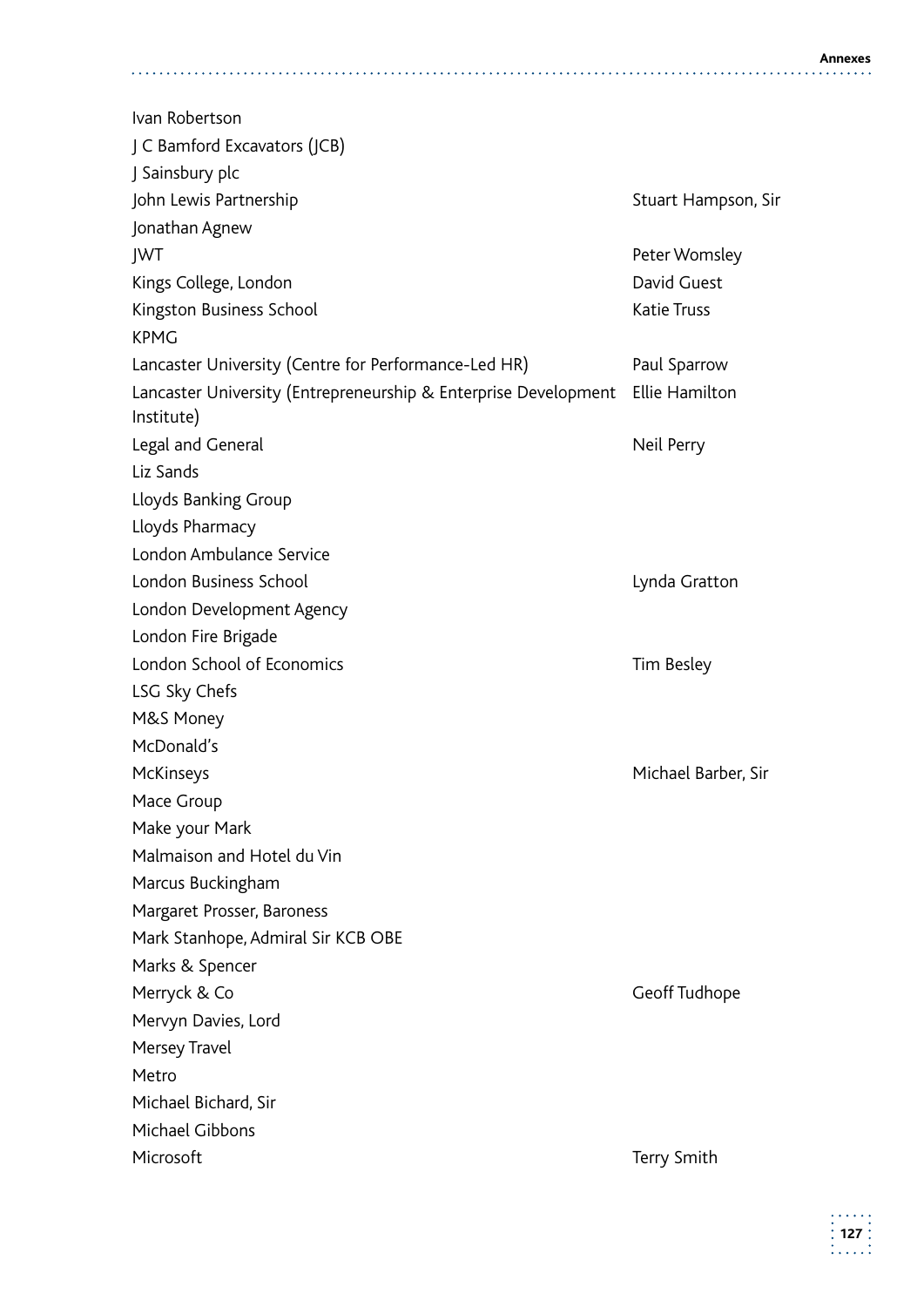Ivan Robertson J C Bamford Excavators (JCB) J Sainsbury plc John Lewis Partnership Stuart Hampson, Sir Jonathan Agnew JWT Peter Womsley Kings College, London **David Guest** Kingston Business School **Katie Truss** Katie Truss KPMG Lancaster University (Centre for Performance-Led HR) Paul Sparrow Lancaster University (Entrepreneurship & Enterprise Development Ellie Hamilton Institute) Legal and General Neil Perry Liz Sands Lloyds Banking Group Lloyds Pharmacy London Ambulance Service London Business School Lynda Gratton London Development Agency London Fire Brigade London School of Economics Tim Besley LSG Sky Chefs M&S Money McDonald's McKinseys Michael Barber, Sir Mace Group Make your Mark Malmaison and Hotel du Vin Marcus Buckingham Margaret Prosser, Baroness Mark Stanhope, Admiral Sir KCB OBE Marks & Spencer Merryck & Co Geoff Tudhope Mervyn Davies, Lord Mersey Travel Metro Michael Bichard, Sir Michael Gibbons Microsoft **Terry Smith**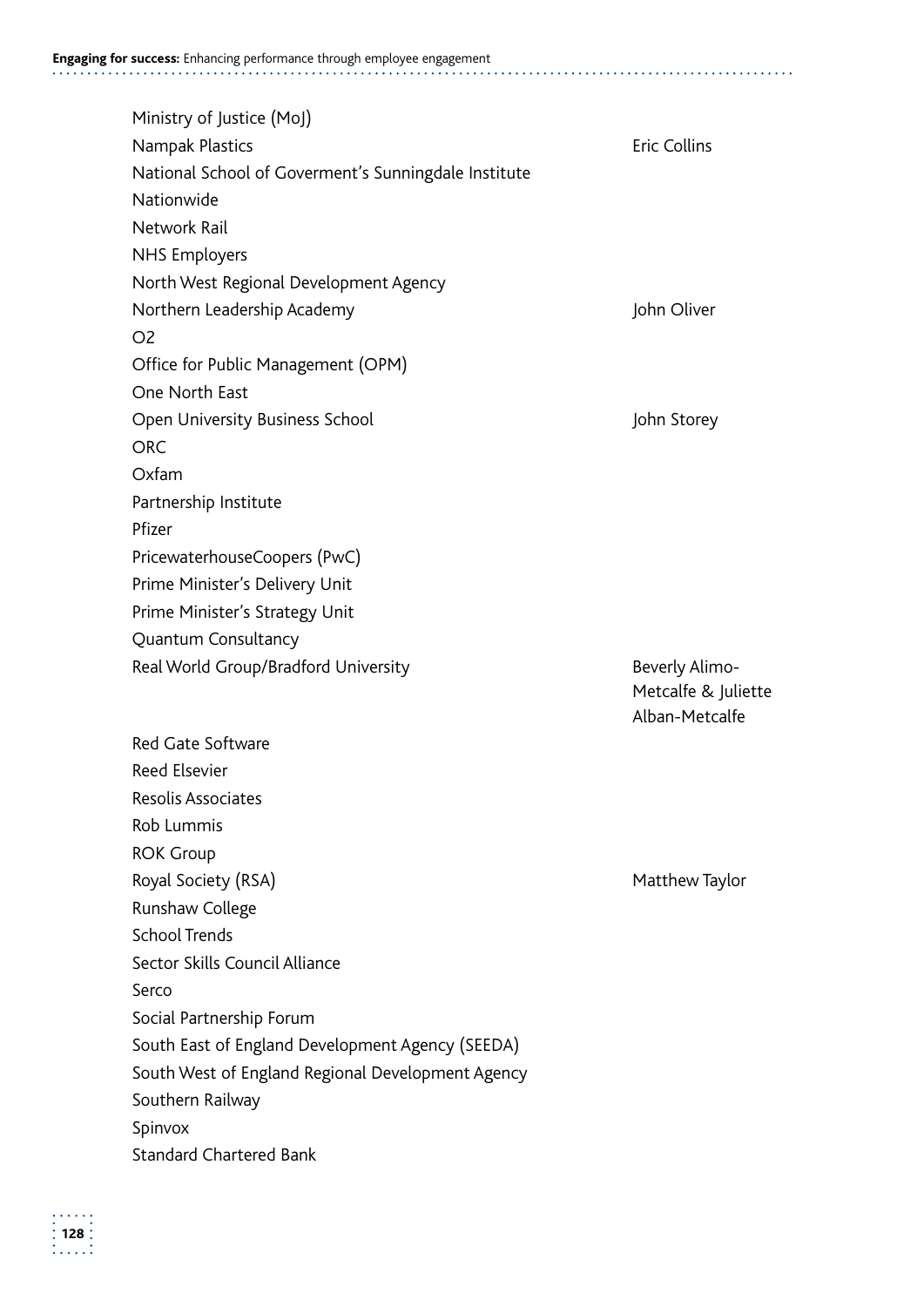| Ministry of Justice (MoJ)                            |                     |
|------------------------------------------------------|---------------------|
| Nampak Plastics                                      | <b>Eric Collins</b> |
| National School of Goverment's Sunningdale Institute |                     |
| Nationwide                                           |                     |
| Network Rail                                         |                     |
| <b>NHS Employers</b>                                 |                     |
| North West Regional Development Agency               |                     |
| Northern Leadership Academy                          | John Oliver         |
| O <sub>2</sub>                                       |                     |
| Office for Public Management (OPM)                   |                     |
| One North East                                       |                     |
| Open University Business School                      | John Storey         |
| <b>ORC</b>                                           |                     |
| Oxfam                                                |                     |
| Partnership Institute                                |                     |
| Pfizer                                               |                     |
| PricewaterhouseCoopers (PwC)                         |                     |
| Prime Minister's Delivery Unit                       |                     |
| Prime Minister's Strategy Unit                       |                     |
| Quantum Consultancy                                  |                     |
|                                                      |                     |
| Real World Group/Bradford University                 | Beverly Alimo-      |
|                                                      | Metcalfe & Juliette |
|                                                      | Alban-Metcalfe      |
| <b>Red Gate Software</b>                             |                     |
| <b>Reed Elsevier</b>                                 |                     |
| Resolis Associates                                   |                     |
| Rob Lummis                                           |                     |
| <b>ROK Group</b>                                     |                     |
| Royal Society (RSA)                                  | Matthew Taylor      |
| Runshaw College                                      |                     |
| <b>School Trends</b>                                 |                     |
| Sector Skills Council Alliance                       |                     |
| Serco                                                |                     |
| Social Partnership Forum                             |                     |
| South East of England Development Agency (SEEDA)     |                     |
| South West of England Regional Development Agency    |                     |
| Southern Railway                                     |                     |
| Spinvox<br><b>Standard Chartered Bank</b>            |                     |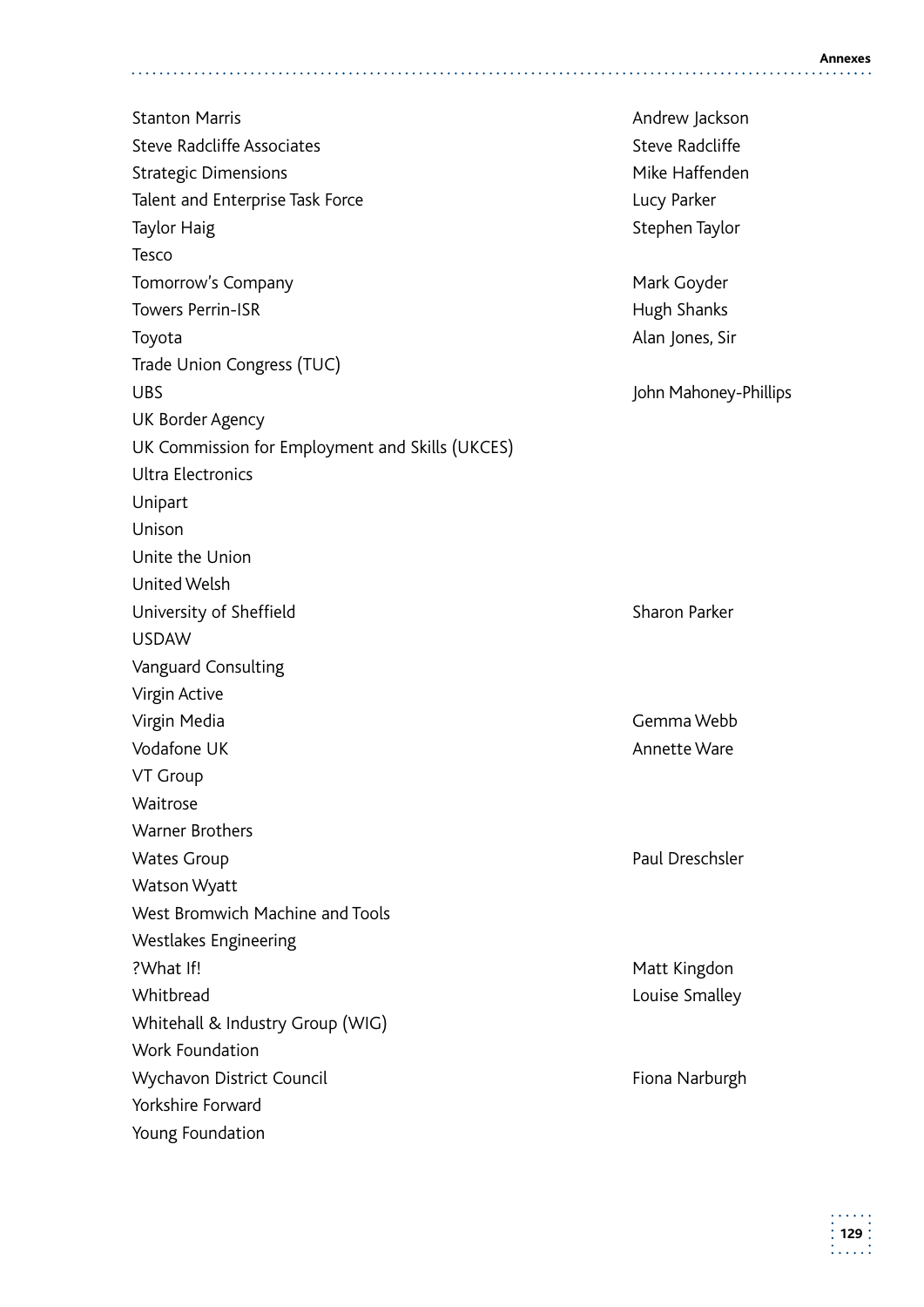Stanton Marris **Andrew Jackson** Stanton Marris **Andrew Jackson** Steve Radcliffe Associates Steve Radcliffe Strategic Dimensions and America and America and America Mike Haffenden Talent and Enterprise Task Force **Lucy Parker** Lucy Parker Taylor Haig Stephen Taylor Stephen Taylor Tesco Tomorrow's Company **Mark Goyder** Mark Goyder Towers Perrin-ISR **Hugh Shanks** Hugh Shanks Toyota **Alan Jones, Sir** Alan Jones, Sir Trade Union Congress (TUC) UBS **John Mahoney-Phillips** UK Border Agency UK Commission for Employment and Skills (UKCES) Ultra Electronics Unipart Unison Unite the Union United Welsh University of Sheffield Sharon Parker USDAW Vanguard Consulting Virgin Active Virgin Media Gemma Webb Vodafone UK announced by the Contract of the Marine Ware Annette Ware Annette Ware VT Group Waitrose Warner Brothers Wates Group **Paul Dreschsler** Watson Wyatt West Bromwich Machine and Tools Westlakes Engineering ?What If! Matt Kingdon? Matt Kingdon? Whitbread **Louise Smalley** Whitehall & Industry Group (WIG) Work Foundation Wychavon District Council **Fiona Narburgh** Fiona Narburgh Yorkshire Forward Young Foundation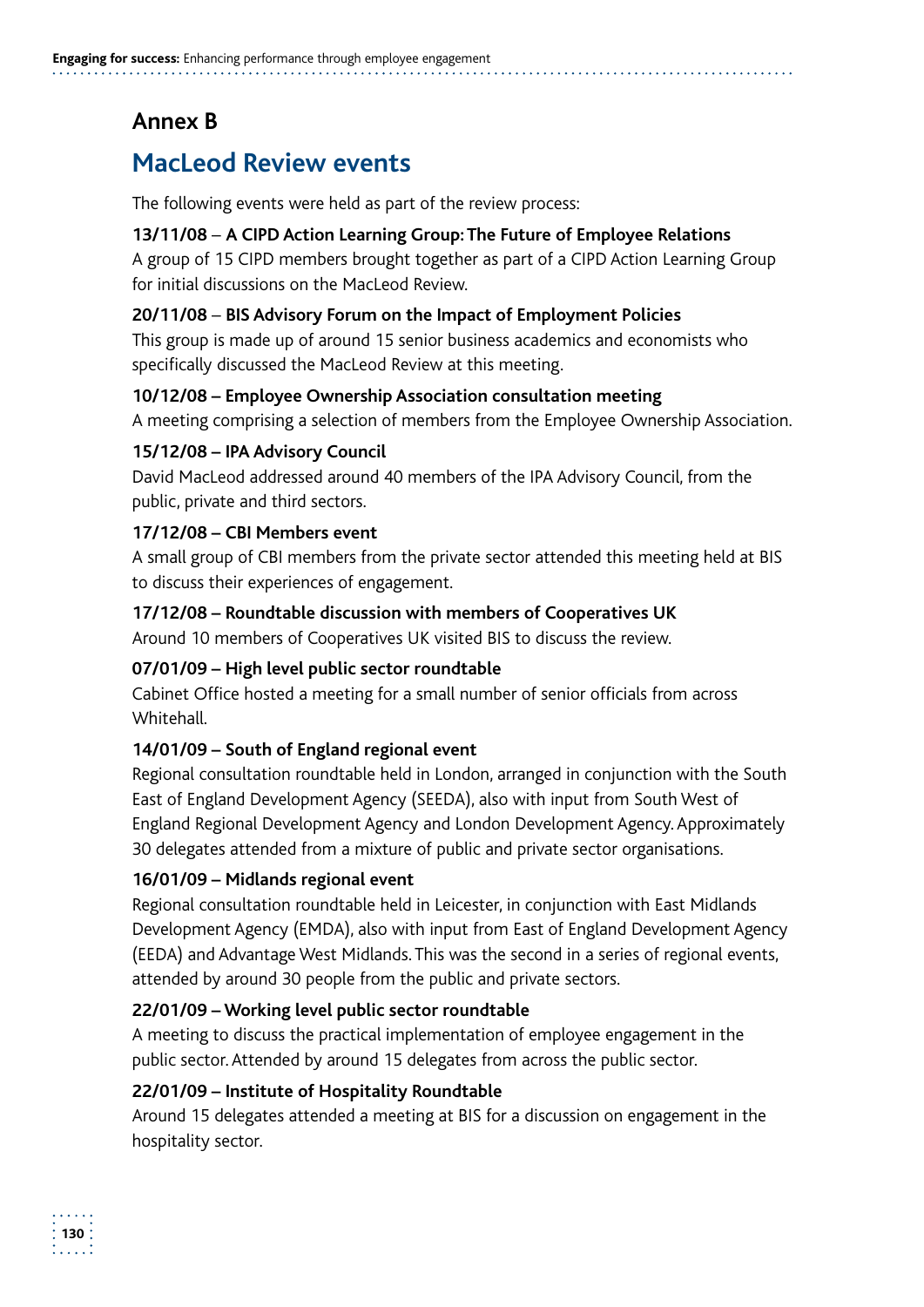## **Annex B**

# **MacLeod Review events**

The following events were held as part of the review process:

#### **13/11/08** – **A CIPD Action Learning Group: The Future of Employee Relations**

A group of 15 CIPD members brought together as part of a CIPD Action Learning Group for initial discussions on the MacLeod Review.

#### **20/11/08** – **BIS Advisory Forum on the Impact of Employment Policies**

This group is made up of around 15 senior business academics and economists who specifically discussed the MacLeod Review at this meeting.

#### **10/12/08 – Employee Ownership Association consultation meeting**

A meeting comprising a selection of members from the Employee Ownership Association.

#### **15/12/08 – IPA Advisory Council**

David MacLeod addressed around 40 members of the IPA Advisory Council, from the public, private and third sectors.

#### **17/12/08 – CBI Members event**

A small group of CBI members from the private sector attended this meeting held at BIS to discuss their experiences of engagement.

#### **17/12/08 – Roundtable discussion with members of Cooperatives UK**

Around 10 members of Cooperatives UK visited BIS to discuss the review.

#### **07/01/09 – High level public sector roundtable**

Cabinet Office hosted a meeting for a small number of senior officials from across Whitehall.

#### **14/01/09 – South of England regional event**

Regional consultation roundtable held in London, arranged in conjunction with the South East of England Development Agency (SEEDA), also with input from South West of England Regional Development Agency and London Development Agency. Approximately 30 delegates attended from a mixture of public and private sector organisations.

#### **16/01/09 – Midlands regional event**

Regional consultation roundtable held in Leicester, in conjunction with East Midlands Development Agency (EMDA), also with input from East of England Development Agency (EEDA) and Advantage West Midlands. This was the second in a series of regional events, attended by around 30 people from the public and private sectors.

#### **22/01/09 – Working level public sector roundtable**

A meeting to discuss the practical implementation of employee engagement in the public sector. Attended by around 15 delegates from across the public sector.

#### **22/01/09 – Institute of Hospitality Roundtable**

Around 15 delegates attended a meeting at BIS for a discussion on engagement in the hospitality sector.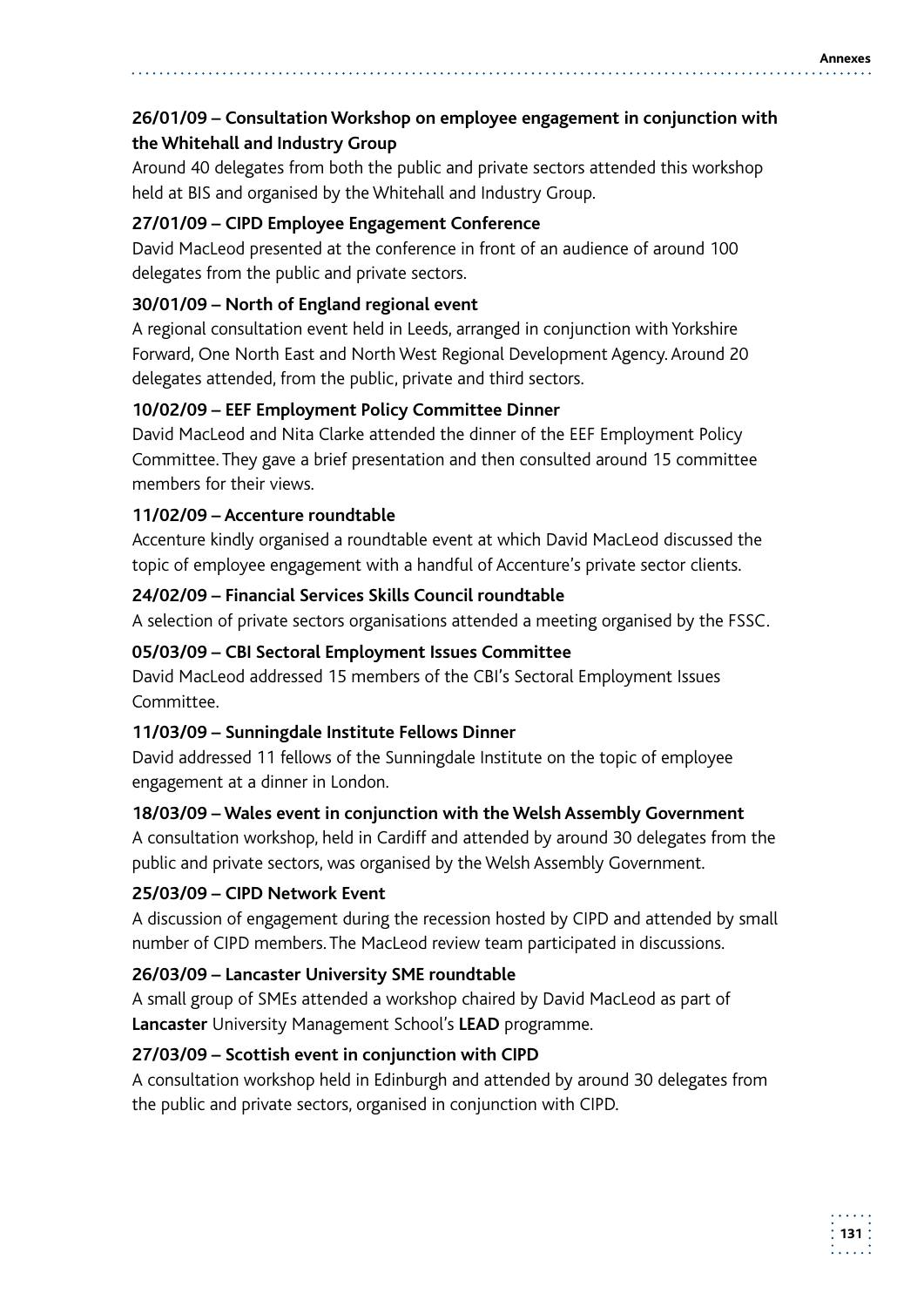#### **26/01/09 – Consultation Workshop on employee engagement in conjunction with the Whitehall and Industry Group**

Around 40 delegates from both the public and private sectors attended this workshop held at BIS and organised by the Whitehall and Industry Group.

#### **27/01/09 – CIPD Employee Engagement Conference**

David MacLeod presented at the conference in front of an audience of around 100 delegates from the public and private sectors.

#### **30/01/09 – North of England regional event**

A regional consultation event held in Leeds, arranged in conjunction with Yorkshire Forward, One North East and North West Regional Development Agency. Around 20 delegates attended, from the public, private and third sectors.

#### **10/02/09 – EEF Employment Policy Committee Dinner**

David MacLeod and Nita Clarke attended the dinner of the EEF Employment Policy Committee. They gave a brief presentation and then consulted around 15 committee members for their views.

#### **11/02/09 – Accenture roundtable**

Accenture kindly organised a roundtable event at which David MacLeod discussed the topic of employee engagement with a handful of Accenture's private sector clients.

#### **24/02/09 – Financial Services Skills Council roundtable**

A selection of private sectors organisations attended a meeting organised by the FSSC.

#### **05/03/09 – CBI Sectoral Employment Issues Committee**

David MacLeod addressed 15 members of the CBI's Sectoral Employment Issues Committee.

#### **11/03/09 – Sunningdale Institute Fellows Dinner**

David addressed 11 fellows of the Sunningdale Institute on the topic of employee engagement at a dinner in London.

#### **18/03/09 – Wales event in conjunction with the Welsh Assembly Government**

A consultation workshop, held in Cardiff and attended by around 30 delegates from the public and private sectors, was organised by the Welsh Assembly Government.

#### **25/03/09 – CIPD Network Event**

A discussion of engagement during the recession hosted by CIPD and attended by small number of CIPD members. The MacLeod review team participated in discussions.

#### **26/03/09 – Lancaster University SME roundtable**

A small group of SMEs attended a workshop chaired by David MacLeod as part of **Lancaster** University Management School's **LEAD** programme.

#### **27/03/09 – Scottish event in conjunction with CIPD**

A consultation workshop held in Edinburgh and attended by around 30 delegates from the public and private sectors, organised in conjunction with CIPD.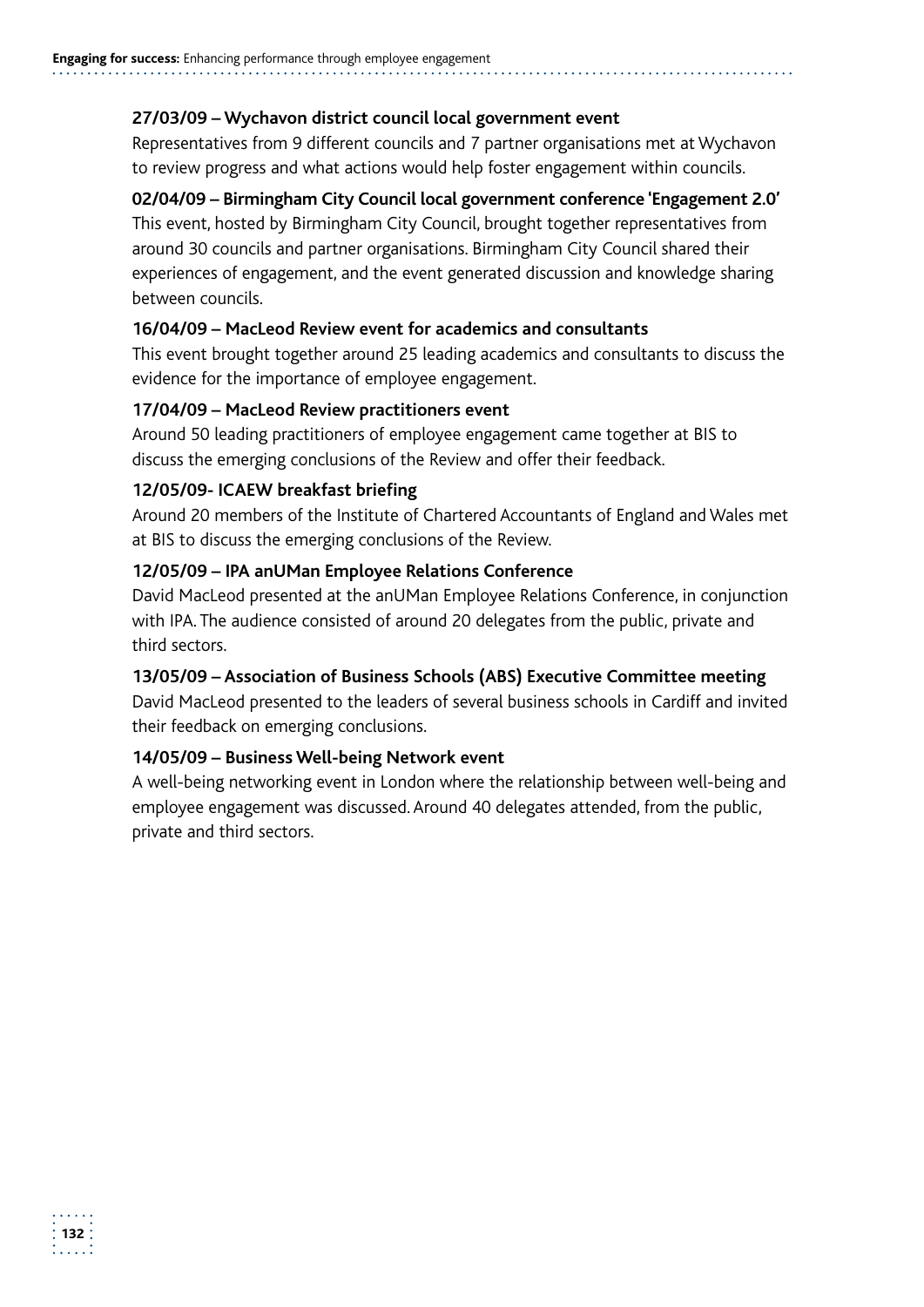#### **27/03/09 – Wychavon district council local government event**

Representatives from 9 different councils and 7 partner organisations met at Wychavon to review progress and what actions would help foster engagement within councils.

#### **02/04/09 – Birmingham City Council local government conference 'Engagement 2.0'**

This event, hosted by Birmingham City Council, brought together representatives from around 30 councils and partner organisations. Birmingham City Council shared their experiences of engagement, and the event generated discussion and knowledge sharing between councils.

#### **16/04/09 – MacLeod Review event for academics and consultants**

This event brought together around 25 leading academics and consultants to discuss the evidence for the importance of employee engagement.

#### **17/04/09 – MacLeod Review practitioners event**

Around 50 leading practitioners of employee engagement came together at BIS to discuss the emerging conclusions of the Review and offer their feedback.

#### **12/05/09- ICAEW breakfast briefing**

Around 20 members of the Institute of Chartered Accountants of England and Wales met at BIS to discuss the emerging conclusions of the Review.

#### **12/05/09 – IPA anUMan Employee Relations Conference**

David MacLeod presented at the anUMan Employee Relations Conference, in conjunction with IPA. The audience consisted of around 20 delegates from the public, private and third sectors.

#### **13/05/09 – Association of Business Schools (ABS) Executive Committee meeting**

David MacLeod presented to the leaders of several business schools in Cardiff and invited their feedback on emerging conclusions.

#### **14/05/09 – Business Well-being Network event**

A well-being networking event in London where the relationship between well-being and employee engagement was discussed. Around 40 delegates attended, from the public, private and third sectors.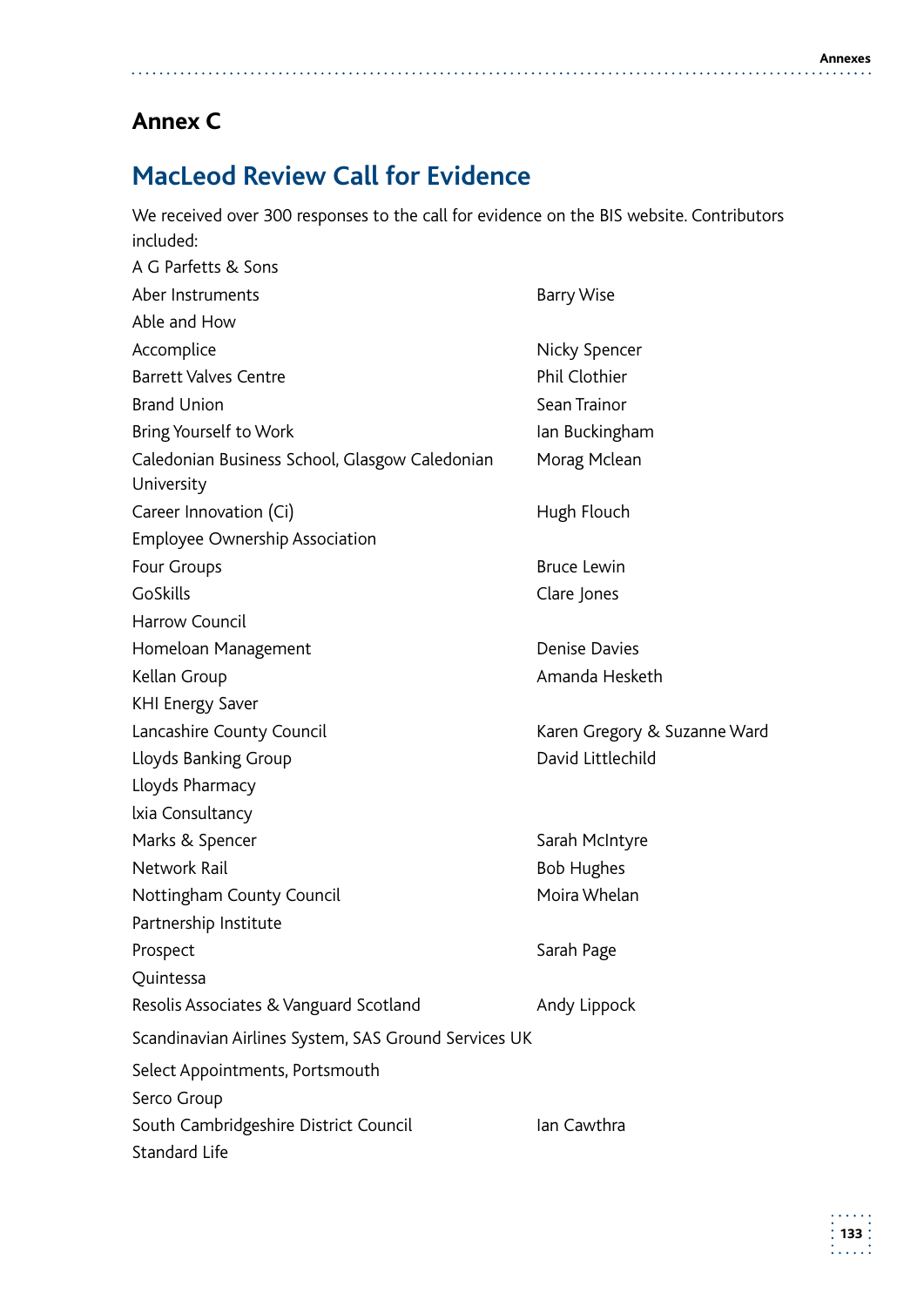a sa sa sala s

# **Annex C**

# **MacLeod Review Call for Evidence**

| We received over 300 responses to the call for evidence on the BIS website. Contributors |                              |  |
|------------------------------------------------------------------------------------------|------------------------------|--|
| included:                                                                                |                              |  |
| A G Parfetts & Sons                                                                      |                              |  |
| Aber Instruments                                                                         | <b>Barry Wise</b>            |  |
| Able and How                                                                             |                              |  |
| Accomplice                                                                               | Nicky Spencer                |  |
| <b>Barrett Valves Centre</b>                                                             | Phil Clothier                |  |
| <b>Brand Union</b>                                                                       | Sean Trainor                 |  |
| Bring Yourself to Work                                                                   | lan Buckingham               |  |
| Caledonian Business School, Glasgow Caledonian                                           | Morag Mclean                 |  |
| University                                                                               |                              |  |
| Career Innovation (Ci)                                                                   | Hugh Flouch                  |  |
| Employee Ownership Association                                                           |                              |  |
| Four Groups                                                                              | <b>Bruce Lewin</b>           |  |
| <b>GoSkills</b>                                                                          | Clare Jones                  |  |
| Harrow Council                                                                           |                              |  |
| Homeloan Management                                                                      | <b>Denise Davies</b>         |  |
| Kellan Group                                                                             | Amanda Hesketh               |  |
| <b>KHI Energy Saver</b>                                                                  |                              |  |
| Lancashire County Council                                                                | Karen Gregory & Suzanne Ward |  |
| Lloyds Banking Group                                                                     | David Littlechild            |  |
| Lloyds Pharmacy                                                                          |                              |  |
| Ixia Consultancy                                                                         |                              |  |
| Marks & Spencer                                                                          | Sarah McIntyre               |  |
| Network Rail                                                                             | <b>Bob Hughes</b>            |  |
| Nottingham County Council                                                                | Moira Whelan                 |  |
| Partnership Institute                                                                    |                              |  |
| Prospect                                                                                 | Sarah Page                   |  |
| Quintessa                                                                                |                              |  |
| Resolis Associates & Vanguard Scotland                                                   | Andy Lippock                 |  |
| Scandinavian Airlines System, SAS Ground Services UK                                     |                              |  |
| Select Appointments, Portsmouth                                                          |                              |  |
| Serco Group                                                                              |                              |  |
| South Cambridgeshire District Council<br>Standard Life                                   | Ian Cawthra                  |  |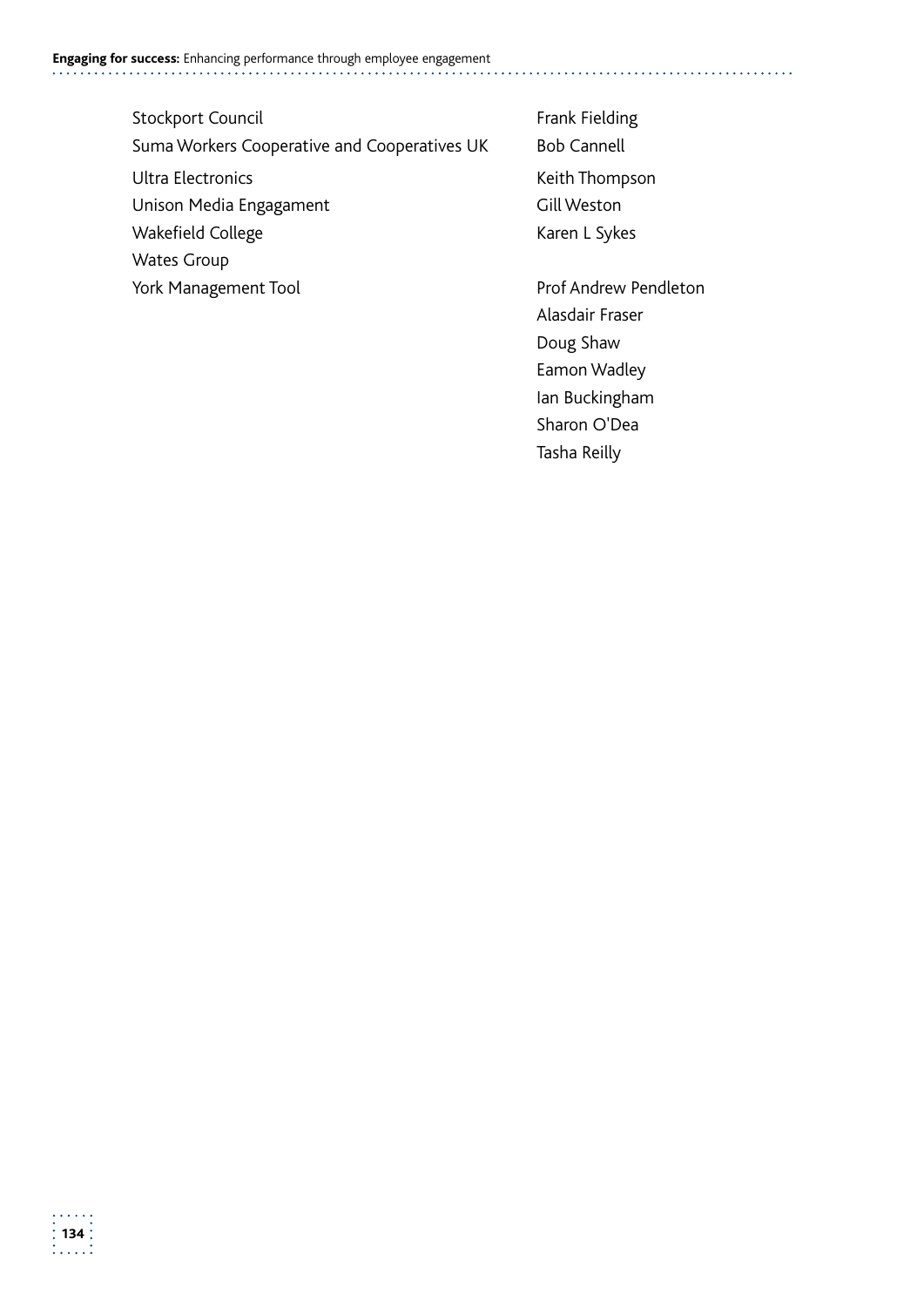- Stockport Council **Exercise Stockport Council** Frank Fielding Suma Workers Cooperative and Cooperatives UK Bob Cannell Ultra Electronics and the Community Control of the Keith Thompson Unison Media Engagament Gill Weston Wakefield College Karen L Sykes Wates Group
- 

York Management Tool **Prof Andrew Pendleton** Alasdair Fraser Doug Shaw Eamon Wadley Ian Buckingham Sharon O'Dea Tasha Reilly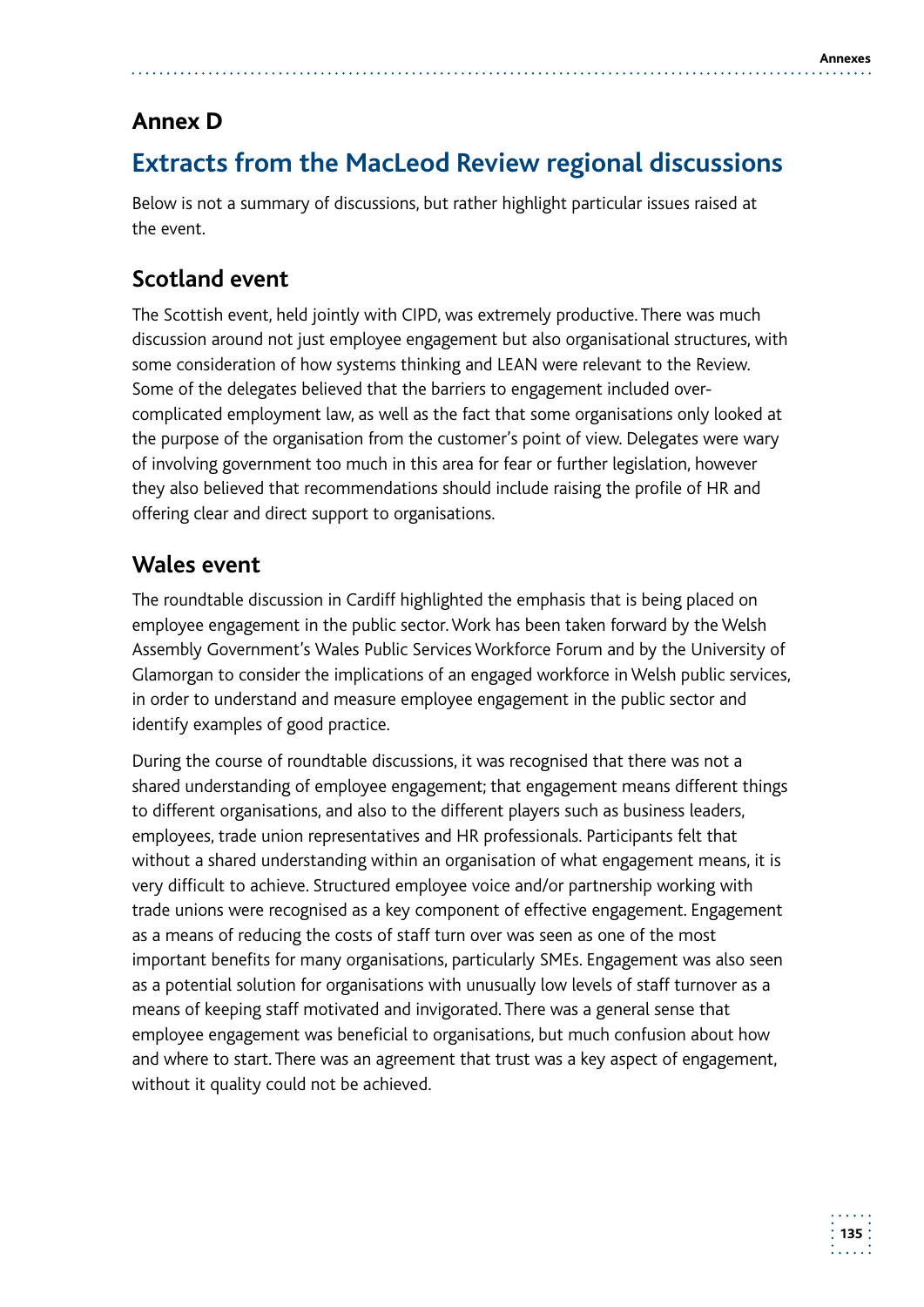# **Annex D**

# **Extracts from the MacLeod Review regional discussions**

Below is not a summary of discussions, but rather highlight particular issues raised at the event.

# **Scotland event**

The Scottish event, held jointly with CIPD, was extremely productive. There was much discussion around not just employee engagement but also organisational structures, with some consideration of how systems thinking and LEAN were relevant to the Review. Some of the delegates believed that the barriers to engagement included overcomplicated employment law, as well as the fact that some organisations only looked at the purpose of the organisation from the customer's point of view. Delegates were wary of involving government too much in this area for fear or further legislation, however they also believed that recommendations should include raising the profile of HR and offering clear and direct support to organisations.

## **Wales event**

The roundtable discussion in Cardiff highlighted the emphasis that is being placed on employee engagement in the public sector. Work has been taken forward by the Welsh Assembly Government's Wales Public Services Workforce Forum and by the University of Glamorgan to consider the implications of an engaged workforce in Welsh public services, in order to understand and measure employee engagement in the public sector and identify examples of good practice.

During the course of roundtable discussions, it was recognised that there was not a shared understanding of employee engagement; that engagement means different things to different organisations, and also to the different players such as business leaders, employees, trade union representatives and HR professionals. Participants felt that without a shared understanding within an organisation of what engagement means, it is very difficult to achieve. Structured employee voice and/or partnership working with trade unions were recognised as a key component of effective engagement. Engagement as a means of reducing the costs of staff turn over was seen as one of the most important benefits for many organisations, particularly SMEs. Engagement was also seen as a potential solution for organisations with unusually low levels of staff turnover as a means of keeping staff motivated and invigorated. There was a general sense that employee engagement was beneficial to organisations, but much confusion about how and where to start. There was an agreement that trust was a key aspect of engagement, without it quality could not be achieved.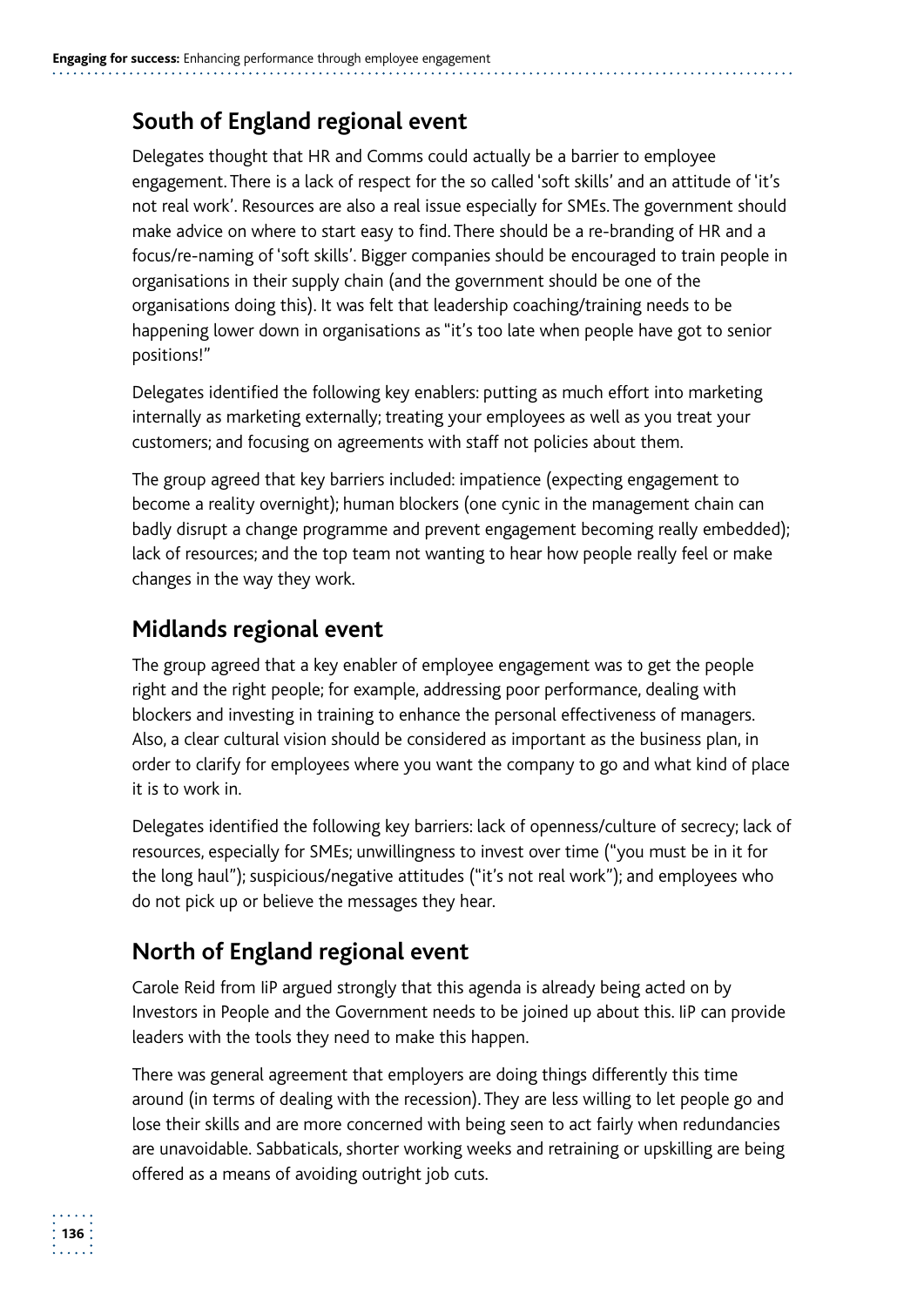## **South of England regional event**

Delegates thought that HR and Comms could actually be a barrier to employee engagement. There is a lack of respect for the so called 'soft skills' and an attitude of 'it's not real work'. Resources are also a real issue especially for SMEs. The government should make advice on where to start easy to find. There should be a re-branding of HR and a focus/re-naming of 'soft skills'. Bigger companies should be encouraged to train people in organisations in their supply chain (and the government should be one of the organisations doing this). It was felt that leadership coaching/training needs to be happening lower down in organisations as "it's too late when people have got to senior positions!"

Delegates identified the following key enablers: putting as much effort into marketing internally as marketing externally; treating your employees as well as you treat your customers; and focusing on agreements with staff not policies about them.

The group agreed that key barriers included: impatience (expecting engagement to become a reality overnight); human blockers (one cynic in the management chain can badly disrupt a change programme and prevent engagement becoming really embedded); lack of resources; and the top team not wanting to hear how people really feel or make changes in the way they work.

## **Midlands regional event**

The group agreed that a key enabler of employee engagement was to get the people right and the right people; for example, addressing poor performance, dealing with blockers and investing in training to enhance the personal effectiveness of managers. Also, a clear cultural vision should be considered as important as the business plan, in order to clarify for employees where you want the company to go and what kind of place it is to work in.

Delegates identified the following key barriers: lack of openness/culture of secrecy; lack of resources, especially for SMEs; unwillingness to invest over time ("you must be in it for the long haul"); suspicious/negative attitudes ("it's not real work"); and employees who do not pick up or believe the messages they hear.

## **North of England regional event**

Carole Reid from IiP argued strongly that this agenda is already being acted on by Investors in People and the Government needs to be joined up about this. IiP can provide leaders with the tools they need to make this happen.

There was general agreement that employers are doing things differently this time around (in terms of dealing with the recession). They are less willing to let people go and lose their skills and are more concerned with being seen to act fairly when redundancies are unavoidable. Sabbaticals, shorter working weeks and retraining or upskilling are being offered as a means of avoiding outright job cuts.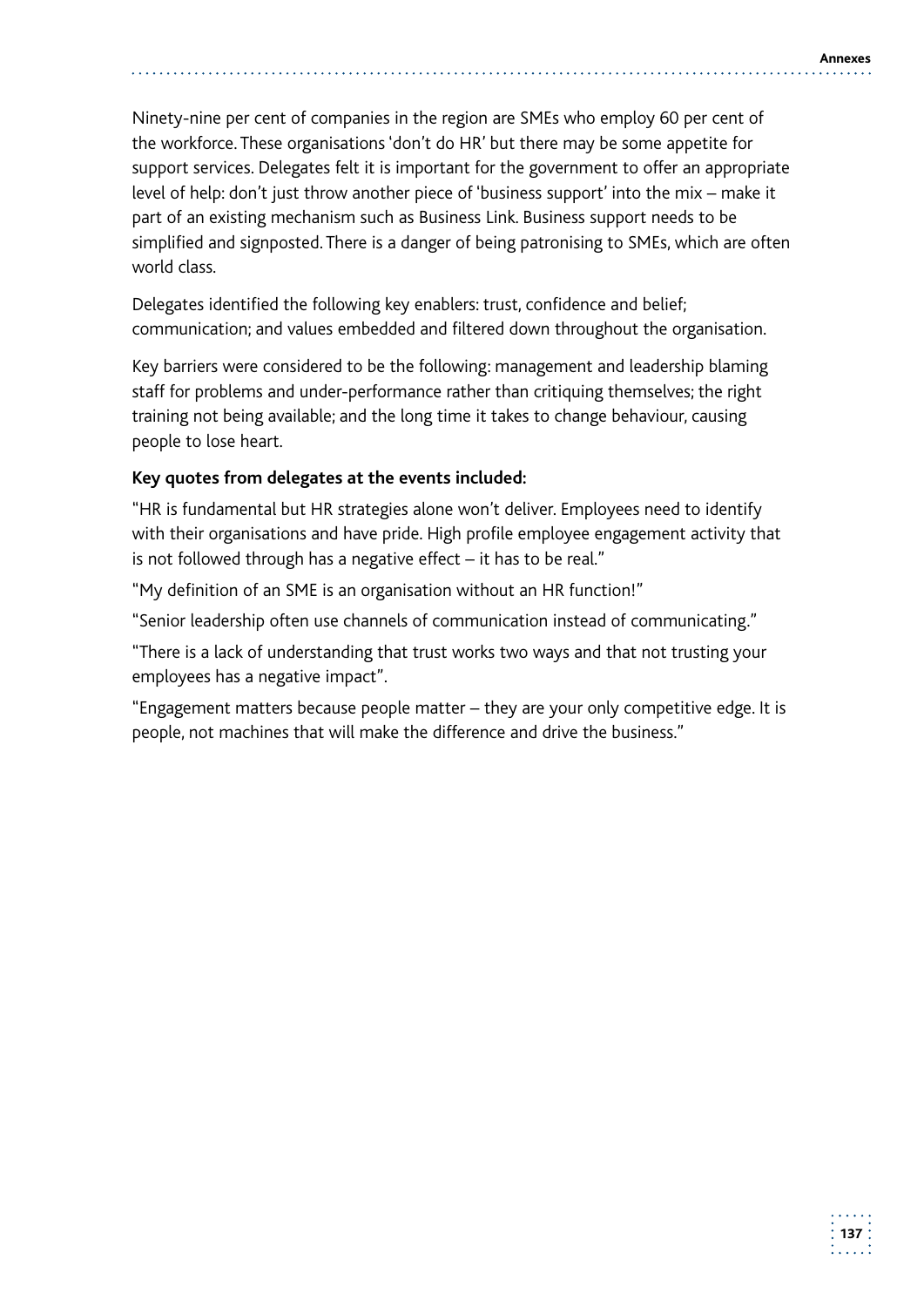Ninety-nine per cent of companies in the region are SMEs who employ 60 per cent of the workforce. These organisations 'don't do HR' but there may be some appetite for support services. Delegates felt it is important for the government to offer an appropriate level of help: don't just throw another piece of 'business support' into the mix – make it part of an existing mechanism such as Business Link. Business support needs to be simplified and signposted. There is a danger of being patronising to SMEs, which are often world class.

Delegates identified the following key enablers: trust, confidence and belief; communication; and values embedded and filtered down throughout the organisation.

Key barriers were considered to be the following: management and leadership blaming staff for problems and under-performance rather than critiquing themselves; the right training not being available; and the long time it takes to change behaviour, causing people to lose heart.

#### **Key quotes from delegates at the events included:**

"HR is fundamental but HR strategies alone won't deliver. Employees need to identify with their organisations and have pride. High profile employee engagement activity that is not followed through has a negative effect – it has to be real."

"My definition of an SME is an organisation without an HR function!"

"Senior leadership often use channels of communication instead of communicating."

"There is a lack of understanding that trust works two ways and that not trusting your employees has a negative impact".

"Engagement matters because people matter – they are your only competitive edge. It is people, not machines that will make the difference and drive the business."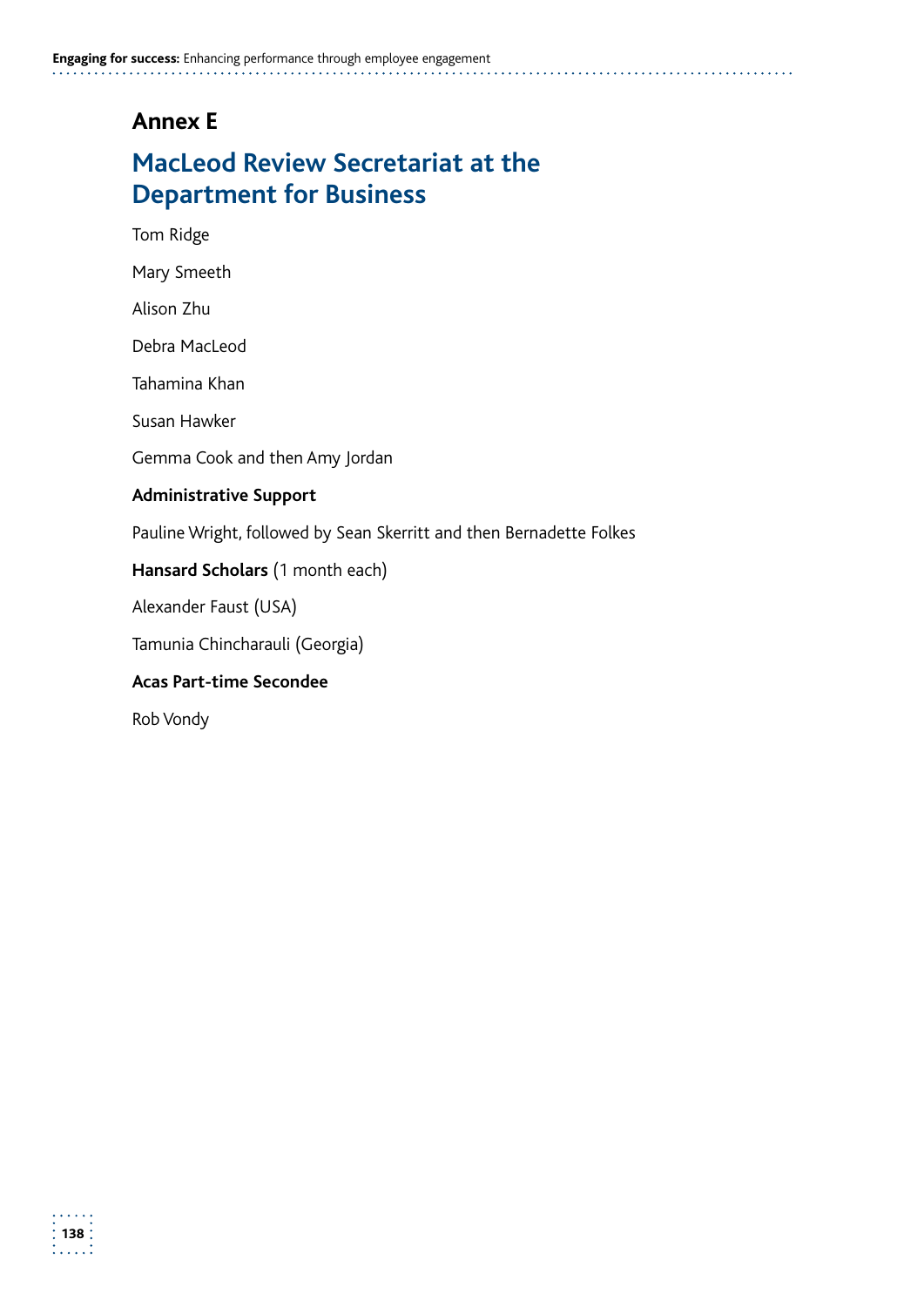## **Annex E**

# **MacLeod Review Secretariat at the Department for Business**

Tom Ridge

Mary Smeeth

Alison Zhu

Debra MacLeod

Tahamina Khan

Susan Hawker

Gemma Cook and then Amy Jordan

#### **Administrative Support**

Pauline Wright, followed by Sean Skerritt and then Bernadette Folkes

#### **Hansard Scholars** (1 month each)

Alexander Faust (USA)

Tamunia Chincharauli (Georgia)

#### **Acas Part-time Secondee**

Rob Vondy

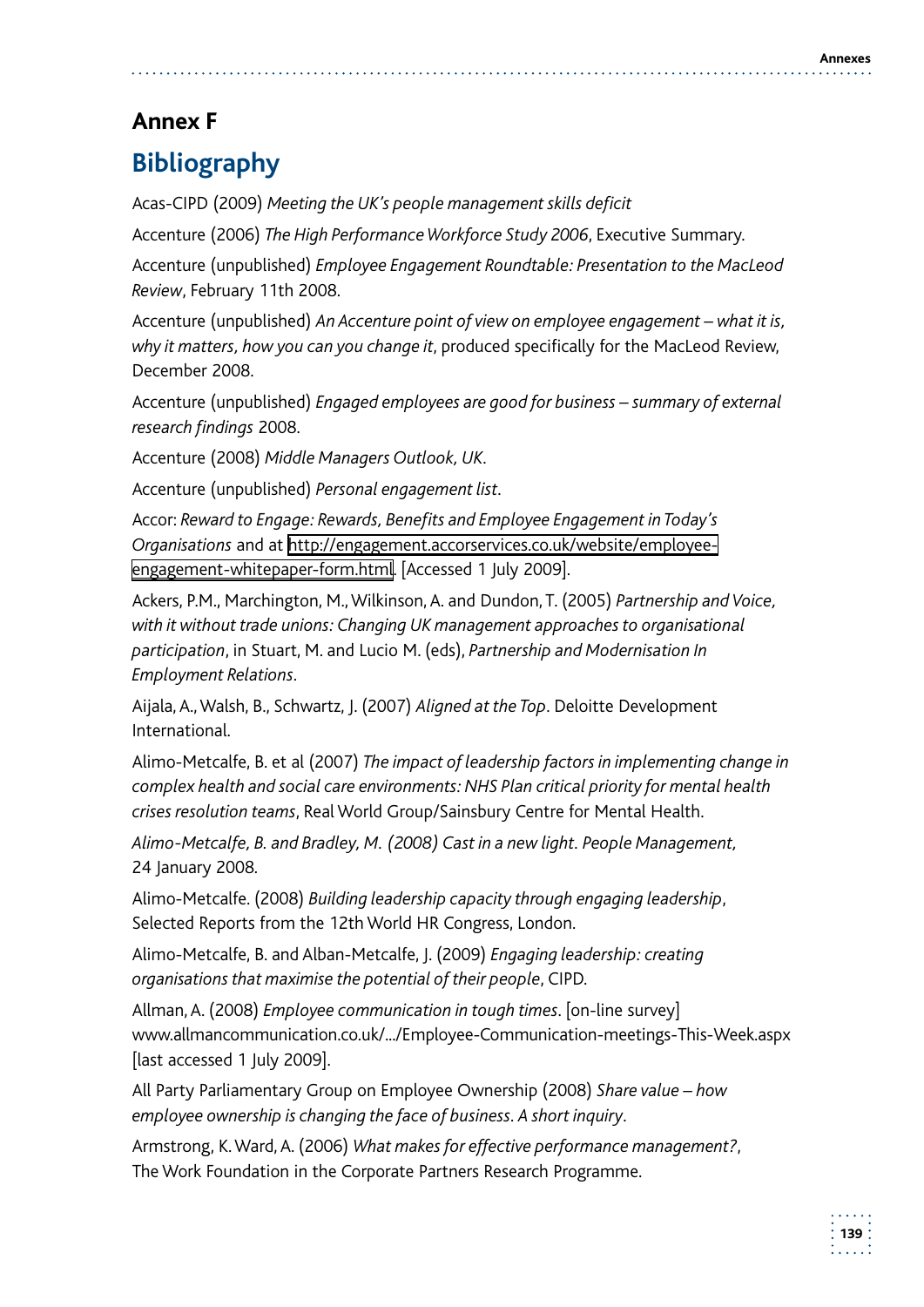# **Annex F**

# **Bibliography**

Acas-CIPD (2009) *Meeting the UK's people management skills deficit* 

Accenture (2006) *The High Performance Workforce Study 2006*, Executive Summary.

Accenture (unpublished) *Employee Engagement Roundtable: Presentation to the MacLeod Review*, February 11th 2008.

Accenture (unpublished) *An Accenture point of view on employee engagement – what it is, why it matters, how you can you change it*, produced specifically for the MacLeod Review, December 2008.

Accenture (unpublished) *Engaged employees are good for business – summary of external research findings* 2008.

Accenture (2008) *Middle Managers Outlook, UK*.

Accenture (unpublished) *Personal engagement list*.

Accor: *Reward to Engage: Rewards, Benefits and Employee Engagement in Today's Organisations* and at http://engagement.accorservices.co.uk/website/employeeengagement-whitepaper-form.html. [Accessed 1 July 2009].

 Ackers, P.M., Marchington, M., Wilkinson, A. and Dundon, T. (2005) *Partnership and Voice, with it without trade unions: Changing UK management approaches to organisational participation*, in Stuart, M. and Lucio M. (eds), *Partnership and Modernisation In Employment Relations*.

 Aijala, A., Walsh, B., Schwartz, J. (2007) *Aligned at the Top*. Deloitte Development International.

Alimo-Metcalfe, B. et al (2007) *The impact of leadership factors in implementing change in complex health and social care environments: NHS Plan critical priority for mental health crises resolution teams*, Real World Group/Sainsbury Centre for Mental Health.

*Alimo-Metcalfe, B. and Bradley, M. (2008) Cast in a new light. People Management,* 24 January 2008*.* 

Alimo-Metcalfe. (2008) *Building leadership capacity through engaging leadership*, Selected Reports from the 12th World HR Congress, London.

Alimo-Metcalfe, B. and Alban-Metcalfe, J. (2009) *Engaging leadership: creating organisations that maximise the potential of their people*, CIPD.

Allman, A. (2008) *Employee communication in tough times*. [on-line survey] www.allmancommunication.co.uk/.../Employee-Communication-meetings-This-Week.aspx [last accessed 1 July 2009].

All Party Parliamentary Group on Employee Ownership (2008) *Share value – how employee ownership is changing the face of business. A short inquiry*.

 Armstrong, K. Ward, A. (2006) *What makes for effective performance management?*, The Work Foundation in the Corporate Partners Research Programme.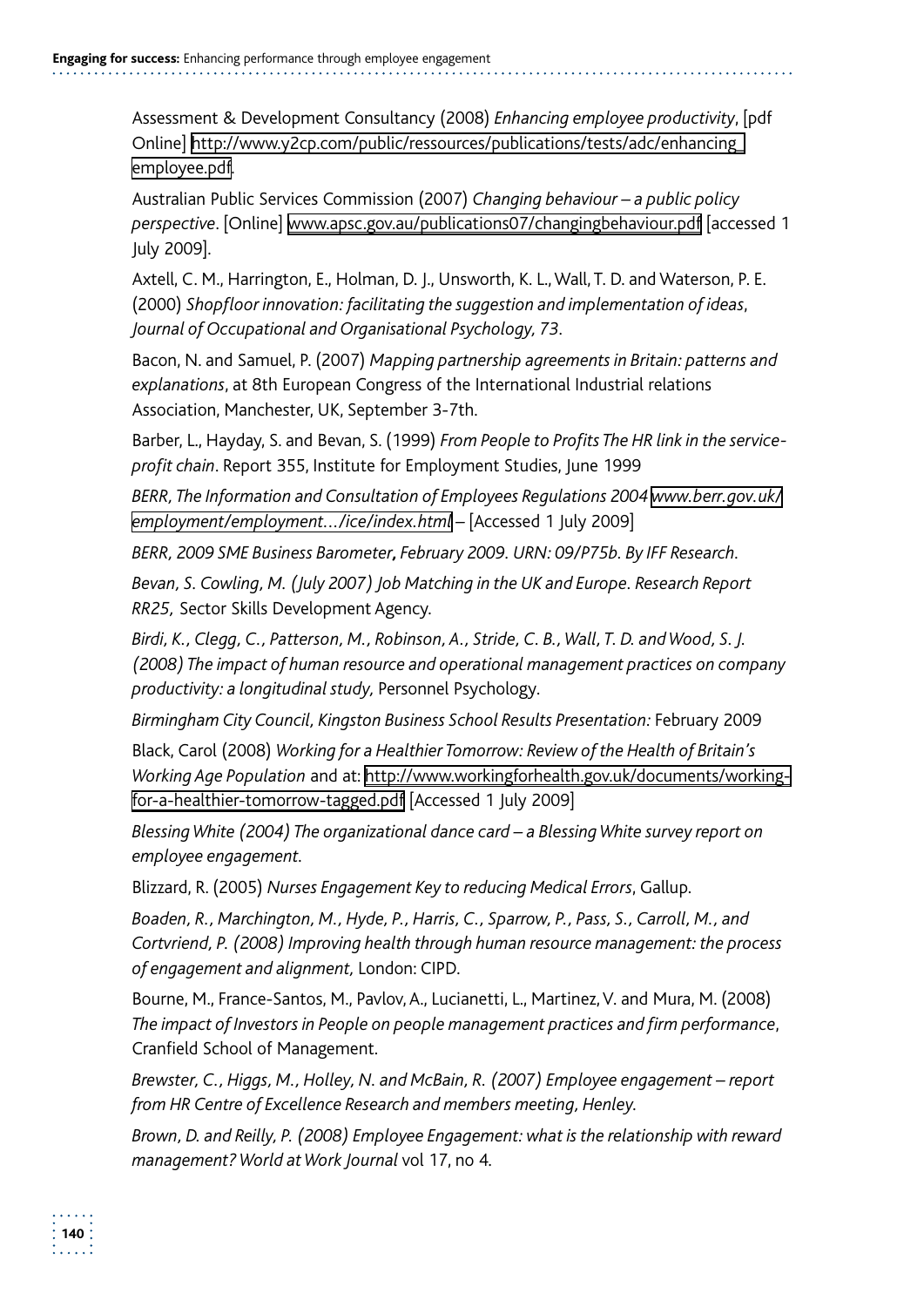Assessment & Development Consultancy (2008) *Enhancing employee productivity*, [pdf Online] http://www.y2cp.com/public/ressources/publications/tests/adc/enhancing\_ employee.pdf.

Australian Public Services Commission (2007) *Changing behaviour – a public policy perspective*. [Online] www.apsc.gov.au/publications07/changingbehaviour.pdf [accessed 1 July 2009].

 Axtell, C. M., Harrington, E., Holman, D. J., Unsworth, K. L., Wall, T. D. and Waterson, P. E. (2000) *Shopfloor innovation: facilitating the suggestion and implementation of ideas*, *Journal of Occupational and Organisational Psychology, 73*.

Bacon, N. and Samuel, P. (2007) *Mapping partnership agreements in Britain: patterns and explanations*, at 8th European Congress of the International Industrial relations Association, Manchester, UK, September 3-7th.

Barber, L., Hayday, S. and Bevan, S. (1999) *From People to Profits The HR link in the service profit chain*. Report 355, Institute for Employment Studies, June 1999

*BERR, The Information and Consultation of Employees Regulations 2004 www.berr.gov.uk/ employment/employment.../ice/index.html –* [Accessed 1 July 2009]

*BERR, 2009 SME Business Barometer, February 2009. URN: 09/P75b. By IFF Research.* 

*Bevan, S. Cowling, M. (July 2007) Job Matching in the UK and Europe. Research Report RR25,* Sector Skills Development Agency.

*Birdi, K., Clegg, C., Patterson, M., Robinson, A., Stride, C. B., Wall, T. D. and Wood, S. J. (2008) The impact of human resource and operational management practices on company productivity: a longitudinal study,* Personnel Psychology*.* 

*Birmingham City Council, Kingston Business School Results Presentation:* February 2009

Black, Carol (2008) *Working for a Healthier Tomorrow: Review of the Health of Britain's Working Age Population* and at: http://www.workingforhealth.gov.uk/documents/workingfor-a-healthier-tomorrow-tagged.pdf [Accessed 1 July 2009]

*Blessing White (2004) The organizational dance card – a Blessing White survey report on employee engagement.* 

Blizzard, R. (2005) *Nurses Engagement Key to reducing Medical Errors*, Gallup.

*Boaden, R., Marchington, M., Hyde, P., Harris, C., Sparrow, P., Pass, S., Carroll, M., and Cortvriend, P. (2008) Improving health through human resource management: the process of engagement and alignment,* London: CIPD*.* 

Bourne, M., France-Santos, M., Pavlov, A., Lucianetti, L., Martinez, V. and Mura, M. (2008) *The impact of Investors in People on people management practices and firm performance*, Cranfield School of Management.

*Brewster, C., Higgs, M., Holley, N. and McBain, R. (2007) Employee engagement – report from HR Centre of Excellence Research and members meeting, Henley.* 

*Brown, D. and Reilly, P. (2008) Employee Engagement: what is the relationship with reward management? World at Work Journal* vol 17, no 4*.*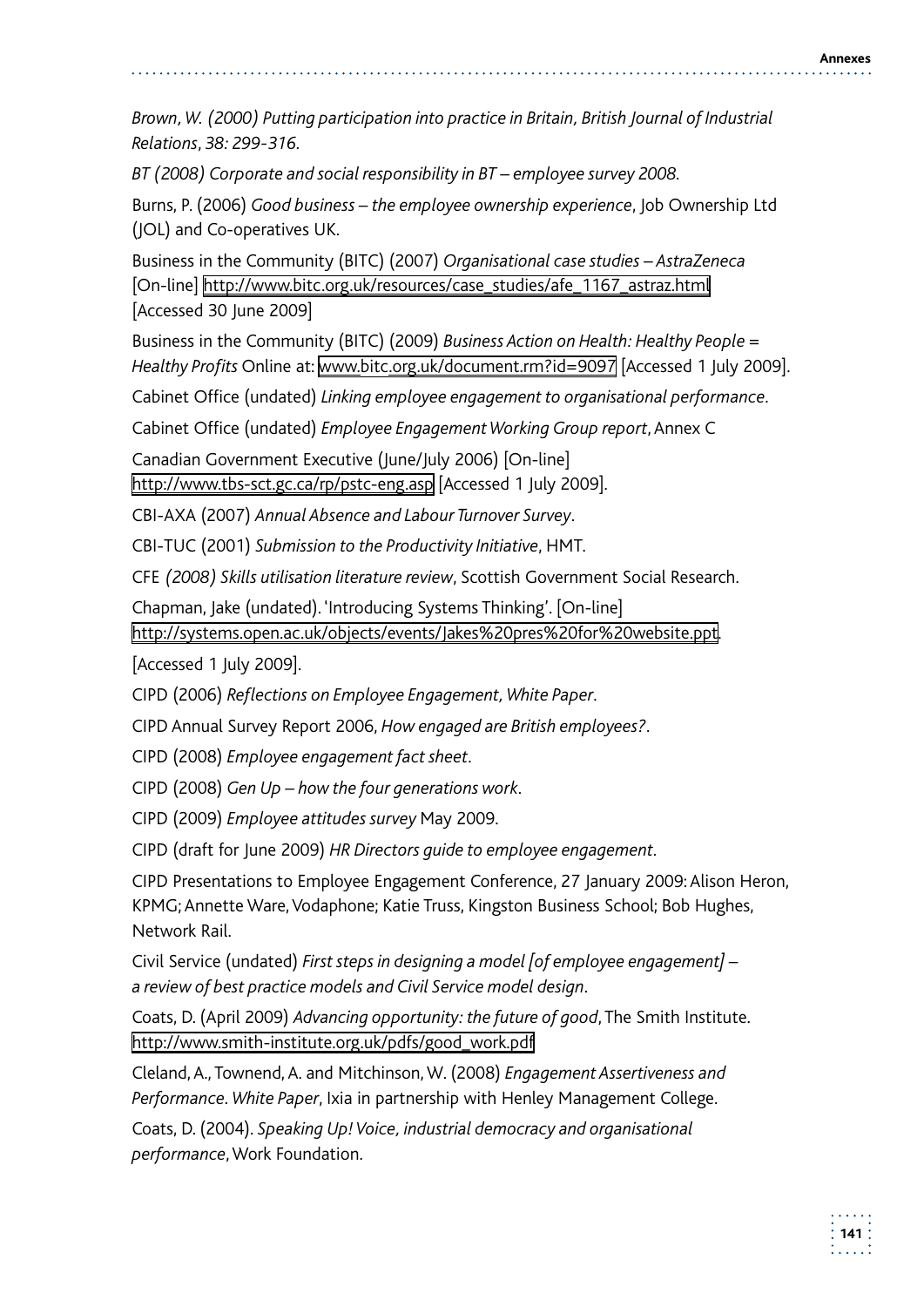*Brown, W. (2000) Putting participation into practice in Britain, British Journal of Industrial Relations*, *38: 299-316.* 

*BT (2008) Corporate and social responsibility in BT – employee survey 2008.* 

Burns, P. (2006) *Good business – the employee ownership experience*, Job Ownership Ltd (JOL) and Co-operatives UK.

Business in the Community (BITC) (2007) *Organisational case studies – AstraZeneca*  [On-line] http://www.bitc.org.uk/resources/case\_studies/afe\_1167\_astraz.html [Accessed 30 June 2009]

Business in the Community (BITC) (2009) *Business Action on Health: Healthy People = Healthy Profits* Online at: www.bitc.org.uk/document.rm?id=9097 [Accessed 1 July 2009].

Cabinet Office (undated) *Linking employee engagement to organisational performance*.

Cabinet Office (undated) *Employee Engagement Working Group report*, Annex C

Canadian Government Executive (June/July 2006) [On-line] http://www.tbs-sct.gc.ca/rp/pstc-eng.asp [Accessed 1 July 2009].

CBI-AXA (2007) *Annual Absence and Labour Turnover Survey*.

CBI-TUC (2001) *Submission to the Productivity Initiative*, HMT.

CFE *(2008) Skills utilisation literature review*, Scottish Government Social Research.

Chapman, Jake (undated). 'Introducing Systems Thinking'. [On-line] http://systems.open.ac.uk/objects/events/Jakes%20pres%20for%20website.ppt.

[Accessed 1 July 2009].

CIPD (2006) *Reflections on Employee Engagement, White Paper*.

CIPD Annual Survey Report 2006, *How engaged are British employees?*.

CIPD (2008) *Employee engagement fact sheet*.

CIPD (2008) *Gen Up – how the four generations work*.

CIPD (2009) *Employee attitudes survey* May 2009.

CIPD (draft for June 2009) *HR Directors guide to employee engagement*.

CIPD Presentations to Employee Engagement Conference, 27 January 2009: Alison Heron, KPMG; Annette Ware, Vodaphone; Katie Truss, Kingston Business School; Bob Hughes, Network Rail.

Civil Service (undated) *First steps in designing a model [of employee engagement] – a review of best practice models and Civil Service model design*.

Coats, D. (April 2009) *Advancing opportunity: the future of good*, The Smith Institute. http://www.smith-institute.org.uk/pdfs/good\_work.pdf

 Cleland, A., Townend, A. and Mitchinson, W. (2008) *Engagement Assertiveness and Performance. White Paper*, Ixia in partnership with Henley Management College.

Coats, D. (2004). *Speaking Up! Voice, industrial democracy and organisational performance*, Work Foundation.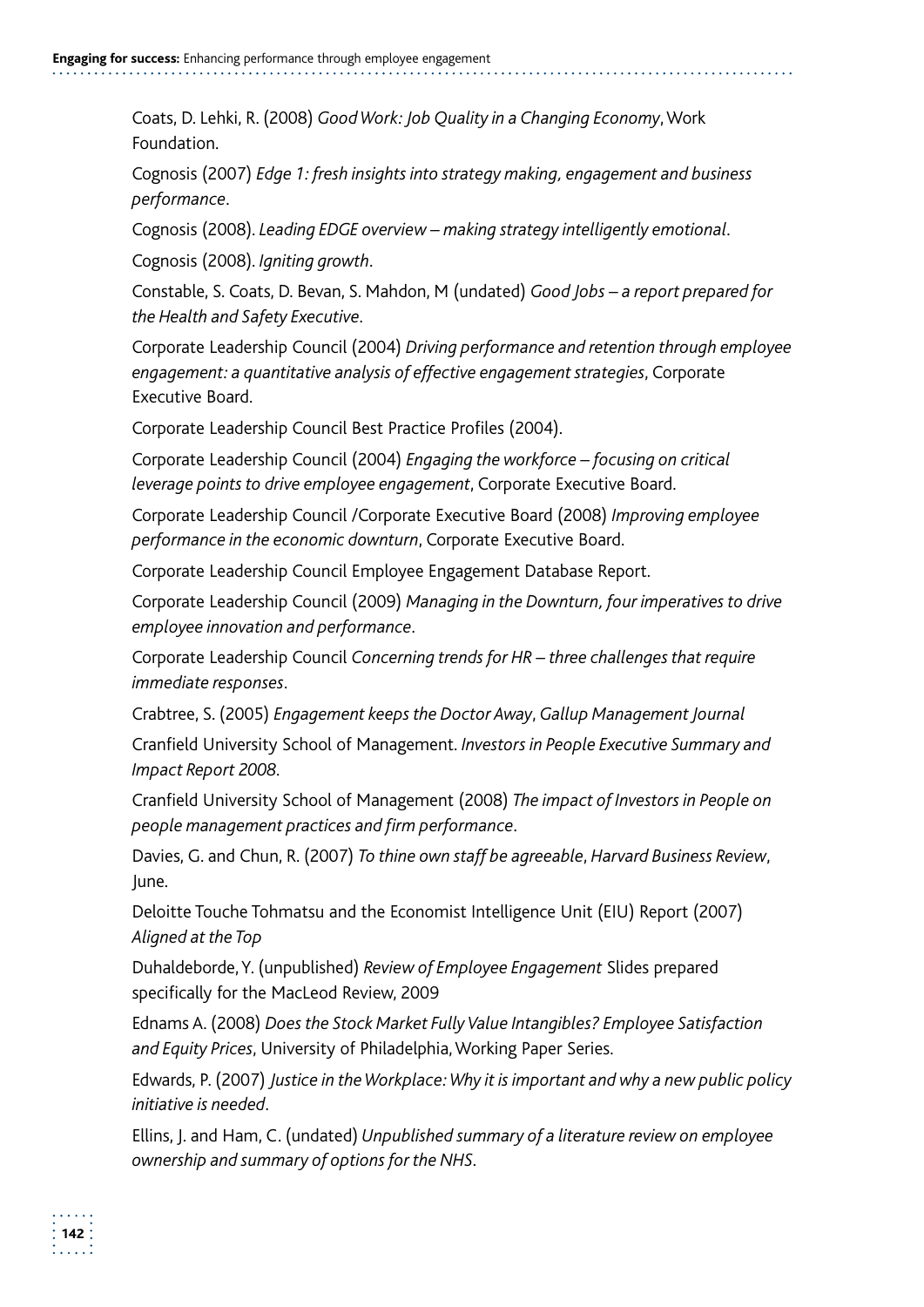Coats, D. Lehki, R. (2008) *Good Work: Job Quality in a Changing Economy*, Work Foundation.

Cognosis (2007) *Edge 1: fresh insights into strategy making, engagement and business performance*.

Cognosis (2008). *Leading EDGE overview – making strategy intelligently emotional*.

Cognosis (2008). *Igniting growth*.

Constable, S. Coats, D. Bevan, S. Mahdon, M (undated) *Good Jobs – a report prepared for the Health and Safety Executive*.

Corporate Leadership Council (2004) *Driving performance and retention through employee engagement: a quantitative analysis of effective engagement strategies*, Corporate Executive Board.

Corporate Leadership Council Best Practice Profiles (2004).

Corporate Leadership Council (2004) *Engaging the workforce – focusing on critical leverage points to drive employee engagement*, Corporate Executive Board.

Corporate Leadership Council /Corporate Executive Board (2008) *Improving employee performance in the economic downturn*, Corporate Executive Board.

Corporate Leadership Council Employee Engagement Database Report.

Corporate Leadership Council (2009) *Managing in the Downturn, four imperatives to drive employee innovation and performance*.

Corporate Leadership Council *Concerning trends for HR – three challenges that require immediate responses*.

Crabtree, S. (2005) *Engagement keeps the Doctor Away*, *Gallup Management Journal* 

Cranfield University School of Management. *Investors in People Executive Summary and Impact Report 2008*.

Cranfield University School of Management (2008) *The impact of Investors in People on people management practices and firm performance*.

Davies, G. and Chun, R. (2007) *To thine own staff be agreeable*, *Harvard Business Review*, June.

Deloitte Touche Tohmatsu and the Economist Intelligence Unit (EIU) Report (2007) *Aligned at the Top* 

Duhaldeborde, Y. (unpublished) *Review of Employee Engagement* Slides prepared specifically for the MacLeod Review, 2009

Ednams A. (2008) *Does the Stock Market Fully Value Intangibles? Employee Satisfaction and Equity Prices*, University of Philadelphia, Working Paper Series.

Edwards, P. (2007) *Justice in the Workplace: Why it is important and why a new public policy initiative is needed*.

Ellins, J. and Ham, C. (undated) *Unpublished summary of a literature review on employee ownership and summary of options for the NHS.*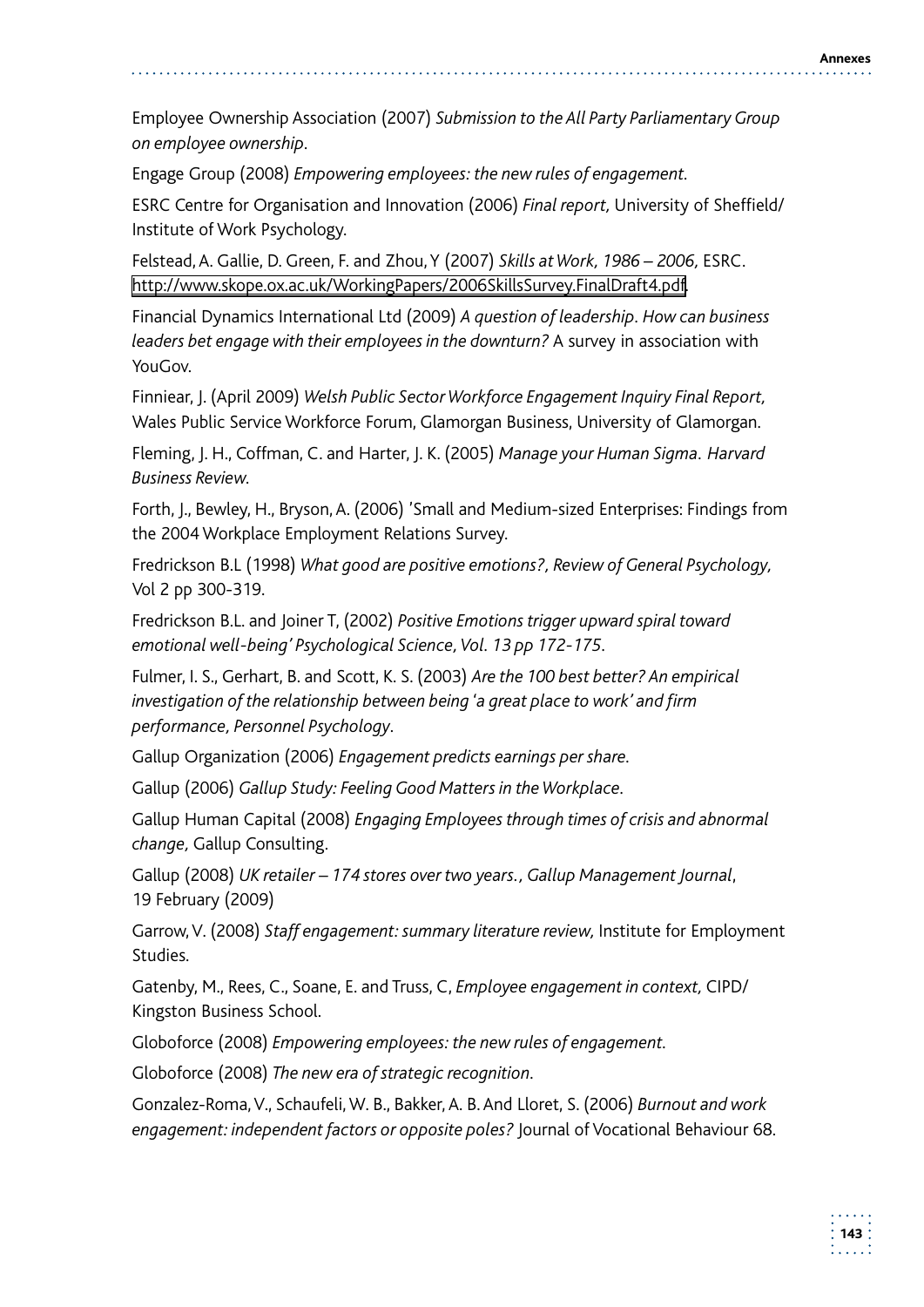Employee Ownership Association (2007) *Submission to the All Party Parliamentary Group on employee ownership.* 

Engage Group (2008) *Empowering employees: the new rules of engagement.* 

ESRC Centre for Organisation and Innovation (2006) *Final report,* University of Sheffield/ Institute of Work Psychology.

Felstead, A. Gallie, D. Green, F. and Zhou, Y (2007) *Skills at Work, 1986 – 2006,* ESRC. http://www.skope.ox.ac.uk/WorkingPapers/2006SkillsSurvey.FinalDraft4.pdf.

Financial Dynamics International Ltd (2009) *A question of leadership. How can business leaders bet engage with their employees in the downturn?* A survey in association with YouGov.

Finniear, J. (April 2009) *Welsh Public Sector Workforce Engagement Inquiry Final Report,*  Wales Public Service Workforce Forum, Glamorgan Business, University of Glamorgan.

Fleming, J. H., Coffman, C. and Harter, J. K. (2005) *Manage your Human Sigma. Harvard Business Review.* 

Forth, J., Bewley, H., Bryson, A. (2006) 'Small and Medium-sized Enterprises: Findings from the 2004 Workplace Employment Relations Survey.

Fredrickson B.L (1998) *What good are positive emotions?, Review of General Psychology,* Vol 2 pp 300-319.

Fredrickson B.L. and Joiner T, (2002) *Positive Emotions trigger upward spiral toward emotional well-being' Psychological Science, Vol. 13 pp 172-175.* 

Fulmer, I. S., Gerhart, B. and Scott, K. S. (2003) *Are the 100 best better? An empirical investigation of the relationship between being 'a great place to work' and firm performance, Personnel Psychology*.

Gallup Organization (2006) *Engagement predicts earnings per share.* 

Gallup (2006) *Gallup Study: Feeling Good Matters in the Workplace.* 

Gallup Human Capital (2008) *Engaging Employees through times of crisis and abnormal change,* Gallup Consulting.

Gallup (2008) *UK retailer – 174 stores over two years., Gallup Management Journal*, 19 February (2009)

Garrow, V. (2008) *Staff engagement: summary literature review,* Institute for Employment Studies.

Gatenby, M., Rees, C., Soane, E. and Truss, C, *Employee engagement in context,* CIPD/ Kingston Business School.

Globoforce (2008) *Empowering employees: the new rules of engagement.* 

Globoforce (2008) *The new era of strategic recognition.* 

 Gonzalez-Roma, V., Schaufeli, W. B., Bakker, A. B. And Lloret, S. (2006) *Burnout and work engagement: independent factors or opposite poles?* Journal of Vocational Behaviour 68.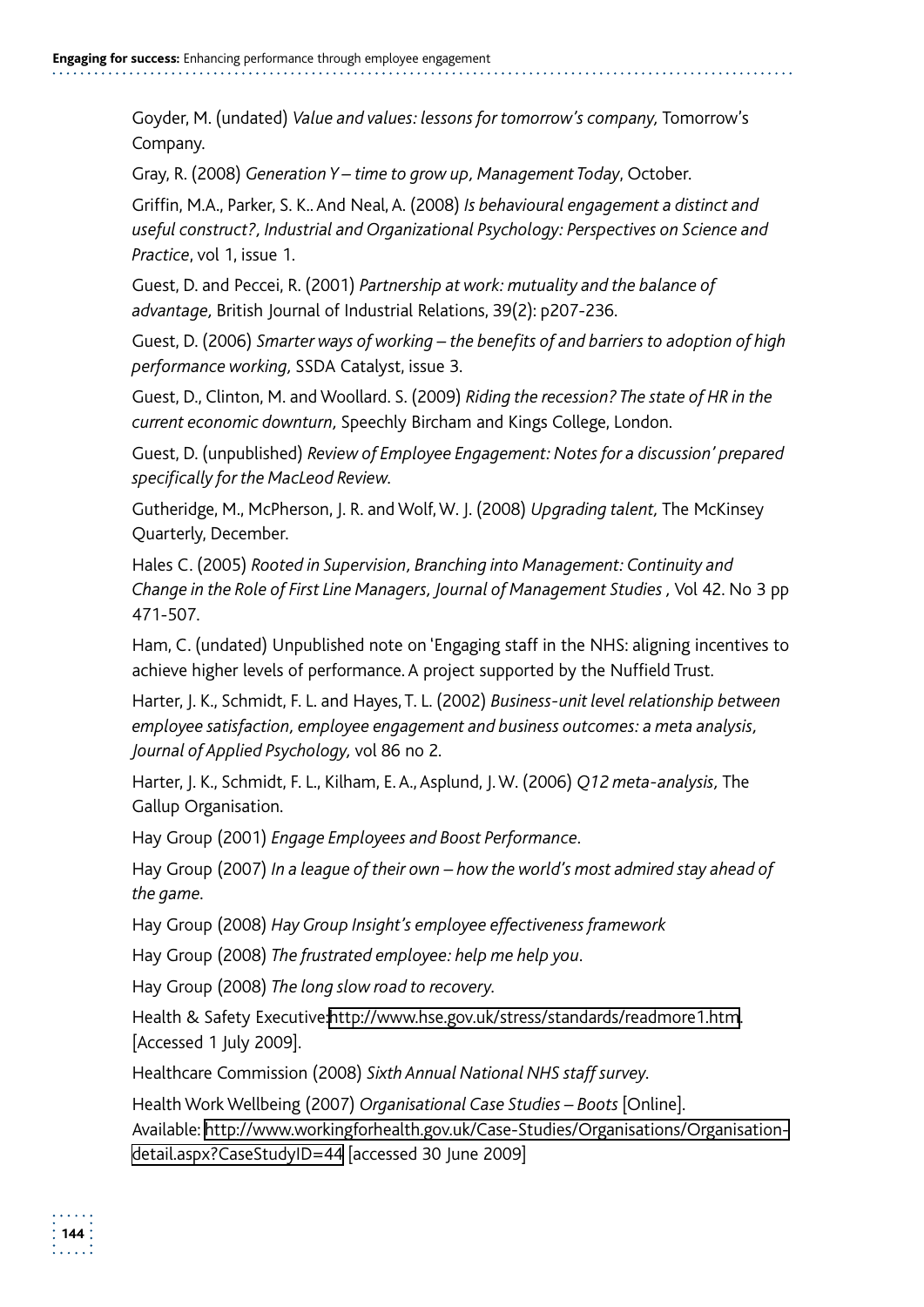Goyder, M. (undated) *Value and values: lessons for tomorrow's company,* Tomorrow's Company.

Gray, R. (2008) *Generation Y – time to grow up, Management Today*, October.

 Griffin, M.A., Parker, S. K.. And Neal, A. (2008) *Is behavioural engagement a distinct and useful construct?, Industrial and Organizational Psychology: Perspectives on Science and Practice*, vol 1, issue 1.

Guest, D. and Peccei, R. (2001) *Partnership at work: mutuality and the balance of advantage,* British Journal of Industrial Relations, 39(2): p207-236.

Guest, D. (2006) *Smarter ways of working – the benefits of and barriers to adoption of high performance working,* SSDA Catalyst, issue 3.

Guest, D., Clinton, M. and Woollard. S. (2009) *Riding the recession? The state of HR in the current economic downturn,* Speechly Bircham and Kings College, London.

Guest, D. (unpublished) *Review of Employee Engagement: Notes for a discussion' prepared specifically for the MacLeod Review.* 

Gutheridge, M., McPherson, J. R. and Wolf, W. J. (2008) *Upgrading talent,* The McKinsey Quarterly, December.

Hales C. (2005) *Rooted in Supervision, Branching into Management: Continuity and Change in the Role of First Line Managers, Journal of Management Studies ,* Vol 42. No 3 pp 471-507.

Ham, C. (undated) Unpublished note on 'Engaging staff in the NHS: aligning incentives to achieve higher levels of performance. A project supported by the Nuffield Trust.

Harter, J. K., Schmidt, F. L. and Hayes, T. L. (2002) *Business-unit level relationship between employee satisfaction, employee engagement and business outcomes: a meta analysis, Journal of Applied Psychology,* vol 86 no 2*.* 

 Harter, J. K., Schmidt, F. L., Kilham, E. A., Asplund, J. W. (2006) *Q12 meta-analysis,* The Gallup Organisation.

Hay Group (2001) *Engage Employees and Boost Performance.* 

Hay Group (2007) *In a league of their own – how the world's most admired stay ahead of the game.* 

Hay Group (2008) *Hay Group Insight's employee effectiveness framework* 

Hay Group (2008) *The frustrated employee: help me help you.* 

Hay Group (2008) *The long slow road to recovery.* 

Health & Safety Executive:http://www.hse.gov.uk/stress/standards/readmore1.htm. [Accessed 1 July 2009].

Healthcare Commission (2008) *Sixth Annual National NHS staff survey.* 

Health Work Wellbeing (2007) *Organisational Case Studies – Boots* [Online]. Available: http://www.workingforhealth.gov.uk/Case-Studies/Organisations/Organisationdetail.aspx?CaseStudyID=44 [accessed 30 June 2009]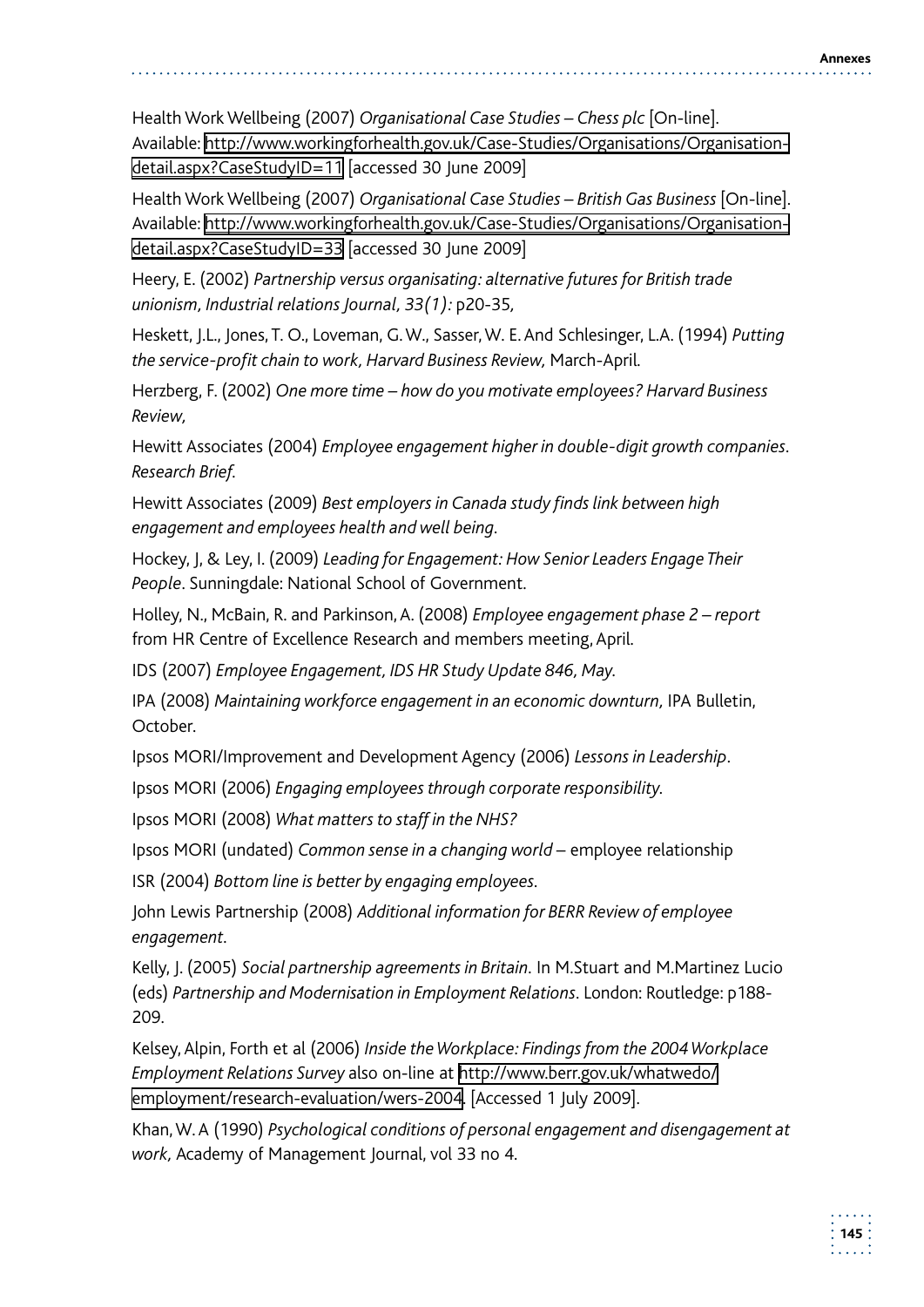Health Work Wellbeing (2007) *Organisational Case Studies – Chess plc* [On-line]. Available: http://www.workingforhealth.gov.uk/Case-Studies/Organisations/Organisationdetail.aspx?CaseStudyID=11 [accessed 30 June 2009]

Health Work Wellbeing (2007) *Organisational Case Studies – British Gas Business* [On-line]. Available: http://www.workingforhealth.gov.uk/Case-Studies/Organisations/Organisationdetail.aspx?CaseStudyID=33 [accessed 30 June 2009]

Heery, E. (2002) *Partnership versus organisating: alternative futures for British trade unionism, Industrial relations Journal, 33(1):* p20-35*,* 

 Heskett, J.L., Jones, T. O., Loveman, G. W., Sasser, W. E. And Schlesinger, L.A. (1994) *Putting the service-profit chain to work, Harvard Business Review,* March-April*.* 

Herzberg, F. (2002) *One more time – how do you motivate employees? Harvard Business Review,* 

Hewitt Associates (2004) *Employee engagement higher in double-digit growth companies. Research Brief.* 

Hewitt Associates (2009) *Best employers in Canada study finds link between high engagement and employees health and well being.* 

Hockey, J, & Ley, I. (2009) *Leading for Engagement: How Senior Leaders Engage Their People*. Sunningdale: National School of Government.

Holley, N., McBain, R. and Parkinson, A. (2008) *Employee engagement phase 2 – report*  from HR Centre of Excellence Research and members meeting, April*.* 

IDS (2007) *Employee Engagement, IDS HR Study Update 846, May.* 

IPA (2008) *Maintaining workforce engagement in an economic downturn,* IPA Bulletin, October.

Ipsos MORI/Improvement and Development Agency (2006) *Lessons in Leadership.* 

Ipsos MORI (2006) *Engaging employees through corporate responsibility.* 

Ipsos MORI (2008) *What matters to staff in the NHS?* 

Ipsos MORI (undated) *Common sense in a changing world* – employee relationship

ISR (2004) *Bottom line is better by engaging employees.* 

John Lewis Partnership (2008) *Additional information for BERR Review of employee engagement.* 

Kelly, J. (2005) *Social partnership agreements in Britain.* In M.Stuart and M.Martinez Lucio (eds) *Partnership and Modernisation in Employment Relations*. London: Routledge: p188 209.

Kelsey, Alpin, Forth et al (2006) *Inside the Workplace: Findings from the 2004 Workplace Employment Relations Survey* also on-line at http://www.berr.gov.uk/whatwedo/ employment/research-evaluation/wers-2004. [Accessed 1 July 2009].

 Khan, W. A (1990) *Psychological conditions of personal engagement and disengagement at work,* Academy of Management Journal, vol 33 no 4.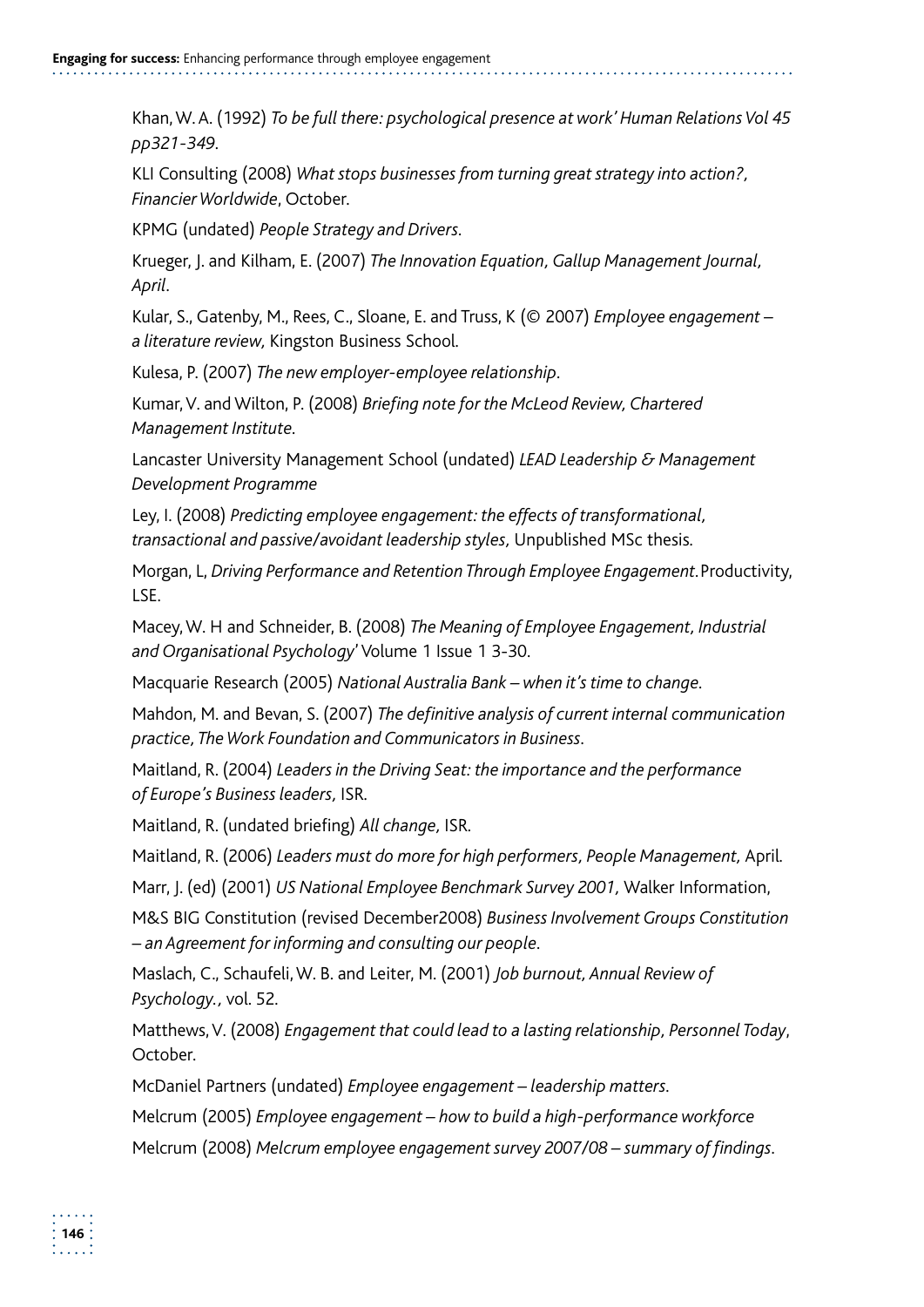Khan, W. A. (1992) *To be full there: psychological presence at work' Human Relations Vol 45 pp321-349.* 

KLI Consulting (2008) *What stops businesses from turning great strategy into action?, Financier Worldwide*, October.

KPMG (undated) *People Strategy and Drivers.* 

Krueger, J. and Kilham, E. (2007) *The Innovation Equation, Gallup Management Journal, April.* 

Kular, S., Gatenby, M., Rees, C., Sloane, E. and Truss, K (© 2007) *Employee engagement – a literature review,* Kingston Business School*.* 

Kulesa, P. (2007) *The new employer-employee relationship.* 

Kumar, V. and Wilton, P. (2008) *Briefing note for the McLeod Review, Chartered Management Institute.* 

Lancaster University Management School (undated) *LEAD Leadership & Management Development Programme* 

Ley, I. (2008) *Predicting employee engagement: the effects of transformational, transactional and passive/avoidant leadership styles,* Unpublished MSc thesis*.* 

Morgan, L, *Driving Performance and Retention Through Employee Engagement.*Productivity, LSE.

Macey, W. H and Schneider, B. (2008) *The Meaning of Employee Engagement, Industrial and Organisational Psychology*'Volume 1 Issue 1 3-30.

Macquarie Research (2005) *National Australia Bank – when it's time to change.* 

Mahdon, M. and Bevan, S. (2007) *The definitive analysis of current internal communication practice, The Work Foundation and Communicators in Business.* 

Maitland, R. (2004) *Leaders in the Driving Seat: the importance and the performance of Europe's Business leaders,* ISR*.* 

Maitland, R. (undated briefing) *All change,* ISR*.* 

Maitland, R. (2006) *Leaders must do more for high performers, People Management,* April*.* 

Marr, J. (ed) (2001) *US National Employee Benchmark Survey 2001,* Walker Information,

M&S BIG Constitution (revised December2008) *Business Involvement Groups Constitution – an Agreement for informing and consulting our people.* 

Maslach, C., Schaufeli, W. B. and Leiter, M. (2001) *Job burnout, Annual Review of Psychology.,* vol. 52*.* 

Matthews, V. (2008) *Engagement that could lead to a lasting relationship, Personnel Today*, October.

McDaniel Partners (undated) *Employee engagement – leadership matters.* 

Melcrum (2005) *Employee engagement – how to build a high-performance workforce* Melcrum (2008) *Melcrum employee engagement survey 2007/08 – summary of findings.*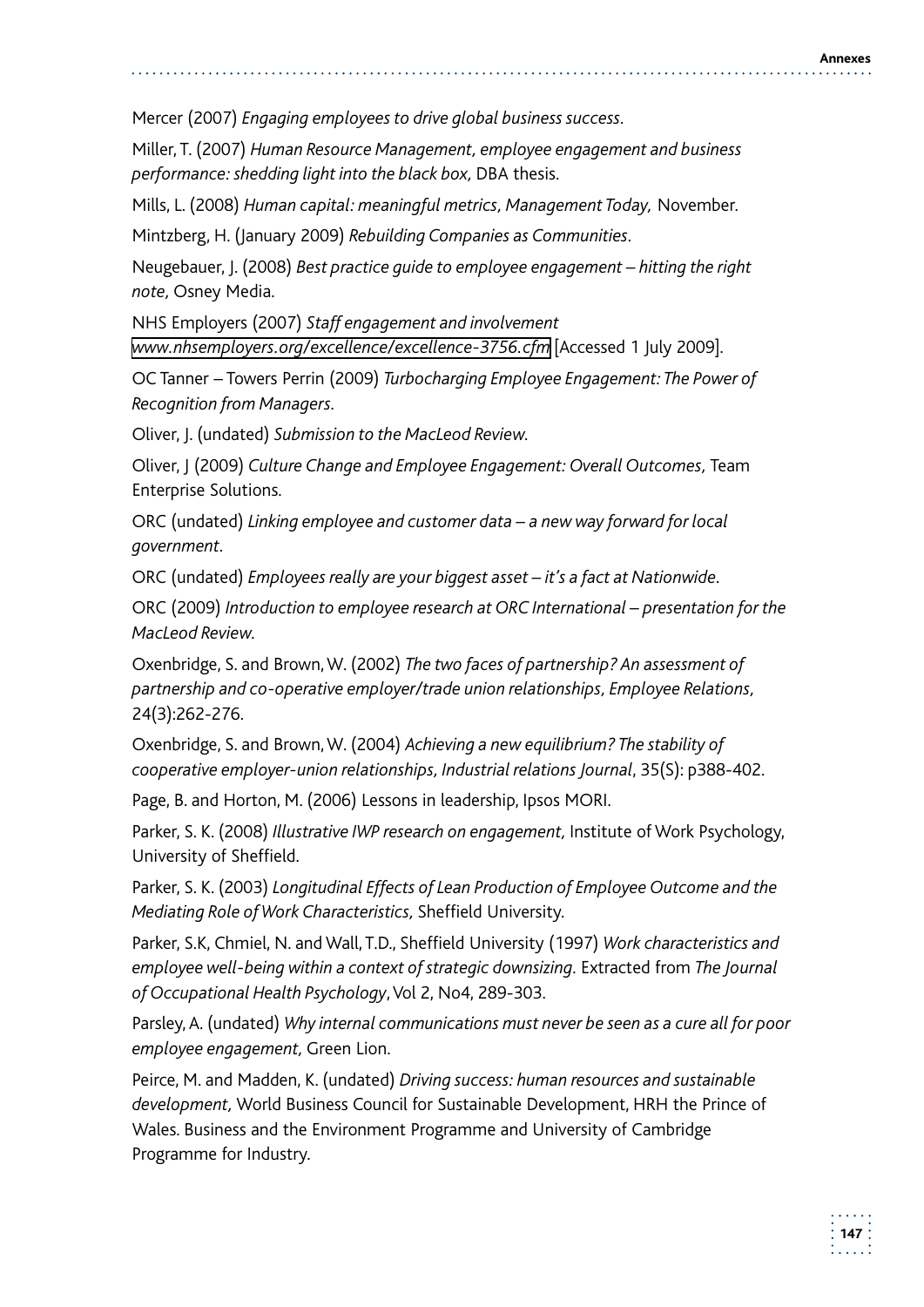Mercer (2007) *Engaging employees to drive global business success.* 

Miller, T. (2007) *Human Resource Management, employee engagement and business performance: shedding light into the black box,* DBA thesis.

Mills, L. (2008) *Human capital: meaningful metrics, Management Today,* November.

Mintzberg, H. (January 2009) *Rebuilding Companies as Communities.* 

Neugebauer, J. (2008) *Best practice guide to employee engagement – hitting the right note,* Osney Media.

NHS Employers (2007) *Staff engagement and involvement www.nhsemployers.org/excellence/excellence-3756.cfm* [Accessed 1 July 2009]*.* 

OC Tanner – Towers Perrin (2009) *Turbocharging Employee Engagement: The Power of Recognition from Managers.* 

Oliver, J. (undated) *Submission to the MacLeod Review.* 

Oliver, J (2009) *Culture Change and Employee Engagement: Overall Outcomes,* Team Enterprise Solutions.

ORC (undated) *Linking employee and customer data – a new way forward for local government.* 

ORC (undated) *Employees really are your biggest asset – it's a fact at Nationwide.* 

ORC (2009) *Introduction to employee research at ORC International – presentation for the MacLeod Review.* 

Oxenbridge, S. and Brown, W. (2002) *The two faces of partnership? An assessment of partnership and co-operative employer/trade union relationships, Employee Relations,* 24(3):262-276.

Oxenbridge, S. and Brown, W. (2004) *Achieving a new equilibrium? The stability of cooperative employer-union relationships, Industrial relations Journal*, 35(S): p388-402.

Page, B. and Horton, M. (2006) Lessons in leadership, Ipsos MORI.

Parker, S. K. (2008) *Illustrative IWP research on engagement,* Institute of Work Psychology, University of Sheffield.

Parker, S. K. (2003) *Longitudinal Effects of Lean Production of Employee Outcome and the Mediating Role of Work Characteristics,* Sheffield University.

Parker, S.K, Chmiel, N. and Wall, T.D., Sheffield University (1997) *Work characteristics and*  employee well-being within a context of strategic downsizing. Extracted from *The Journal of Occupational Health Psychology*, Vol 2, No4, 289-303.

Parsley, A. (undated) *Why internal communications must never be seen as a cure all for poor employee engagement,* Green Lion.

Peirce, M. and Madden, K. (undated) *Driving success: human resources and sustainable development,* World Business Council for Sustainable Development, HRH the Prince of Wales. Business and the Environment Programme and University of Cambridge Programme for Industry.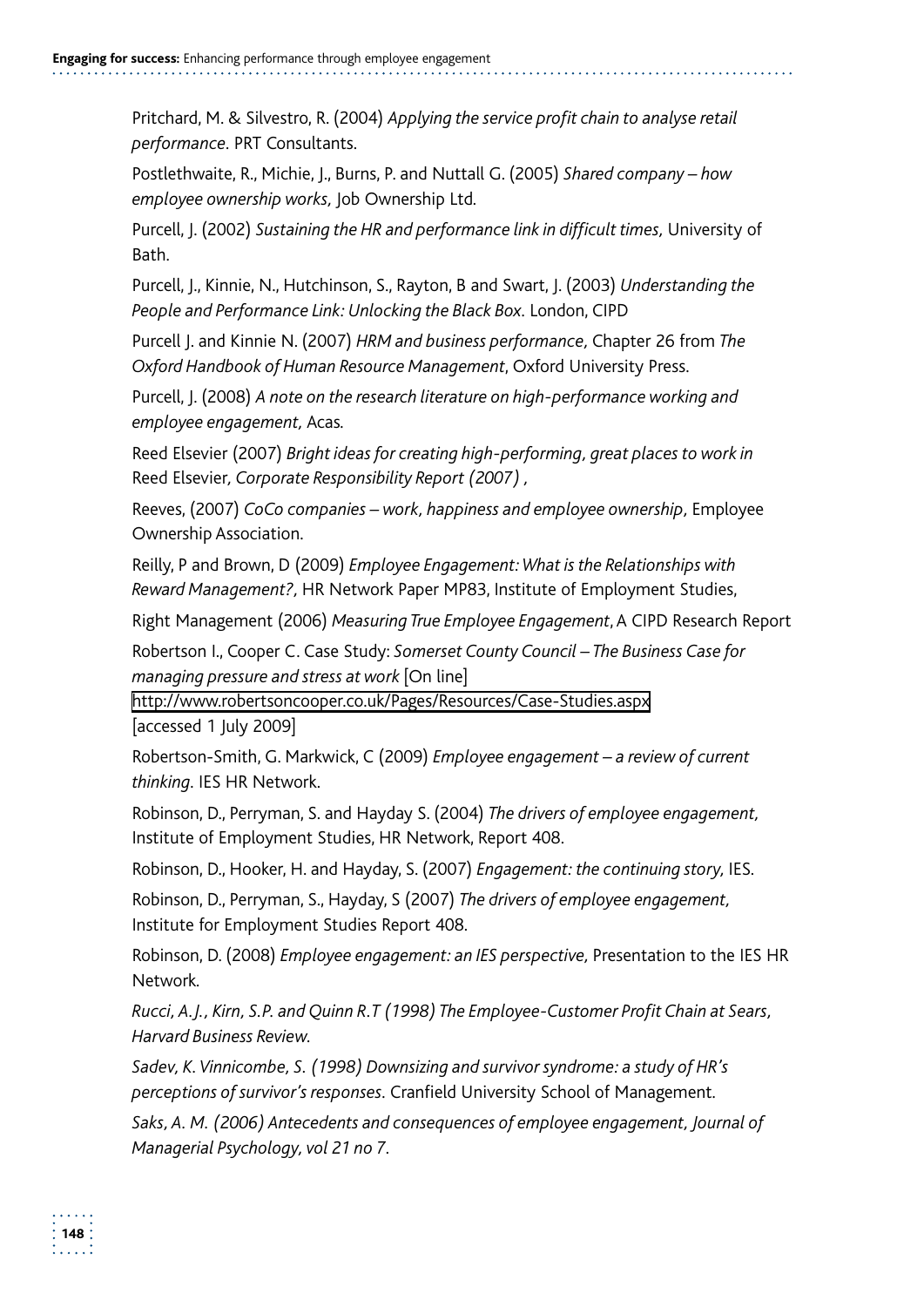Pritchard, M. & Silvestro, R. (2004) *Applying the service profit chain to analyse retail performance.* PRT Consultants.

Postlethwaite, R., Michie, J., Burns, P. and Nuttall G. (2005) *Shared company – how employee ownership works,* Job Ownership Ltd*.* 

Purcell, J. (2002) Sustaining the HR and performance link in difficult times, University of Bath.

Purcell, J., Kinnie, N., Hutchinson, S., Rayton, B and Swart, J. (2003) *Understanding the People and Performance Link: Unlocking the Black Box.* London, CIPD

Purcell J. and Kinnie N. (2007) *HRM and business performance,* Chapter 26 from *The Oxford Handbook of Human Resource Management*, Oxford University Press.

Purcell, J. (2008) *A note on the research literature on high-performance working and employee engagement,* Acas*.* 

Reed Elsevier (2007) *Bright ideas for creating high-performing, great places to work in*  Reed Elsevier*, Corporate Responsibility Report (2007) ,* 

Reeves, (2007) *CoCo companies – work, happiness and employee ownership,* Employee Ownership Association.

Reilly, P and Brown, D (2009) *Employee Engagement: What is the Relationships with Reward Management?,* HR Network Paper MP83, Institute of Employment Studies,

Right Management (2006) *Measuring True Employee Engagement*, A CIPD Research Report

Robertson I., Cooper C. Case Study: *Somerset County Council – The Business Case for managing pressure and stress at work* [On line]

http://www.robertsoncooper.co.uk/Pages/Resources/Case-Studies.aspx<br>[accessed 1 July 2009]

Robertson-Smith, G. Markwick, C (2009) *Employee engagement – a review of current thinking.* IES HR Network.

Robinson, D., Perryman, S. and Hayday S. (2004) *The drivers of employee engagement,* Institute of Employment Studies, HR Network, Report 408.

Robinson, D., Hooker, H. and Hayday, S. (2007) *Engagement: the continuing story,* IES.

Robinson, D., Perryman, S., Hayday, S (2007) *The drivers of employee engagement,* Institute for Employment Studies Report 408.

Robinson, D. (2008) *Employee engagement: an IES perspective,* Presentation to the IES HR Network*.* 

*Rucci, A.J., Kirn, S.P. and Quinn R.T (1998) The Employee-Customer Profit Chain at Sears, Harvard Business Review.* 

*Sadev, K. Vinnicombe, S. (1998) Downsizing and survivor syndrome: a study of HR's perceptions of survivor's responses.* Cranfield University School of Management*.* 

*Saks, A. M. (2006) Antecedents and consequences of employee engagement, Journal of Managerial Psychology, vol 21 no 7.*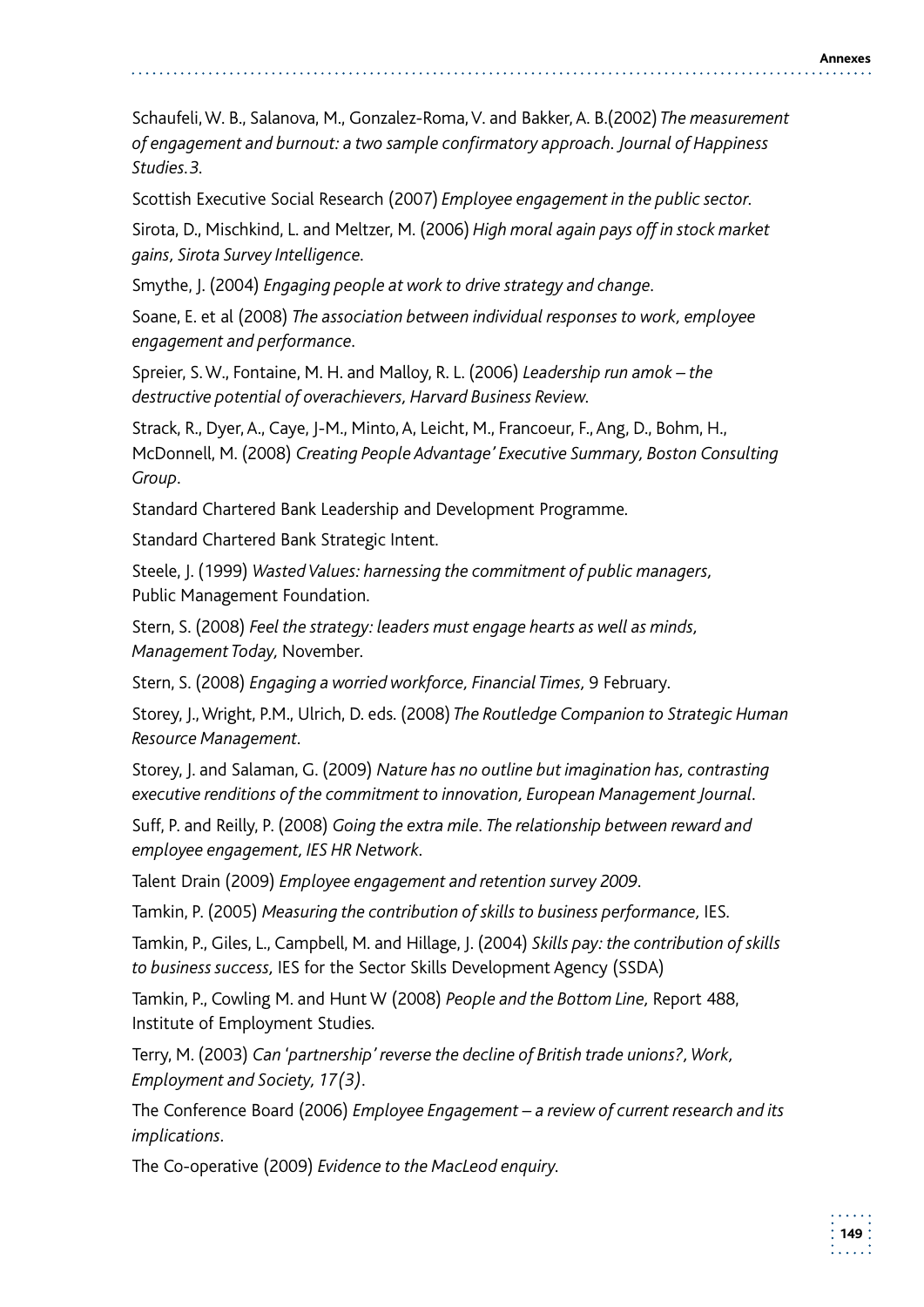Schaufeli, W. B., Salanova, M., Gonzalez-Roma, V. and Bakker, A. B.(2002) *The measurement of engagement and burnout: a two sample confirmatory approach. Journal of Happiness Studies.3.* 

Scottish Executive Social Research (2007) *Employee engagement in the public sector.* 

Sirota, D., Mischkind, L. and Meltzer, M. (2006) *High moral again pays off in stock market gains, Sirota Survey Intelligence.* 

Smythe, J. (2004) *Engaging people at work to drive strategy and change.* 

Soane, E. et al (2008) *The association between individual responses to work, employee engagement and performance.* 

Spreier, S. W., Fontaine, M. H. and Malloy, R. L. (2006) *Leadership run amok – the destructive potential of overachievers, Harvard Business Review.* 

Strack, R., Dyer, A., Caye, J-M., Minto, A, Leicht, M., Francoeur, F., Ang, D., Bohm, H., McDonnell, M. (2008) *Creating People Advantage' Executive Summary, Boston Consulting Group.* 

Standard Chartered Bank Leadership and Development Programme*.* 

Standard Chartered Bank Strategic Intent.

Steele, J. (1999) *Wasted Values: harnessing the commitment of public managers,* Public Management Foundation.

Stern, S. (2008) *Feel the strategy: leaders must engage hearts as well as minds, Management Today,* November*.* 

Stern, S. (2008) *Engaging a worried workforce, Financial Times,* 9 February*.* 

Storey, J., Wright, P.M., Ulrich, D. eds. (2008) *The Routledge Companion to Strategic Human Resource Management.* 

Storey, J. and Salaman, G. (2009) *Nature has no outline but imagination has, contrasting executive renditions of the commitment to innovation, European Management Journal.* 

Suff, P. and Reilly, P. (2008) *Going the extra mile. The relationship between reward and employee engagement, IES HR Network.* 

Talent Drain (2009) *Employee engagement and retention survey 2009.* 

Tamkin, P. (2005) *Measuring the contribution of skills to business performance,* IES*.* 

Tamkin, P., Giles, L., Campbell, M. and Hillage, J. (2004) *Skills pay: the contribution of skills to business success,* IES for the Sector Skills Development Agency (SSDA)

Tamkin, P., Cowling M. and Hunt W (2008) *People and the Bottom Line,* Report 488, Institute of Employment Studies*.* 

Terry, M. (2003) *Can 'partnership' reverse the decline of British trade unions?, Work, Employment and Society, 17(3).* 

The Conference Board (2006) *Employee Engagement – a review of current research and its implications.* 

The Co-operative (2009) *Evidence to the MacLeod enquiry.*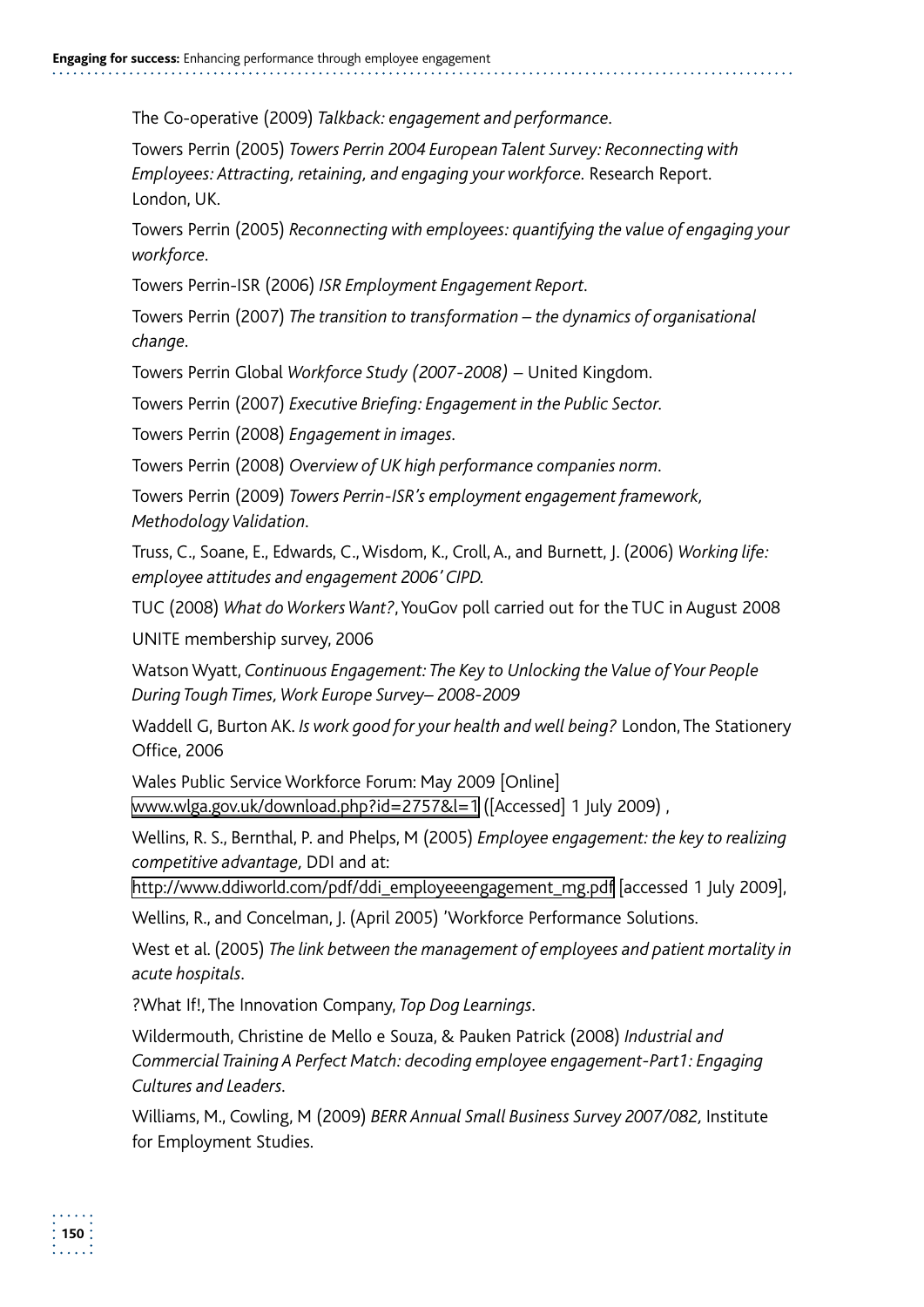The Co-operative (2009) *Talkback: engagement and performance.* 

Towers Perrin (2005) *Towers Perrin 2004 European Talent Survey: Reconnecting with Employees: Attracting, retaining, and engaging your workforce.* Research Report. London, UK.

Towers Perrin (2005) *Reconnecting with employees: quantifying the value of engaging your workforce.* 

Towers Perrin-ISR (2006) *ISR Employment Engagement Report.* 

Towers Perrin (2007) *The transition to transformation – the dynamics of organisational change.* 

Towers Perrin Global *Workforce Study (2007-2008)* – United Kingdom.

Towers Perrin (2007) *Executive Briefing: Engagement in the Public Sector.* 

Towers Perrin (2008) *Engagement in images.* 

Towers Perrin (2008) *Overview of UK high performance companies norm.* 

Towers Perrin (2009) *Towers Perrin-ISR's employment engagement framework, Methodology Validation.* 

Truss, C., Soane, E., Edwards, C., Wisdom, K., Croll, A., and Burnett, J. (2006) *Working life: employee attitudes and engagement 2006' CIPD.* 

TUC (2008) *What do Workers Want?*, YouGov poll carried out for the TUC in August 2008

UNITE membership survey, 2006

Watson Wyatt, *Continuous Engagement: The Key to Unlocking the Value of Your People During Tough Times, Work Europe Survey– 2008-2009* 

 Waddell G, Burton AK. *Is work good for your health and well being?* London, The Stationery Office, 2006

Wales Public Service Workforce Forum: May 2009 [Online] www.wlga.gov.uk/download.php?id=2757&l=1 ([Accessed] 1 July 2009) ,

Wellins, R. S., Bernthal, P. and Phelps, M (2005) *Employee engagement: the key to realizing competitive advantage,* DDI and at:

http://www.ddiworld.com/pdf/ddi\_employeeengagement\_mg.pdf [accessed 1 July 2009],

Wellins, R., and Concelman, J. (April 2005) 'Workforce Performance Solutions.

West et al. (2005) *The link between the management of employees and patient mortality in acute hospitals.* 

?What If!, The Innovation Company, *Top Dog Learnings.* 

Wildermouth, Christine de Mello e Souza, & Pauken Patrick (2008) *Industrial and Commercial Training A Perfect Match: decoding employee engagement-Part1: Engaging Cultures and Leaders.* 

Williams, M., Cowling, M (2009) *BERR Annual Small Business Survey 2007/082,* Institute for Employment Studies.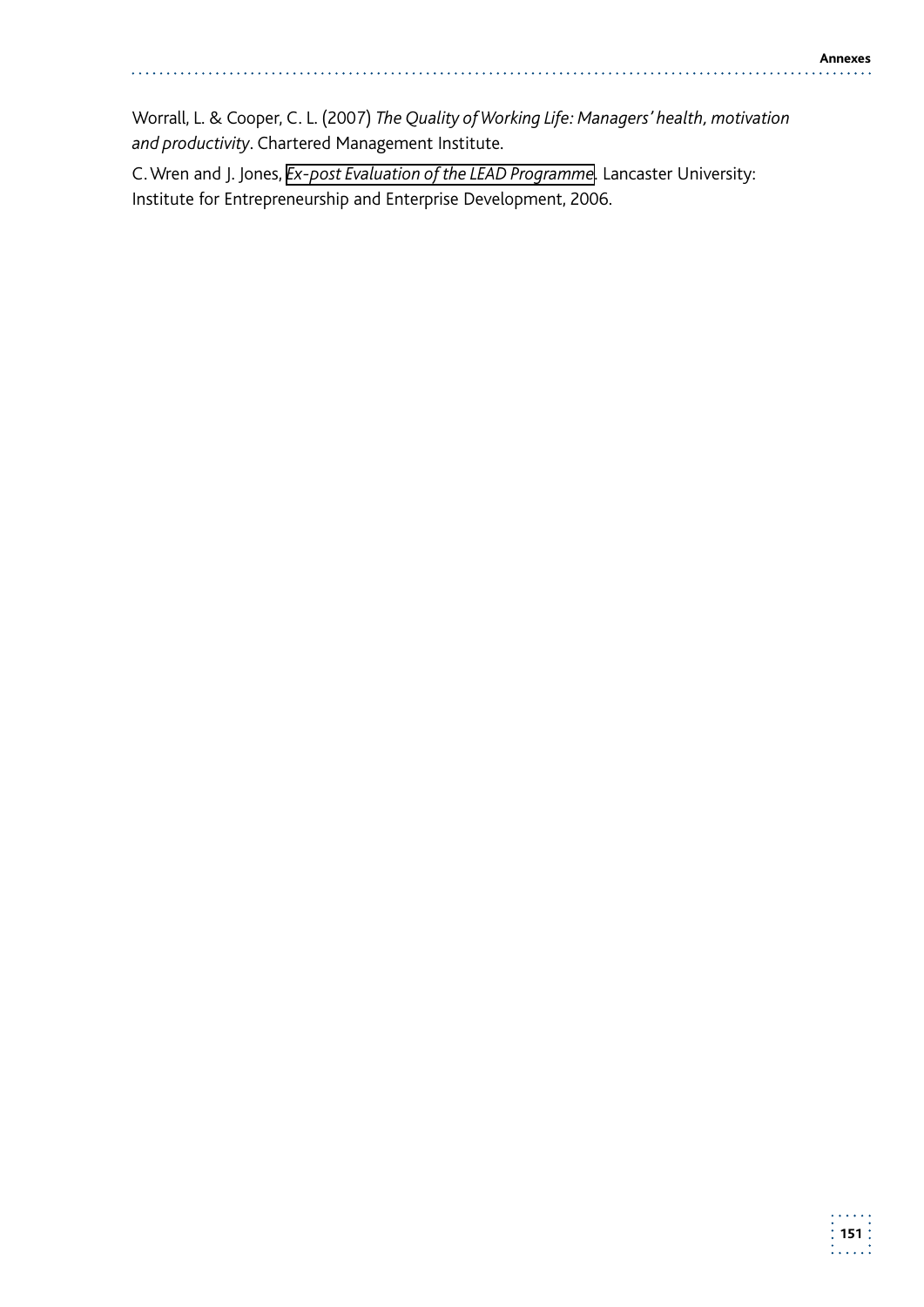Worrall, L. & Cooper, C. L. (2007) *The Quality of Working Life: Managers' health, motivation and productivity*. Chartered Management Institute.

C. Wren and J. Jones, *Ex-post Evaluation of the LEAD Programme.* Lancaster University: Institute for Entrepreneurship and Enterprise Development, 2006.

 $\overline{a}$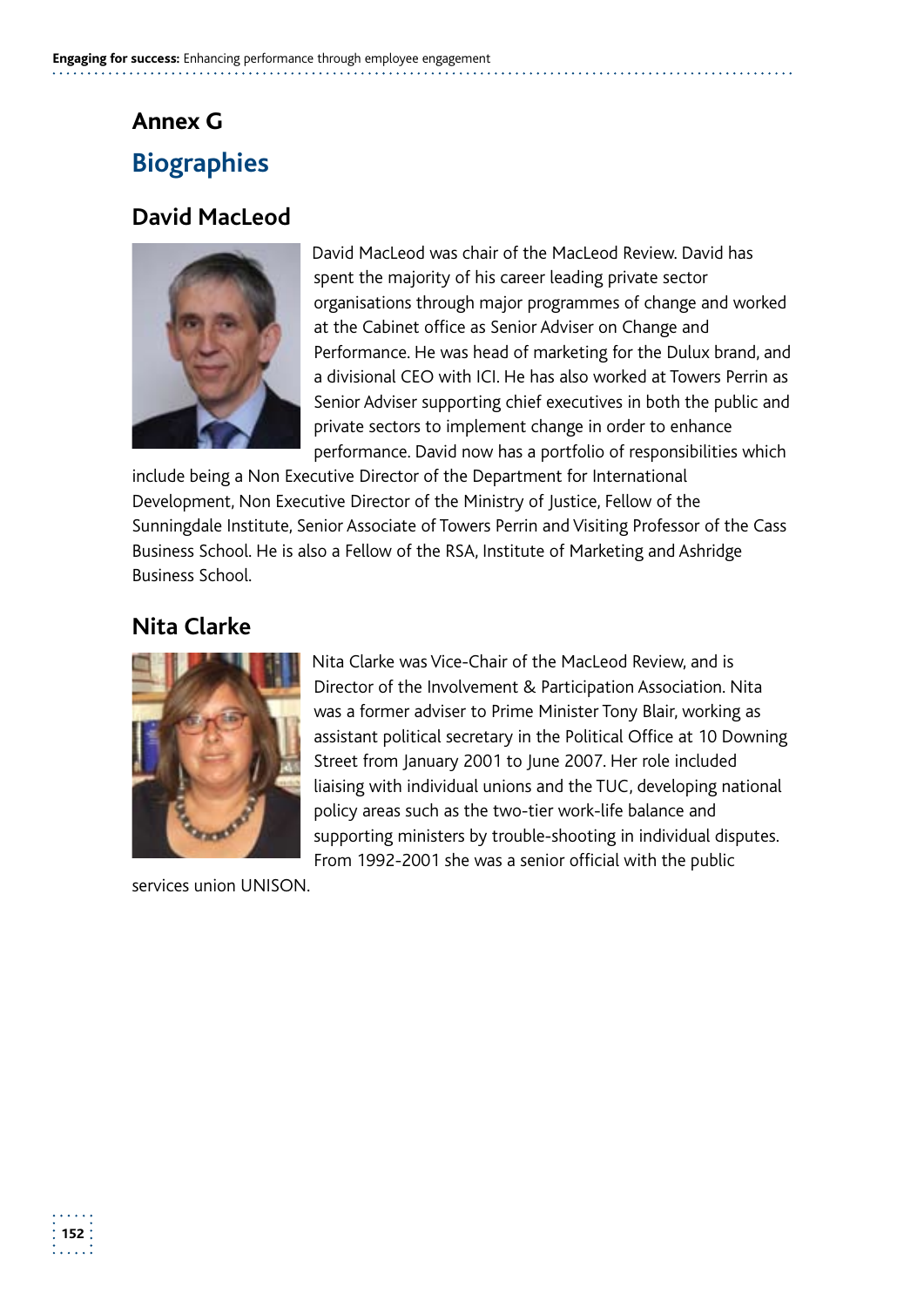## **Annex G Biographies**

## **David MacLeod**



David MacLeod was chair of the MacLeod Review. David has spent the majority of his career leading private sector organisations through major programmes of change and worked at the Cabinet office as Senior Adviser on Change and Performance. He was head of marketing for the Dulux brand, and a divisional CEO with ICI. He has also worked at Towers Perrin as Senior Adviser supporting chief executives in both the public and private sectors to implement change in order to enhance performance. David now has a portfolio of responsibilities which

include being a Non Executive Director of the Department for International Development, Non Executive Director of the Ministry of Justice, Fellow of the Sunningdale Institute, Senior Associate of Towers Perrin and Visiting Professor of the Cass Business School. He is also a Fellow of the RSA, Institute of Marketing and Ashridge Business School.

## **Nita Clarke**



Nita Clarke was Vice-Chair of the MacLeod Review, and is Director of the Involvement & Participation Association. Nita was a former adviser to Prime Minister Tony Blair, working as assistant political secretary in the Political Office at 10 Downing Street from January 2001 to June 2007. Her role included liaising with individual unions and the TUC, developing national policy areas such as the two-tier work-life balance and supporting ministers by trouble-shooting in individual disputes. From 1992-2001 she was a senior official with the public

services union UNISON.